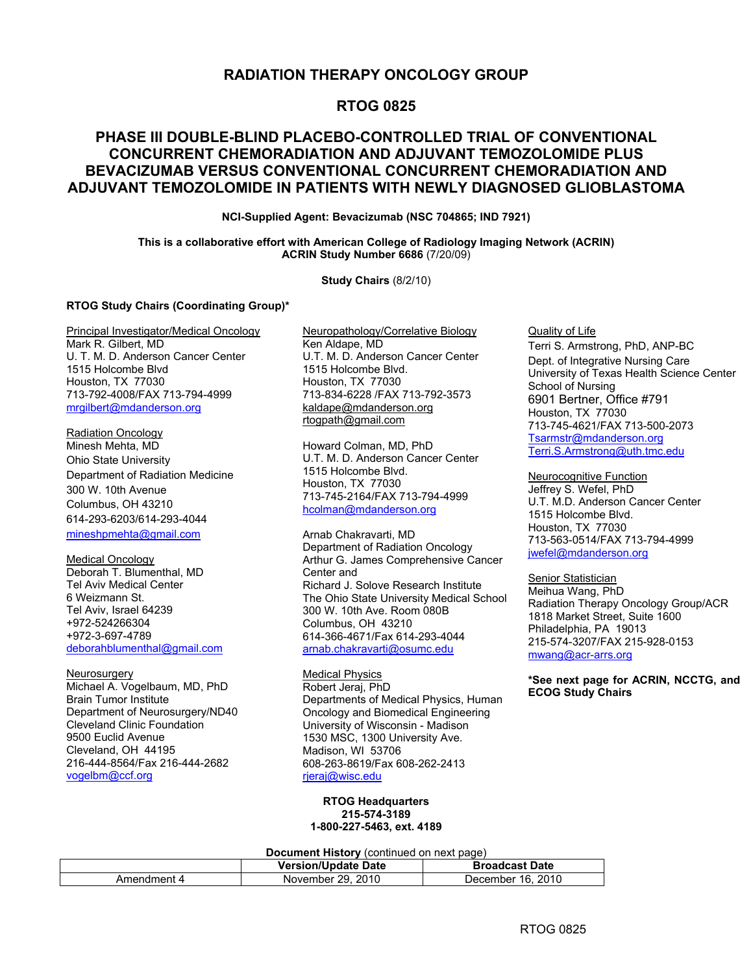## **RADIATION THERAPY ONCOLOGY GROUP**

## **RTOG 0825**

## **PHASE III DOUBLE-BLIND PLACEBO-CONTROLLED TRIAL OF CONVENTIONAL CONCURRENT CHEMORADIATION AND ADJUVANT TEMOZOLOMIDE PLUS BEVACIZUMAB VERSUS CONVENTIONAL CONCURRENT CHEMORADIATION AND ADJUVANT TEMOZOLOMIDE IN PATIENTS WITH NEWLY DIAGNOSED GLIOBLASTOMA**

**NCI-Supplied Agent: Bevacizumab (NSC 704865; IND 7921)** 

**This is a collaborative effort with American College of Radiology Imaging Network (ACRIN) ACRIN Study Number 6686** (7/20/09)

**Study Chairs** (8/2/10)

#### **RTOG Study Chairs (Coordinating Group)\***

Principal Investigator/Medical Oncology Mark R. Gilbert, MD U. T. M. D. Anderson Cancer Center 1515 Holcombe Blvd Houston, TX 77030 713-792-4008/FAX 713-794-4999 mrgilbert@mdanderson.org

Radiation Oncology Minesh Mehta, MD Ohio State University Department of Radiation Medicine 300 W. 10th Avenue Columbus, OH 43210 614-293-6203/614-293-4044 mineshpmehta@gmail.com

Medical Oncology Deborah T. Blumenthal, MD Tel Aviv Medical Center 6 Weizmann St. Tel Aviv, Israel 64239 +972-524266304 +972-3-697-4789 deborahblumenthal@gmail.com

Neurosurgery Michael A. Vogelbaum, MD, PhD Brain Tumor Institute Department of Neurosurgery/ND40 Cleveland Clinic Foundation 9500 Euclid Avenue Cleveland, OH 44195 216-444-8564/Fax 216-444-2682 vogelbm@ccf.org

Neuropathology/Correlative Biology Ken Aldape, MD U.T. M. D. Anderson Cancer Center 1515 Holcombe Blvd. Houston, TX 77030 713-834-6228 /FAX 713-792-3573 kaldape@mdanderson.org rtogpath@gmail.com

Howard Colman, MD, PhD U.T. M. D. Anderson Cancer Center 1515 Holcombe Blvd. Houston, TX 77030 713-745-2164/FAX 713-794-4999 hcolman@mdanderson.org

Arnab Chakravarti, MD Department of Radiation Oncology Arthur G. James Comprehensive Cancer Center and Richard J. Solove Research Institute The Ohio State University Medical School 300 W. 10th Ave. Room 080B Columbus, OH 43210 614-366-4671/Fax 614-293-4044 arnab.chakravarti@osumc.edu

Medical Physics Robert Jeraj, PhD Departments of Medical Physics, Human Oncology and Biomedical Engineering University of Wisconsin - Madison 1530 MSC, 1300 University Ave. Madison, WI 53706 608-263-8619/Fax 608-262-2413 rjeraj@wisc.edu

**RTOG Headquarters 215-574-3189 1-800-227-5463, ext. 4189** 

**Document History** (continued on next page)

|             | <b>Version/Update Date</b> | <b>Broadcast Date</b> |
|-------------|----------------------------|-----------------------|
| Amendment 4 | November 29, 2010          | December 16, 2010     |

Quality of Life Terri S. Armstrong, PhD, ANP-BC Dept. of Integrative Nursing Care University of Texas Health Science Center School of Nursing 6901 Bertner, Office #791 Houston, TX 77030 713-745-4621/FAX 713-500-2073 Tsarmstr@mdanderson.org Terri.S.Armstrong@uth.tmc.edu

Neurocognitive Function Jeffrey S. Wefel, PhD U.T. M.D. Anderson Cancer Center 1515 Holcombe Blvd. Houston, TX 77030 713-563-0514/FAX 713-794-4999 jwefel@mdanderson.org

**Senior Statistician** Meihua Wang, PhD Radiation Therapy Oncology Group/ACR 1818 Market Street, Suite 1600 Philadelphia, PA 19013 215-574-3207/FAX 215-928-0153 mwang@acr-arrs.org

**\*See next page for ACRIN, NCCTG, and ECOG Study Chairs**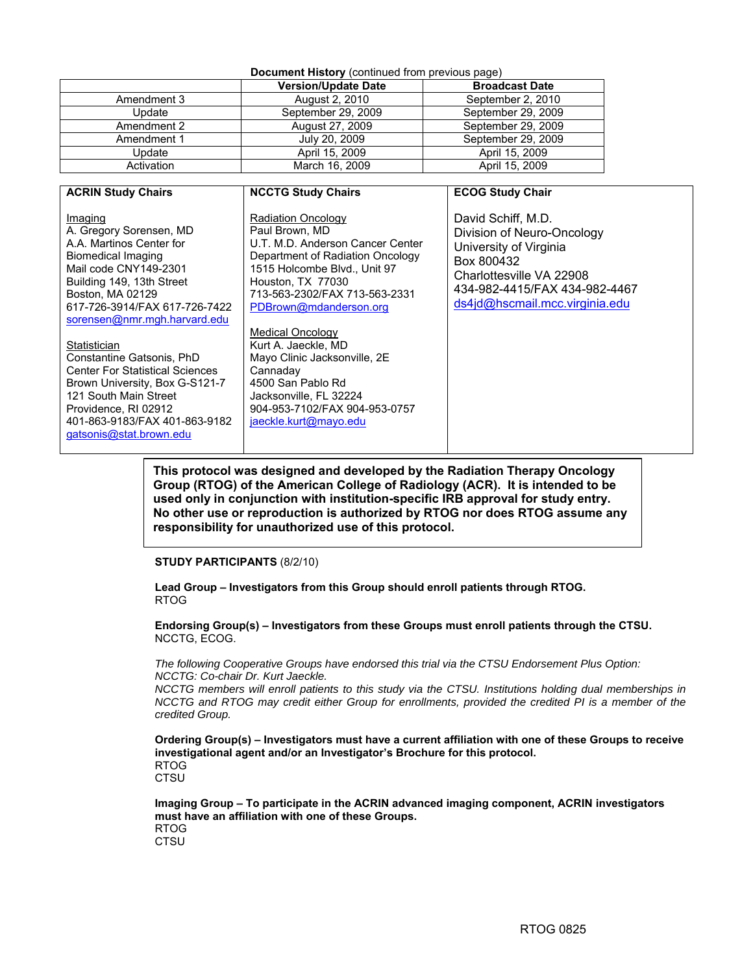#### **Document History** (continued from previous page)

|             | <b>Version/Update Date</b> | <b>Broadcast Date</b> |
|-------------|----------------------------|-----------------------|
| Amendment 3 | August 2, 2010             | September 2, 2010     |
| Update      | September 29, 2009         | September 29, 2009    |
| Amendment 2 | August 27, 2009            | September 29, 2009    |
| Amendment 1 | July 20, 2009              | September 29, 2009    |
| Update      | April 15, 2009             | April 15, 2009        |
| Activation  | March 16, 2009             | April 15, 2009        |

| <b>ACRIN Study Chairs</b>                                                                                                                                                                                                                                                                                                                                                         | <b>NCCTG Study Chairs</b>                                                                                                                                                                                                                                                                                                                                                 | <b>ECOG Study Chair</b>                                                                                                                                                                 |
|-----------------------------------------------------------------------------------------------------------------------------------------------------------------------------------------------------------------------------------------------------------------------------------------------------------------------------------------------------------------------------------|---------------------------------------------------------------------------------------------------------------------------------------------------------------------------------------------------------------------------------------------------------------------------------------------------------------------------------------------------------------------------|-----------------------------------------------------------------------------------------------------------------------------------------------------------------------------------------|
| Imaging<br>A. Gregory Sorensen, MD<br>A.A. Martinos Center for<br>Biomedical Imaging<br>Mail code CNY149-2301<br>Building 149, 13th Street<br>Boston, MA 02129<br>617-726-3914/FAX 617-726-7422<br>sorensen@nmr.mgh.harvard.edu<br>Statistician<br>Constantine Gatsonis, PhD<br><b>Center For Statistical Sciences</b><br>Brown University, Box G-S121-7<br>121 South Main Street | <b>Radiation Oncology</b><br>Paul Brown, MD<br>U.T. M.D. Anderson Cancer Center<br>Department of Radiation Oncology<br>1515 Holcombe Blvd., Unit 97<br>Houston, TX 77030<br>713-563-2302/FAX 713-563-2331<br>PDBrown@mdanderson.org<br>Medical Oncology<br>Kurt A. Jaeckle, MD<br>Mayo Clinic Jacksonville, 2E<br>Cannaday<br>4500 San Pablo Rd<br>Jacksonville, FL 32224 | David Schiff, M.D.<br>Division of Neuro-Oncology<br>University of Virginia<br>Box 800432<br>Charlottesville VA 22908<br>434-982-4415/FAX 434-982-4467<br>ds4jd@hscmail.mcc.virginia.edu |
| Providence, RI 02912<br>401-863-9183/FAX 401-863-9182<br>gatsonis@stat.brown.edu                                                                                                                                                                                                                                                                                                  | 904-953-7102/FAX 904-953-0757<br>jaeckle.kurt@mayo.edu                                                                                                                                                                                                                                                                                                                    |                                                                                                                                                                                         |

**This protocol was designed and developed by the Radiation Therapy Oncology Group (RTOG) of the American College of Radiology (ACR). It is intended to be used only in conjunction with institution-specific IRB approval for study entry. No other use or reproduction is authorized by RTOG nor does RTOG assume any responsibility for unauthorized use of this protocol.**

#### **STUDY PARTICIPANTS** (8/2/10)

**Lead Group – Investigators from this Group should enroll patients through RTOG.**  RTOG

**Endorsing Group(s) – Investigators from these Groups must enroll patients through the CTSU.**  NCCTG, ECOG.

*The following Cooperative Groups have endorsed this trial via the CTSU Endorsement Plus Option: NCCTG: Co-chair Dr. Kurt Jaeckle.* 

*NCCTG members will enroll patients to this study via the CTSU. Institutions holding dual memberships in NCCTG and RTOG may credit either Group for enrollments, provided the credited PI is a member of the credited Group.* 

**Ordering Group(s) – Investigators must have a current affiliation with one of these Groups to receive investigational agent and/or an Investigator's Brochure for this protocol.**  RTOG

**CTSU** 

**Imaging Group – To participate in the ACRIN advanced imaging component, ACRIN investigators must have an affiliation with one of these Groups.**  RTOG

**CTSU**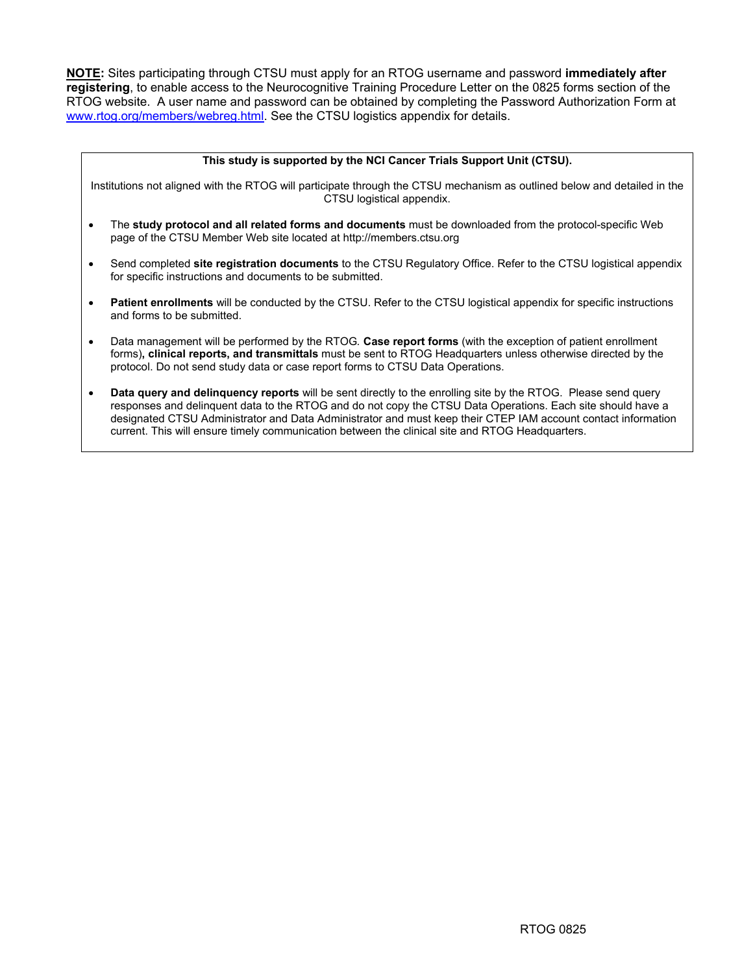**NOTE:** Sites participating through CTSU must apply for an RTOG username and password **immediately after registering**, to enable access to the Neurocognitive Training Procedure Letter on the 0825 forms section of the RTOG website. A user name and password can be obtained by completing the Password Authorization Form at www.rtog.org/members/webreg.html. See the CTSU logistics appendix for details.

| This study is supported by the NCI Cancer Trials Support Unit (CTSU).                                                                                                                                                                                                                                                      |
|----------------------------------------------------------------------------------------------------------------------------------------------------------------------------------------------------------------------------------------------------------------------------------------------------------------------------|
| Institutions not aligned with the RTOG will participate through the CTSU mechanism as outlined below and detailed in the<br>CTSU logistical appendix.                                                                                                                                                                      |
| The study protocol and all related forms and documents must be downloaded from the protocol-specific Web<br>٠<br>page of the CTSU Member Web site located at http://members.ctsu.org                                                                                                                                       |
| Send completed site registration documents to the CTSU Regulatory Office. Refer to the CTSU logistical appendix<br>for specific instructions and documents to be submitted.                                                                                                                                                |
| Patient enrollments will be conducted by the CTSU. Refer to the CTSU logistical appendix for specific instructions<br>$\bullet$<br>and forms to be submitted.                                                                                                                                                              |
| Data management will be performed by the RTOG. Case report forms (with the exception of patient enrollment<br>$\bullet$<br>forms), clinical reports, and transmittals must be sent to RTOG Headquarters unless otherwise directed by the<br>protocol. Do not send study data or case report forms to CTSU Data Operations. |
| Data query and delinquency reports will be sent directly to the enrolling site by the RTOG. Please send query<br>٠<br>responses and delinquent data to the RTOG and do not copy the CTSU Data Operations. Each site should have a                                                                                          |

designated CTSU Administrator and Data Administrator and must keep their CTEP IAM account contact information current. This will ensure timely communication between the clinical site and RTOG Headquarters.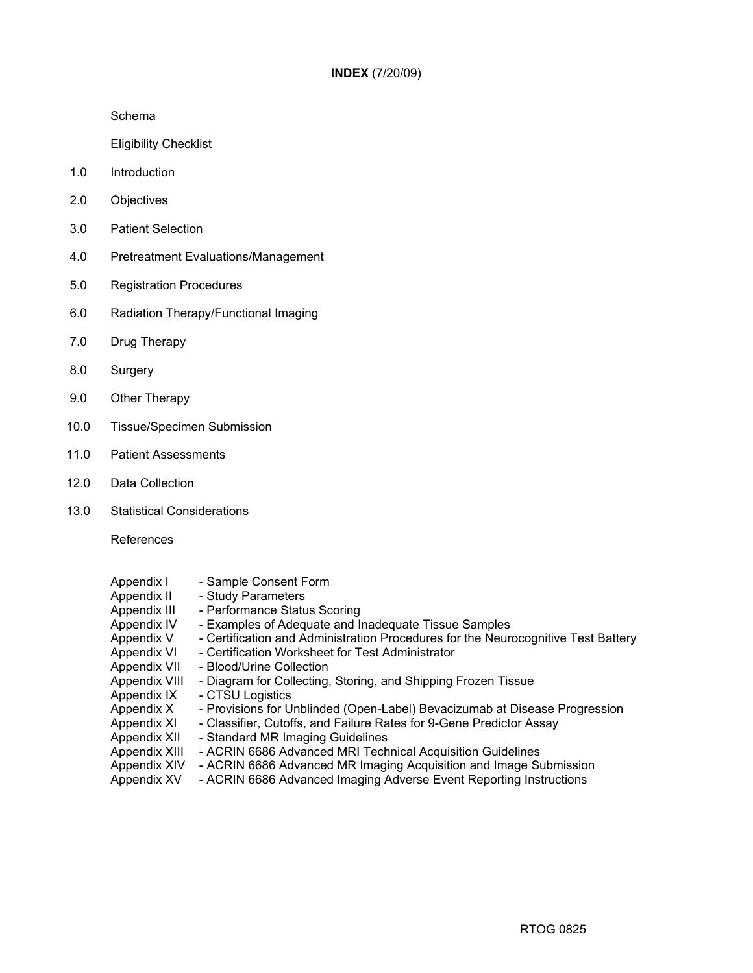Schema

Eligibility Checklist

- 1.0 Introduction
- 2.0 Objectives
- 3.0 Patient Selection
- 4.0 Pretreatment Evaluations/Management
- 5.0 Registration Procedures
- 6.0 Radiation Therapy/Functional Imaging
- 7.0 Drug Therapy
- 8.0 Surgery
- 9.0 Other Therapy
- 10.0 Tissue/Specimen Submission
- 11.0 Patient Assessments
- 12.0 Data Collection
- 13.0 Statistical Considerations

References

| Appendix I    | - Sample Consent Form                                                             |
|---------------|-----------------------------------------------------------------------------------|
| Appendix II   | - Study Parameters                                                                |
| Appendix III  | - Performance Status Scoring                                                      |
| Appendix IV   | - Examples of Adequate and Inadequate Tissue Samples                              |
| Appendix V    | - Certification and Administration Procedures for the Neurocognitive Test Battery |
| Appendix VI   | - Certification Worksheet for Test Administrator                                  |
| Appendix VII  | - Blood/Urine Collection                                                          |
| Appendix VIII | - Diagram for Collecting, Storing, and Shipping Frozen Tissue                     |
| Appendix IX   | - CTSU Logistics                                                                  |
| Appendix X    | - Provisions for Unblinded (Open-Label) Bevacizumab at Disease Progression        |
| Appendix XI   | - Classifier, Cutoffs, and Failure Rates for 9-Gene Predictor Assay               |
| Appendix XII  | - Standard MR Imaging Guidelines                                                  |
| Appendix XIII | - ACRIN 6686 Advanced MRI Technical Acquisition Guidelines                        |
| Appendix XIV  | - ACRIN 6686 Advanced MR Imaging Acquisition and Image Submission                 |
| Appendix XV   | - ACRIN 6686 Advanced Imaging Adverse Event Reporting Instructions                |
|               |                                                                                   |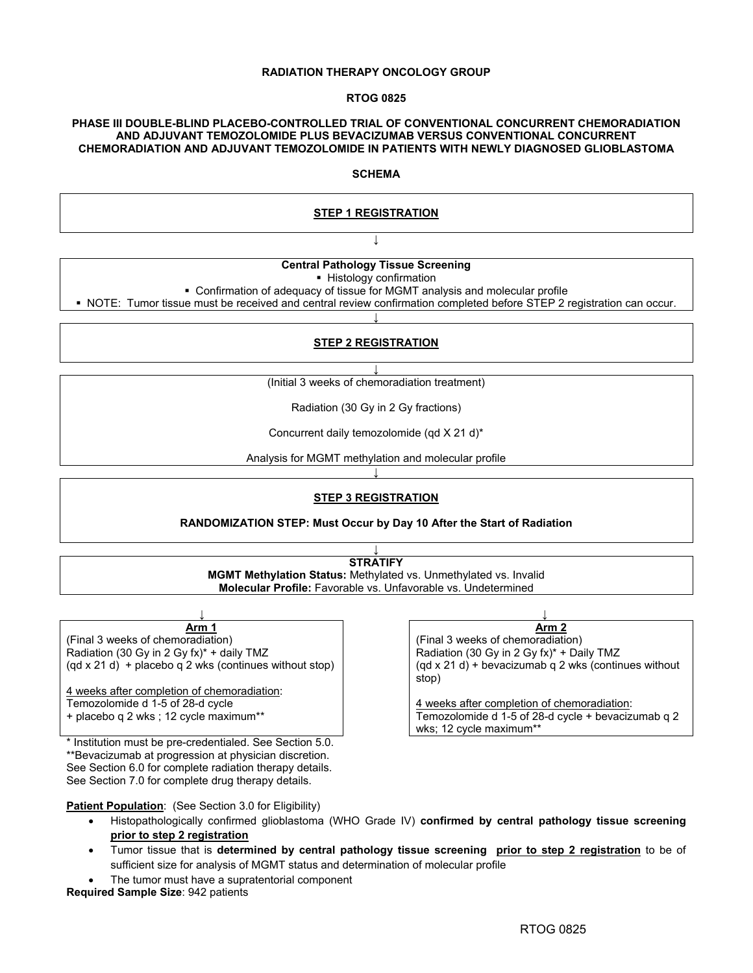#### **RADIATION THERAPY ONCOLOGY GROUP**

#### **RTOG 0825**

#### **PHASE III DOUBLE-BLIND PLACEBO-CONTROLLED TRIAL OF CONVENTIONAL CONCURRENT CHEMORADIATION AND ADJUVANT TEMOZOLOMIDE PLUS BEVACIZUMAB VERSUS CONVENTIONAL CONCURRENT CHEMORADIATION AND ADJUVANT TEMOZOLOMIDE IN PATIENTS WITH NEWLY DIAGNOSED GLIOBLASTOMA**

#### **SCHEMA**

#### **STEP 1 REGISTRATION**

## **↓ Central Pathology Tissue Screening**

**Histology confirmation** 

Confirmation of adequacy of tissue for MGMT analysis and molecular profile

 NOTE: Tumor tissue must be received and central review confirmation completed before STEP 2 registration can occur. **↓**

#### **STEP 2 REGISTRATION**

**↓**

(Initial 3 weeks of chemoradiation treatment)

Radiation (30 Gy in 2 Gy fractions)

Concurrent daily temozolomide (qd X 21 d)\*

Analysis for MGMT methylation and molecular profile **↓**

## **STEP 3 REGISTRATION**

**RANDOMIZATION STEP: Must Occur by Day 10 After the Start of Radiation** 

**↓ STRATIFY MGMT Methylation Status:** Methylated vs. Unmethylated vs. Invalid **Molecular Profile:** Favorable vs. Unfavorable vs. Undetermined

| Arm 1                                                           | Αr                                    |
|-----------------------------------------------------------------|---------------------------------------|
| (Final 3 weeks of chemoradiation)                               | (Final 3 weeks of chemora             |
| Radiation (30 Gy in 2 Gy fx)* + daily TMZ                       | Radiation (30 Gy in 2 Gy fx           |
| $\text{(ad x 21 d)}$ + placebo g 2 wks (continues without stop) | $($ gd x 21 d) + bevacizumab<br>stop) |
|                                                                 |                                       |

4 weeks after completion of chemoradiation: Temozolomide d 1-5 of 28-d cycle + placebo q 2 wks ; 12 cycle maximum\*\*

\* Institution must be pre-credentialed. See Section 5.0. \*\*Bevacizumab at progression at physician discretion. See Section 6.0 for complete radiation therapy details. See Section 7.0 for complete drug therapy details.

**Arm 2** (Final 3 weeks of chemoradiation) Radiation (30 Gy in 2 Gy fx)\* + Daily TMZ (qd x 21 d) + bevacizumab q 2 wks (continues without stop)

4 weeks after completion of chemoradiation: Temozolomide d 1-5 of 28-d cycle + bevacizumab q 2 wks; 12 cycle maximum\*\*

**Patient Population:** (See Section 3.0 for Eligibility)

- Histopathologically confirmed glioblastoma (WHO Grade IV) **confirmed by central pathology tissue screening prior to step 2 registration**
- Tumor tissue that is **determined by central pathology tissue screening prior to step 2 registration** to be of sufficient size for analysis of MGMT status and determination of molecular profile
- The tumor must have a supratentorial component

**Required Sample Size**: 942 patients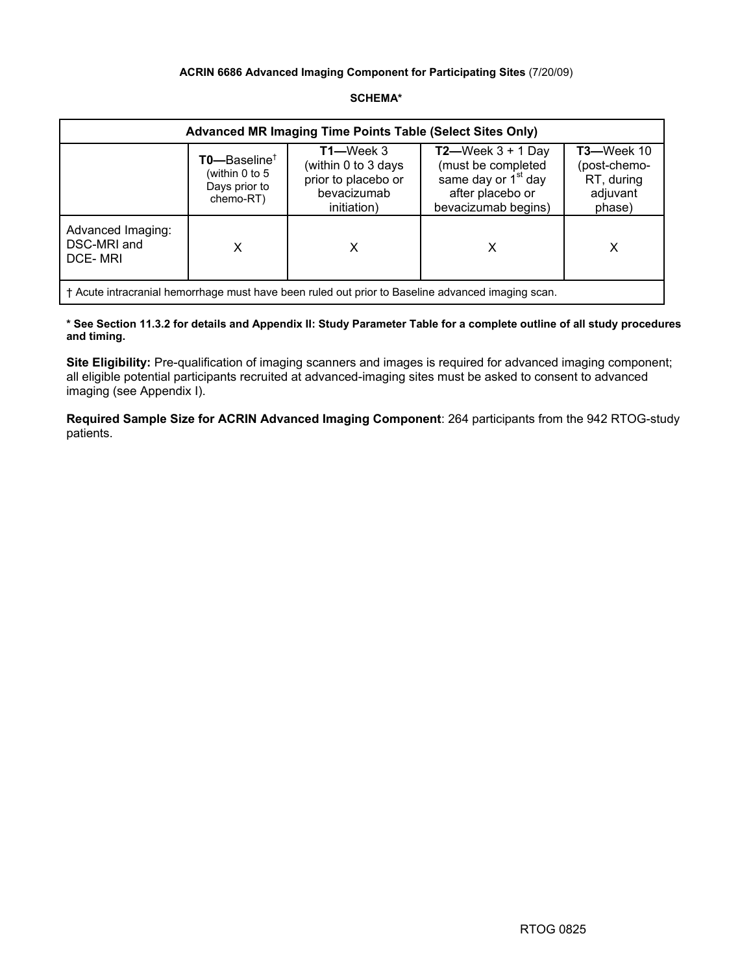## **ACRIN 6686 Advanced Imaging Component for Participating Sites** (7/20/09)

## **SCHEMA\***

| <b>Advanced MR Imaging Time Points Table (Select Sites Only)</b>                                  |                                                                              |                                                                                          |                                                                                                                          |                                                                       |
|---------------------------------------------------------------------------------------------------|------------------------------------------------------------------------------|------------------------------------------------------------------------------------------|--------------------------------------------------------------------------------------------------------------------------|-----------------------------------------------------------------------|
|                                                                                                   | $TO$ --Baseline <sup>†</sup><br>(within 0 to 5<br>Days prior to<br>chemo-RT) | $T1$ —Week 3<br>(within 0 to 3 days<br>prior to placebo or<br>bevacizumab<br>initiation) | $T2$ —Week 3 + 1 Day<br>(must be completed<br>same day or 1 <sup>st</sup> day<br>after placebo or<br>bevacizumab begins) | <b>T3-Week 10</b><br>(post-chemo-<br>RT, during<br>adjuvant<br>phase) |
| Advanced Imaging:<br>DSC-MRI and<br><b>DCE-MRI</b>                                                |                                                                              | х                                                                                        |                                                                                                                          | х                                                                     |
| † Acute intracranial hemorrhage must have been ruled out prior to Baseline advanced imaging scan. |                                                                              |                                                                                          |                                                                                                                          |                                                                       |

**\* See Section 11.3.2 for details and Appendix II: Study Parameter Table for a complete outline of all study procedures and timing.** 

**Site Eligibility:** Pre-qualification of imaging scanners and images is required for advanced imaging component; all eligible potential participants recruited at advanced-imaging sites must be asked to consent to advanced imaging (see Appendix I).

**Required Sample Size for ACRIN Advanced Imaging Component**: 264 participants from the 942 RTOG-study patients.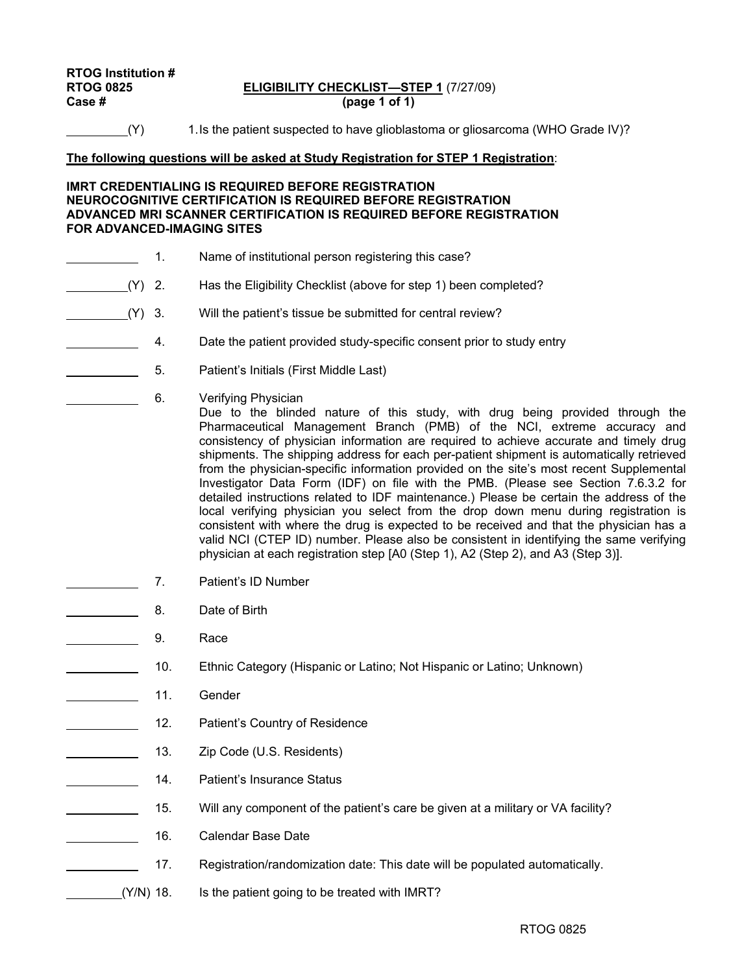# **RTOG Institution #**

## **RTOG 0825 ELIGIBILITY CHECKLIST—STEP 1** (7/27/09) **Case # (page 1 of 1)**

(Y) 1. Is the patient suspected to have glioblastoma or gliosarcoma (WHO Grade IV)?

## **The following questions will be asked at Study Registration for STEP 1 Registration**:

## **IMRT CREDENTIALING IS REQUIRED BEFORE REGISTRATION NEUROCOGNITIVE CERTIFICATION IS REQUIRED BEFORE REGISTRATION ADVANCED MRI SCANNER CERTIFICATION IS REQUIRED BEFORE REGISTRATION FOR ADVANCED-IMAGING SITES**

- 1. Name of institutional person registering this case?
- (Y) 2. Has the Eligibility Checklist (above for step 1) been completed?
- (Y) 3. Will the patient's tissue be submitted for central review?
- **4.** Date the patient provided study-specific consent prior to study entry
- 5. Patient's Initials (First Middle Last)
	- 6. Verifying Physician

Due to the blinded nature of this study, with drug being provided through the Pharmaceutical Management Branch (PMB) of the NCI, extreme accuracy and consistency of physician information are required to achieve accurate and timely drug shipments. The shipping address for each per-patient shipment is automatically retrieved from the physician-specific information provided on the site's most recent Supplemental Investigator Data Form (IDF) on file with the PMB. (Please see Section 7.6.3.2 for detailed instructions related to IDF maintenance.) Please be certain the address of the local verifying physician you select from the drop down menu during registration is consistent with where the drug is expected to be received and that the physician has a valid NCI (CTEP ID) number. Please also be consistent in identifying the same verifying physician at each registration step [A0 (Step 1), A2 (Step 2), and A3 (Step 3)].

- 7. Patient's ID Number
- **Example 2** 8. Date of Birth
- 9. Race
- 10. Ethnic Category (Hispanic or Latino; Not Hispanic or Latino; Unknown)
- 11. Gender
- 12. Patient's Country of Residence
- 13. Zip Code (U.S. Residents)
- **14.** Patient's Insurance Status
- 15. Will any component of the patient's care be given at a military or VA facility?
- 16. Calendar Base Date
- 17. Registration/randomization date: This date will be populated automatically.
- (Y/N) 18. Is the patient going to be treated with IMRT?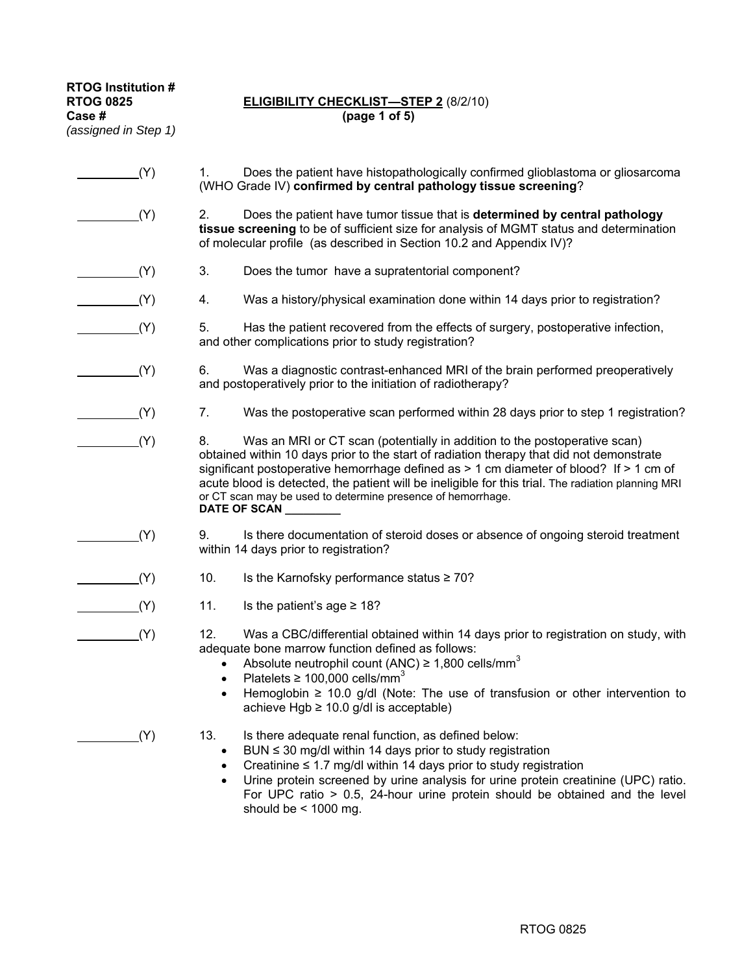**RTOG Institution #**  *(assigned in Step 1)*

## **RTOG 0825 ELIGIBILITY CHECKLIST—STEP 2** (8/2/10)<br>Case # (page 1 of 5) **Case # (page 1 of 5)**

| (Y) | Does the patient have histopathologically confirmed glioblastoma or gliosarcoma<br>1.<br>(WHO Grade IV) confirmed by central pathology tissue screening?                                                                                                                                                                                                                                                                                                       |
|-----|----------------------------------------------------------------------------------------------------------------------------------------------------------------------------------------------------------------------------------------------------------------------------------------------------------------------------------------------------------------------------------------------------------------------------------------------------------------|
| (Y) | 2.<br>Does the patient have tumor tissue that is determined by central pathology<br>tissue screening to be of sufficient size for analysis of MGMT status and determination<br>of molecular profile (as described in Section 10.2 and Appendix IV)?                                                                                                                                                                                                            |
| (Y) | 3.<br>Does the tumor have a supratentorial component?                                                                                                                                                                                                                                                                                                                                                                                                          |
| (Y) | Was a history/physical examination done within 14 days prior to registration?<br>4.                                                                                                                                                                                                                                                                                                                                                                            |
| (Y) | 5.<br>Has the patient recovered from the effects of surgery, postoperative infection,<br>and other complications prior to study registration?                                                                                                                                                                                                                                                                                                                  |
| (Y) | 6.<br>Was a diagnostic contrast-enhanced MRI of the brain performed preoperatively<br>and postoperatively prior to the initiation of radiotherapy?                                                                                                                                                                                                                                                                                                             |
| (Y) | Was the postoperative scan performed within 28 days prior to step 1 registration?<br>7.                                                                                                                                                                                                                                                                                                                                                                        |
| (Y) | 8.<br>Was an MRI or CT scan (potentially in addition to the postoperative scan)<br>obtained within 10 days prior to the start of radiation therapy that did not demonstrate<br>significant postoperative hemorrhage defined as $> 1$ cm diameter of blood? If $> 1$ cm of<br>acute blood is detected, the patient will be ineligible for this trial. The radiation planning MRI<br>or CT scan may be used to determine presence of hemorrhage.<br>DATE OF SCAN |
| (Y) | Is there documentation of steroid doses or absence of ongoing steroid treatment<br>9.<br>within 14 days prior to registration?                                                                                                                                                                                                                                                                                                                                 |
| (Y) | 10.<br>Is the Karnofsky performance status $\geq 70$ ?                                                                                                                                                                                                                                                                                                                                                                                                         |
| (Y) | 11.<br>Is the patient's age $\geq 18$ ?                                                                                                                                                                                                                                                                                                                                                                                                                        |
| (Y) | 12.<br>Was a CBC/differential obtained within 14 days prior to registration on study, with<br>adequate bone marrow function defined as follows:<br>Absolute neutrophil count (ANC) $\geq$ 1,800 cells/mm <sup>3</sup><br>Platelets $\geq 100,000$ cells/mm <sup>3</sup><br>Hemoglobin $\geq$ 10.0 g/dl (Note: The use of transfusion or other intervention to<br>achieve Hgb $\geq$ 10.0 g/dl is acceptable)                                                   |
| (Y) | 13.<br>Is there adequate renal function, as defined below:<br>BUN $\leq$ 30 mg/dl within 14 days prior to study registration<br>$\bullet$<br>Creatinine $\leq 1.7$ mg/dl within 14 days prior to study registration<br>$\bullet$<br>Urine protein screened by urine analysis for urine protein creatinine (UPC) ratio.<br>$\bullet$<br>For UPC ratio $> 0.5$ , 24-hour urine protein should be obtained and the level<br>should be $<$ 1000 mg.                |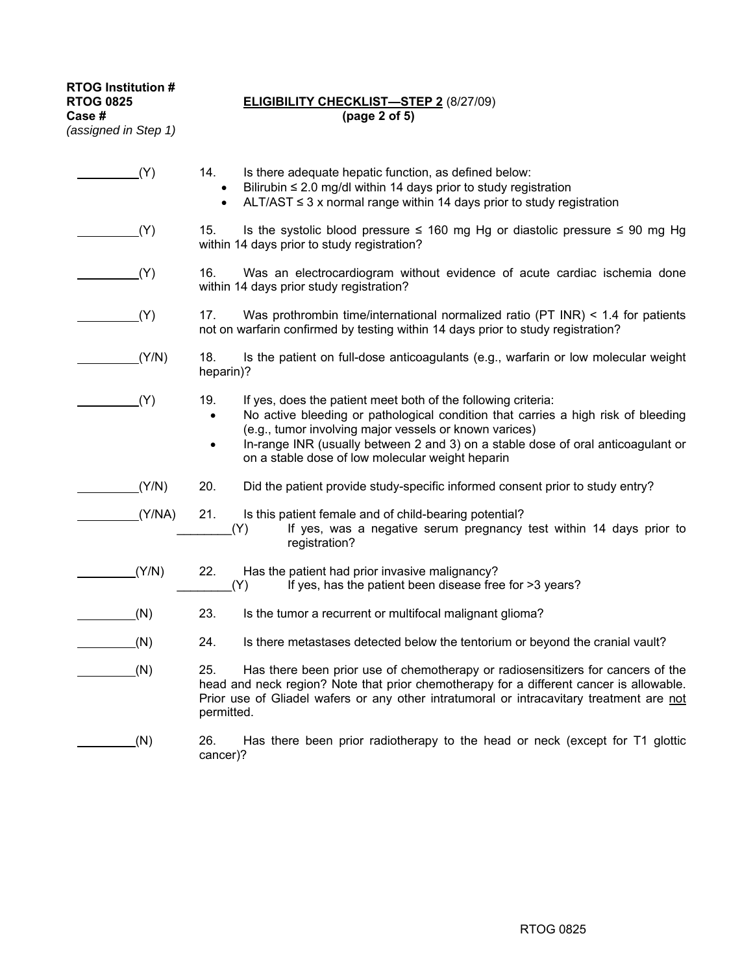**RTOG Institution #** 

*(assigned in Step 1)*

## **RTOG 0825 ELIGIBILITY CHECKLIST—STEP 2** (8/27/09)<br>Case # (page 2 of 5) **Case # (page 2 of 5)**

| (Y)    | 14.<br>Is there adequate hepatic function, as defined below:<br>Bilirubin $\leq$ 2.0 mg/dl within 14 days prior to study registration<br>$\bullet$<br>ALT/AST $\leq$ 3 x normal range within 14 days prior to study registration<br>$\bullet$                                                                                                                                         |
|--------|---------------------------------------------------------------------------------------------------------------------------------------------------------------------------------------------------------------------------------------------------------------------------------------------------------------------------------------------------------------------------------------|
| (Y)    | Is the systolic blood pressure $\leq$ 160 mg Hg or diastolic pressure $\leq$ 90 mg Hg<br>15.<br>within 14 days prior to study registration?                                                                                                                                                                                                                                           |
| (Y)    | 16.<br>Was an electrocardiogram without evidence of acute cardiac ischemia done<br>within 14 days prior study registration?                                                                                                                                                                                                                                                           |
| (Y)    | 17.<br>Was prothrombin time/international normalized ratio (PT INR) $<$ 1.4 for patients<br>not on warfarin confirmed by testing within 14 days prior to study registration?                                                                                                                                                                                                          |
| (Y/N)  | 18.<br>Is the patient on full-dose anticoagulants (e.g., warfarin or low molecular weight<br>heparin)?                                                                                                                                                                                                                                                                                |
| (Y)    | 19.<br>If yes, does the patient meet both of the following criteria:<br>No active bleeding or pathological condition that carries a high risk of bleeding<br>$\bullet$<br>(e.g., tumor involving major vessels or known varices)<br>In-range INR (usually between 2 and 3) on a stable dose of oral anticoagulant or<br>$\bullet$<br>on a stable dose of low molecular weight heparin |
| (Y/N)  | 20.<br>Did the patient provide study-specific informed consent prior to study entry?                                                                                                                                                                                                                                                                                                  |
| (Y/NA) | 21.<br>Is this patient female and of child-bearing potential?<br>If yes, was a negative serum pregnancy test within 14 days prior to<br>(Y)<br>registration?                                                                                                                                                                                                                          |
| (Y/N)  | Has the patient had prior invasive malignancy?<br>22.<br>If yes, has the patient been disease free for >3 years?<br>Y)                                                                                                                                                                                                                                                                |
| (N)    | 23.<br>Is the tumor a recurrent or multifocal malignant glioma?                                                                                                                                                                                                                                                                                                                       |
| (N)    | 24.<br>Is there metastases detected below the tentorium or beyond the cranial vault?                                                                                                                                                                                                                                                                                                  |
| (N)    | 25.<br>Has there been prior use of chemotherapy or radiosensitizers for cancers of the<br>head and neck region? Note that prior chemotherapy for a different cancer is allowable.<br>Prior use of Gliadel wafers or any other intratumoral or intracavitary treatment are not<br>permitted.                                                                                           |
| (N)    | 26.<br>Has there been prior radiotherapy to the head or neck (except for T1 glottic<br>cancer)?                                                                                                                                                                                                                                                                                       |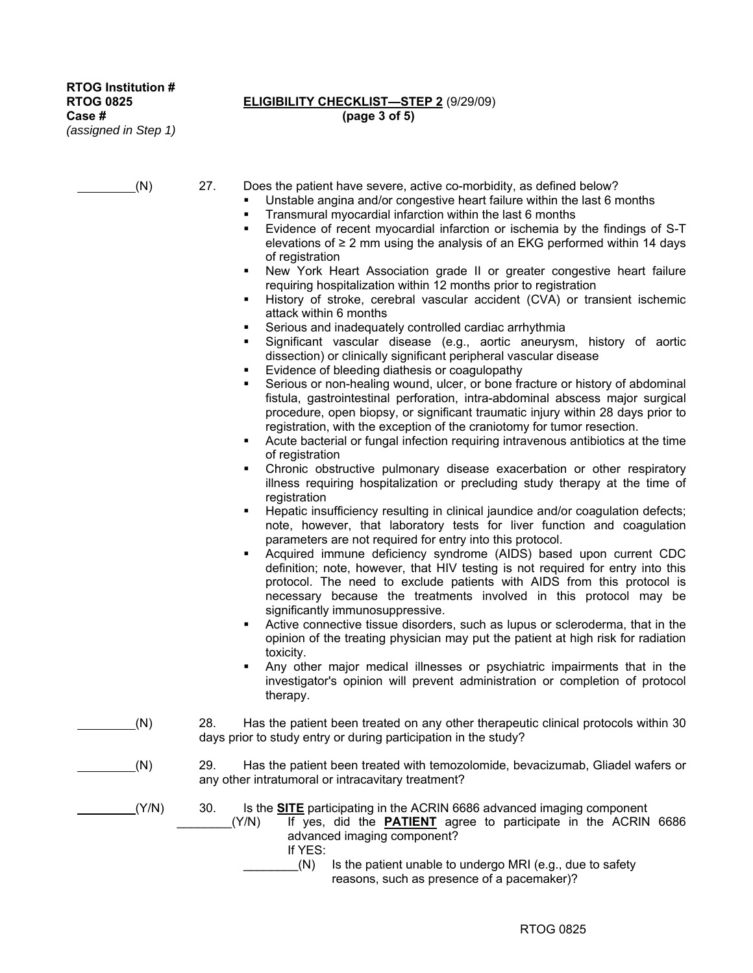## **RTOG 0825 ELIGIBILITY CHECKLIST—STEP 2** (9/29/09) **Case # (page 3 of 5)**

(N) 27. Does the patient have severe, active co-morbidity, as defined below?

- Unstable angina and/or congestive heart failure within the last 6 months
	- Transmural myocardial infarction within the last 6 months
	- Evidence of recent myocardial infarction or ischemia by the findings of S-T elevations of  $\geq 2$  mm using the analysis of an EKG performed within 14 days of registration
	- New York Heart Association grade II or greater congestive heart failure requiring hospitalization within 12 months prior to registration
	- History of stroke, cerebral vascular accident (CVA) or transient ischemic attack within 6 months
	- Serious and inadequately controlled cardiac arrhythmia
	- Significant vascular disease (e.g., aortic aneurysm, history of aortic dissection) or clinically significant peripheral vascular disease
	- Evidence of bleeding diathesis or coagulopathy
	- Serious or non-healing wound, ulcer, or bone fracture or history of abdominal fistula, gastrointestinal perforation, intra-abdominal abscess major surgical procedure, open biopsy, or significant traumatic injury within 28 days prior to registration, with the exception of the craniotomy for tumor resection.
	- Acute bacterial or fungal infection requiring intravenous antibiotics at the time of registration
	- Chronic obstructive pulmonary disease exacerbation or other respiratory illness requiring hospitalization or precluding study therapy at the time of registration
	- Hepatic insufficiency resulting in clinical jaundice and/or coagulation defects; note, however, that laboratory tests for liver function and coagulation parameters are not required for entry into this protocol.
	- Acquired immune deficiency syndrome (AIDS) based upon current CDC definition; note, however, that HIV testing is not required for entry into this protocol. The need to exclude patients with AIDS from this protocol is necessary because the treatments involved in this protocol may be significantly immunosuppressive.
	- Active connective tissue disorders, such as lupus or scleroderma, that in the opinion of the treating physician may put the patient at high risk for radiation toxicity.
	- Any other major medical illnesses or psychiatric impairments that in the investigator's opinion will prevent administration or completion of protocol therapy.
- (N) 28. Has the patient been treated on any other therapeutic clinical protocols within 30 days prior to study entry or during participation in the study?
- (N) 29. Has the patient been treated with temozolomide, bevacizumab, Gliadel wafers or any other intratumoral or intracavitary treatment?
- (Y/N) 30. Is the **SITE** participating in the ACRIN 6686 advanced imaging component
	- \_\_\_\_\_\_\_\_(Y/N) If yes, did the **PATIENT** agree to participate in the ACRIN 6686 advanced imaging component?
		- If YES:
		- $(N)$  Is the patient unable to undergo MRI (e.g., due to safety reasons, such as presence of a pacemaker)?

RTOG 0825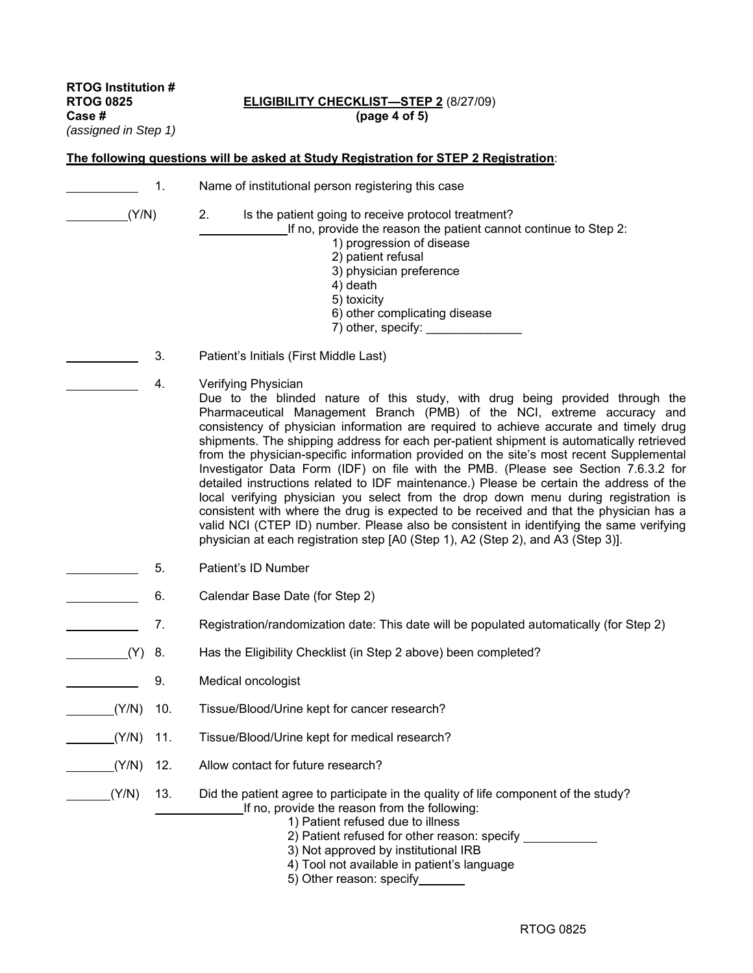**RTOG Institution #**  *(assigned in Step 1)* 

## **RTOG 0825 ELIGIBILITY CHECKLIST—STEP 2** (8/27/09)<br>Case # (page 4 of 5) **Case # (page 4 of 5)**

|       | 1.  | Name of institutional person registering this case                                                                                                                                                                                                                                                                                                                                                                                                                                                                                                                                                                                                                                                                                                                                                                                                                                                                                                                                                               |
|-------|-----|------------------------------------------------------------------------------------------------------------------------------------------------------------------------------------------------------------------------------------------------------------------------------------------------------------------------------------------------------------------------------------------------------------------------------------------------------------------------------------------------------------------------------------------------------------------------------------------------------------------------------------------------------------------------------------------------------------------------------------------------------------------------------------------------------------------------------------------------------------------------------------------------------------------------------------------------------------------------------------------------------------------|
| (Y/N) |     | 2.<br>Is the patient going to receive protocol treatment?<br>If no, provide the reason the patient cannot continue to Step 2:<br>1) progression of disease<br>2) patient refusal<br>3) physician preference<br>4) death<br>5) toxicity<br>6) other complicating disease                                                                                                                                                                                                                                                                                                                                                                                                                                                                                                                                                                                                                                                                                                                                          |
|       | 3.  | Patient's Initials (First Middle Last)                                                                                                                                                                                                                                                                                                                                                                                                                                                                                                                                                                                                                                                                                                                                                                                                                                                                                                                                                                           |
|       | 4.  | Verifying Physician<br>Due to the blinded nature of this study, with drug being provided through the<br>Pharmaceutical Management Branch (PMB) of the NCI, extreme accuracy and<br>consistency of physician information are required to achieve accurate and timely drug<br>shipments. The shipping address for each per-patient shipment is automatically retrieved<br>from the physician-specific information provided on the site's most recent Supplemental<br>Investigator Data Form (IDF) on file with the PMB. (Please see Section 7.6.3.2 for<br>detailed instructions related to IDF maintenance.) Please be certain the address of the<br>local verifying physician you select from the drop down menu during registration is<br>consistent with where the drug is expected to be received and that the physician has a<br>valid NCI (CTEP ID) number. Please also be consistent in identifying the same verifying<br>physician at each registration step [A0 (Step 1), A2 (Step 2), and A3 (Step 3)]. |
|       | 5.  | Patient's ID Number                                                                                                                                                                                                                                                                                                                                                                                                                                                                                                                                                                                                                                                                                                                                                                                                                                                                                                                                                                                              |
|       | 6.  | Calendar Base Date (for Step 2)                                                                                                                                                                                                                                                                                                                                                                                                                                                                                                                                                                                                                                                                                                                                                                                                                                                                                                                                                                                  |
|       | 7.  | Registration/randomization date: This date will be populated automatically (for Step 2)                                                                                                                                                                                                                                                                                                                                                                                                                                                                                                                                                                                                                                                                                                                                                                                                                                                                                                                          |
| (Y)   | 8.  | Has the Eligibility Checklist (in Step 2 above) been completed?                                                                                                                                                                                                                                                                                                                                                                                                                                                                                                                                                                                                                                                                                                                                                                                                                                                                                                                                                  |
|       | 9.  | Medical oncologist                                                                                                                                                                                                                                                                                                                                                                                                                                                                                                                                                                                                                                                                                                                                                                                                                                                                                                                                                                                               |
| (Y/N) | 10. | Tissue/Blood/Urine kept for cancer research?                                                                                                                                                                                                                                                                                                                                                                                                                                                                                                                                                                                                                                                                                                                                                                                                                                                                                                                                                                     |
| (Y/N) | 11. | Tissue/Blood/Urine kept for medical research?                                                                                                                                                                                                                                                                                                                                                                                                                                                                                                                                                                                                                                                                                                                                                                                                                                                                                                                                                                    |
| (Y/N) | 12. | Allow contact for future research?                                                                                                                                                                                                                                                                                                                                                                                                                                                                                                                                                                                                                                                                                                                                                                                                                                                                                                                                                                               |
| (Y/N) | 13. | Did the patient agree to participate in the quality of life component of the study?<br>If no, provide the reason from the following:<br>1) Patient refused due to illness<br>2) Patient refused for other reason: specify ____________<br>3) Not approved by institutional IRB<br>4) Tool not available in patient's language<br>5) Other reason: specify                                                                                                                                                                                                                                                                                                                                                                                                                                                                                                                                                                                                                                                        |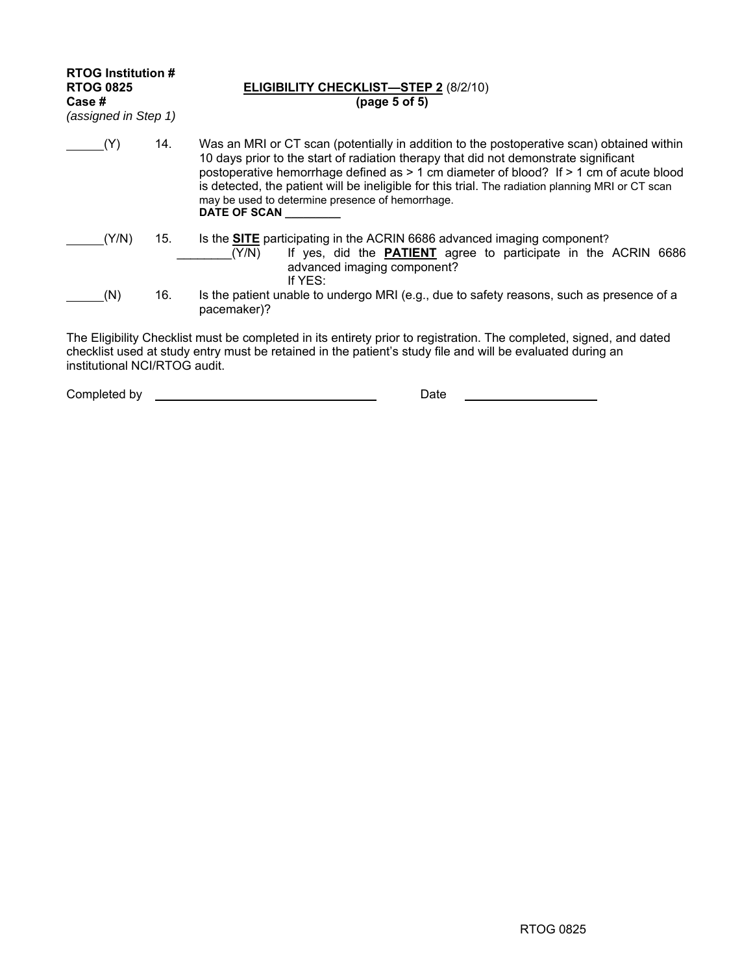| <b>RTOG Institution #</b><br><b>RTOG 0825</b><br>Case #<br>(assigned in Step 1) |     | <b>ELIGIBILITY CHECKLIST—STEP 2 (8/2/10)</b><br>(page 5 of 5)                                                                                                                                                                                                                                                                                                                                                                                                   |
|---------------------------------------------------------------------------------|-----|-----------------------------------------------------------------------------------------------------------------------------------------------------------------------------------------------------------------------------------------------------------------------------------------------------------------------------------------------------------------------------------------------------------------------------------------------------------------|
| (Y)                                                                             | 14. | Was an MRI or CT scan (potentially in addition to the postoperative scan) obtained within<br>10 days prior to the start of radiation therapy that did not demonstrate significant<br>postoperative hemorrhage defined as $> 1$ cm diameter of blood? If $> 1$ cm of acute blood<br>is detected, the patient will be ineligible for this trial. The radiation planning MRI or CT scan<br>may be used to determine presence of hemorrhage.<br><b>DATE OF SCAN</b> |
| (Y/N)                                                                           | 15. | Is the <b>SITE</b> participating in the ACRIN 6686 advanced imaging component?<br>If yes, did the <b>PATIENT</b> agree to participate in the ACRIN 6686<br>(Y/N)<br>advanced imaging component?<br>If YES:                                                                                                                                                                                                                                                      |
| (N)                                                                             | 16. | Is the patient unable to undergo MRI (e.g., due to safety reasons, such as presence of a<br>pacemaker)?                                                                                                                                                                                                                                                                                                                                                         |
|                                                                                 |     | The Eligibility Checklist must be completed in its entirety prior to registration. The completed, signed, and dated                                                                                                                                                                                                                                                                                                                                             |

checklist used at study entry must be retained in the patient's study file and will be evaluated during an institutional NCI/RTOG audit.

| Completed by | Date |  |
|--------------|------|--|
|              |      |  |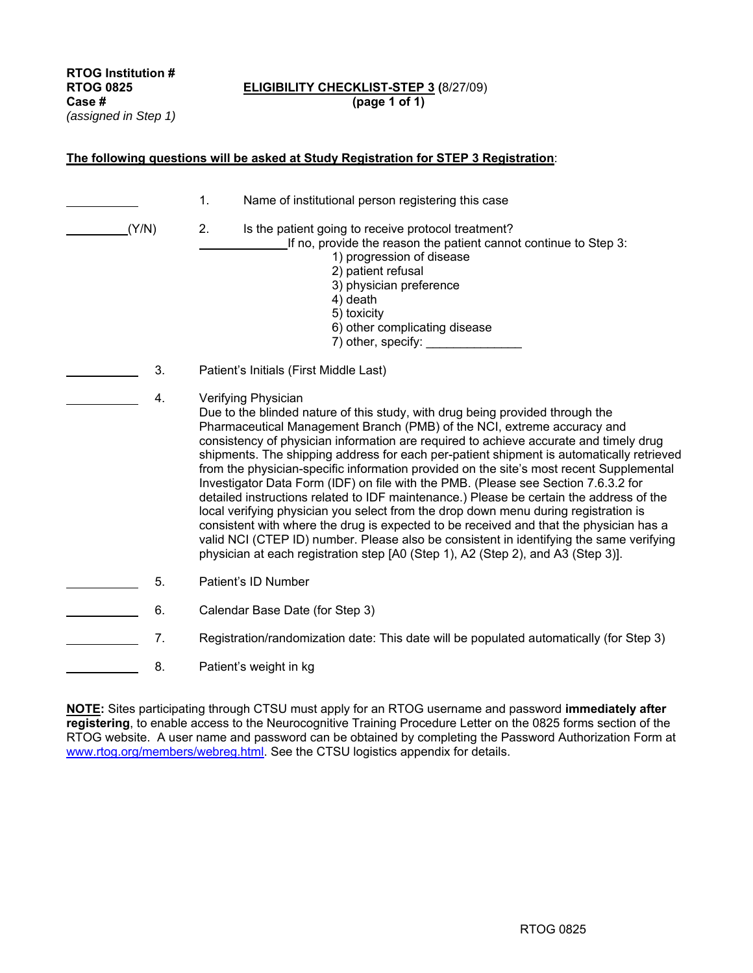**RTOG Institution #**  *(assigned in Step 1)* 

## **RTOG 0825 ELIGIBILITY CHECKLIST-STEP 3 (**8/27/09) **Case # (page 1 of 1)**

**The following questions will be asked at Study Registration for STEP 3 Registration**:

| (Y/N) |    | $\mathbf{1}$ .<br>Name of institutional person registering this case<br>2.<br>Is the patient going to receive protocol treatment?<br>If no, provide the reason the patient cannot continue to Step 3:<br>1) progression of disease<br>2) patient refusal<br>3) physician preference<br>4) death<br>5) toxicity                                                                                                                                                                                                                                                                                                                                                                                                                                                                                                                                                                                                                                                                                                   |  |  |
|-------|----|------------------------------------------------------------------------------------------------------------------------------------------------------------------------------------------------------------------------------------------------------------------------------------------------------------------------------------------------------------------------------------------------------------------------------------------------------------------------------------------------------------------------------------------------------------------------------------------------------------------------------------------------------------------------------------------------------------------------------------------------------------------------------------------------------------------------------------------------------------------------------------------------------------------------------------------------------------------------------------------------------------------|--|--|
|       |    | 6) other complicating disease<br>7) other, specify:                                                                                                                                                                                                                                                                                                                                                                                                                                                                                                                                                                                                                                                                                                                                                                                                                                                                                                                                                              |  |  |
|       | 3. | Patient's Initials (First Middle Last)                                                                                                                                                                                                                                                                                                                                                                                                                                                                                                                                                                                                                                                                                                                                                                                                                                                                                                                                                                           |  |  |
|       | 4. | Verifying Physician<br>Due to the blinded nature of this study, with drug being provided through the<br>Pharmaceutical Management Branch (PMB) of the NCI, extreme accuracy and<br>consistency of physician information are required to achieve accurate and timely drug<br>shipments. The shipping address for each per-patient shipment is automatically retrieved<br>from the physician-specific information provided on the site's most recent Supplemental<br>Investigator Data Form (IDF) on file with the PMB. (Please see Section 7.6.3.2 for<br>detailed instructions related to IDF maintenance.) Please be certain the address of the<br>local verifying physician you select from the drop down menu during registration is<br>consistent with where the drug is expected to be received and that the physician has a<br>valid NCI (CTEP ID) number. Please also be consistent in identifying the same verifying<br>physician at each registration step [A0 (Step 1), A2 (Step 2), and A3 (Step 3)]. |  |  |
|       | 5. | Patient's ID Number                                                                                                                                                                                                                                                                                                                                                                                                                                                                                                                                                                                                                                                                                                                                                                                                                                                                                                                                                                                              |  |  |
|       | 6. | Calendar Base Date (for Step 3)                                                                                                                                                                                                                                                                                                                                                                                                                                                                                                                                                                                                                                                                                                                                                                                                                                                                                                                                                                                  |  |  |
|       | 7. | Registration/randomization date: This date will be populated automatically (for Step 3)                                                                                                                                                                                                                                                                                                                                                                                                                                                                                                                                                                                                                                                                                                                                                                                                                                                                                                                          |  |  |
|       | 8. | Patient's weight in kg                                                                                                                                                                                                                                                                                                                                                                                                                                                                                                                                                                                                                                                                                                                                                                                                                                                                                                                                                                                           |  |  |

**NOTE:** Sites participating through CTSU must apply for an RTOG username and password **immediately after registering**, to enable access to the Neurocognitive Training Procedure Letter on the 0825 forms section of the RTOG website. A user name and password can be obtained by completing the Password Authorization Form at www.rtog.org/members/webreg.html. See the CTSU logistics appendix for details.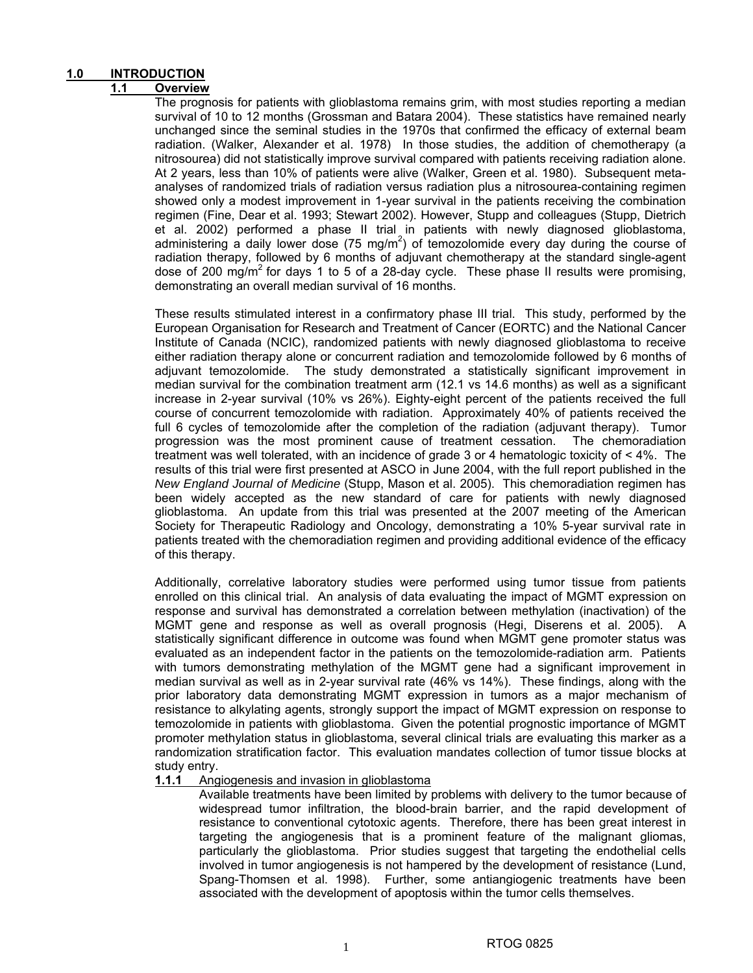## **1.0 INTRODUCTION**

## **1.1 Overview**

The prognosis for patients with glioblastoma remains grim, with most studies reporting a median survival of 10 to 12 months (Grossman and Batara 2004). These statistics have remained nearly unchanged since the seminal studies in the 1970s that confirmed the efficacy of external beam radiation. (Walker, Alexander et al. 1978) In those studies, the addition of chemotherapy (a nitrosourea) did not statistically improve survival compared with patients receiving radiation alone. At 2 years, less than 10% of patients were alive (Walker, Green et al. 1980). Subsequent metaanalyses of randomized trials of radiation versus radiation plus a nitrosourea-containing regimen showed only a modest improvement in 1-year survival in the patients receiving the combination regimen (Fine, Dear et al. 1993; Stewart 2002). However, Stupp and colleagues (Stupp, Dietrich et al. 2002) performed a phase II trial in patients with newly diagnosed glioblastoma, administering a daily lower dose (75 mg/m<sup>2</sup>) of temozolomide every day during the course of radiation therapy, followed by 6 months of adjuvant chemotherapy at the standard single-agent dose of 200 mg/m<sup>2</sup> for days 1 to 5 of a 28-day cycle. These phase II results were promising, demonstrating an overall median survival of 16 months.

These results stimulated interest in a confirmatory phase III trial. This study, performed by the European Organisation for Research and Treatment of Cancer (EORTC) and the National Cancer Institute of Canada (NCIC), randomized patients with newly diagnosed glioblastoma to receive either radiation therapy alone or concurrent radiation and temozolomide followed by 6 months of adjuvant temozolomide. The study demonstrated a statistically significant improvement in median survival for the combination treatment arm (12.1 vs 14.6 months) as well as a significant increase in 2-year survival (10% vs 26%). Eighty-eight percent of the patients received the full course of concurrent temozolomide with radiation. Approximately 40% of patients received the full 6 cycles of temozolomide after the completion of the radiation (adjuvant therapy). Tumor progression was the most prominent cause of treatment cessation. The chemoradiation treatment was well tolerated, with an incidence of grade 3 or 4 hematologic toxicity of < 4%. The results of this trial were first presented at ASCO in June 2004, with the full report published in the *New England Journal of Medicine* (Stupp, Mason et al. 2005). This chemoradiation regimen has been widely accepted as the new standard of care for patients with newly diagnosed glioblastoma. An update from this trial was presented at the 2007 meeting of the American Society for Therapeutic Radiology and Oncology, demonstrating a 10% 5-year survival rate in patients treated with the chemoradiation regimen and providing additional evidence of the efficacy of this therapy.

Additionally, correlative laboratory studies were performed using tumor tissue from patients enrolled on this clinical trial. An analysis of data evaluating the impact of MGMT expression on response and survival has demonstrated a correlation between methylation (inactivation) of the MGMT gene and response as well as overall prognosis (Hegi, Diserens et al. 2005). A statistically significant difference in outcome was found when MGMT gene promoter status was evaluated as an independent factor in the patients on the temozolomide-radiation arm. Patients with tumors demonstrating methylation of the MGMT gene had a significant improvement in median survival as well as in 2-year survival rate (46% vs 14%). These findings, along with the prior laboratory data demonstrating MGMT expression in tumors as a major mechanism of resistance to alkylating agents, strongly support the impact of MGMT expression on response to temozolomide in patients with glioblastoma. Given the potential prognostic importance of MGMT promoter methylation status in glioblastoma, several clinical trials are evaluating this marker as a randomization stratification factor. This evaluation mandates collection of tumor tissue blocks at study entry.

## **1.1.1** Angiogenesis and invasion in glioblastoma

Available treatments have been limited by problems with delivery to the tumor because of widespread tumor infiltration, the blood-brain barrier, and the rapid development of resistance to conventional cytotoxic agents. Therefore, there has been great interest in targeting the angiogenesis that is a prominent feature of the malignant gliomas, particularly the glioblastoma. Prior studies suggest that targeting the endothelial cells involved in tumor angiogenesis is not hampered by the development of resistance (Lund, Spang-Thomsen et al. 1998). Further, some antiangiogenic treatments have been associated with the development of apoptosis within the tumor cells themselves.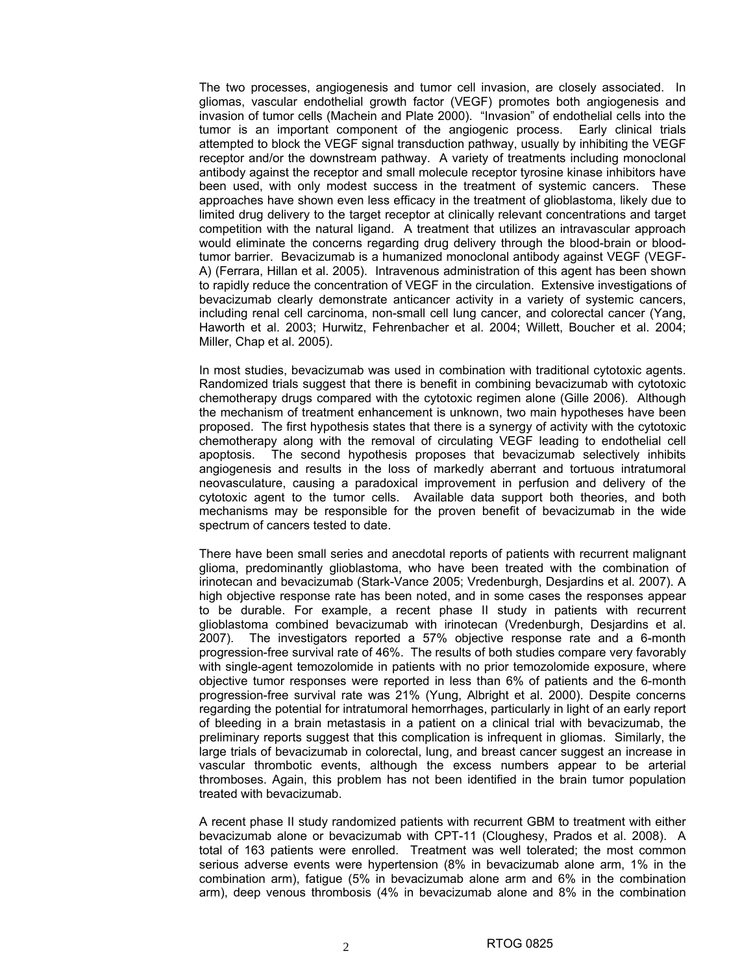The two processes, angiogenesis and tumor cell invasion, are closely associated. In gliomas, vascular endothelial growth factor (VEGF) promotes both angiogenesis and invasion of tumor cells (Machein and Plate 2000). "Invasion" of endothelial cells into the tumor is an important component of the angiogenic process. Early clinical trials attempted to block the VEGF signal transduction pathway, usually by inhibiting the VEGF receptor and/or the downstream pathway. A variety of treatments including monoclonal antibody against the receptor and small molecule receptor tyrosine kinase inhibitors have been used, with only modest success in the treatment of systemic cancers. These approaches have shown even less efficacy in the treatment of glioblastoma, likely due to limited drug delivery to the target receptor at clinically relevant concentrations and target competition with the natural ligand. A treatment that utilizes an intravascular approach would eliminate the concerns regarding drug delivery through the blood-brain or bloodtumor barrier. Bevacizumab is a humanized monoclonal antibody against VEGF (VEGF-A) (Ferrara, Hillan et al. 2005). Intravenous administration of this agent has been shown to rapidly reduce the concentration of VEGF in the circulation. Extensive investigations of bevacizumab clearly demonstrate anticancer activity in a variety of systemic cancers, including renal cell carcinoma, non-small cell lung cancer, and colorectal cancer (Yang, Haworth et al. 2003; Hurwitz, Fehrenbacher et al. 2004; Willett, Boucher et al. 2004; Miller, Chap et al. 2005).

In most studies, bevacizumab was used in combination with traditional cytotoxic agents. Randomized trials suggest that there is benefit in combining bevacizumab with cytotoxic chemotherapy drugs compared with the cytotoxic regimen alone (Gille 2006). Although the mechanism of treatment enhancement is unknown, two main hypotheses have been proposed. The first hypothesis states that there is a synergy of activity with the cytotoxic chemotherapy along with the removal of circulating VEGF leading to endothelial cell apoptosis. The second hypothesis proposes that bevacizumab selectively inhibits angiogenesis and results in the loss of markedly aberrant and tortuous intratumoral neovasculature, causing a paradoxical improvement in perfusion and delivery of the cytotoxic agent to the tumor cells. Available data support both theories, and both mechanisms may be responsible for the proven benefit of bevacizumab in the wide spectrum of cancers tested to date.

There have been small series and anecdotal reports of patients with recurrent malignant glioma, predominantly glioblastoma, who have been treated with the combination of irinotecan and bevacizumab (Stark-Vance 2005; Vredenburgh, Desjardins et al. 2007). A high objective response rate has been noted, and in some cases the responses appear to be durable. For example, a recent phase II study in patients with recurrent glioblastoma combined bevacizumab with irinotecan (Vredenburgh, Desjardins et al. 2007). The investigators reported a 57% objective response rate and a 6-month progression-free survival rate of 46%. The results of both studies compare very favorably with single-agent temozolomide in patients with no prior temozolomide exposure, where objective tumor responses were reported in less than 6% of patients and the 6-month progression-free survival rate was 21% (Yung, Albright et al. 2000). Despite concerns regarding the potential for intratumoral hemorrhages, particularly in light of an early report of bleeding in a brain metastasis in a patient on a clinical trial with bevacizumab, the preliminary reports suggest that this complication is infrequent in gliomas. Similarly, the large trials of bevacizumab in colorectal, lung, and breast cancer suggest an increase in vascular thrombotic events, although the excess numbers appear to be arterial thromboses. Again, this problem has not been identified in the brain tumor population treated with bevacizumab.

A recent phase II study randomized patients with recurrent GBM to treatment with either bevacizumab alone or bevacizumab with CPT-11 (Cloughesy, Prados et al. 2008). A total of 163 patients were enrolled. Treatment was well tolerated; the most common serious adverse events were hypertension (8% in bevacizumab alone arm, 1% in the combination arm), fatigue (5% in bevacizumab alone arm and 6% in the combination arm), deep venous thrombosis (4% in bevacizumab alone and 8% in the combination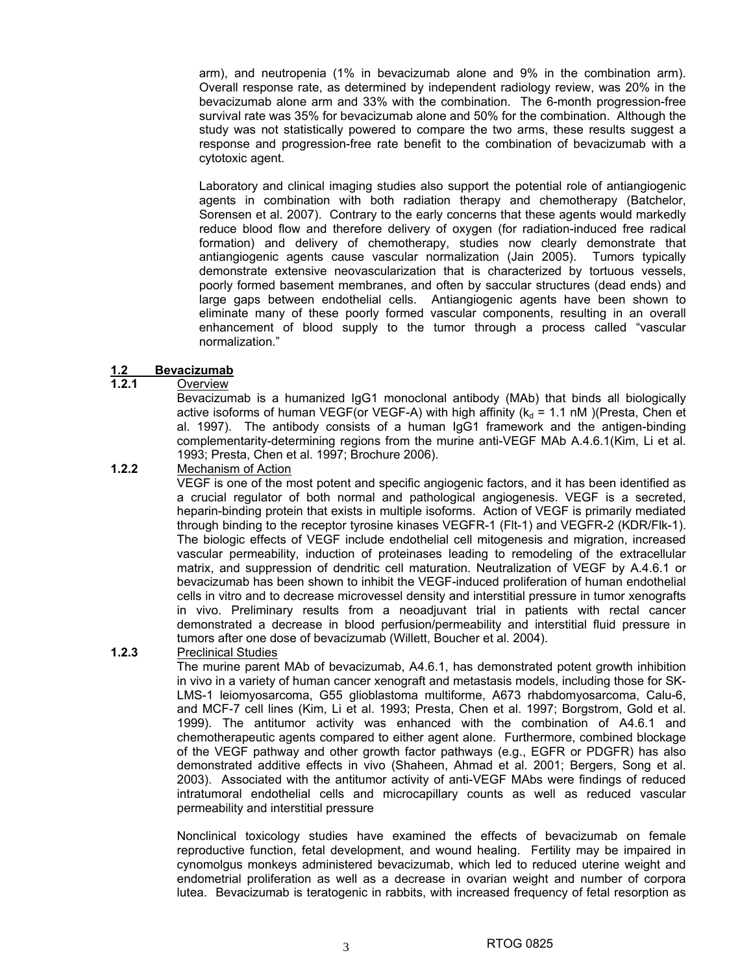arm), and neutropenia (1% in bevacizumab alone and 9% in the combination arm). Overall response rate, as determined by independent radiology review, was 20% in the bevacizumab alone arm and 33% with the combination. The 6-month progression-free survival rate was 35% for bevacizumab alone and 50% for the combination. Although the study was not statistically powered to compare the two arms, these results suggest a response and progression-free rate benefit to the combination of bevacizumab with a cytotoxic agent.

Laboratory and clinical imaging studies also support the potential role of antiangiogenic agents in combination with both radiation therapy and chemotherapy (Batchelor, Sorensen et al. 2007). Contrary to the early concerns that these agents would markedly reduce blood flow and therefore delivery of oxygen (for radiation-induced free radical formation) and delivery of chemotherapy, studies now clearly demonstrate that antiangiogenic agents cause vascular normalization (Jain 2005). Tumors typically demonstrate extensive neovascularization that is characterized by tortuous vessels, poorly formed basement membranes, and often by saccular structures (dead ends) and large gaps between endothelial cells. Antiangiogenic agents have been shown to eliminate many of these poorly formed vascular components, resulting in an overall enhancement of blood supply to the tumor through a process called "vascular normalization."

## **1.2 Bevacizumab**

## **1.2.1** Overview

Bevacizumab is a humanized IgG1 monoclonal antibody (MAb) that binds all biologically active isoforms of human VEGF(or VEGF-A) with high affinity ( $k_d$  = 1.1 nM )(Presta, Chen et al. 1997). The antibody consists of a human IgG1 framework and the antigen-binding complementarity-determining regions from the murine anti-VEGF MAb A.4.6.1(Kim, Li et al. 1993; Presta, Chen et al. 1997; Brochure 2006).

## **1.2.2** Mechanism of Action

VEGF is one of the most potent and specific angiogenic factors, and it has been identified as a crucial regulator of both normal and pathological angiogenesis. VEGF is a secreted, heparin-binding protein that exists in multiple isoforms. Action of VEGF is primarily mediated through binding to the receptor tyrosine kinases VEGFR-1 (Flt-1) and VEGFR-2 (KDR/Flk-1). The biologic effects of VEGF include endothelial cell mitogenesis and migration, increased vascular permeability, induction of proteinases leading to remodeling of the extracellular matrix, and suppression of dendritic cell maturation. Neutralization of VEGF by A.4.6.1 or bevacizumab has been shown to inhibit the VEGF-induced proliferation of human endothelial cells in vitro and to decrease microvessel density and interstitial pressure in tumor xenografts in vivo. Preliminary results from a neoadjuvant trial in patients with rectal cancer demonstrated a decrease in blood perfusion/permeability and interstitial fluid pressure in tumors after one dose of bevacizumab (Willett, Boucher et al. 2004).

## **1.2.3** Preclinical Studies

The murine parent MAb of bevacizumab, A4.6.1, has demonstrated potent growth inhibition in vivo in a variety of human cancer xenograft and metastasis models, including those for SK-LMS-1 leiomyosarcoma, G55 glioblastoma multiforme, A673 rhabdomyosarcoma, Calu-6, and MCF-7 cell lines (Kim, Li et al. 1993; Presta, Chen et al. 1997; Borgstrom, Gold et al. 1999). The antitumor activity was enhanced with the combination of A4.6.1 and chemotherapeutic agents compared to either agent alone. Furthermore, combined blockage of the VEGF pathway and other growth factor pathways (e.g., EGFR or PDGFR) has also demonstrated additive effects in vivo (Shaheen, Ahmad et al. 2001; Bergers, Song et al. 2003). Associated with the antitumor activity of anti-VEGF MAbs were findings of reduced intratumoral endothelial cells and microcapillary counts as well as reduced vascular permeability and interstitial pressure

Nonclinical toxicology studies have examined the effects of bevacizumab on female reproductive function, fetal development, and wound healing. Fertility may be impaired in cynomolgus monkeys administered bevacizumab, which led to reduced uterine weight and endometrial proliferation as well as a decrease in ovarian weight and number of corpora lutea. Bevacizumab is teratogenic in rabbits, with increased frequency of fetal resorption as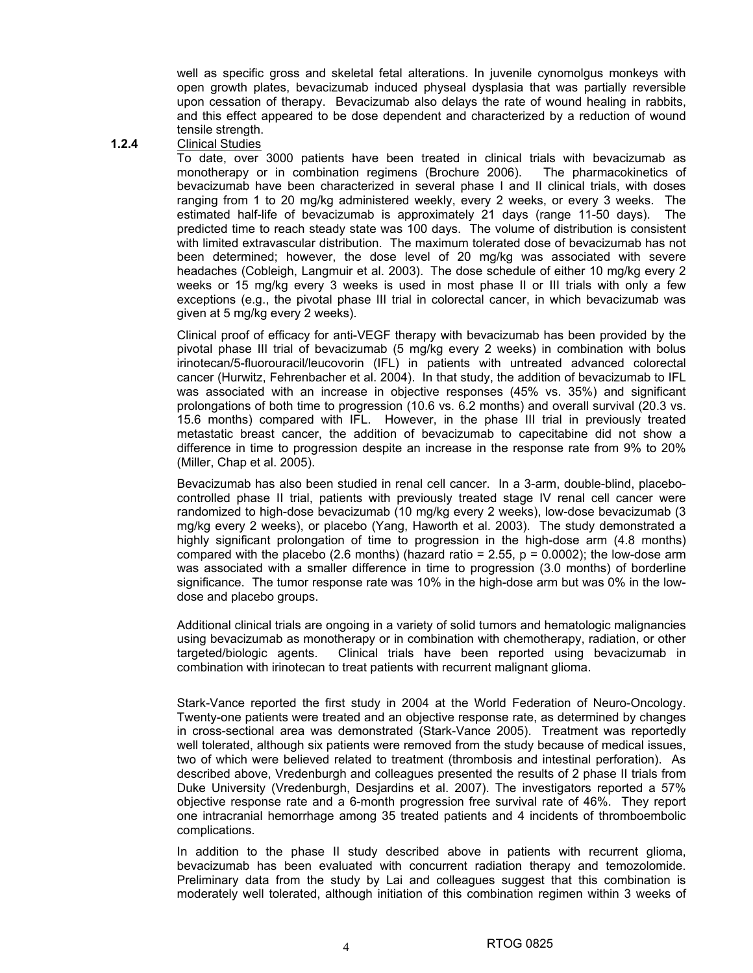well as specific gross and skeletal fetal alterations. In juvenile cynomolgus monkeys with open growth plates, bevacizumab induced physeal dysplasia that was partially reversible upon cessation of therapy. Bevacizumab also delays the rate of wound healing in rabbits, and this effect appeared to be dose dependent and characterized by a reduction of wound tensile strength.

#### **1.2.4** Clinical Studies

To date, over 3000 patients have been treated in clinical trials with bevacizumab as monotherapy or in combination regimens (Brochure 2006). The pharmacokinetics of bevacizumab have been characterized in several phase I and II clinical trials, with doses ranging from 1 to 20 mg/kg administered weekly, every 2 weeks, or every 3 weeks. The estimated half-life of bevacizumab is approximately 21 days (range 11-50 days). The predicted time to reach steady state was 100 days. The volume of distribution is consistent with limited extravascular distribution. The maximum tolerated dose of bevacizumab has not been determined; however, the dose level of 20 mg/kg was associated with severe headaches (Cobleigh, Langmuir et al. 2003). The dose schedule of either 10 mg/kg every 2 weeks or 15 mg/kg every 3 weeks is used in most phase II or III trials with only a few exceptions (e.g., the pivotal phase III trial in colorectal cancer, in which bevacizumab was given at 5 mg/kg every 2 weeks).

Clinical proof of efficacy for anti-VEGF therapy with bevacizumab has been provided by the pivotal phase III trial of bevacizumab (5 mg/kg every 2 weeks) in combination with bolus irinotecan/5-fluorouracil/leucovorin (IFL) in patients with untreated advanced colorectal cancer (Hurwitz, Fehrenbacher et al. 2004). In that study, the addition of bevacizumab to IFL was associated with an increase in objective responses (45% vs. 35%) and significant prolongations of both time to progression (10.6 vs. 6.2 months) and overall survival (20.3 vs. 15.6 months) compared with IFL. However, in the phase III trial in previously treated metastatic breast cancer, the addition of bevacizumab to capecitabine did not show a difference in time to progression despite an increase in the response rate from 9% to 20% (Miller, Chap et al. 2005).

Bevacizumab has also been studied in renal cell cancer. In a 3-arm, double-blind, placebocontrolled phase II trial, patients with previously treated stage IV renal cell cancer were randomized to high-dose bevacizumab (10 mg/kg every 2 weeks), low-dose bevacizumab (3 mg/kg every 2 weeks), or placebo (Yang, Haworth et al. 2003). The study demonstrated a highly significant prolongation of time to progression in the high-dose arm (4.8 months) compared with the placebo (2.6 months) (hazard ratio =  $2.55$ ,  $p = 0.0002$ ); the low-dose arm was associated with a smaller difference in time to progression (3.0 months) of borderline significance. The tumor response rate was 10% in the high-dose arm but was 0% in the lowdose and placebo groups.

Additional clinical trials are ongoing in a variety of solid tumors and hematologic malignancies using bevacizumab as monotherapy or in combination with chemotherapy, radiation, or other targeted/biologic agents. Clinical trials have been reported using bevacizumab in combination with irinotecan to treat patients with recurrent malignant glioma.

Stark-Vance reported the first study in 2004 at the World Federation of Neuro-Oncology. Twenty-one patients were treated and an objective response rate, as determined by changes in cross-sectional area was demonstrated (Stark-Vance 2005). Treatment was reportedly well tolerated, although six patients were removed from the study because of medical issues, two of which were believed related to treatment (thrombosis and intestinal perforation). As described above, Vredenburgh and colleagues presented the results of 2 phase II trials from Duke University (Vredenburgh, Desjardins et al. 2007). The investigators reported a 57% objective response rate and a 6-month progression free survival rate of 46%. They report one intracranial hemorrhage among 35 treated patients and 4 incidents of thromboembolic complications.

In addition to the phase II study described above in patients with recurrent glioma, bevacizumab has been evaluated with concurrent radiation therapy and temozolomide. Preliminary data from the study by Lai and colleagues suggest that this combination is moderately well tolerated, although initiation of this combination regimen within 3 weeks of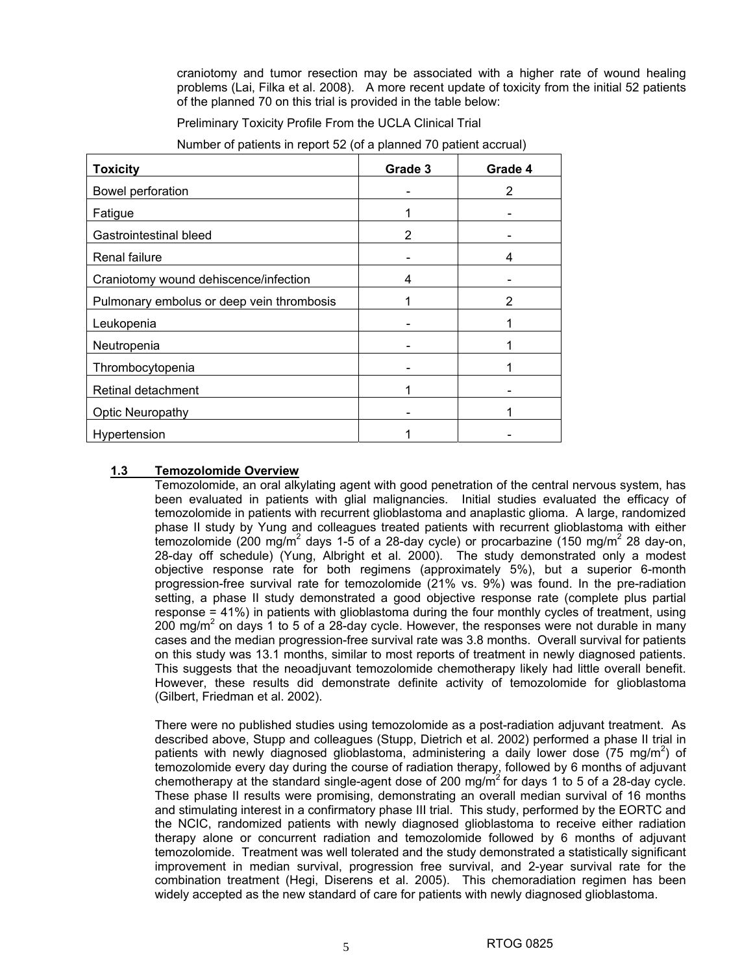craniotomy and tumor resection may be associated with a higher rate of wound healing problems (Lai, Filka et al. 2008). A more recent update of toxicity from the initial 52 patients of the planned 70 on this trial is provided in the table below:

Preliminary Toxicity Profile From the UCLA Clinical Trial

| <b>Toxicity</b>                           | Grade 3 | Grade 4 |
|-------------------------------------------|---------|---------|
| Bowel perforation                         |         | 2       |
| Fatigue                                   |         |         |
| Gastrointestinal bleed                    | 2       |         |
| Renal failure                             |         | 4       |
| Craniotomy wound dehiscence/infection     | 4       |         |
| Pulmonary embolus or deep vein thrombosis |         | 2       |
| Leukopenia                                |         |         |
| Neutropenia                               |         |         |
| Thrombocytopenia                          |         |         |
| Retinal detachment                        |         |         |
| <b>Optic Neuropathy</b>                   |         |         |
| Hypertension                              |         |         |

Number of patients in report 52 (of a planned 70 patient accrual)

## **1.3 Temozolomide Overview**

Temozolomide, an oral alkylating agent with good penetration of the central nervous system, has been evaluated in patients with glial malignancies. Initial studies evaluated the efficacy of temozolomide in patients with recurrent glioblastoma and anaplastic glioma. A large, randomized phase II study by Yung and colleagues treated patients with recurrent glioblastoma with either temozolomide (200 mg/m<sup>2</sup> days 1-5 of a 28-day cycle) or procarbazine (150 mg/m<sup>2</sup> 28 day-on, 28-day off schedule) (Yung, Albright et al. 2000). The study demonstrated only a modest objective response rate for both regimens (approximately 5%), but a superior 6-month progression-free survival rate for temozolomide (21% vs. 9%) was found. In the pre-radiation setting, a phase II study demonstrated a good objective response rate (complete plus partial response = 41%) in patients with glioblastoma during the four monthly cycles of treatment, using 200 mg/m<sup>2</sup> on days 1 to 5 of a 28-day cycle. However, the responses were not durable in many cases and the median progression-free survival rate was 3.8 months. Overall survival for patients on this study was 13.1 months, similar to most reports of treatment in newly diagnosed patients. This suggests that the neoadjuvant temozolomide chemotherapy likely had little overall benefit. However, these results did demonstrate definite activity of temozolomide for glioblastoma (Gilbert, Friedman et al. 2002).

There were no published studies using temozolomide as a post-radiation adjuvant treatment. As described above, Stupp and colleagues (Stupp, Dietrich et al. 2002) performed a phase II trial in patients with newly diagnosed glioblastoma, administering a daily lower dose (75 mg/m<sup>2</sup>) of temozolomide every day during the course of radiation therapy, followed by 6 months of adjuvant chemotherapy at the standard single-agent dose of 200 mg/m<sup>2</sup> for days 1 to 5 of a 28-day cycle. These phase II results were promising, demonstrating an overall median survival of 16 months and stimulating interest in a confirmatory phase III trial. This study, performed by the EORTC and the NCIC, randomized patients with newly diagnosed glioblastoma to receive either radiation therapy alone or concurrent radiation and temozolomide followed by 6 months of adjuvant temozolomide. Treatment was well tolerated and the study demonstrated a statistically significant improvement in median survival, progression free survival, and 2-year survival rate for the combination treatment (Hegi, Diserens et al. 2005). This chemoradiation regimen has been widely accepted as the new standard of care for patients with newly diagnosed glioblastoma.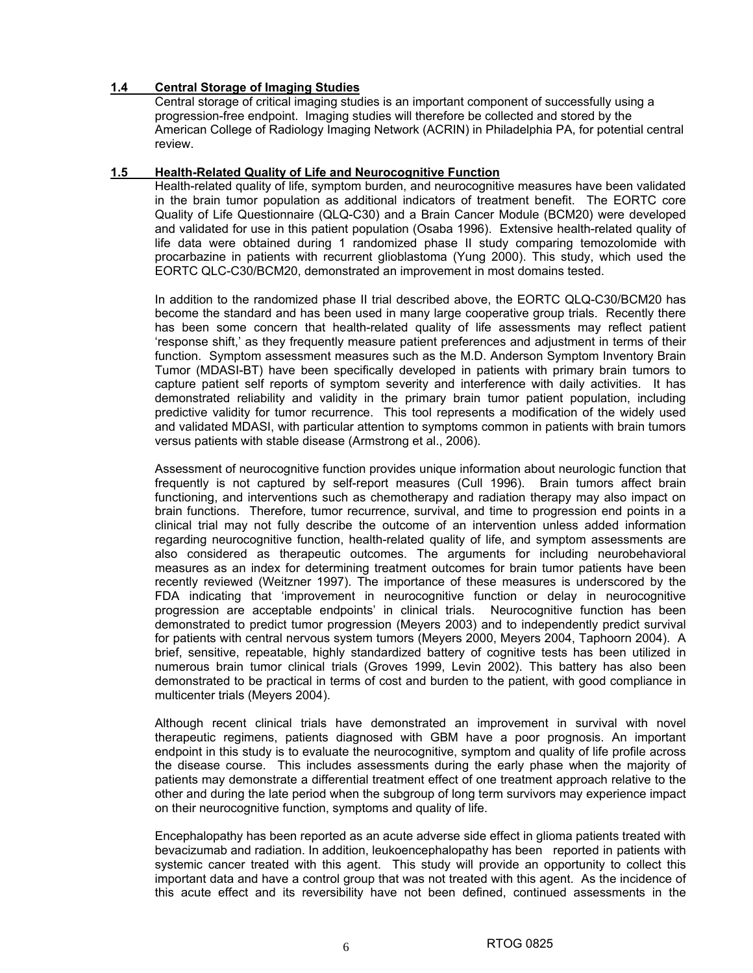## **1.4 Central Storage of Imaging Studies**

Central storage of critical imaging studies is an important component of successfully using a progression-free endpoint. Imaging studies will therefore be collected and stored by the American College of Radiology Imaging Network (ACRIN) in Philadelphia PA, for potential central review.

## **1.5 Health-Related Quality of Life and Neurocognitive Function**

Health-related quality of life, symptom burden, and neurocognitive measures have been validated in the brain tumor population as additional indicators of treatment benefit. The EORTC core Quality of Life Questionnaire (QLQ-C30) and a Brain Cancer Module (BCM20) were developed and validated for use in this patient population (Osaba 1996). Extensive health-related quality of life data were obtained during 1 randomized phase II study comparing temozolomide with procarbazine in patients with recurrent glioblastoma (Yung 2000). This study, which used the EORTC QLC-C30/BCM20, demonstrated an improvement in most domains tested.

In addition to the randomized phase II trial described above, the EORTC QLQ-C30/BCM20 has become the standard and has been used in many large cooperative group trials. Recently there has been some concern that health-related quality of life assessments may reflect patient 'response shift,' as they frequently measure patient preferences and adjustment in terms of their function. Symptom assessment measures such as the M.D. Anderson Symptom Inventory Brain Tumor (MDASI-BT) have been specifically developed in patients with primary brain tumors to capture patient self reports of symptom severity and interference with daily activities. It has demonstrated reliability and validity in the primary brain tumor patient population, including predictive validity for tumor recurrence. This tool represents a modification of the widely used and validated MDASI, with particular attention to symptoms common in patients with brain tumors versus patients with stable disease (Armstrong et al., 2006).

Assessment of neurocognitive function provides unique information about neurologic function that frequently is not captured by self-report measures (Cull 1996). Brain tumors affect brain functioning, and interventions such as chemotherapy and radiation therapy may also impact on brain functions. Therefore, tumor recurrence, survival, and time to progression end points in a clinical trial may not fully describe the outcome of an intervention unless added information regarding neurocognitive function, health-related quality of life, and symptom assessments are also considered as therapeutic outcomes. The arguments for including neurobehavioral measures as an index for determining treatment outcomes for brain tumor patients have been recently reviewed (Weitzner 1997). The importance of these measures is underscored by the FDA indicating that 'improvement in neurocognitive function or delay in neurocognitive progression are acceptable endpoints' in clinical trials. Neurocognitive function has been demonstrated to predict tumor progression (Meyers 2003) and to independently predict survival for patients with central nervous system tumors (Meyers 2000, Meyers 2004, Taphoorn 2004). A brief, sensitive, repeatable, highly standardized battery of cognitive tests has been utilized in numerous brain tumor clinical trials (Groves 1999, Levin 2002). This battery has also been demonstrated to be practical in terms of cost and burden to the patient, with good compliance in multicenter trials (Meyers 2004).

Although recent clinical trials have demonstrated an improvement in survival with novel therapeutic regimens, patients diagnosed with GBM have a poor prognosis. An important endpoint in this study is to evaluate the neurocognitive, symptom and quality of life profile across the disease course. This includes assessments during the early phase when the majority of patients may demonstrate a differential treatment effect of one treatment approach relative to the other and during the late period when the subgroup of long term survivors may experience impact on their neurocognitive function, symptoms and quality of life.

Encephalopathy has been reported as an acute adverse side effect in glioma patients treated with bevacizumab and radiation. In addition, leukoencephalopathy has been reported in patients with systemic cancer treated with this agent. This study will provide an opportunity to collect this important data and have a control group that was not treated with this agent. As the incidence of this acute effect and its reversibility have not been defined, continued assessments in the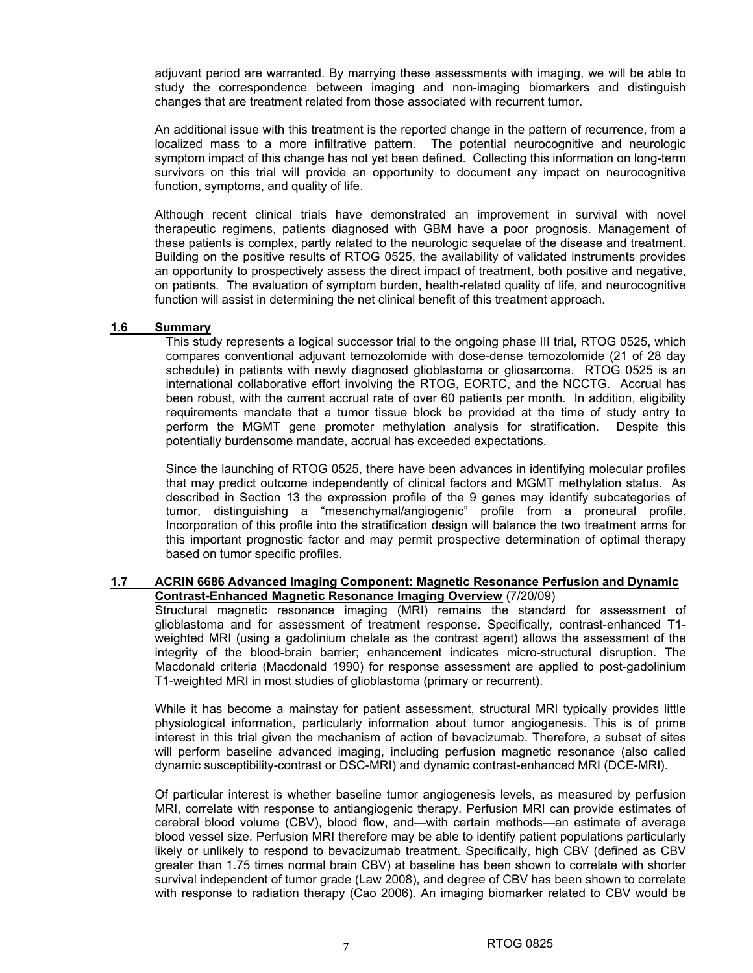adjuvant period are warranted. By marrying these assessments with imaging, we will be able to study the correspondence between imaging and non-imaging biomarkers and distinguish changes that are treatment related from those associated with recurrent tumor.

An additional issue with this treatment is the reported change in the pattern of recurrence, from a localized mass to a more infiltrative pattern. The potential neurocognitive and neurologic symptom impact of this change has not yet been defined. Collecting this information on long-term survivors on this trial will provide an opportunity to document any impact on neurocognitive function, symptoms, and quality of life.

Although recent clinical trials have demonstrated an improvement in survival with novel therapeutic regimens, patients diagnosed with GBM have a poor prognosis. Management of these patients is complex, partly related to the neurologic sequelae of the disease and treatment. Building on the positive results of RTOG 0525, the availability of validated instruments provides an opportunity to prospectively assess the direct impact of treatment, both positive and negative, on patients. The evaluation of symptom burden, health-related quality of life, and neurocognitive function will assist in determining the net clinical benefit of this treatment approach.

## **1.6 Summary**

This study represents a logical successor trial to the ongoing phase III trial, RTOG 0525, which compares conventional adjuvant temozolomide with dose-dense temozolomide (21 of 28 day schedule) in patients with newly diagnosed glioblastoma or gliosarcoma. RTOG 0525 is an international collaborative effort involving the RTOG, EORTC, and the NCCTG. Accrual has been robust, with the current accrual rate of over 60 patients per month. In addition, eligibility requirements mandate that a tumor tissue block be provided at the time of study entry to perform the MGMT gene promoter methylation analysis for stratification. Despite this potentially burdensome mandate, accrual has exceeded expectations.

Since the launching of RTOG 0525, there have been advances in identifying molecular profiles that may predict outcome independently of clinical factors and MGMT methylation status. As described in Section 13 the expression profile of the 9 genes may identify subcategories of tumor, distinguishing a "mesenchymal/angiogenic" profile from a proneural profile. Incorporation of this profile into the stratification design will balance the two treatment arms for this important prognostic factor and may permit prospective determination of optimal therapy based on tumor specific profiles.

## **1.7 ACRIN 6686 Advanced Imaging Component: Magnetic Resonance Perfusion and Dynamic Contrast-Enhanced Magnetic Resonance Imaging Overview** (7/20/09)

Structural magnetic resonance imaging (MRI) remains the standard for assessment of glioblastoma and for assessment of treatment response. Specifically, contrast-enhanced T1 weighted MRI (using a gadolinium chelate as the contrast agent) allows the assessment of the integrity of the blood-brain barrier; enhancement indicates micro-structural disruption. The Macdonald criteria (Macdonald 1990) for response assessment are applied to post-gadolinium T1-weighted MRI in most studies of glioblastoma (primary or recurrent).

While it has become a mainstay for patient assessment, structural MRI typically provides little physiological information, particularly information about tumor angiogenesis. This is of prime interest in this trial given the mechanism of action of bevacizumab. Therefore, a subset of sites will perform baseline advanced imaging, including perfusion magnetic resonance (also called dynamic susceptibility-contrast or DSC-MRI) and dynamic contrast-enhanced MRI (DCE-MRI).

Of particular interest is whether baseline tumor angiogenesis levels, as measured by perfusion MRI, correlate with response to antiangiogenic therapy. Perfusion MRI can provide estimates of cerebral blood volume (CBV), blood flow, and—with certain methods—an estimate of average blood vessel size. Perfusion MRI therefore may be able to identify patient populations particularly likely or unlikely to respond to bevacizumab treatment. Specifically, high CBV (defined as CBV greater than 1.75 times normal brain CBV) at baseline has been shown to correlate with shorter survival independent of tumor grade (Law 2008), and degree of CBV has been shown to correlate with response to radiation therapy (Cao 2006). An imaging biomarker related to CBV would be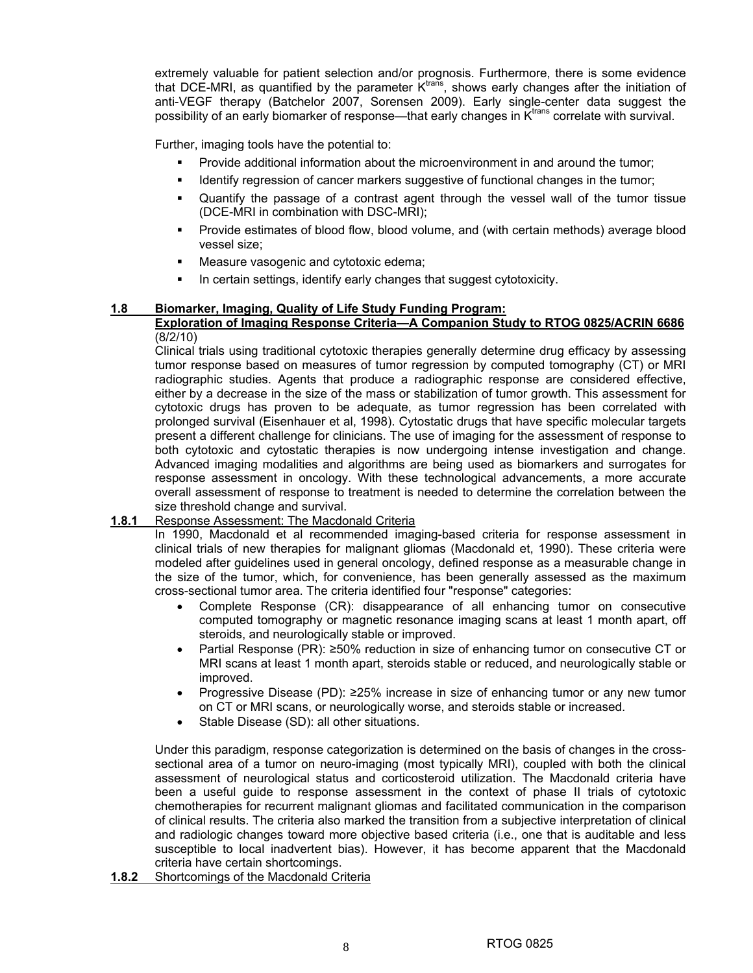extremely valuable for patient selection and/or prognosis. Furthermore, there is some evidence that DCE-MRI, as quantified by the parameter Ktrans, shows early changes after the initiation of anti-VEGF therapy (Batchelor 2007, Sorensen 2009). Early single-center data suggest the possibility of an early biomarker of response—that early changes in  $K<sup>trans</sup>$  correlate with survival.

Further, imaging tools have the potential to:

- Provide additional information about the microenvironment in and around the tumor;
- Identify regression of cancer markers suggestive of functional changes in the tumor;
- Quantify the passage of a contrast agent through the vessel wall of the tumor tissue (DCE-MRI in combination with DSC-MRI);
- Provide estimates of blood flow, blood volume, and (with certain methods) average blood vessel size;
- **Measure vasogenic and cytotoxic edema;**
- In certain settings, identify early changes that suggest cytotoxicity.

## **1.8 Biomarker, Imaging, Quality of Life Study Funding Program:**

## **Exploration of Imaging Response Criteria—A Companion Study to RTOG 0825/ACRIN 6686** (8/2/10)

Clinical trials using traditional cytotoxic therapies generally determine drug efficacy by assessing tumor response based on measures of tumor regression by computed tomography (CT) or MRI radiographic studies. Agents that produce a radiographic response are considered effective, either by a decrease in the size of the mass or stabilization of tumor growth. This assessment for cytotoxic drugs has proven to be adequate, as tumor regression has been correlated with prolonged survival (Eisenhauer et al, 1998). Cytostatic drugs that have specific molecular targets present a different challenge for clinicians. The use of imaging for the assessment of response to both cytotoxic and cytostatic therapies is now undergoing intense investigation and change. Advanced imaging modalities and algorithms are being used as biomarkers and surrogates for response assessment in oncology. With these technological advancements, a more accurate overall assessment of response to treatment is needed to determine the correlation between the size threshold change and survival.

## **1.8.1** Response Assessment: The Macdonald Criteria

In 1990, Macdonald et al recommended imaging-based criteria for response assessment in clinical trials of new therapies for malignant gliomas (Macdonald et, 1990). These criteria were modeled after guidelines used in general oncology, defined response as a measurable change in the size of the tumor, which, for convenience, has been generally assessed as the maximum cross-sectional tumor area. The criteria identified four "response" categories:

- Complete Response (CR): disappearance of all enhancing tumor on consecutive computed tomography or magnetic resonance imaging scans at least 1 month apart, off steroids, and neurologically stable or improved.
- Partial Response (PR): ≥50% reduction in size of enhancing tumor on consecutive CT or MRI scans at least 1 month apart, steroids stable or reduced, and neurologically stable or improved.
- Progressive Disease (PD): ≥25% increase in size of enhancing tumor or any new tumor on CT or MRI scans, or neurologically worse, and steroids stable or increased.
- Stable Disease (SD): all other situations.

Under this paradigm, response categorization is determined on the basis of changes in the crosssectional area of a tumor on neuro-imaging (most typically MRI), coupled with both the clinical assessment of neurological status and corticosteroid utilization. The Macdonald criteria have been a useful guide to response assessment in the context of phase II trials of cytotoxic chemotherapies for recurrent malignant gliomas and facilitated communication in the comparison of clinical results. The criteria also marked the transition from a subjective interpretation of clinical and radiologic changes toward more objective based criteria (i.e., one that is auditable and less susceptible to local inadvertent bias). However, it has become apparent that the Macdonald criteria have certain shortcomings.

**1.8.2** Shortcomings of the Macdonald Criteria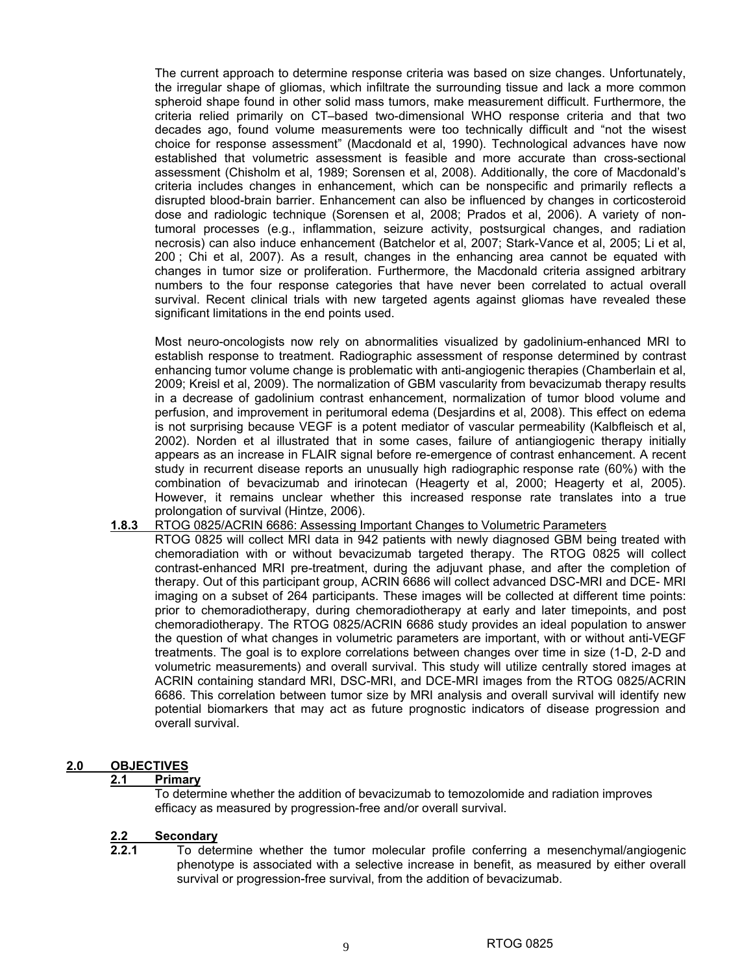The current approach to determine response criteria was based on size changes. Unfortunately, the irregular shape of gliomas, which infiltrate the surrounding tissue and lack a more common spheroid shape found in other solid mass tumors, make measurement difficult. Furthermore, the criteria relied primarily on CT–based two-dimensional WHO response criteria and that two decades ago, found volume measurements were too technically difficult and "not the wisest choice for response assessment" (Macdonald et al, 1990). Technological advances have now established that volumetric assessment is feasible and more accurate than cross-sectional assessment (Chisholm et al, 1989; Sorensen et al, 2008). Additionally, the core of Macdonald's criteria includes changes in enhancement, which can be nonspecific and primarily reflects a disrupted blood-brain barrier. Enhancement can also be influenced by changes in corticosteroid dose and radiologic technique (Sorensen et al, 2008; Prados et al, 2006). A variety of nontumoral processes (e.g., inflammation, seizure activity, postsurgical changes, and radiation necrosis) can also induce enhancement (Batchelor et al, 2007; Stark-Vance et al, 2005; Li et al, 200 ; Chi et al, 2007). As a result, changes in the enhancing area cannot be equated with changes in tumor size or proliferation. Furthermore, the Macdonald criteria assigned arbitrary numbers to the four response categories that have never been correlated to actual overall survival. Recent clinical trials with new targeted agents against gliomas have revealed these significant limitations in the end points used.

Most neuro-oncologists now rely on abnormalities visualized by gadolinium-enhanced MRI to establish response to treatment. Radiographic assessment of response determined by contrast enhancing tumor volume change is problematic with anti-angiogenic therapies (Chamberlain et al, 2009; Kreisl et al, 2009). The normalization of GBM vascularity from bevacizumab therapy results in a decrease of gadolinium contrast enhancement, normalization of tumor blood volume and perfusion, and improvement in peritumoral edema (Desjardins et al, 2008). This effect on edema is not surprising because VEGF is a potent mediator of vascular permeability (Kalbfleisch et al, 2002). Norden et al illustrated that in some cases, failure of antiangiogenic therapy initially appears as an increase in FLAIR signal before re-emergence of contrast enhancement. A recent study in recurrent disease reports an unusually high radiographic response rate (60%) with the combination of bevacizumab and irinotecan (Heagerty et al, 2000; Heagerty et al, 2005). However, it remains unclear whether this increased response rate translates into a true prolongation of survival (Hintze, 2006).

#### **1.8.3** RTOG 0825/ACRIN 6686: Assessing Important Changes to Volumetric Parameters

RTOG 0825 will collect MRI data in 942 patients with newly diagnosed GBM being treated with chemoradiation with or without bevacizumab targeted therapy. The RTOG 0825 will collect contrast-enhanced MRI pre-treatment, during the adjuvant phase, and after the completion of therapy. Out of this participant group, ACRIN 6686 will collect advanced DSC-MRI and DCE- MRI imaging on a subset of 264 participants. These images will be collected at different time points: prior to chemoradiotherapy, during chemoradiotherapy at early and later timepoints, and post chemoradiotherapy. The RTOG 0825/ACRIN 6686 study provides an ideal population to answer the question of what changes in volumetric parameters are important, with or without anti-VEGF treatments. The goal is to explore correlations between changes over time in size (1-D, 2-D and volumetric measurements) and overall survival. This study will utilize centrally stored images at ACRIN containing standard MRI, DSC-MRI, and DCE-MRI images from the RTOG 0825/ACRIN 6686. This correlation between tumor size by MRI analysis and overall survival will identify new potential biomarkers that may act as future prognostic indicators of disease progression and overall survival.

## **2.0 OBJECTIVES**

## **2.1 Primary**

To determine whether the addition of bevacizumab to temozolomide and radiation improves efficacy as measured by progression-free and/or overall survival.

#### **2.2 Secondary**

**2.2.1** To determine whether the tumor molecular profile conferring a mesenchymal/angiogenic phenotype is associated with a selective increase in benefit, as measured by either overall survival or progression-free survival, from the addition of bevacizumab.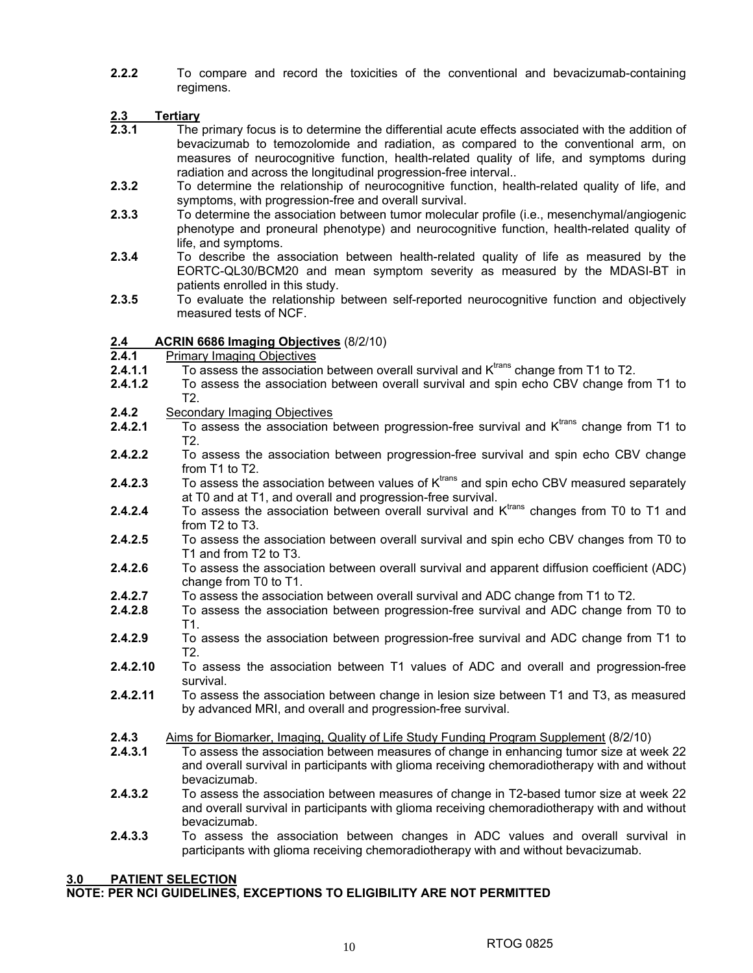**2.2.2** To compare and record the toxicities of the conventional and bevacizumab-containing regimens.

- **2.3 Tertiary 2.3.1** The primary focus is to determine the differential acute effects associated with the addition of bevacizumab to temozolomide and radiation, as compared to the conventional arm, on measures of neurocognitive function, health-related quality of life, and symptoms during radiation and across the longitudinal progression-free interval..
- **2.3.2** To determine the relationship of neurocognitive function, health-related quality of life, and symptoms, with progression-free and overall survival.
- **2.3.3** To determine the association between tumor molecular profile (i.e., mesenchymal/angiogenic phenotype and proneural phenotype) and neurocognitive function, health-related quality of life, and symptoms.
- **2.3.4** To describe the association between health-related quality of life as measured by the EORTC-QL30/BCM20 and mean symptom severity as measured by the MDASI-BT in patients enrolled in this study.
- **2.3.5** To evaluate the relationship between self-reported neurocognitive function and objectively measured tests of NCF.

## **2.4 ACRIN 6686 Imaging Objectives** (8/2/10)

- **2.4.1** Primary Imaging Objectives
- **2.4.1.1** To assess the association between overall survival and K<sup>trans</sup> change from T1 to T2.
- **2.4.1.2** To assess the association between overall survival and spin echo CBV change from T1 to T2.
- **2.4.2** Secondary Imaging Objectives
- **2.4.2.1** To assess the association between progression-free survival and K<sup>trans</sup> change from T1 to T2.
- **2.4.2.2** To assess the association between progression-free survival and spin echo CBV change from T1 to T2.
- **2.4.2.3** To assess the association between values of K<sup>trans</sup> and spin echo CBV measured separately at T0 and at T1, and overall and progression-free survival.
- **2.4.2.4** To assess the association between overall survival and K<sup>trans</sup> changes from T0 to T1 and from T2 to T3.
- **2.4.2.5** To assess the association between overall survival and spin echo CBV changes from T0 to T1 and from T2 to T3.
- **2.4.2.6** To assess the association between overall survival and apparent diffusion coefficient (ADC) change from T0 to T1.
- **2.4.2.7** To assess the association between overall survival and ADC change from T1 to T2.
- **2.4.2.8** To assess the association between progression-free survival and ADC change from T0 to T1.
- **2.4.2.9** To assess the association between progression-free survival and ADC change from T1 to T2.
- **2.4.2.10** To assess the association between T1 values of ADC and overall and progression-free survival.
- **2.4.2.11** To assess the association between change in lesion size between T1 and T3, as measured by advanced MRI, and overall and progression-free survival.
- **2.4.3** Aims for Biomarker, Imaging, Quality of Life Study Funding Program Supplement (8/2/10)<br>**2.4.3.1** To assess the association between measures of change in enhancing tumor size at we
- **2.4.3.1** To assess the association between measures of change in enhancing tumor size at week 22 and overall survival in participants with glioma receiving chemoradiotherapy with and without bevacizumab.
- **2.4.3.2** To assess the association between measures of change in T2-based tumor size at week 22 and overall survival in participants with glioma receiving chemoradiotherapy with and without bevacizumab.
- **2.4.3.3** To assess the association between changes in ADC values and overall survival in participants with glioma receiving chemoradiotherapy with and without bevacizumab.

## **3.0 PATIENT SELECTION**

## **NOTE: PER NCI GUIDELINES, EXCEPTIONS TO ELIGIBILITY ARE NOT PERMITTED**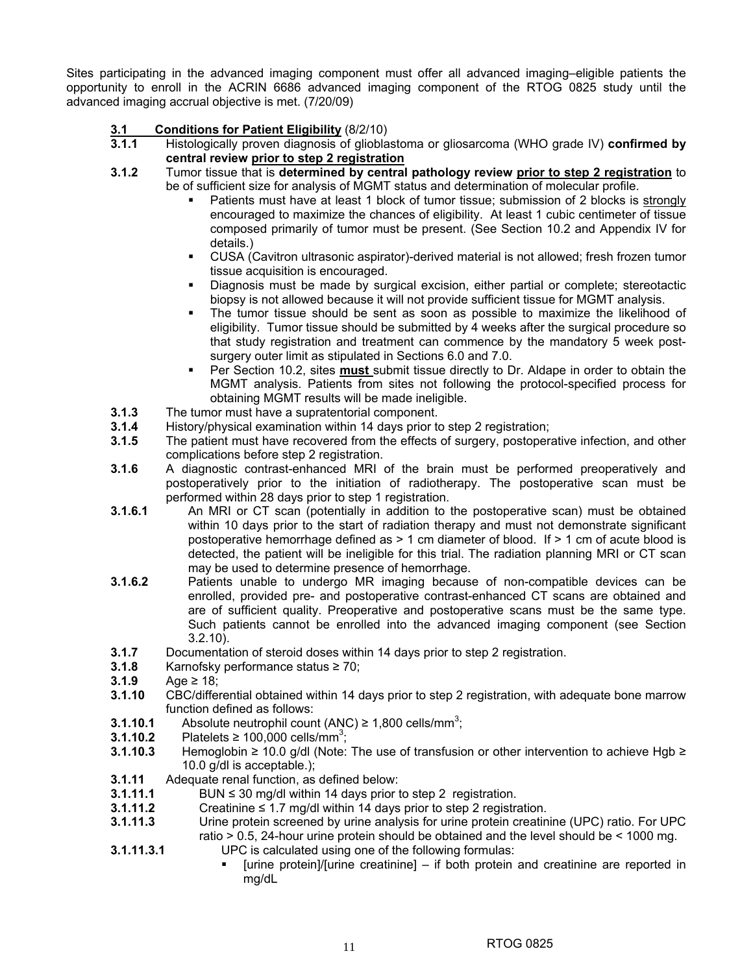Sites participating in the advanced imaging component must offer all advanced imaging–eligible patients the opportunity to enroll in the ACRIN 6686 advanced imaging component of the RTOG 0825 study until the advanced imaging accrual objective is met. (7/20/09)

## **3.1 Conditions for Patient Eligibility** (8/2/10)

- **3.1.1** Histologically proven diagnosis of glioblastoma or gliosarcoma (WHO grade IV) **confirmed by central review prior to step 2 registration**
- **3.1.2** Tumor tissue that is **determined by central pathology review prior to step 2 registration** to be of sufficient size for analysis of MGMT status and determination of molecular profile.
	- Patients must have at least 1 block of tumor tissue; submission of 2 blocks is strongly encouraged to maximize the chances of eligibility. At least 1 cubic centimeter of tissue composed primarily of tumor must be present. (See Section 10.2 and Appendix IV for details.)
	- CUSA (Cavitron ultrasonic aspirator)-derived material is not allowed; fresh frozen tumor tissue acquisition is encouraged.
	- Diagnosis must be made by surgical excision, either partial or complete; stereotactic biopsy is not allowed because it will not provide sufficient tissue for MGMT analysis.
	- The tumor tissue should be sent as soon as possible to maximize the likelihood of eligibility. Tumor tissue should be submitted by 4 weeks after the surgical procedure so that study registration and treatment can commence by the mandatory 5 week postsurgery outer limit as stipulated in Sections 6.0 and 7.0.
	- Per Section 10.2, sites **must** submit tissue directly to Dr. Aldape in order to obtain the MGMT analysis. Patients from sites not following the protocol-specified process for obtaining MGMT results will be made ineligible.
- **3.1.3** The tumor must have a supratentorial component.
- **3.1.4** History/physical examination within 14 days prior to step 2 registration;
- **3.1.5** The patient must have recovered from the effects of surgery, postoperative infection, and other complications before step 2 registration.
- **3.1.6** A diagnostic contrast-enhanced MRI of the brain must be performed preoperatively and postoperatively prior to the initiation of radiotherapy. The postoperative scan must be performed within 28 days prior to step 1 registration.
- **3.1.6.1** An MRI or CT scan (potentially in addition to the postoperative scan) must be obtained within 10 days prior to the start of radiation therapy and must not demonstrate significant postoperative hemorrhage defined as > 1 cm diameter of blood. If > 1 cm of acute blood is detected, the patient will be ineligible for this trial. The radiation planning MRI or CT scan may be used to determine presence of hemorrhage.
- **3.1.6.2** Patients unable to undergo MR imaging because of non-compatible devices can be enrolled, provided pre- and postoperative contrast-enhanced CT scans are obtained and are of sufficient quality. Preoperative and postoperative scans must be the same type. Such patients cannot be enrolled into the advanced imaging component (see Section 3.2.10).
- **3.1.7** Documentation of steroid doses within 14 days prior to step 2 registration.
- **3.1.8** Karnofsky performance status ≥ 70;
- **3.1.9** Age ≥ 18;
- **3.1.10** CBC/differential obtained within 14 days prior to step 2 registration, with adequate bone marrow function defined as follows:
- **3.1.10.1** Absolute neutrophil count  $(ANC) \ge 1,800$  cells/mm<sup>3</sup>;
- **3.1.10.2** Platelets ≥ 100,000 cells/mm<sup>3</sup>;
- **3.1.10.3** Hemoglobin ≥ 10.0 g/dl (Note: The use of transfusion or other intervention to achieve Hgb ≥ 10.0 g/dl is acceptable.);
- **3.1.11** Adequate renal function, as defined below:
- **3.1.11.1** BUN ≤ 30 mg/dl within 14 days prior to step 2 registration.
- **3.1.11.2** Creatinine ≤ 1.7 mg/dl within 14 days prior to step 2 registration.
- **3.1.11.3** Urine protein screened by urine analysis for urine protein creatinine (UPC) ratio. For UPC ratio > 0.5, 24-hour urine protein should be obtained and the level should be < 1000 mg.
- **3.1.11.3.1** UPC is calculated using one of the following formulas:
	- [urine protein]/[urine creatinine] if both protein and creatinine are reported in mg/dL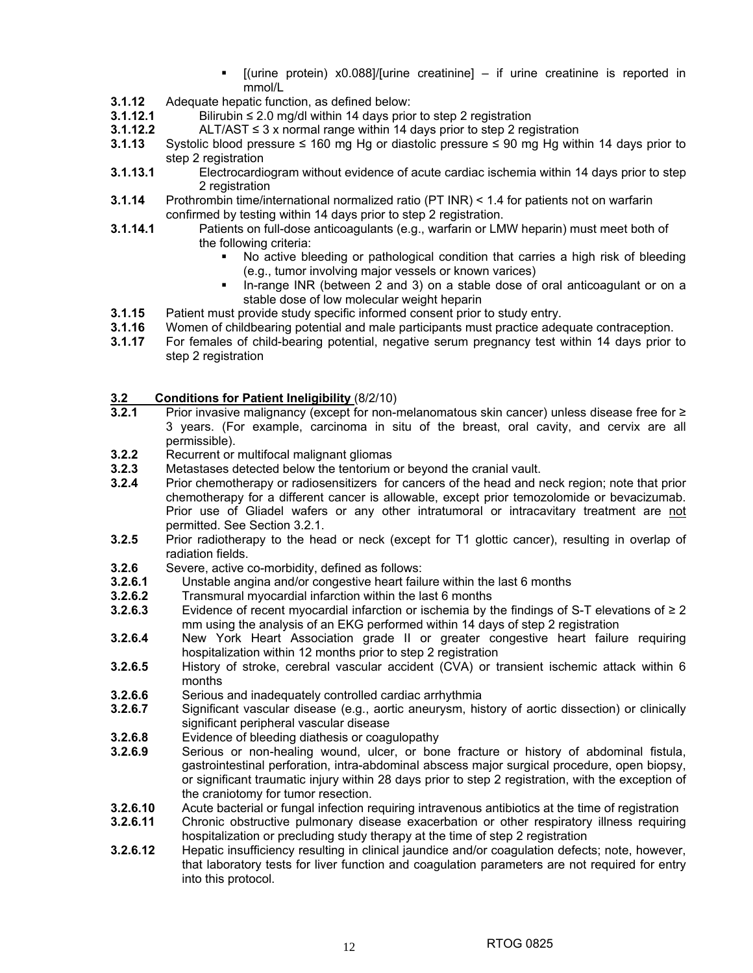- $[$ (urine protein) x0.088]/ $[$ urine creatinine] if urine creatinine is reported in mmol/L
- **3.1.12** Adequate hepatic function, as defined below:<br>**3.1.12.1** Bilirubin ≤ 2.0 mg/dl within 14 days prio
- **3.1.12.1** Bilirubin ≤ 2.0 mg/dl within 14 days prior to step 2 registration
- **3.1.12.2** ALT/AST ≤ 3 x normal range within 14 days prior to step 2 registration
- **3.1.13** Systolic blood pressure ≤ 160 mg Hg or diastolic pressure ≤ 90 mg Hg within 14 days prior to step 2 registration
- **3.1.13.1** Electrocardiogram without evidence of acute cardiac ischemia within 14 days prior to step 2 registration
- **3.1.14** Prothrombin time/international normalized ratio (PT INR) < 1.4 for patients not on warfarin confirmed by testing within 14 days prior to step 2 registration.
- **3.1.14.1** Patients on full-dose anticoagulants (e.g., warfarin or LMW heparin) must meet both of the following criteria:
	- No active bleeding or pathological condition that carries a high risk of bleeding (e.g., tumor involving major vessels or known varices)
	- In-range INR (between 2 and 3) on a stable dose of oral anticoagulant or on a stable dose of low molecular weight heparin
- **3.1.15** Patient must provide study specific informed consent prior to study entry.
- **3.1.16** Women of childbearing potential and male participants must practice adequate contraception.
- **3.1.17** For females of child-bearing potential, negative serum pregnancy test within 14 days prior to step 2 registration

## **3.2 Conditions for Patient Ineligibility** (8/2/10)

- Prior invasive malignancy (except for non-melanomatous skin cancer) unless disease free for ≥ 3 years. (For example, carcinoma in situ of the breast, oral cavity, and cervix are all permissible).
- **3.2.2** Recurrent or multifocal malignant gliomas
- **3.2.3** Metastases detected below the tentorium or beyond the cranial vault.
- **3.2.4** Prior chemotherapy or radiosensitizers for cancers of the head and neck region; note that prior chemotherapy for a different cancer is allowable, except prior temozolomide or bevacizumab. Prior use of Gliadel wafers or any other intratumoral or intracavitary treatment are not permitted. See Section 3.2.1.
- **3.2.5** Prior radiotherapy to the head or neck (except for T1 glottic cancer), resulting in overlap of radiation fields.
- **3.2.6** Severe, active co-morbidity, defined as follows:
- **3.2.6.1** Unstable angina and/or congestive heart failure within the last 6 months
- **3.2.6.2** Transmural myocardial infarction within the last 6 months
- **3.2.6.3** Evidence of recent myocardial infarction or ischemia by the findings of S-T elevations of ≥ 2 mm using the analysis of an EKG performed within 14 days of step 2 registration
- **3.2.6.4** New York Heart Association grade II or greater congestive heart failure requiring hospitalization within 12 months prior to step 2 registration
- **3.2.6.5** History of stroke, cerebral vascular accident (CVA) or transient ischemic attack within 6 months
- **3.2.6.6** Serious and inadequately controlled cardiac arrhythmia<br>**3.2.6.7** Significant vascular disease (e.g., aortic aneurysm, his
- **3.2.6.7** Significant vascular disease (e.g., aortic aneurysm, history of aortic dissection) or clinically significant peripheral vascular disease
- **3.2.6.8** Evidence of bleeding diathesis or coagulopathy
- **3.2.6.9** Serious or non-healing wound, ulcer, or bone fracture or history of abdominal fistula, gastrointestinal perforation, intra-abdominal abscess major surgical procedure, open biopsy, or significant traumatic injury within 28 days prior to step 2 registration, with the exception of the craniotomy for tumor resection.
- **3.2.6.10** Acute bacterial or fungal infection requiring intravenous antibiotics at the time of registration
- **3.2.6.11** Chronic obstructive pulmonary disease exacerbation or other respiratory illness requiring hospitalization or precluding study therapy at the time of step 2 registration
- **3.2.6.12** Hepatic insufficiency resulting in clinical jaundice and/or coagulation defects; note, however, that laboratory tests for liver function and coagulation parameters are not required for entry into this protocol.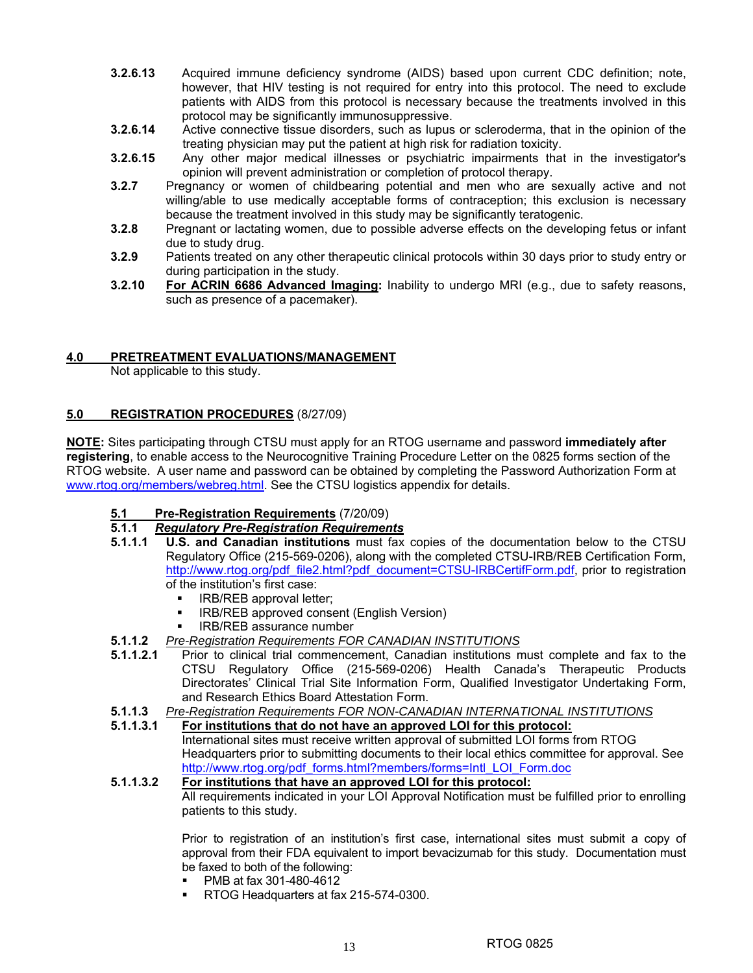- **3.2.6.13** Acquired immune deficiency syndrome (AIDS) based upon current CDC definition; note, however, that HIV testing is not required for entry into this protocol. The need to exclude patients with AIDS from this protocol is necessary because the treatments involved in this protocol may be significantly immunosuppressive.
- **3.2.6.14** Active connective tissue disorders, such as lupus or scleroderma, that in the opinion of the treating physician may put the patient at high risk for radiation toxicity.
- **3.2.6.15** Any other major medical illnesses or psychiatric impairments that in the investigator's opinion will prevent administration or completion of protocol therapy.
- **3.2.7** Pregnancy or women of childbearing potential and men who are sexually active and not willing/able to use medically acceptable forms of contraception; this exclusion is necessary because the treatment involved in this study may be significantly teratogenic.
- **3.2.8** Pregnant or lactating women, due to possible adverse effects on the developing fetus or infant due to study drug.
- **3.2.9** Patients treated on any other therapeutic clinical protocols within 30 days prior to study entry or during participation in the study.
- **3.2.10 For ACRIN 6686 Advanced Imaging:** Inability to undergo MRI (e.g., due to safety reasons, such as presence of a pacemaker).

## **4.0 PRETREATMENT EVALUATIONS/MANAGEMENT**

Not applicable to this study.

## **5.0 REGISTRATION PROCEDURES** (8/27/09)

**NOTE:** Sites participating through CTSU must apply for an RTOG username and password **immediately after registering**, to enable access to the Neurocognitive Training Procedure Letter on the 0825 forms section of the RTOG website. A user name and password can be obtained by completing the Password Authorization Form at www.rtog.org/members/webreg.html. See the CTSU logistics appendix for details.

## **5.1 Pre-Registration Requirements** (7/20/09)

## **5.1.1** *Regulatory Pre-Registration Requirements*

- **5.1.1.1 U.S. and Canadian institutions** must fax copies of the documentation below to the CTSU Regulatory Office (215-569-0206), along with the completed CTSU-IRB/REB Certification Form, http://www.rtog.org/pdf\_file2.html?pdf\_document=CTSU-IRBCertifForm.pdf, prior to registration of the institution's first case:
	- **IRB/REB approval letter;**
	- IRB/REB approved consent (English Version)
	- IRB/REB assurance number
- **5.1.1.2** *Pre-Registration Requirements FOR CANADIAN INSTITUTIONS*
- **5.1.1.2.1** Prior to clinical trial commencement, Canadian institutions must complete and fax to the CTSU Regulatory Office (215-569-0206) Health Canada's Therapeutic Products Directorates' Clinical Trial Site Information Form, Qualified Investigator Undertaking Form, and Research Ethics Board Attestation Form.
- **5.1.1.3** *Pre-Registration Requirements FOR NON-CANADIAN INTERNATIONAL INSTITUTIONS*
- **5.1.1.3.1 For institutions that do not have an approved LOI for this protocol:** International sites must receive written approval of submitted LOI forms from RTOG Headquarters prior to submitting documents to their local ethics committee for approval. See http://www.rtog.org/pdf\_forms.html?members/forms=Intl\_LOI\_Form.doc

## **5.1.1.3.2 For institutions that have an approved LOI for this protocol:** All requirements indicated in your LOI Approval Notification must be fulfilled prior to enrolling patients to this study.

Prior to registration of an institution's first case, international sites must submit a copy of approval from their FDA equivalent to import bevacizumab for this study. Documentation must be faxed to both of the following:

- **•** PMB at fax 301-480-4612
- RTOG Headquarters at fax 215-574-0300.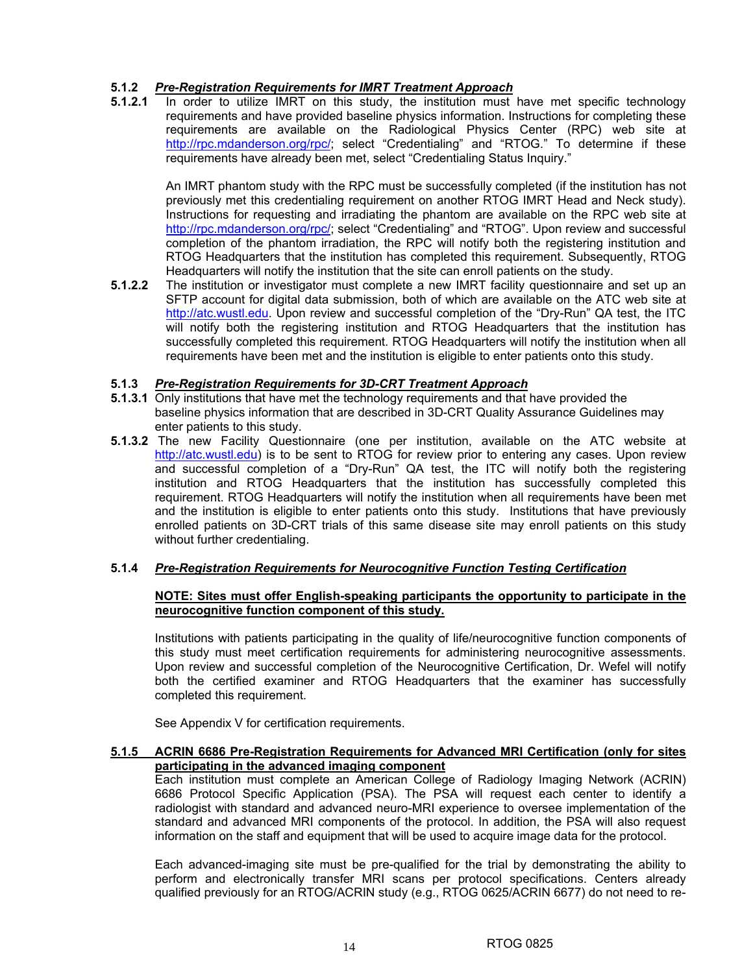## **5.1.2** *Pre-Registration Requirements for IMRT Treatment Approach*

In order to utilize IMRT on this study, the institution must have met specific technology requirements and have provided baseline physics information. Instructions for completing these requirements are available on the Radiological Physics Center (RPC) web site at http://rpc.mdanderson.org/rpc/; select "Credentialing" and "RTOG." To determine if these requirements have already been met, select "Credentialing Status Inquiry."

 An IMRT phantom study with the RPC must be successfully completed (if the institution has not previously met this credentialing requirement on another RTOG IMRT Head and Neck study). Instructions for requesting and irradiating the phantom are available on the RPC web site at http://rpc.mdanderson.org/rpc/; select "Credentialing" and "RTOG". Upon review and successful completion of the phantom irradiation, the RPC will notify both the registering institution and RTOG Headquarters that the institution has completed this requirement. Subsequently, RTOG Headquarters will notify the institution that the site can enroll patients on the study.

**5.1.2.2** The institution or investigator must complete a new IMRT facility questionnaire and set up an SFTP account for digital data submission, both of which are available on the ATC web site at http://atc.wustl.edu. Upon review and successful completion of the "Dry-Run" QA test, the ITC will notify both the registering institution and RTOG Headquarters that the institution has successfully completed this requirement. RTOG Headquarters will notify the institution when all requirements have been met and the institution is eligible to enter patients onto this study.

## **5.1.3** *Pre-Registration Requirements for 3D-CRT Treatment Approach*

- **5.1.3.1** Only institutions that have met the technology requirements and that have provided the baseline physics information that are described in 3D-CRT Quality Assurance Guidelines may enter patients to this study.
- **5.1.3.2** The new Facility Questionnaire (one per institution, available on the ATC website at http://atc.wustl.edu) is to be sent to RTOG for review prior to entering any cases. Upon review and successful completion of a "Dry-Run" QA test, the ITC will notify both the registering institution and RTOG Headquarters that the institution has successfully completed this requirement. RTOG Headquarters will notify the institution when all requirements have been met and the institution is eligible to enter patients onto this study. Institutions that have previously enrolled patients on 3D-CRT trials of this same disease site may enroll patients on this study without further credentialing.

## **5.1.4** *Pre-Registration Requirements for Neurocognitive Function Testing Certification*

## **NOTE: Sites must offer English-speaking participants the opportunity to participate in the neurocognitive function component of this study.**

Institutions with patients participating in the quality of life/neurocognitive function components of this study must meet certification requirements for administering neurocognitive assessments. Upon review and successful completion of the Neurocognitive Certification, Dr. Wefel will notify both the certified examiner and RTOG Headquarters that the examiner has successfully completed this requirement.

See Appendix V for certification requirements.

## **5.1.5 ACRIN 6686 Pre-Registration Requirements for Advanced MRI Certification (only for sites participating in the advanced imaging component**

Each institution must complete an American College of Radiology Imaging Network (ACRIN) 6686 Protocol Specific Application (PSA). The PSA will request each center to identify a radiologist with standard and advanced neuro-MRI experience to oversee implementation of the standard and advanced MRI components of the protocol. In addition, the PSA will also request information on the staff and equipment that will be used to acquire image data for the protocol.

Each advanced-imaging site must be pre-qualified for the trial by demonstrating the ability to perform and electronically transfer MRI scans per protocol specifications. Centers already qualified previously for an RTOG/ACRIN study (e.g., RTOG 0625/ACRIN 6677) do not need to re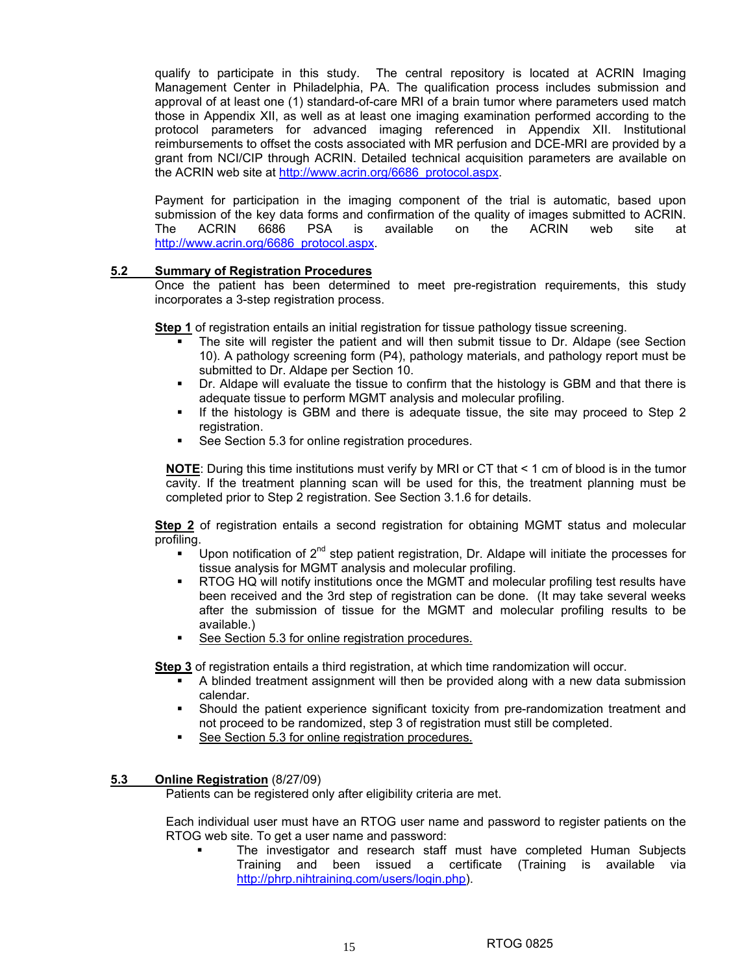qualify to participate in this study. The central repository is located at ACRIN Imaging Management Center in Philadelphia, PA. The qualification process includes submission and approval of at least one (1) standard-of-care MRI of a brain tumor where parameters used match those in Appendix XII, as well as at least one imaging examination performed according to the protocol parameters for advanced imaging referenced in Appendix XII. Institutional reimbursements to offset the costs associated with MR perfusion and DCE-MRI are provided by a grant from NCI/CIP through ACRIN. Detailed technical acquisition parameters are available on the ACRIN web site at http://www.acrin.org/6686\_protocol.aspx.

Payment for participation in the imaging component of the trial is automatic, based upon submission of the key data forms and confirmation of the quality of images submitted to ACRIN. The ACRIN 6686 PSA is available on the ACRIN web site at http://www.acrin.org/6686\_protocol.aspx.

## **5.2 Summary of Registration Procedures**

Once the patient has been determined to meet pre-registration requirements, this study incorporates a 3-step registration process.

**Step 1** of registration entails an initial registration for tissue pathology tissue screening.

- The site will register the patient and will then submit tissue to Dr. Aldape (see Section 10). A pathology screening form (P4), pathology materials, and pathology report must be submitted to Dr. Aldape per Section 10.
- Dr. Aldape will evaluate the tissue to confirm that the histology is GBM and that there is adequate tissue to perform MGMT analysis and molecular profiling.
- If the histology is GBM and there is adequate tissue, the site may proceed to Step 2 registration.
- See Section 5.3 for online registration procedures.

**NOTE:** During this time institutions must verify by MRI or CT that  $\leq 1$  cm of blood is in the tumor cavity. If the treatment planning scan will be used for this, the treatment planning must be completed prior to Step 2 registration. See Section 3.1.6 for details.

**Step 2** of registration entails a second registration for obtaining MGMT status and molecular profiling.

- Upon notification of  $2<sup>nd</sup>$  step patient registration, Dr. Aldape will initiate the processes for tissue analysis for MGMT analysis and molecular profiling.
- RTOG HQ will notify institutions once the MGMT and molecular profiling test results have been received and the 3rd step of registration can be done. (It may take several weeks after the submission of tissue for the MGMT and molecular profiling results to be available.)
- See Section 5.3 for online registration procedures.

**Step 3** of registration entails a third registration, at which time randomization will occur.

- A blinded treatment assignment will then be provided along with a new data submission calendar.
- Should the patient experience significant toxicity from pre-randomization treatment and not proceed to be randomized, step 3 of registration must still be completed.
- See Section 5.3 for online registration procedures.

## **5.3 Online Registration** (8/27/09)

Patients can be registered only after eligibility criteria are met.

 Each individual user must have an RTOG user name and password to register patients on the RTOG web site. To get a user name and password:

 The investigator and research staff must have completed Human Subjects Training and been issued a certificate (Training is available via http://phrp.nihtraining.com/users/login.php).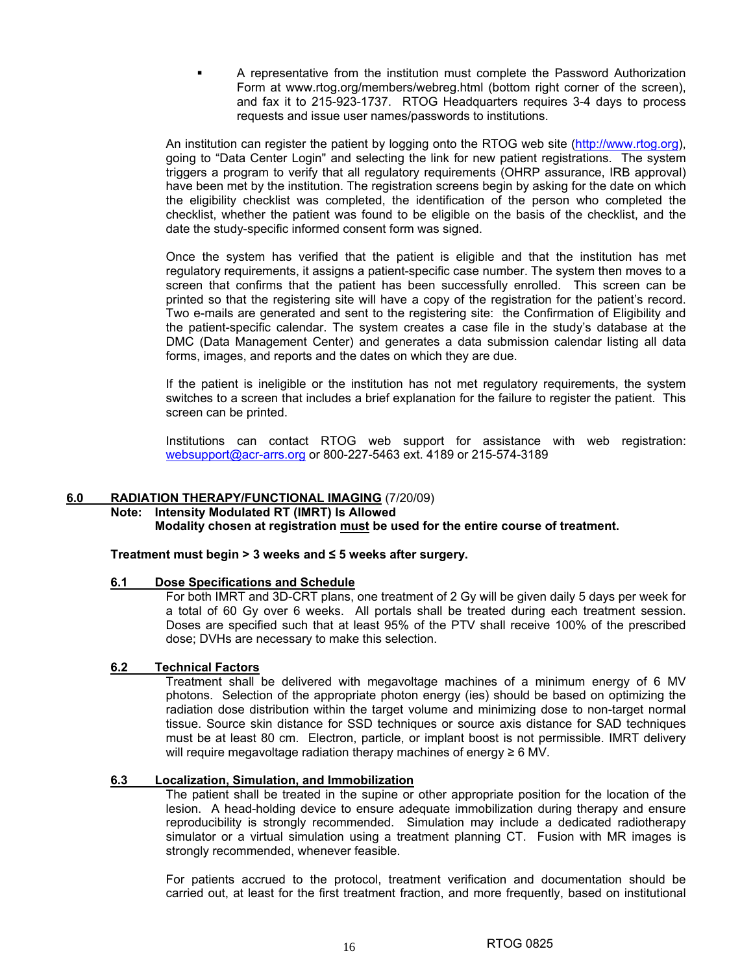A representative from the institution must complete the Password Authorization Form at www.rtog.org/members/webreg.html (bottom right corner of the screen), and fax it to 215-923-1737. RTOG Headquarters requires 3-4 days to process requests and issue user names/passwords to institutions.

 An institution can register the patient by logging onto the RTOG web site (http://www.rtog.org), going to "Data Center Login" and selecting the link for new patient registrations. The system triggers a program to verify that all regulatory requirements (OHRP assurance, IRB approval) have been met by the institution. The registration screens begin by asking for the date on which the eligibility checklist was completed, the identification of the person who completed the checklist, whether the patient was found to be eligible on the basis of the checklist, and the date the study-specific informed consent form was signed.

 Once the system has verified that the patient is eligible and that the institution has met regulatory requirements, it assigns a patient-specific case number. The system then moves to a screen that confirms that the patient has been successfully enrolled. This screen can be printed so that the registering site will have a copy of the registration for the patient's record. Two e-mails are generated and sent to the registering site: the Confirmation of Eligibility and the patient-specific calendar. The system creates a case file in the study's database at the DMC (Data Management Center) and generates a data submission calendar listing all data forms, images, and reports and the dates on which they are due.

 If the patient is ineligible or the institution has not met regulatory requirements, the system switches to a screen that includes a brief explanation for the failure to register the patient. This screen can be printed.

 Institutions can contact RTOG web support for assistance with web registration: websupport@acr-arrs.org or 800-227-5463 ext. 4189 or 215-574-3189

## **6.0 RADIATION THERAPY/FUNCTIONAL IMAGING** (7/20/09)

#### **Note: Intensity Modulated RT (IMRT) Is Allowed Modality chosen at registration must be used for the entire course of treatment.**

## **Treatment must begin > 3 weeks and ≤ 5 weeks after surgery.**

## **6.1 Dose Specifications and Schedule**

For both IMRT and 3D-CRT plans, one treatment of 2 Gy will be given daily 5 days per week for a total of 60 Gy over 6 weeks. All portals shall be treated during each treatment session. Doses are specified such that at least 95% of the PTV shall receive 100% of the prescribed dose; DVHs are necessary to make this selection.

## **6.2 Technical Factors**

Treatment shall be delivered with megavoltage machines of a minimum energy of 6 MV photons. Selection of the appropriate photon energy (ies) should be based on optimizing the radiation dose distribution within the target volume and minimizing dose to non-target normal tissue. Source skin distance for SSD techniques or source axis distance for SAD techniques must be at least 80 cm. Electron, particle, or implant boost is not permissible. IMRT delivery will require megavoltage radiation therapy machines of energy  $\geq 6$  MV.

#### **6.3 Localization, Simulation, and Immobilization**

The patient shall be treated in the supine or other appropriate position for the location of the lesion. A head-holding device to ensure adequate immobilization during therapy and ensure reproducibility is strongly recommended. Simulation may include a dedicated radiotherapy simulator or a virtual simulation using a treatment planning CT. Fusion with MR images is strongly recommended, whenever feasible.

For patients accrued to the protocol, treatment verification and documentation should be carried out, at least for the first treatment fraction, and more frequently, based on institutional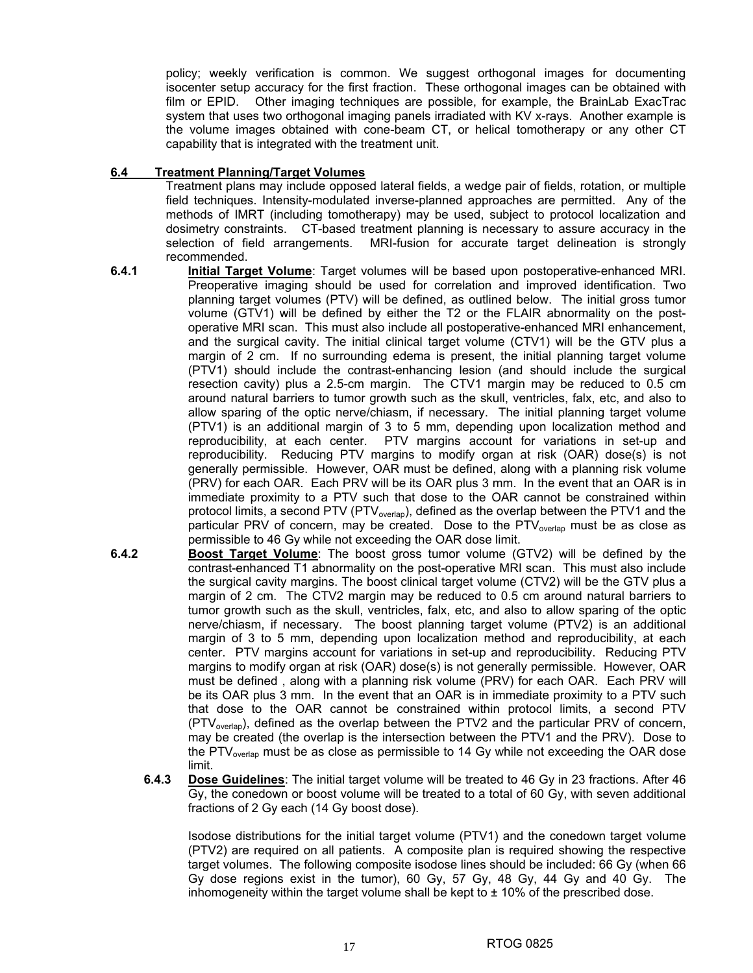policy; weekly verification is common. We suggest orthogonal images for documenting isocenter setup accuracy for the first fraction. These orthogonal images can be obtained with film or EPID. Other imaging techniques are possible, for example, the BrainLab ExacTrac system that uses two orthogonal imaging panels irradiated with KV x-rays. Another example is the volume images obtained with cone-beam CT, or helical tomotherapy or any other CT capability that is integrated with the treatment unit.

## **6.4 Treatment Planning/Target Volumes**

Treatment plans may include opposed lateral fields, a wedge pair of fields, rotation, or multiple field techniques. Intensity-modulated inverse-planned approaches are permitted. Any of the methods of IMRT (including tomotherapy) may be used, subject to protocol localization and dosimetry constraints. CT-based treatment planning is necessary to assure accuracy in the selection of field arrangements. MRI-fusion for accurate target delineation is strongly recommended.

- **6.4.1 Initial Target Volume**: Target volumes will be based upon postoperative-enhanced MRI. Preoperative imaging should be used for correlation and improved identification. Two planning target volumes (PTV) will be defined, as outlined below. The initial gross tumor volume (GTV1) will be defined by either the T2 or the FLAIR abnormality on the postoperative MRI scan. This must also include all postoperative-enhanced MRI enhancement, and the surgical cavity. The initial clinical target volume (CTV1) will be the GTV plus a margin of 2 cm. If no surrounding edema is present, the initial planning target volume (PTV1) should include the contrast-enhancing lesion (and should include the surgical resection cavity) plus a 2.5-cm margin. The CTV1 margin may be reduced to 0.5 cm around natural barriers to tumor growth such as the skull, ventricles, falx, etc, and also to allow sparing of the optic nerve/chiasm, if necessary. The initial planning target volume (PTV1) is an additional margin of 3 to 5 mm, depending upon localization method and reproducibility, at each center. PTV margins account for variations in set-up and reproducibility. Reducing PTV margins to modify organ at risk (OAR) dose(s) is not generally permissible. However, OAR must be defined, along with a planning risk volume (PRV) for each OAR. Each PRV will be its OAR plus 3 mm. In the event that an OAR is in immediate proximity to a PTV such that dose to the OAR cannot be constrained within protocol limits, a second PTV (PTV<sub>overlap</sub>), defined as the overlap between the PTV1 and the particular PRV of concern, may be created. Dose to the PTV<sub>overlap</sub> must be as close as permissible to 46 Gy while not exceeding the OAR dose limit.
- **6.4.2 Boost Target Volume**: The boost gross tumor volume (GTV2) will be defined by the contrast-enhanced T1 abnormality on the post-operative MRI scan. This must also include the surgical cavity margins. The boost clinical target volume (CTV2) will be the GTV plus a margin of 2 cm. The CTV2 margin may be reduced to 0.5 cm around natural barriers to tumor growth such as the skull, ventricles, falx, etc, and also to allow sparing of the optic nerve/chiasm, if necessary. The boost planning target volume (PTV2) is an additional margin of 3 to 5 mm, depending upon localization method and reproducibility, at each center. PTV margins account for variations in set-up and reproducibility. Reducing PTV margins to modify organ at risk (OAR) dose(s) is not generally permissible. However, OAR must be defined , along with a planning risk volume (PRV) for each OAR. Each PRV will be its OAR plus 3 mm. In the event that an OAR is in immediate proximity to a PTV such that dose to the OAR cannot be constrained within protocol limits, a second PTV (PTV<sub>overlap</sub>), defined as the overlap between the PTV2 and the particular PRV of concern, may be created (the overlap is the intersection between the PTV1 and the PRV). Dose to the  $PTV_{\text{overan}}$  must be as close as permissible to 14 Gy while not exceeding the OAR dose limit.
	- **6.4.3 Dose Guidelines**: The initial target volume will be treated to 46 Gy in 23 fractions. After 46 Gy, the conedown or boost volume will be treated to a total of 60 Gy, with seven additional fractions of 2 Gy each (14 Gy boost dose).

Isodose distributions for the initial target volume (PTV1) and the conedown target volume (PTV2) are required on all patients. A composite plan is required showing the respective target volumes. The following composite isodose lines should be included: 66 Gy (when 66 Gy dose regions exist in the tumor), 60 Gy, 57 Gy, 48 Gy, 44 Gy and 40 Gy. The inhomogeneity within the target volume shall be kept to  $\pm$  10% of the prescribed dose.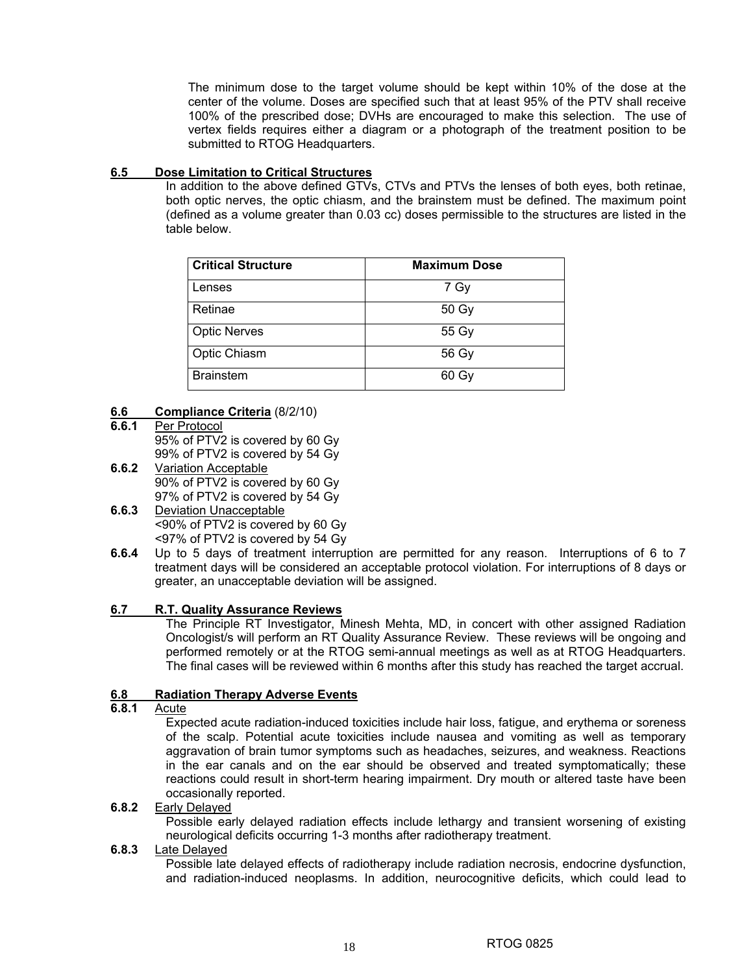The minimum dose to the target volume should be kept within 10% of the dose at the center of the volume. Doses are specified such that at least 95% of the PTV shall receive 100% of the prescribed dose; DVHs are encouraged to make this selection. The use of vertex fields requires either a diagram or a photograph of the treatment position to be submitted to RTOG Headquarters.

## **6.5 Dose Limitation to Critical Structures**

In addition to the above defined GTVs, CTVs and PTVs the lenses of both eyes, both retinae, both optic nerves, the optic chiasm, and the brainstem must be defined. The maximum point (defined as a volume greater than 0.03 cc) doses permissible to the structures are listed in the table below.

| <b>Critical Structure</b> | <b>Maximum Dose</b> |
|---------------------------|---------------------|
| Lenses                    | 7 Gy                |
| Retinae                   | 50 Gy               |
| <b>Optic Nerves</b>       | 55 Gy               |
| Optic Chiasm              | 56 Gy               |
| <b>Brainstem</b>          | 60 Gy               |

## **6.6 Compliance Criteria** (8/2/10)<br>**6.6.1** Per Protocol

- **Per Protocol** 95% of PTV2 is covered by 60 Gy 99% of PTV2 is covered by 54 Gy
- **6.6.2** Variation Acceptable 90% of PTV2 is covered by 60 Gy 97% of PTV2 is covered by 54 Gy
- **6.6.3** Deviation Unacceptable <90% of PTV2 is covered by 60 Gy <97% of PTV2 is covered by 54 Gy
- **6.6.4** Up to 5 days of treatment interruption are permitted for any reason. Interruptions of 6 to 7 treatment days will be considered an acceptable protocol violation. For interruptions of 8 days or greater, an unacceptable deviation will be assigned.

## **6.7 R.T. Quality Assurance Reviews**

The Principle RT Investigator, Minesh Mehta, MD, in concert with other assigned Radiation Oncologist/s will perform an RT Quality Assurance Review. These reviews will be ongoing and performed remotely or at the RTOG semi-annual meetings as well as at RTOG Headquarters. The final cases will be reviewed within 6 months after this study has reached the target accrual.

## **6.8 Radiation Therapy Adverse Events**

**6.8.1** Acute

Expected acute radiation-induced toxicities include hair loss, fatigue, and erythema or soreness of the scalp. Potential acute toxicities include nausea and vomiting as well as temporary aggravation of brain tumor symptoms such as headaches, seizures, and weakness. Reactions in the ear canals and on the ear should be observed and treated symptomatically; these reactions could result in short-term hearing impairment. Dry mouth or altered taste have been occasionally reported.

## **6.8.2** Early Delayed

Possible early delayed radiation effects include lethargy and transient worsening of existing neurological deficits occurring 1-3 months after radiotherapy treatment.

## **6.8.3** Late Delayed

Possible late delayed effects of radiotherapy include radiation necrosis, endocrine dysfunction, and radiation-induced neoplasms. In addition, neurocognitive deficits, which could lead to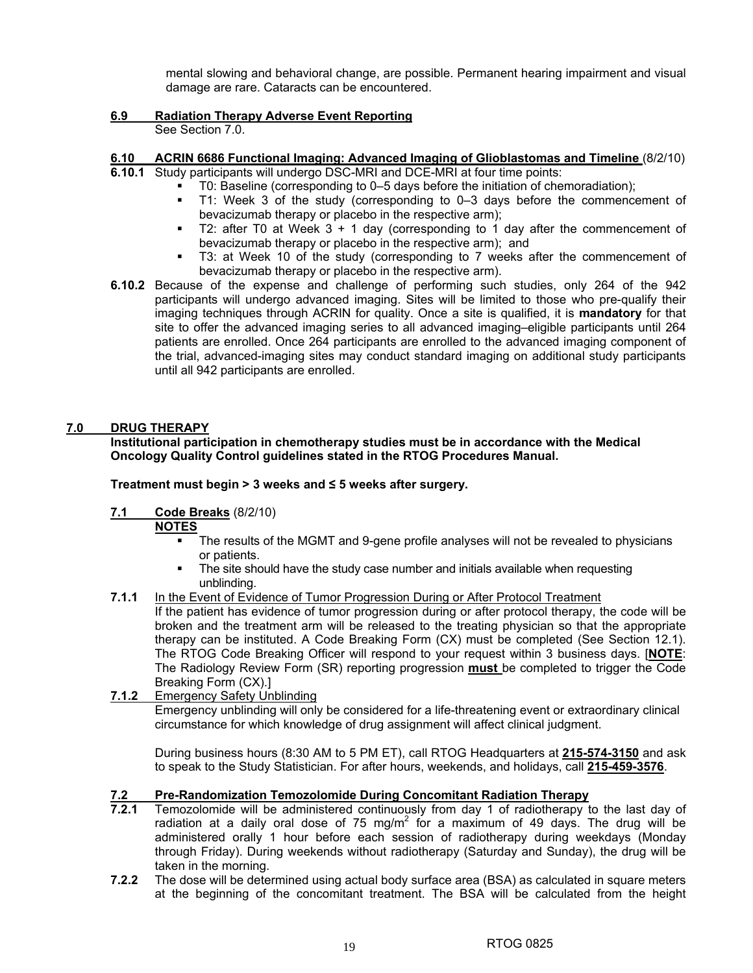mental slowing and behavioral change, are possible. Permanent hearing impairment and visual damage are rare. Cataracts can be encountered.

## **6.9 Radiation Therapy Adverse Event Reporting**

See Section 7.0.

## **6.10 ACRIN 6686 Functional Imaging: Advanced Imaging of Glioblastomas and Timeline** (8/2/10)

- **6.10.1** Study participants will undergo DSC-MRI and DCE-MRI at four time points:
	- T0: Baseline (corresponding to 0–5 days before the initiation of chemoradiation);
	- T1: Week 3 of the study (corresponding to 0–3 days before the commencement of bevacizumab therapy or placebo in the respective arm);
	- T2: after T0 at Week  $3 + 1$  day (corresponding to 1 day after the commencement of bevacizumab therapy or placebo in the respective arm); and
	- T3: at Week 10 of the study (corresponding to 7 weeks after the commencement of bevacizumab therapy or placebo in the respective arm).
- **6.10.2** Because of the expense and challenge of performing such studies, only 264 of the 942 participants will undergo advanced imaging. Sites will be limited to those who pre-qualify their imaging techniques through ACRIN for quality. Once a site is qualified, it is **mandatory** for that site to offer the advanced imaging series to all advanced imaging–eligible participants until 264 patients are enrolled. Once 264 participants are enrolled to the advanced imaging component of the trial, advanced-imaging sites may conduct standard imaging on additional study participants until all 942 participants are enrolled.

## **7.0 DRUG THERAPY**

## **Institutional participation in chemotherapy studies must be in accordance with the Medical Oncology Quality Control guidelines stated in the RTOG Procedures Manual.**

## **Treatment must begin > 3 weeks and ≤ 5 weeks after surgery.**

## **7.1 Code Breaks** (8/2/10)

## **NOTES**

- **The results of the MGMT and 9-gene profile analyses will not be revealed to physicians** or patients.
- The site should have the study case number and initials available when requesting unblinding.
- **7.1.1** In the Event of Evidence of Tumor Progression During or After Protocol Treatment

If the patient has evidence of tumor progression during or after protocol therapy, the code will be broken and the treatment arm will be released to the treating physician so that the appropriate therapy can be instituted. A Code Breaking Form (CX) must be completed (See Section 12.1). The RTOG Code Breaking Officer will respond to your request within 3 business days. [**NOTE**: The Radiology Review Form (SR) reporting progression **must** be completed to trigger the Code Breaking Form (CX).]

## **7.1.2** Emergency Safety Unblinding

Emergency unblinding will only be considered for a life-threatening event or extraordinary clinical circumstance for which knowledge of drug assignment will affect clinical judgment.

During business hours (8:30 AM to 5 PM ET), call RTOG Headquarters at **215-574-3150** and ask to speak to the Study Statistician. For after hours, weekends, and holidays, call **215-459-3576**.

## **7.2 Pre-Randomization Temozolomide During Concomitant Radiation Therapy**

- **7.2.1** Temozolomide will be administered continuously from day 1 of radiotherapy to the last day of radiation at a daily oral dose of 75 mg/m<sup>2</sup> for a maximum of 49 days. The drug will be administered orally 1 hour before each session of radiotherapy during weekdays (Monday through Friday). During weekends without radiotherapy (Saturday and Sunday), the drug will be taken in the morning.
- **7.2.2** The dose will be determined using actual body surface area (BSA) as calculated in square meters at the beginning of the concomitant treatment. The BSA will be calculated from the height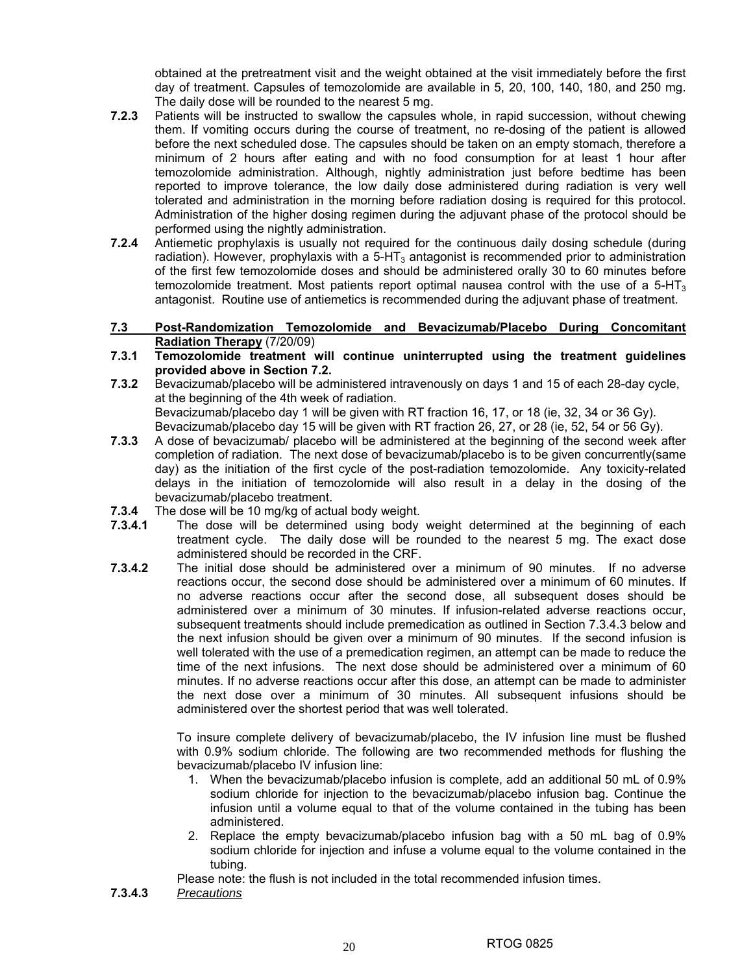obtained at the pretreatment visit and the weight obtained at the visit immediately before the first day of treatment. Capsules of temozolomide are available in 5, 20, 100, 140, 180, and 250 mg. The daily dose will be rounded to the nearest 5 mg.

- **7.2.3** Patients will be instructed to swallow the capsules whole, in rapid succession, without chewing them. If vomiting occurs during the course of treatment, no re-dosing of the patient is allowed before the next scheduled dose. The capsules should be taken on an empty stomach, therefore a minimum of 2 hours after eating and with no food consumption for at least 1 hour after temozolomide administration. Although, nightly administration just before bedtime has been reported to improve tolerance, the low daily dose administered during radiation is very well tolerated and administration in the morning before radiation dosing is required for this protocol. Administration of the higher dosing regimen during the adjuvant phase of the protocol should be performed using the nightly administration.
- **7.2.4** Antiemetic prophylaxis is usually not required for the continuous daily dosing schedule (during radiation). However, prophylaxis with a  $5-HT<sub>3</sub>$  antagonist is recommended prior to administration of the first few temozolomide doses and should be administered orally 30 to 60 minutes before temozolomide treatment. Most patients report optimal nausea control with the use of a  $5-HT<sub>3</sub>$ antagonist. Routine use of antiemetics is recommended during the adjuvant phase of treatment.
- **7.3 Post-Randomization Temozolomide and Bevacizumab/Placebo During Concomitant Radiation Therapy** (7/20/09)
- **7.3.1 Temozolomide treatment will continue uninterrupted using the treatment guidelines provided above in Section 7.2.**
- **7.3.2** Bevacizumab/placebo will be administered intravenously on days 1 and 15 of each 28-day cycle, at the beginning of the 4th week of radiation. Bevacizumab/placebo day 1 will be given with RT fraction 16, 17, or 18 (ie, 32, 34 or 36 Gy). Bevacizumab/placebo day 15 will be given with RT fraction 26, 27, or 28 (ie, 52, 54 or 56 Gy).
- **7.3.3** A dose of bevacizumab/ placebo will be administered at the beginning of the second week after completion of radiation. The next dose of bevacizumab/placebo is to be given concurrently(same day) as the initiation of the first cycle of the post-radiation temozolomide. Any toxicity-related delays in the initiation of temozolomide will also result in a delay in the dosing of the bevacizumab/placebo treatment.
- **7.3.4** The dose will be 10 mg/kg of actual body weight.
- **7.3.4.1** The dose will be determined using body weight determined at the beginning of each treatment cycle. The daily dose will be rounded to the nearest 5 mg. The exact dose administered should be recorded in the CRF.
- **7.3.4.2** The initial dose should be administered over a minimum of 90 minutes. If no adverse reactions occur, the second dose should be administered over a minimum of 60 minutes. If no adverse reactions occur after the second dose, all subsequent doses should be administered over a minimum of 30 minutes. If infusion-related adverse reactions occur, subsequent treatments should include premedication as outlined in Section 7.3.4.3 below and the next infusion should be given over a minimum of 90 minutes. If the second infusion is well tolerated with the use of a premedication regimen, an attempt can be made to reduce the time of the next infusions. The next dose should be administered over a minimum of 60 minutes. If no adverse reactions occur after this dose, an attempt can be made to administer the next dose over a minimum of 30 minutes. All subsequent infusions should be administered over the shortest period that was well tolerated.

To insure complete delivery of bevacizumab/placebo, the IV infusion line must be flushed with 0.9% sodium chloride. The following are two recommended methods for flushing the bevacizumab/placebo IV infusion line:

- 1. When the bevacizumab/placebo infusion is complete, add an additional 50 mL of 0.9% sodium chloride for injection to the bevacizumab/placebo infusion bag. Continue the infusion until a volume equal to that of the volume contained in the tubing has been administered.
- 2. Replace the empty bevacizumab/placebo infusion bag with a 50 mL bag of 0.9% sodium chloride for injection and infuse a volume equal to the volume contained in the tubing.

Please note: the flush is not included in the total recommended infusion times.

**7.3.4.3** *Precautions*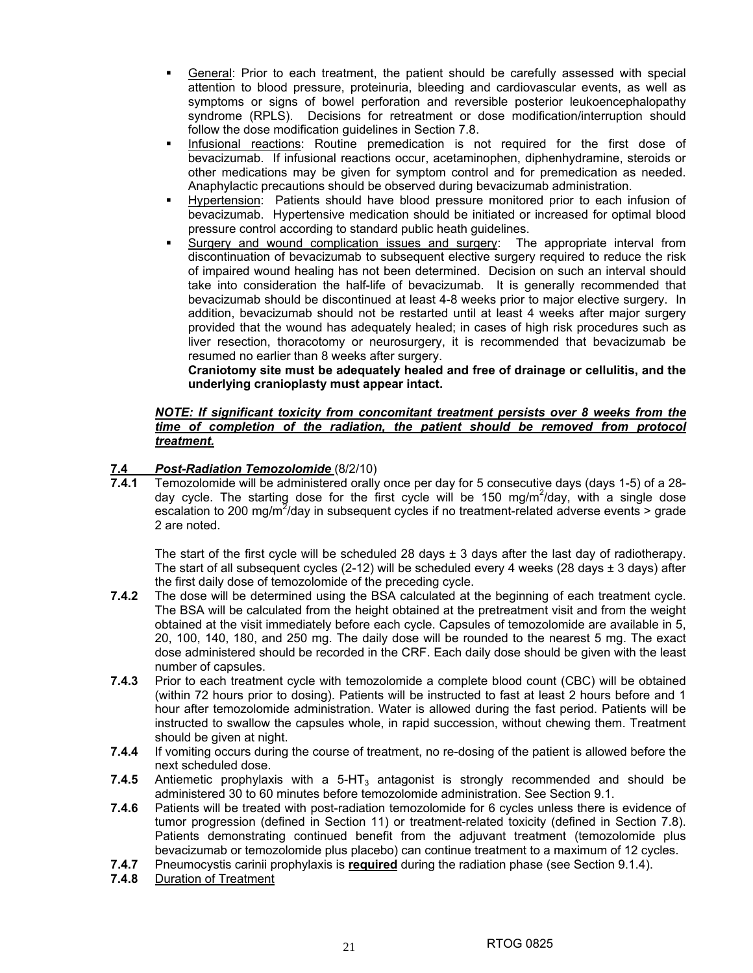- General: Prior to each treatment, the patient should be carefully assessed with special attention to blood pressure, proteinuria, bleeding and cardiovascular events, as well as symptoms or signs of bowel perforation and reversible posterior leukoencephalopathy syndrome (RPLS). Decisions for retreatment or dose modification/interruption should follow the dose modification guidelines in Section 7.8.
- **Infusional reactions: Routine premedication is not required for the first dose of** bevacizumab. If infusional reactions occur, acetaminophen, diphenhydramine, steroids or other medications may be given for symptom control and for premedication as needed. Anaphylactic precautions should be observed during bevacizumab administration.
- **Hypertension:** Patients should have blood pressure monitored prior to each infusion of bevacizumab. Hypertensive medication should be initiated or increased for optimal blood pressure control according to standard public heath guidelines.
- Surgery and wound complication issues and surgery: The appropriate interval from discontinuation of bevacizumab to subsequent elective surgery required to reduce the risk of impaired wound healing has not been determined. Decision on such an interval should take into consideration the half-life of bevacizumab. It is generally recommended that bevacizumab should be discontinued at least 4-8 weeks prior to major elective surgery. In addition, bevacizumab should not be restarted until at least 4 weeks after major surgery provided that the wound has adequately healed; in cases of high risk procedures such as liver resection, thoracotomy or neurosurgery, it is recommended that bevacizumab be resumed no earlier than 8 weeks after surgery.

**Craniotomy site must be adequately healed and free of drainage or cellulitis, and the underlying cranioplasty must appear intact.** 

## *NOTE: If significant toxicity from concomitant treatment persists over 8 weeks from the time of completion of the radiation, the patient should be removed from protocol treatment.*

## **7.4** *Post-Radiation Temozolomide* (8/2/10)

**7.4.1** Temozolomide will be administered orally once per day for 5 consecutive days (days 1-5) of a 28 day cycle. The starting dose for the first cycle will be 150 mg/m<sup>2</sup>/day, with a single dose escalation to 200 mg/m<sup>2</sup>/day in subsequent cycles if no treatment-related adverse events > grade 2 are noted.

The start of the first cycle will be scheduled 28 days  $\pm$  3 days after the last day of radiotherapy. The start of all subsequent cycles  $(2-12)$  will be scheduled every 4 weeks  $(28 \text{ days} \pm 3 \text{ days})$  after the first daily dose of temozolomide of the preceding cycle.

- **7.4.2** The dose will be determined using the BSA calculated at the beginning of each treatment cycle. The BSA will be calculated from the height obtained at the pretreatment visit and from the weight obtained at the visit immediately before each cycle. Capsules of temozolomide are available in 5, 20, 100, 140, 180, and 250 mg. The daily dose will be rounded to the nearest 5 mg. The exact dose administered should be recorded in the CRF. Each daily dose should be given with the least number of capsules.
- **7.4.3** Prior to each treatment cycle with temozolomide a complete blood count (CBC) will be obtained (within 72 hours prior to dosing). Patients will be instructed to fast at least 2 hours before and 1 hour after temozolomide administration. Water is allowed during the fast period. Patients will be instructed to swallow the capsules whole, in rapid succession, without chewing them. Treatment should be given at night.
- **7.4.4** If vomiting occurs during the course of treatment, no re-dosing of the patient is allowed before the next scheduled dose.
- **7.4.5** Antiemetic prophylaxis with a 5-HT<sub>3</sub> antagonist is strongly recommended and should be administered 30 to 60 minutes before temozolomide administration. See Section 9.1.
- **7.4.6** Patients will be treated with post-radiation temozolomide for 6 cycles unless there is evidence of tumor progression (defined in Section 11) or treatment-related toxicity (defined in Section 7.8). Patients demonstrating continued benefit from the adjuvant treatment (temozolomide plus bevacizumab or temozolomide plus placebo) can continue treatment to a maximum of 12 cycles.
- **7.4.7** Pneumocystis carinii prophylaxis is **required** during the radiation phase (see Section 9.1.4).
- **7.4.8** Duration of Treatment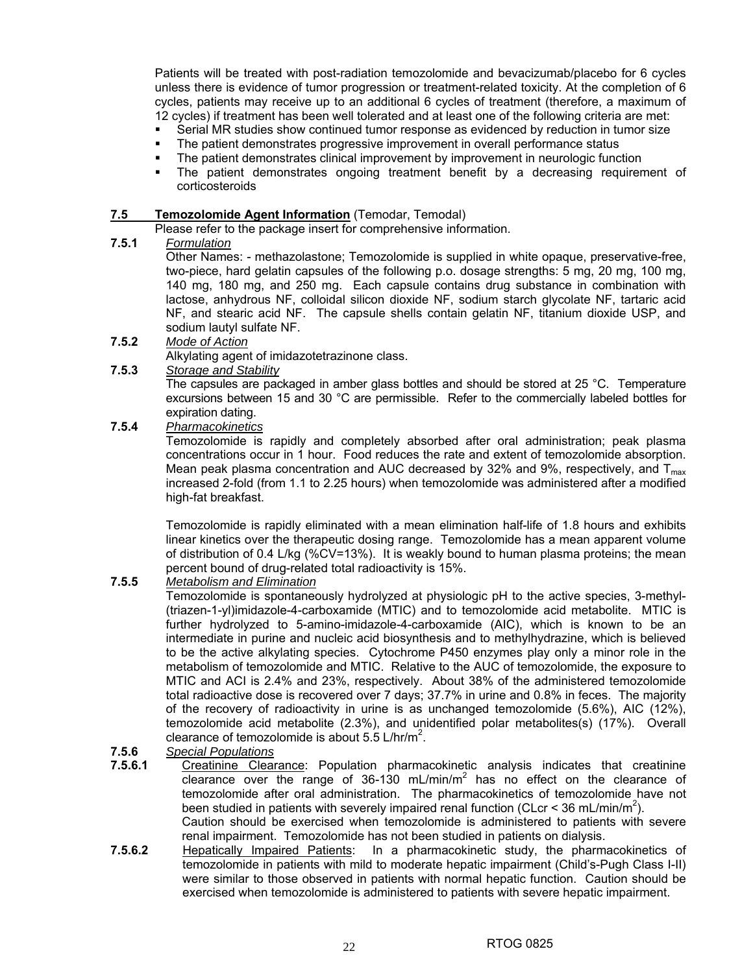Patients will be treated with post-radiation temozolomide and bevacizumab/placebo for 6 cycles unless there is evidence of tumor progression or treatment-related toxicity. At the completion of 6 cycles, patients may receive up to an additional 6 cycles of treatment (therefore, a maximum of 12 cycles) if treatment has been well tolerated and at least one of the following criteria are met:

- Serial MR studies show continued tumor response as evidenced by reduction in tumor size
- **The patient demonstrates progressive improvement in overall performance status**
- The patient demonstrates clinical improvement by improvement in neurologic function
- The patient demonstrates ongoing treatment benefit by a decreasing requirement of corticosteroids

## **7.5 Temozolomide Agent Information** (Temodar, Temodal)

Please refer to the package insert for comprehensive information.

## **7.5.1** *Formulation*

Other Names: - methazolastone; Temozolomide is supplied in white opaque, preservative-free, two-piece, hard gelatin capsules of the following p.o. dosage strengths: 5 mg, 20 mg, 100 mg, 140 mg, 180 mg, and 250 mg. Each capsule contains drug substance in combination with lactose, anhydrous NF, colloidal silicon dioxide NF, sodium starch glycolate NF, tartaric acid NF, and stearic acid NF. The capsule shells contain gelatin NF, titanium dioxide USP, and sodium lautyl sulfate NF.

**7.5.2** *Mode of Action*

Alkylating agent of imidazotetrazinone class.

**7.5.3** *Storage and Stability*

The capsules are packaged in amber glass bottles and should be stored at 25  $^{\circ}$ C. Temperature excursions between 15 and 30 °C are permissible. Refer to the commercially labeled bottles for expiration dating.

## **7.5.4** *Pharmacokinetics*

Temozolomide is rapidly and completely absorbed after oral administration; peak plasma concentrations occur in 1 hour. Food reduces the rate and extent of temozolomide absorption. Mean peak plasma concentration and AUC decreased by 32% and 9%, respectively, and  $T_{\text{max}}$ increased 2-fold (from 1.1 to 2.25 hours) when temozolomide was administered after a modified high-fat breakfast.

Temozolomide is rapidly eliminated with a mean elimination half-life of 1.8 hours and exhibits linear kinetics over the therapeutic dosing range. Temozolomide has a mean apparent volume of distribution of 0.4 L/kg (%CV=13%). It is weakly bound to human plasma proteins; the mean percent bound of drug-related total radioactivity is 15%.

## **7.5.5** *Metabolism and Elimination*

Temozolomide is spontaneously hydrolyzed at physiologic pH to the active species, 3-methyl- (triazen-1-yl)imidazole-4-carboxamide (MTIC) and to temozolomide acid metabolite. MTIC is further hydrolyzed to 5-amino-imidazole-4-carboxamide (AIC), which is known to be an intermediate in purine and nucleic acid biosynthesis and to methylhydrazine, which is believed to be the active alkylating species. Cytochrome P450 enzymes play only a minor role in the metabolism of temozolomide and MTIC. Relative to the AUC of temozolomide, the exposure to MTIC and ACI is 2.4% and 23%, respectively. About 38% of the administered temozolomide total radioactive dose is recovered over 7 days; 37.7% in urine and 0.8% in feces. The majority of the recovery of radioactivity in urine is as unchanged temozolomide (5.6%), AIC (12%), temozolomide acid metabolite (2.3%), and unidentified polar metabolites(s) (17%). Overall clearance of temozolomide is about  $5.5$  L/hr/m<sup>2</sup>.

## **7.5.6** *Special Populations*

- **7.5.6.1** Creatinine Clearance: Population pharmacokinetic analysis indicates that creatinine clearance over the range of 36-130 mL/min/m<sup>2</sup> has no effect on the clearance of temozolomide after oral administration. The pharmacokinetics of temozolomide have not been studied in patients with severely impaired renal function (CLcr < 36 mL/min/m<sup>2</sup>). Caution should be exercised when temozolomide is administered to patients with severe renal impairment. Temozolomide has not been studied in patients on dialysis.
- 7.5.6.2 **Hepatically Impaired Patients:** In a pharmacokinetic study, the pharmacokinetics of temozolomide in patients with mild to moderate hepatic impairment (Child's-Pugh Class I-II) were similar to those observed in patients with normal hepatic function. Caution should be exercised when temozolomide is administered to patients with severe hepatic impairment.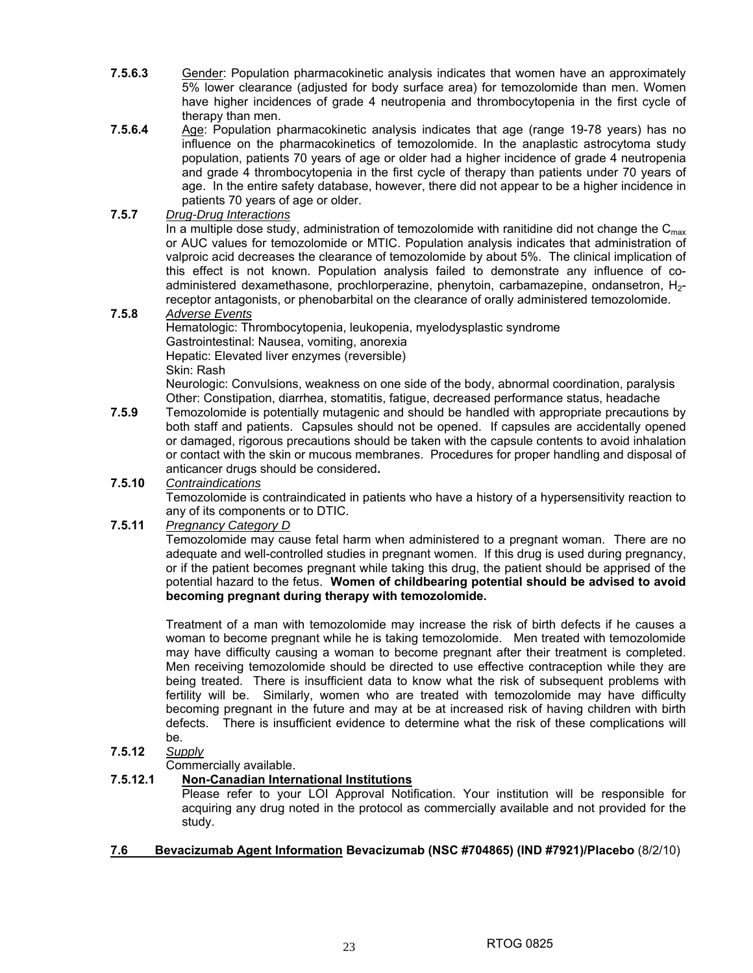- **7.5.6.3** Gender: Population pharmacokinetic analysis indicates that women have an approximately 5% lower clearance (adjusted for body surface area) for temozolomide than men. Women have higher incidences of grade 4 neutropenia and thrombocytopenia in the first cycle of therapy than men.
- **7.5.6.4** Age: Population pharmacokinetic analysis indicates that age (range 19-78 years) has no influence on the pharmacokinetics of temozolomide. In the anaplastic astrocytoma study population, patients 70 years of age or older had a higher incidence of grade 4 neutropenia and grade 4 thrombocytopenia in the first cycle of therapy than patients under 70 years of age. In the entire safety database, however, there did not appear to be a higher incidence in patients 70 years of age or older.

## **7.5.7** *Drug-Drug Interactions*

In a multiple dose study, administration of temozolomide with ranitidine did not change the  $C_{\text{max}}$ or AUC values for temozolomide or MTIC. Population analysis indicates that administration of valproic acid decreases the clearance of temozolomide by about 5%. The clinical implication of this effect is not known. Population analysis failed to demonstrate any influence of coadministered dexamethasone, prochlorperazine, phenytoin, carbamazepine, ondansetron, H<sub>2</sub>receptor antagonists, or phenobarbital on the clearance of orally administered temozolomide.

## **7.5.8** *Adverse Events*

Hematologic: Thrombocytopenia, leukopenia, myelodysplastic syndrome Gastrointestinal: Nausea, vomiting, anorexia Hepatic: Elevated liver enzymes (reversible) Skin: Rash

Neurologic: Convulsions, weakness on one side of the body, abnormal coordination, paralysis Other: Constipation, diarrhea, stomatitis, fatigue, decreased performance status, headache

**7.5.9** Temozolomide is potentially mutagenic and should be handled with appropriate precautions by both staff and patients. Capsules should not be opened. If capsules are accidentally opened or damaged, rigorous precautions should be taken with the capsule contents to avoid inhalation or contact with the skin or mucous membranes. Procedures for proper handling and disposal of anticancer drugs should be considered**.** 

## **7.5.10** *Contraindications* Temozolomide is contraindicated in patients who have a history of a hypersensitivity reaction to any of its components or to DTIC.

## **7.5.11** *Pregnancy Category D*

Temozolomide may cause fetal harm when administered to a pregnant woman. There are no adequate and well-controlled studies in pregnant women. If this drug is used during pregnancy, or if the patient becomes pregnant while taking this drug, the patient should be apprised of the potential hazard to the fetus. **Women of childbearing potential should be advised to avoid becoming pregnant during therapy with temozolomide.** 

Treatment of a man with temozolomide may increase the risk of birth defects if he causes a woman to become pregnant while he is taking temozolomide. Men treated with temozolomide may have difficulty causing a woman to become pregnant after their treatment is completed. Men receiving temozolomide should be directed to use effective contraception while they are being treated. There is insufficient data to know what the risk of subsequent problems with fertility will be. Similarly, women who are treated with temozolomide may have difficulty becoming pregnant in the future and may at be at increased risk of having children with birth defects. There is insufficient evidence to determine what the risk of these complications will be.

## **7.5.12** *Supply*

## Commercially available.

## **7.5.12.1 Non-Canadian International Institutions**

 Please refer to your LOI Approval Notification. Your institution will be responsible for acquiring any drug noted in the protocol as commercially available and not provided for the study.

## **7.6 Bevacizumab Agent Information Bevacizumab (NSC #704865) (IND #7921)/Placebo** (8/2/10)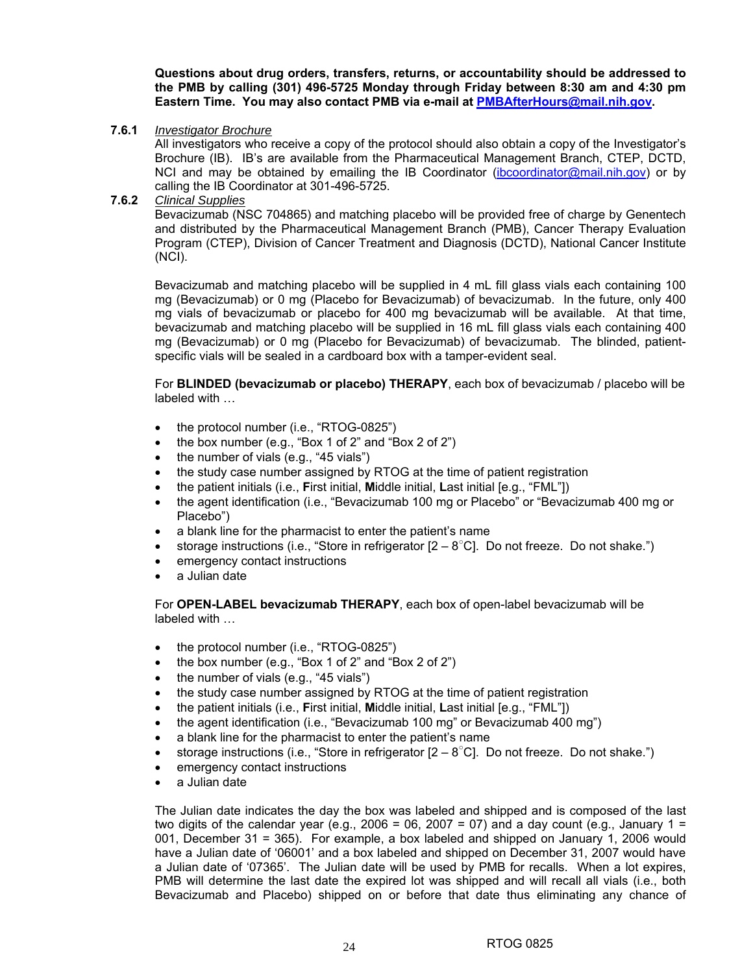**Questions about drug orders, transfers, returns, or accountability should be addressed to the PMB by calling (301) 496-5725 Monday through Friday between 8:30 am and 4:30 pm Eastern Time. You may also contact PMB via e-mail at PMBAfterHours@mail.nih.gov.** 

#### **7.6.1** *Investigator Brochure*

All investigators who receive a copy of the protocol should also obtain a copy of the Investigator's Brochure (IB). IB's are available from the Pharmaceutical Management Branch, CTEP, DCTD, NCI and may be obtained by emailing the IB Coordinator (ibcoordinator@mail.nih.gov) or by calling the IB Coordinator at 301-496-5725.

**7.6.2** *Clinical Supplies*

Bevacizumab (NSC 704865) and matching placebo will be provided free of charge by Genentech and distributed by the Pharmaceutical Management Branch (PMB), Cancer Therapy Evaluation Program (CTEP), Division of Cancer Treatment and Diagnosis (DCTD), National Cancer Institute (NCI).

Bevacizumab and matching placebo will be supplied in 4 mL fill glass vials each containing 100 mg (Bevacizumab) or 0 mg (Placebo for Bevacizumab) of bevacizumab. In the future, only 400 mg vials of bevacizumab or placebo for 400 mg bevacizumab will be available. At that time, bevacizumab and matching placebo will be supplied in 16 mL fill glass vials each containing 400 mg (Bevacizumab) or 0 mg (Placebo for Bevacizumab) of bevacizumab. The blinded, patientspecific vials will be sealed in a cardboard box with a tamper-evident seal.

For **BLINDED (bevacizumab or placebo) THERAPY**, each box of bevacizumab / placebo will be labeled with …

- the protocol number (i.e., "RTOG-0825")
- the box number (e.g., "Box 1 of 2" and "Box 2 of 2")
- the number of vials (e.g., "45 vials")
- the study case number assigned by RTOG at the time of patient registration
- the patient initials (i.e., **F**irst initial, **M**iddle initial, **L**ast initial [e.g., "FML"])
- the agent identification (i.e., "Bevacizumab 100 mg or Placebo" or "Bevacizumab 400 mg or Placebo")
- a blank line for the pharmacist to enter the patient's name
- storage instructions (i.e., "Store in refrigerator  $[2 8^{\circ}C]$ . Do not freeze. Do not shake.")
- emergency contact instructions
- a Julian date

For **OPEN-LABEL bevacizumab THERAPY**, each box of open-label bevacizumab will be labeled with …

- the protocol number (i.e., "RTOG-0825")
- the box number (e.g., "Box 1 of 2" and "Box 2 of 2")
- the number of vials (e.g., "45 vials")
- the study case number assigned by RTOG at the time of patient registration
- the patient initials (i.e., **F**irst initial, **M**iddle initial, **L**ast initial [e.g., "FML"])
- the agent identification (i.e., "Bevacizumab 100 mg" or Bevacizumab 400 mg")
- a blank line for the pharmacist to enter the patient's name
- storage instructions (i.e., "Store in refrigerator  $[2 8^{\circ}C]$ . Do not freeze. Do not shake.")
- emergency contact instructions
- a Julian date

The Julian date indicates the day the box was labeled and shipped and is composed of the last two digits of the calendar year (e.g., 2006 = 06, 2007 = 07) and a day count (e.g., January 1 = 001, December 31 = 365). For example, a box labeled and shipped on January 1, 2006 would have a Julian date of '06001' and a box labeled and shipped on December 31, 2007 would have a Julian date of '07365'. The Julian date will be used by PMB for recalls. When a lot expires, PMB will determine the last date the expired lot was shipped and will recall all vials (i.e., both Bevacizumab and Placebo) shipped on or before that date thus eliminating any chance of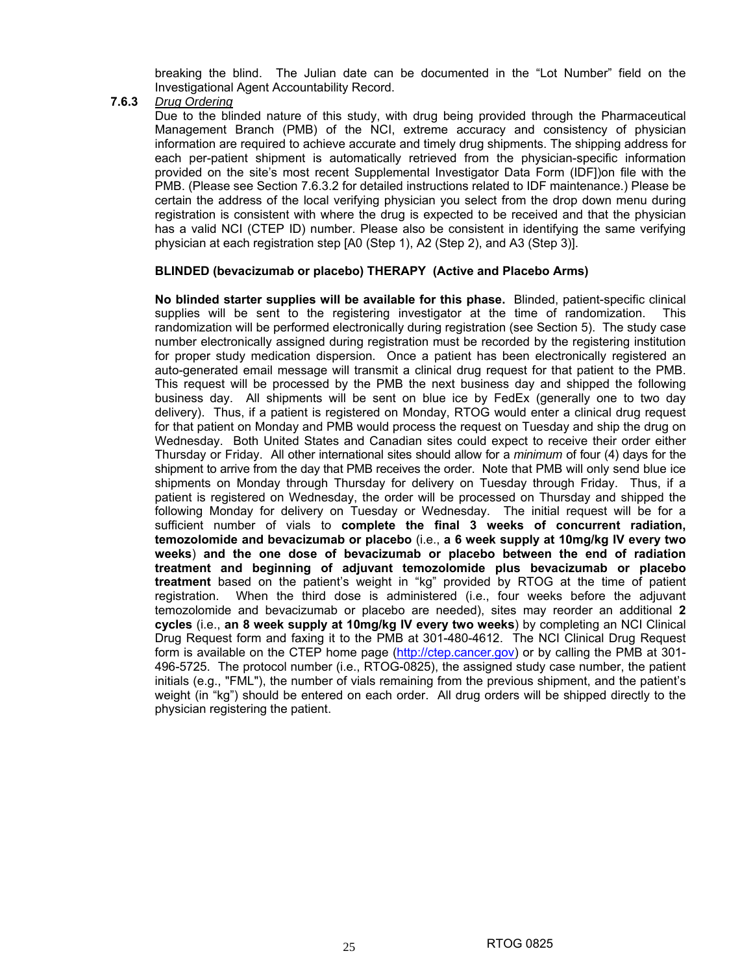breaking the blind. The Julian date can be documented in the "Lot Number" field on the Investigational Agent Accountability Record.

**7.6.3** *Drug Ordering*

Due to the blinded nature of this study, with drug being provided through the Pharmaceutical Management Branch (PMB) of the NCI, extreme accuracy and consistency of physician information are required to achieve accurate and timely drug shipments. The shipping address for each per-patient shipment is automatically retrieved from the physician-specific information provided on the site's most recent Supplemental Investigator Data Form (IDF])on file with the PMB. (Please see Section 7.6.3.2 for detailed instructions related to IDF maintenance.) Please be certain the address of the local verifying physician you select from the drop down menu during registration is consistent with where the drug is expected to be received and that the physician has a valid NCI (CTEP ID) number. Please also be consistent in identifying the same verifying physician at each registration step [A0 (Step 1), A2 (Step 2), and A3 (Step 3)].

## **BLINDED (bevacizumab or placebo) THERAPY (Active and Placebo Arms)**

**No blinded starter supplies will be available for this phase.** Blinded, patient-specific clinical supplies will be sent to the registering investigator at the time of randomization. This randomization will be performed electronically during registration (see Section 5). The study case number electronically assigned during registration must be recorded by the registering institution for proper study medication dispersion. Once a patient has been electronically registered an auto-generated email message will transmit a clinical drug request for that patient to the PMB. This request will be processed by the PMB the next business day and shipped the following business day. All shipments will be sent on blue ice by FedEx (generally one to two day delivery). Thus, if a patient is registered on Monday, RTOG would enter a clinical drug request for that patient on Monday and PMB would process the request on Tuesday and ship the drug on Wednesday. Both United States and Canadian sites could expect to receive their order either Thursday or Friday. All other international sites should allow for a *minimum* of four (4) days for the shipment to arrive from the day that PMB receives the order. Note that PMB will only send blue ice shipments on Monday through Thursday for delivery on Tuesday through Friday. Thus, if a patient is registered on Wednesday, the order will be processed on Thursday and shipped the following Monday for delivery on Tuesday or Wednesday. The initial request will be for a sufficient number of vials to **complete the final 3 weeks of concurrent radiation, temozolomide and bevacizumab or placebo** (i.e., **a 6 week supply at 10mg/kg IV every two weeks**) **and the one dose of bevacizumab or placebo between the end of radiation treatment and beginning of adjuvant temozolomide plus bevacizumab or placebo treatment** based on the patient's weight in "kg" provided by RTOG at the time of patient registration. When the third dose is administered (i.e., four weeks before the adjuvant temozolomide and bevacizumab or placebo are needed), sites may reorder an additional **2 cycles** (i.e., **an 8 week supply at 10mg/kg IV every two weeks**) by completing an NCI Clinical Drug Request form and faxing it to the PMB at 301-480-4612. The NCI Clinical Drug Request form is available on the CTEP home page (http://ctep.cancer.gov) or by calling the PMB at 301-496-5725. The protocol number (i.e., RTOG-0825), the assigned study case number, the patient initials (e.g., "FML"), the number of vials remaining from the previous shipment, and the patient's weight (in "kg") should be entered on each order. All drug orders will be shipped directly to the physician registering the patient.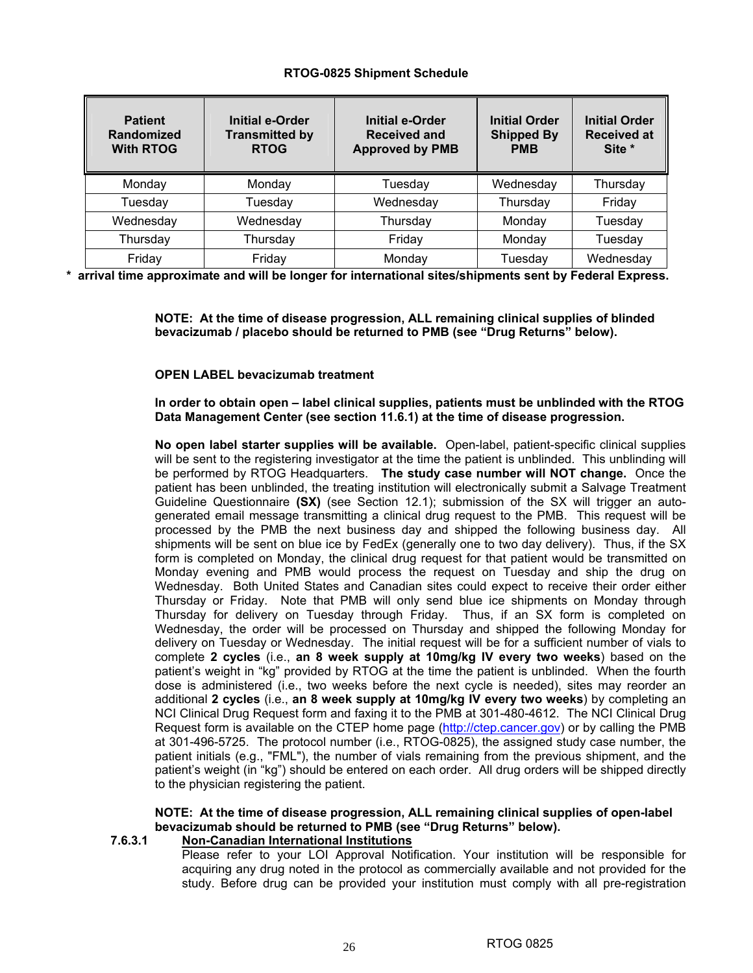#### **RTOG-0825 Shipment Schedule**

| <b>Patient</b><br>Randomized<br><b>With RTOG</b> | <b>Initial e-Order</b><br><b>Transmitted by</b><br><b>RTOG</b> | <b>Initial e-Order</b><br><b>Received and</b><br><b>Approved by PMB</b> | <b>Initial Order</b><br><b>Shipped By</b><br><b>PMB</b> | <b>Initial Order</b><br><b>Received at</b><br>Site * |
|--------------------------------------------------|----------------------------------------------------------------|-------------------------------------------------------------------------|---------------------------------------------------------|------------------------------------------------------|
| Monday                                           | Monday                                                         | Tuesday                                                                 | Wednesday                                               | Thursday                                             |
| Tuesday                                          | Tuesday                                                        | Wednesday                                                               | Thursday                                                | Friday                                               |
| Wednesday                                        | Wednesday                                                      | Thursday                                                                | Monday                                                  | Tuesday                                              |
| Thursday                                         | Thursday                                                       | Friday                                                                  | Monday                                                  | Tuesday                                              |
| Friday                                           | Friday                                                         | Monday                                                                  | Tuesdav                                                 | Wednesday                                            |

**\* arrival time approximate and will be longer for international sites/shipments sent by Federal Express.** 

**NOTE: At the time of disease progression, ALL remaining clinical supplies of blinded bevacizumab / placebo should be returned to PMB (see "Drug Returns" below).** 

#### **OPEN LABEL bevacizumab treatment**

**In order to obtain open – label clinical supplies, patients must be unblinded with the RTOG Data Management Center (see section 11.6.1) at the time of disease progression.** 

**No open label starter supplies will be available.** Open-label, patient-specific clinical supplies will be sent to the registering investigator at the time the patient is unblinded. This unblinding will be performed by RTOG Headquarters. **The study case number will NOT change.** Once the patient has been unblinded, the treating institution will electronically submit a Salvage Treatment Guideline Questionnaire **(SX)** (see Section 12.1); submission of the SX will trigger an autogenerated email message transmitting a clinical drug request to the PMB. This request will be processed by the PMB the next business day and shipped the following business day. All shipments will be sent on blue ice by FedEx (generally one to two day delivery). Thus, if the SX form is completed on Monday, the clinical drug request for that patient would be transmitted on Monday evening and PMB would process the request on Tuesday and ship the drug on Wednesday. Both United States and Canadian sites could expect to receive their order either Thursday or Friday. Note that PMB will only send blue ice shipments on Monday through Thursday for delivery on Tuesday through Friday. Thus, if an SX form is completed on Wednesday, the order will be processed on Thursday and shipped the following Monday for delivery on Tuesday or Wednesday. The initial request will be for a sufficient number of vials to complete **2 cycles** (i.e., **an 8 week supply at 10mg/kg IV every two weeks**) based on the patient's weight in "kg" provided by RTOG at the time the patient is unblinded. When the fourth dose is administered (i.e., two weeks before the next cycle is needed), sites may reorder an additional **2 cycles** (i.e., **an 8 week supply at 10mg/kg IV every two weeks**) by completing an NCI Clinical Drug Request form and faxing it to the PMB at 301-480-4612. The NCI Clinical Drug Request form is available on the CTEP home page (http://ctep.cancer.gov) or by calling the PMB at 301-496-5725. The protocol number (i.e., RTOG-0825), the assigned study case number, the patient initials (e.g., "FML"), the number of vials remaining from the previous shipment, and the patient's weight (in "kg") should be entered on each order. All drug orders will be shipped directly to the physician registering the patient.

## **NOTE: At the time of disease progression, ALL remaining clinical supplies of open-label bevacizumab should be returned to PMB (see "Drug Returns" below).**

## **7.6.3.1 Non-Canadian International Institutions**

Please refer to your LOI Approval Notification. Your institution will be responsible for acquiring any drug noted in the protocol as commercially available and not provided for the study. Before drug can be provided your institution must comply with all pre-registration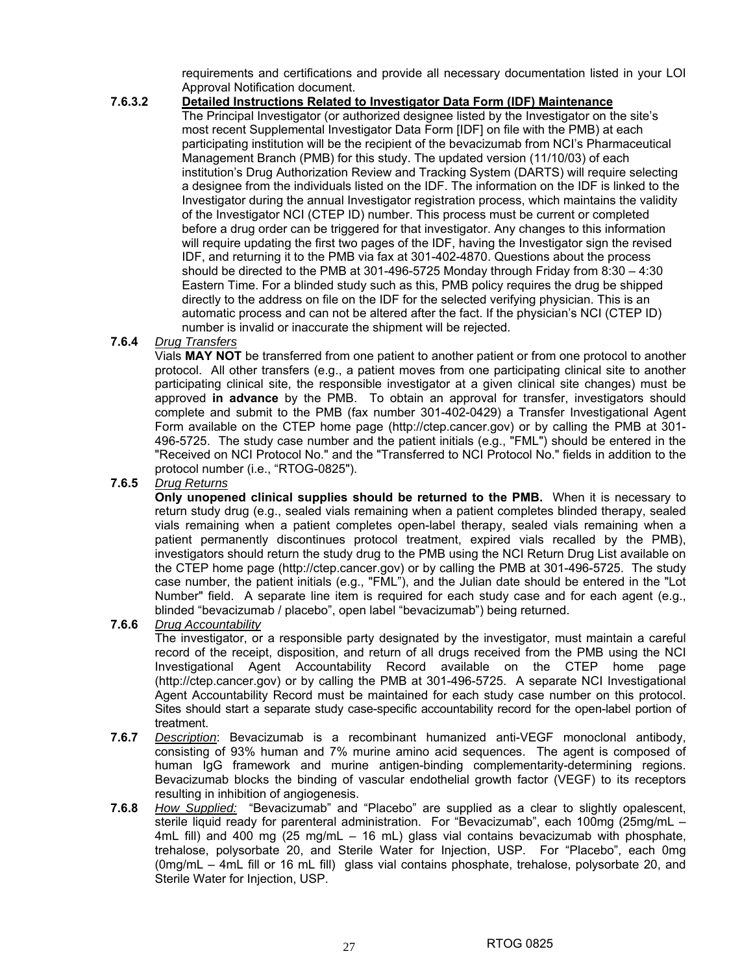requirements and certifications and provide all necessary documentation listed in your LOI Approval Notification document.

## **7.6.3.2 Detailed Instructions Related to Investigator Data Form (IDF) Maintenance**

The Principal Investigator (or authorized designee listed by the Investigator on the site's most recent Supplemental Investigator Data Form [IDF] on file with the PMB) at each participating institution will be the recipient of the bevacizumab from NCI's Pharmaceutical Management Branch (PMB) for this study. The updated version (11/10/03) of each institution's Drug Authorization Review and Tracking System (DARTS) will require selecting a designee from the individuals listed on the IDF. The information on the IDF is linked to the Investigator during the annual Investigator registration process, which maintains the validity of the Investigator NCI (CTEP ID) number. This process must be current or completed before a drug order can be triggered for that investigator. Any changes to this information will require updating the first two pages of the IDF, having the Investigator sign the revised IDF, and returning it to the PMB via fax at 301-402-4870. Questions about the process should be directed to the PMB at 301-496-5725 Monday through Friday from 8:30 – 4:30 Eastern Time. For a blinded study such as this, PMB policy requires the drug be shipped directly to the address on file on the IDF for the selected verifying physician. This is an automatic process and can not be altered after the fact. If the physician's NCI (CTEP ID) number is invalid or inaccurate the shipment will be rejected.

## **7.6.4** *Drug Transfers*

Vials **MAY NOT** be transferred from one patient to another patient or from one protocol to another protocol. All other transfers (e.g., a patient moves from one participating clinical site to another participating clinical site, the responsible investigator at a given clinical site changes) must be approved **in advance** by the PMB. To obtain an approval for transfer, investigators should complete and submit to the PMB (fax number 301-402-0429) a Transfer Investigational Agent Form available on the CTEP home page (http://ctep.cancer.gov) or by calling the PMB at 301- 496-5725. The study case number and the patient initials (e.g., "FML") should be entered in the "Received on NCI Protocol No." and the "Transferred to NCI Protocol No." fields in addition to the protocol number (i.e., "RTOG-0825").

## **7.6.5** *Drug Returns*

**Only unopened clinical supplies should be returned to the PMB.** When it is necessary to return study drug (e.g., sealed vials remaining when a patient completes blinded therapy, sealed vials remaining when a patient completes open-label therapy, sealed vials remaining when a patient permanently discontinues protocol treatment, expired vials recalled by the PMB), investigators should return the study drug to the PMB using the NCI Return Drug List available on the CTEP home page (http://ctep.cancer.gov) or by calling the PMB at 301-496-5725. The study case number, the patient initials (e.g., "FML"), and the Julian date should be entered in the "Lot Number" field. A separate line item is required for each study case and for each agent (e.g., blinded "bevacizumab / placebo", open label "bevacizumab") being returned.

#### **7.6.6** *Drug Accountability*

The investigator, or a responsible party designated by the investigator, must maintain a careful record of the receipt, disposition, and return of all drugs received from the PMB using the NCI Investigational Agent Accountability Record available on the CTEP home page (http://ctep.cancer.gov) or by calling the PMB at 301-496-5725. A separate NCI Investigational Agent Accountability Record must be maintained for each study case number on this protocol. Sites should start a separate study case-specific accountability record for the open-label portion of treatment.

- **7.6.7** *Description*: Bevacizumab is a recombinant humanized anti-VEGF monoclonal antibody, consisting of 93% human and 7% murine amino acid sequences. The agent is composed of human IgG framework and murine antigen-binding complementarity-determining regions. Bevacizumab blocks the binding of vascular endothelial growth factor (VEGF) to its receptors resulting in inhibition of angiogenesis.
- **7.6.8** *How Supplied:* "Bevacizumab" and "Placebo" are supplied as a clear to slightly opalescent, sterile liquid ready for parenteral administration. For "Bevacizumab", each 100mg (25mg/mL – 4mL fill) and 400 mg (25 mg/mL – 16 mL) glass vial contains bevacizumab with phosphate, trehalose, polysorbate 20, and Sterile Water for Injection, USP. For "Placebo", each 0mg (0mg/mL – 4mL fill or 16 mL fill) glass vial contains phosphate, trehalose, polysorbate 20, and Sterile Water for Injection, USP.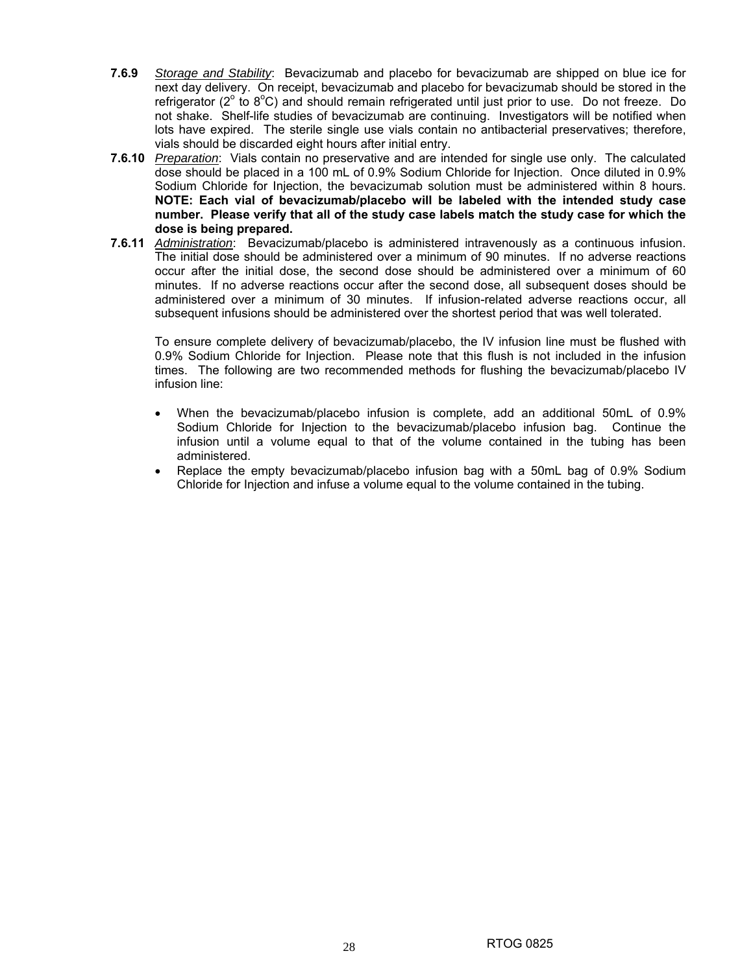- **7.6.9** *Storage and Stability*: Bevacizumab and placebo for bevacizumab are shipped on blue ice for next day delivery. On receipt, bevacizumab and placebo for bevacizumab should be stored in the refrigerator ( $2^{\circ}$  to  $8^{\circ}$ C) and should remain refrigerated until just prior to use. Do not freeze. Do not shake. Shelf-life studies of bevacizumab are continuing. Investigators will be notified when lots have expired. The sterile single use vials contain no antibacterial preservatives; therefore, vials should be discarded eight hours after initial entry.
- **7.6.10** *Preparation*: Vials contain no preservative and are intended for single use only. The calculated dose should be placed in a 100 mL of 0.9% Sodium Chloride for Injection.Once diluted in 0.9% Sodium Chloride for Injection, the bevacizumab solution must be administered within 8 hours. **NOTE: Each vial of bevacizumab/placebo will be labeled with the intended study case number. Please verify that all of the study case labels match the study case for which the dose is being prepared.**
- **7.6.11** *Administration*: Bevacizumab/placebo is administered intravenously as a continuous infusion. The initial dose should be administered over a minimum of 90 minutes. If no adverse reactions occur after the initial dose, the second dose should be administered over a minimum of 60 minutes. If no adverse reactions occur after the second dose, all subsequent doses should be administered over a minimum of 30 minutes. If infusion-related adverse reactions occur, all subsequent infusions should be administered over the shortest period that was well tolerated.

To ensure complete delivery of bevacizumab/placebo, the IV infusion line must be flushed with 0.9% Sodium Chloride for Injection. Please note that this flush is not included in the infusion times. The following are two recommended methods for flushing the bevacizumab/placebo IV infusion line:

- When the bevacizumab/placebo infusion is complete, add an additional 50mL of 0.9% Sodium Chloride for Injection to the bevacizumab/placebo infusion bag. Continue the infusion until a volume equal to that of the volume contained in the tubing has been administered.
- Replace the empty bevacizumab/placebo infusion bag with a 50mL bag of 0.9% Sodium Chloride for Injection and infuse a volume equal to the volume contained in the tubing.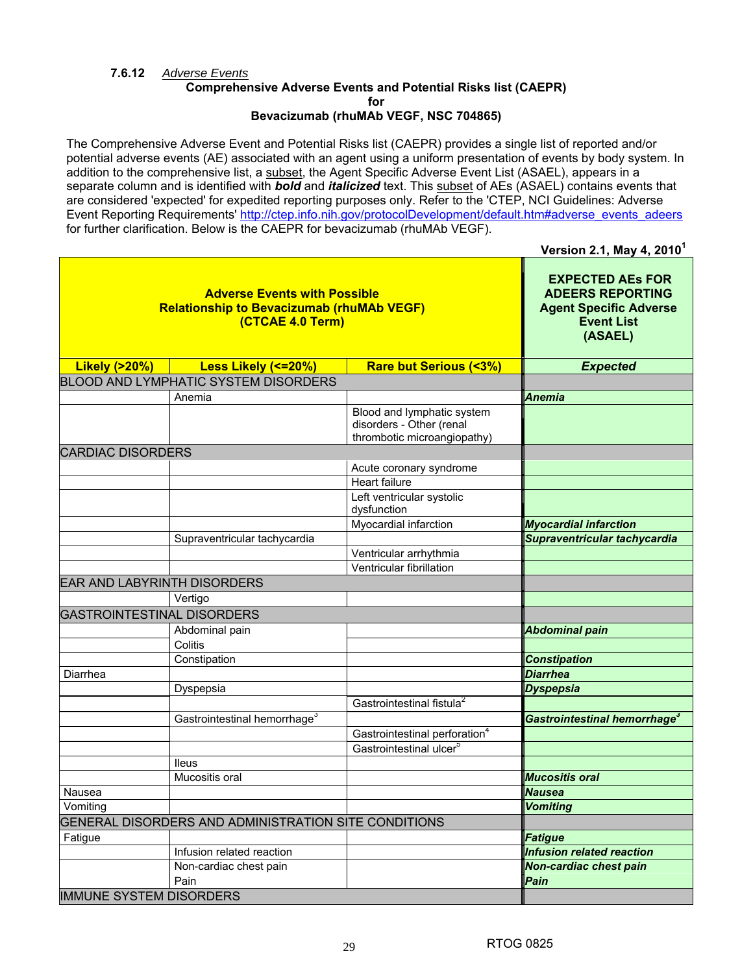## **7.6.12** *Adverse Events*

#### **Comprehensive Adverse Events and Potential Risks list (CAEPR) for Bevacizumab (rhuMAb VEGF, NSC 704865)**

The Comprehensive Adverse Event and Potential Risks list (CAEPR) provides a single list of reported and/or potential adverse events (AE) associated with an agent using a uniform presentation of events by body system. In addition to the comprehensive list, a subset, the Agent Specific Adverse Event List (ASAEL), appears in a separate column and is identified with *bold* and *italicized* text. This subset of AEs (ASAEL) contains events that are considered 'expected' for expedited reporting purposes only. Refer to the 'CTEP, NCI Guidelines: Adverse Event Reporting Requirements' http://ctep.info.nih.gov/protocolDevelopment/default.htm#adverse\_events\_adeers for further clarification. Below is the CAEPR for bevacizumab (rhuMAb VEGF).

**Version 2.1, May 4, 2010<sup>1</sup>**

| <b>Adverse Events with Possible</b><br><b>Relationship to Bevacizumab (rhuMAb VEGF)</b><br>(CTCAE 4.0 Term) |                                                      |                                                                                       | <b>EXPECTED AES FOR</b><br><b>ADEERS REPORTING</b><br><b>Agent Specific Adverse</b><br><b>Event List</b><br>(ASAEL) |  |
|-------------------------------------------------------------------------------------------------------------|------------------------------------------------------|---------------------------------------------------------------------------------------|---------------------------------------------------------------------------------------------------------------------|--|
| <b>Likely (&gt;20%)</b>                                                                                     | Less Likely (<=20%)                                  | <b>Rare but Serious (&lt;3%)</b>                                                      | <b>Expected</b>                                                                                                     |  |
|                                                                                                             | <b>BLOOD AND LYMPHATIC SYSTEM DISORDERS</b>          |                                                                                       |                                                                                                                     |  |
|                                                                                                             | Anemia                                               |                                                                                       | Anemia                                                                                                              |  |
|                                                                                                             |                                                      | Blood and lymphatic system<br>disorders - Other (renal<br>thrombotic microangiopathy) |                                                                                                                     |  |
| <b>CARDIAC DISORDERS</b>                                                                                    |                                                      |                                                                                       |                                                                                                                     |  |
|                                                                                                             |                                                      | Acute coronary syndrome                                                               |                                                                                                                     |  |
|                                                                                                             |                                                      | Heart failure                                                                         |                                                                                                                     |  |
|                                                                                                             |                                                      | Left ventricular systolic<br>dysfunction                                              |                                                                                                                     |  |
|                                                                                                             |                                                      | Myocardial infarction                                                                 | <b>Myocardial infarction</b>                                                                                        |  |
|                                                                                                             | Supraventricular tachycardia                         |                                                                                       | Supraventricular tachycardia                                                                                        |  |
|                                                                                                             |                                                      | Ventricular arrhythmia                                                                |                                                                                                                     |  |
|                                                                                                             |                                                      | Ventricular fibrillation                                                              |                                                                                                                     |  |
|                                                                                                             | <b>EAR AND LABYRINTH DISORDERS</b>                   |                                                                                       |                                                                                                                     |  |
|                                                                                                             | Vertigo                                              |                                                                                       |                                                                                                                     |  |
| <b>GASTROINTESTINAL DISORDERS</b>                                                                           |                                                      |                                                                                       |                                                                                                                     |  |
|                                                                                                             | Abdominal pain                                       |                                                                                       | <b>Abdominal pain</b>                                                                                               |  |
|                                                                                                             | Colitis                                              |                                                                                       |                                                                                                                     |  |
|                                                                                                             | Constipation                                         |                                                                                       | Constipation                                                                                                        |  |
| Diarrhea                                                                                                    |                                                      |                                                                                       | <b>Diarrhea</b>                                                                                                     |  |
|                                                                                                             | Dyspepsia                                            |                                                                                       | <b>Dyspepsia</b>                                                                                                    |  |
|                                                                                                             |                                                      | Gastrointestinal fistula <sup>2</sup>                                                 |                                                                                                                     |  |
|                                                                                                             | Gastrointestinal hemorrhage <sup>3</sup>             |                                                                                       | Gastrointestinal hemorrhage <sup>3</sup>                                                                            |  |
|                                                                                                             |                                                      | Gastrointestinal perforation <sup>4</sup>                                             |                                                                                                                     |  |
|                                                                                                             |                                                      | Gastrointestinal ulcer <sup>5</sup>                                                   |                                                                                                                     |  |
|                                                                                                             | <b>Ileus</b>                                         |                                                                                       |                                                                                                                     |  |
|                                                                                                             | Mucositis oral                                       |                                                                                       | <b>Mucositis oral</b>                                                                                               |  |
| Nausea                                                                                                      |                                                      |                                                                                       | <b>Nausea</b>                                                                                                       |  |
| Vomiting                                                                                                    |                                                      |                                                                                       | <b>Vomiting</b>                                                                                                     |  |
|                                                                                                             | GENERAL DISORDERS AND ADMINISTRATION SITE CONDITIONS |                                                                                       |                                                                                                                     |  |
| Fatigue                                                                                                     |                                                      |                                                                                       | <b>Fatigue</b>                                                                                                      |  |
|                                                                                                             | Infusion related reaction                            |                                                                                       | Infusion related reaction                                                                                           |  |
|                                                                                                             | Non-cardiac chest pain                               |                                                                                       | <b>Non-cardiac chest pain</b>                                                                                       |  |
|                                                                                                             | Pain                                                 |                                                                                       | Pain                                                                                                                |  |
| <b>IMMUNE SYSTEM DISORDERS</b>                                                                              |                                                      |                                                                                       |                                                                                                                     |  |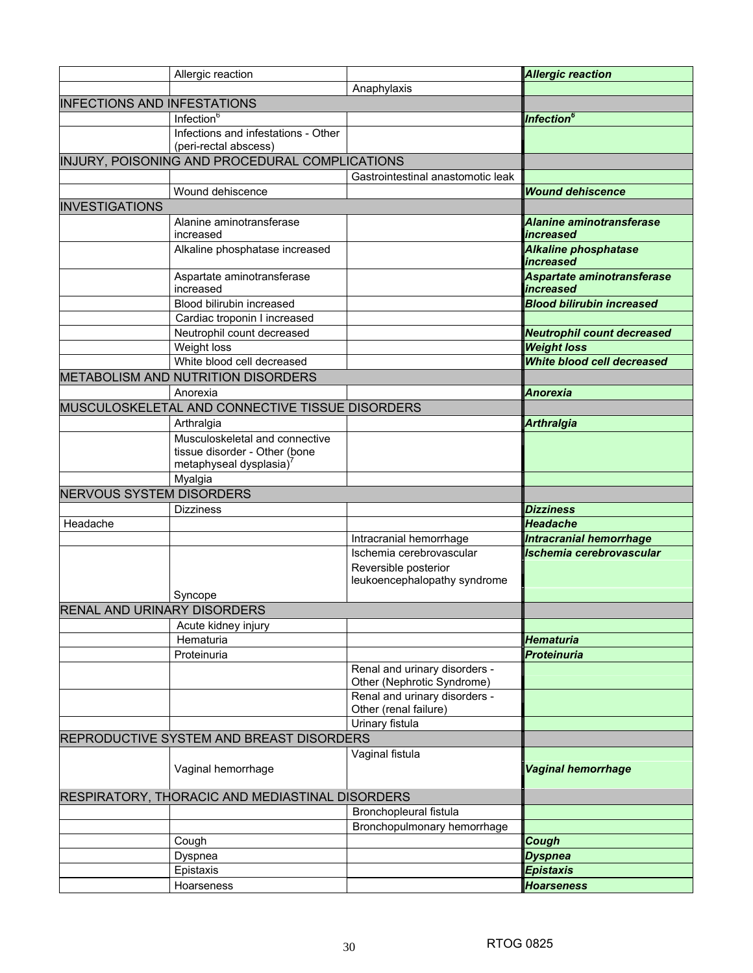|                                    | Allergic reaction                                                                                    |                                                             | <b>Allergic reaction</b>                               |
|------------------------------------|------------------------------------------------------------------------------------------------------|-------------------------------------------------------------|--------------------------------------------------------|
|                                    |                                                                                                      | Anaphylaxis                                                 |                                                        |
| <b>INFECTIONS AND INFESTATIONS</b> |                                                                                                      |                                                             |                                                        |
|                                    | Infection <sup>6</sup>                                                                               |                                                             | Infection <sup>6</sup>                                 |
|                                    | Infections and infestations - Other                                                                  |                                                             |                                                        |
|                                    | (peri-rectal abscess)                                                                                |                                                             |                                                        |
|                                    | INJURY, POISONING AND PROCEDURAL COMPLICATIONS                                                       |                                                             |                                                        |
|                                    |                                                                                                      | Gastrointestinal anastomotic leak                           |                                                        |
|                                    | Wound dehiscence                                                                                     |                                                             | <b>Wound dehiscence</b>                                |
| <b>INVESTIGATIONS</b>              |                                                                                                      |                                                             |                                                        |
|                                    | Alanine aminotransferase                                                                             |                                                             | <b>Alanine aminotransferase</b>                        |
|                                    | increased                                                                                            |                                                             | <i><b>increased</b></i>                                |
|                                    | Alkaline phosphatase increased                                                                       |                                                             | <b>Alkaline phosphatase</b><br><i><b>increased</b></i> |
|                                    | Aspartate aminotransferase<br>increased                                                              |                                                             | Aspartate aminotransferase<br>increased                |
|                                    | Blood bilirubin increased                                                                            |                                                             | <b>Blood bilirubin increased</b>                       |
|                                    | Cardiac troponin I increased                                                                         |                                                             |                                                        |
|                                    | Neutrophil count decreased                                                                           |                                                             | <b>Neutrophil count decreased</b>                      |
|                                    | Weight loss                                                                                          |                                                             | <b>Weight loss</b>                                     |
|                                    | White blood cell decreased                                                                           |                                                             | White blood cell decreased                             |
|                                    | <b>METABOLISM AND NUTRITION DISORDERS</b>                                                            |                                                             |                                                        |
|                                    | Anorexia                                                                                             |                                                             | <b>Anorexia</b>                                        |
|                                    | MUSCULOSKELETAL AND CONNECTIVE TISSUE DISORDERS                                                      |                                                             |                                                        |
|                                    | Arthralgia                                                                                           |                                                             | <b>Arthralgia</b>                                      |
|                                    | Musculoskeletal and connective<br>tissue disorder - Other (bone<br>metaphyseal dysplasia)<br>Myalgia |                                                             |                                                        |
| <b>NERVOUS SYSTEM DISORDERS</b>    |                                                                                                      |                                                             |                                                        |
|                                    | <b>Dizziness</b>                                                                                     |                                                             | <b>Dizziness</b>                                       |
| Headache                           |                                                                                                      |                                                             | <b>Headache</b>                                        |
|                                    |                                                                                                      | Intracranial hemorrhage                                     | <b>Intracranial hemorrhage</b>                         |
|                                    |                                                                                                      | Ischemia cerebrovascular                                    | Ischemia cerebrovascular                               |
|                                    | Syncope                                                                                              | Reversible posterior<br>leukoencephalopathy syndrome        |                                                        |
| RENAL AND URINARY DISORDERS        |                                                                                                      |                                                             |                                                        |
|                                    | Acute kidney injury                                                                                  |                                                             |                                                        |
|                                    | Hematuria                                                                                            |                                                             | <b>Hematuria</b>                                       |
|                                    | Proteinuria                                                                                          |                                                             | <b>Proteinuria</b>                                     |
|                                    |                                                                                                      | Renal and urinary disorders -<br>Other (Nephrotic Syndrome) |                                                        |
|                                    |                                                                                                      | Renal and urinary disorders -<br>Other (renal failure)      |                                                        |
|                                    |                                                                                                      | Urinary fistula                                             |                                                        |
|                                    | REPRODUCTIVE SYSTEM AND BREAST DISORDERS                                                             |                                                             |                                                        |
|                                    |                                                                                                      | Vaginal fistula                                             |                                                        |
|                                    | Vaginal hemorrhage                                                                                   |                                                             | <b>Vaginal hemorrhage</b>                              |
|                                    | RESPIRATORY, THORACIC AND MEDIASTINAL DISORDERS                                                      |                                                             |                                                        |
|                                    |                                                                                                      | Bronchopleural fistula                                      |                                                        |
|                                    |                                                                                                      | Bronchopulmonary hemorrhage                                 |                                                        |
|                                    | Cough                                                                                                |                                                             | Cough                                                  |
|                                    | Dyspnea                                                                                              |                                                             | <b>Dyspnea</b>                                         |
|                                    | Epistaxis                                                                                            |                                                             | <b>Epistaxis</b>                                       |
|                                    | Hoarseness                                                                                           |                                                             | <b>Hoarseness</b>                                      |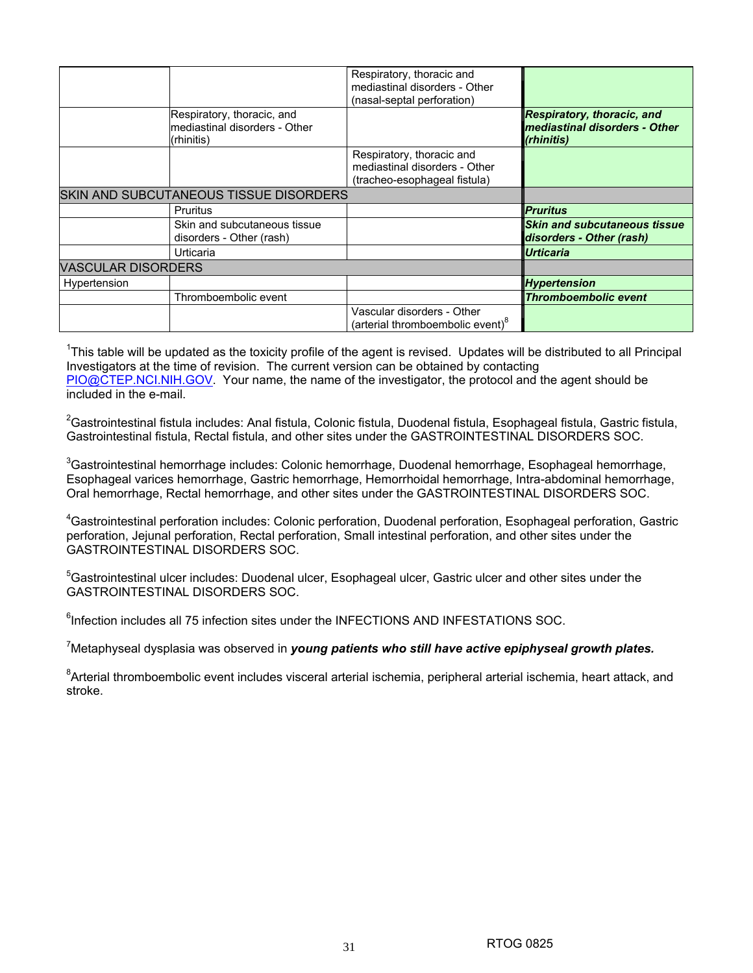|                           |                                                                           | Respiratory, thoracic and<br>mediastinal disorders - Other<br>(nasal-septal perforation)   |                                                                                  |
|---------------------------|---------------------------------------------------------------------------|--------------------------------------------------------------------------------------------|----------------------------------------------------------------------------------|
|                           | Respiratory, thoracic, and<br>mediastinal disorders - Other<br>(rhinitis) |                                                                                            | <b>Respiratory, thoracic, and</b><br>mediastinal disorders - Other<br>(rhinitis) |
|                           |                                                                           | Respiratory, thoracic and<br>mediastinal disorders - Other<br>(tracheo-esophageal fistula) |                                                                                  |
|                           | SKIN AND SUBCUTANEOUS TISSUE DISORDERS                                    |                                                                                            |                                                                                  |
|                           | Pruritus                                                                  |                                                                                            | <b>Pruritus</b>                                                                  |
|                           | Skin and subcutaneous tissue<br>disorders - Other (rash)                  |                                                                                            | <b>Skin and subcutaneous tissue</b><br>disorders - Other (rash)                  |
|                           | Urticaria                                                                 |                                                                                            | <b>Urticaria</b>                                                                 |
| <b>VASCULAR DISORDERS</b> |                                                                           |                                                                                            |                                                                                  |
| Hypertension              |                                                                           |                                                                                            | <b>Hypertension</b>                                                              |
|                           | Thromboembolic event                                                      |                                                                                            | <b>Thromboembolic event</b>                                                      |
|                           |                                                                           | Vascular disorders - Other<br>(arterial thromboembolic event)°                             |                                                                                  |

<sup>1</sup>This table will be updated as the toxicity profile of the agent is revised. Updates will be distributed to all Principal Investigators at the time of revision. The current version can be obtained by contacting PIO@CTEP.NCI.NIH.GOV. Your name, the name of the investigator, the protocol and the agent should be included in the e-mail.

 ${}^{2}$ Gastrointestinal fistula includes: Anal fistula, Colonic fistula, Duodenal fistula, Esophageal fistula, Gastric fistula, Gastrointestinal fistula, Rectal fistula, and other sites under the GASTROINTESTINAL DISORDERS SOC.

 ${}^{3}$ Gastrointestinal hemorrhage includes: Colonic hemorrhage, Duodenal hemorrhage, Esophageal hemorrhage, Esophageal varices hemorrhage, Gastric hemorrhage, Hemorrhoidal hemorrhage, Intra-abdominal hemorrhage, Oral hemorrhage, Rectal hemorrhage, and other sites under the GASTROINTESTINAL DISORDERS SOC.

4 Gastrointestinal perforation includes: Colonic perforation, Duodenal perforation, Esophageal perforation, Gastric perforation, Jejunal perforation, Rectal perforation, Small intestinal perforation, and other sites under the GASTROINTESTINAL DISORDERS SOC.

<sup>5</sup>Gastrointestinal ulcer includes: Duodenal ulcer, Esophageal ulcer, Gastric ulcer and other sites under the GASTROINTESTINAL DISORDERS SOC.

<sup>6</sup>Infection includes all 75 infection sites under the INFECTIONS AND INFESTATIONS SOC.

<sup>7</sup>Metaphyseal dysplasia was observed in **yo***ung patients who still have active epiphyseal growth plates.* 

<sup>8</sup>Arterial thromboembolic event includes visceral arterial ischemia, peripheral arterial ischemia, heart attack, and stroke.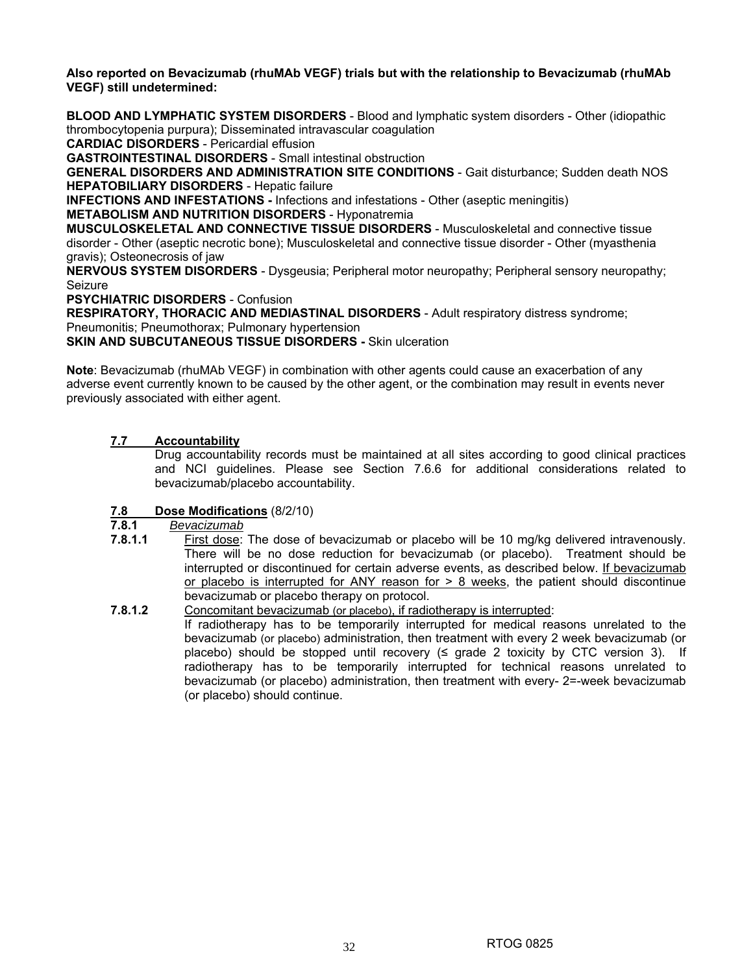**Also reported on Bevacizumab (rhuMAb VEGF) trials but with the relationship to Bevacizumab (rhuMAb VEGF) still undetermined:** 

**BLOOD AND LYMPHATIC SYSTEM DISORDERS** - Blood and lymphatic system disorders - Other (idiopathic thrombocytopenia purpura); Disseminated intravascular coagulation

**CARDIAC DISORDERS** - Pericardial effusion

**GASTROINTESTINAL DISORDERS** - Small intestinal obstruction

**GENERAL DISORDERS AND ADMINISTRATION SITE CONDITIONS** - Gait disturbance; Sudden death NOS **HEPATOBILIARY DISORDERS** - Hepatic failure

**INFECTIONS AND INFESTATIONS -** Infections and infestations - Other (aseptic meningitis)

**METABOLISM AND NUTRITION DISORDERS** - Hyponatremia

**MUSCULOSKELETAL AND CONNECTIVE TISSUE DISORDERS** - Musculoskeletal and connective tissue disorder - Other (aseptic necrotic bone); Musculoskeletal and connective tissue disorder - Other (myasthenia gravis); Osteonecrosis of jaw

**NERVOUS SYSTEM DISORDERS** - Dysgeusia; Peripheral motor neuropathy; Peripheral sensory neuropathy; Seizure

**PSYCHIATRIC DISORDERS** - Confusion

**RESPIRATORY, THORACIC AND MEDIASTINAL DISORDERS** - Adult respiratory distress syndrome; Pneumonitis; Pneumothorax; Pulmonary hypertension

**SKIN AND SUBCUTANEOUS TISSUE DISORDERS - Skin ulceration** 

**Note**: Bevacizumab (rhuMAb VEGF) in combination with other agents could cause an exacerbation of any adverse event currently known to be caused by the other agent, or the combination may result in events never previously associated with either agent.

## **7.7 Accountability**

 Drug accountability records must be maintained at all sites according to good clinical practices and NCI guidelines. Please see Section 7.6.6 for additional considerations related to bevacizumab/placebo accountability.

# **7.8 Dose Modifications** (8/2/10)

**7.8.1** *Bevacizumab*

- **7.8.1.1** First dose: The dose of bevacizumab or placebo will be 10 mg/kg delivered intravenously. There will be no dose reduction for bevacizumab (or placebo). Treatment should be interrupted or discontinued for certain adverse events, as described below. If bevacizumab or placebo is interrupted for ANY reason for  $> 8$  weeks, the patient should discontinue bevacizumab or placebo therapy on protocol.
- **7.8.1.2** Concomitant bevacizumab (or placebo), if radiotherapy is interrupted:

If radiotherapy has to be temporarily interrupted for medical reasons unrelated to the bevacizumab (or placebo) administration, then treatment with every 2 week bevacizumab (or placebo) should be stopped until recovery  $(\leq$  grade 2 toxicity by CTC version 3). If radiotherapy has to be temporarily interrupted for technical reasons unrelated to bevacizumab (or placebo) administration, then treatment with every- 2=-week bevacizumab (or placebo) should continue.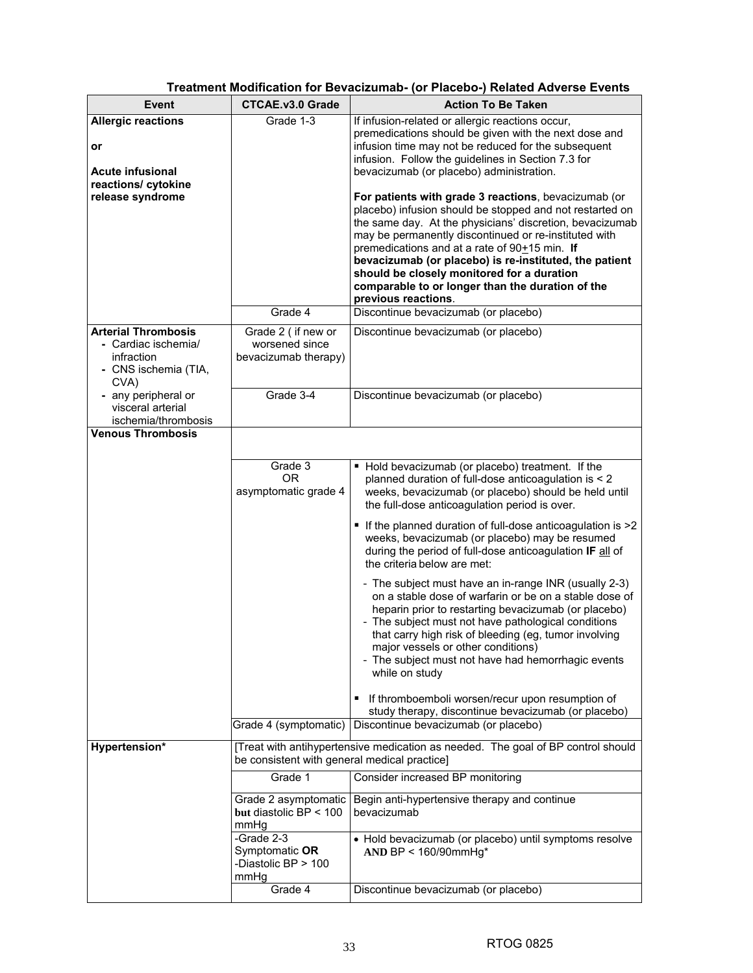| Event                                                                                                 | <b>CTCAE.v3.0 Grade</b>                                      | <b>Action To Be Taken</b>                                                                                                                                                                                                                                                                                                                                                                                                                                                                                                                                                                                                                                                                                                                                                                 |
|-------------------------------------------------------------------------------------------------------|--------------------------------------------------------------|-------------------------------------------------------------------------------------------------------------------------------------------------------------------------------------------------------------------------------------------------------------------------------------------------------------------------------------------------------------------------------------------------------------------------------------------------------------------------------------------------------------------------------------------------------------------------------------------------------------------------------------------------------------------------------------------------------------------------------------------------------------------------------------------|
| <b>Allergic reactions</b><br>or<br><b>Acute infusional</b><br>reactions/ cytokine<br>release syndrome | Grade 1-3<br>Grade 4                                         | If infusion-related or allergic reactions occur,<br>premedications should be given with the next dose and<br>infusion time may not be reduced for the subsequent<br>infusion. Follow the guidelines in Section 7.3 for<br>bevacizumab (or placebo) administration.<br>For patients with grade 3 reactions, bevacizumab (or<br>placebo) infusion should be stopped and not restarted on<br>the same day. At the physicians' discretion, bevacizumab<br>may be permanently discontinued or re-instituted with<br>premedications and at a rate of $90+15$ min. If<br>bevacizumab (or placebo) is re-instituted, the patient<br>should be closely monitored for a duration<br>comparable to or longer than the duration of the<br>previous reactions.<br>Discontinue bevacizumab (or placebo) |
| <b>Arterial Thrombosis</b><br>- Cardiac ischemia/<br>infraction<br>- CNS ischemia (TIA,<br>CVA)       | Grade 2 (if new or<br>worsened since<br>bevacizumab therapy) | Discontinue bevacizumab (or placebo)                                                                                                                                                                                                                                                                                                                                                                                                                                                                                                                                                                                                                                                                                                                                                      |
| - any peripheral or<br>visceral arterial<br>ischemia/thrombosis                                       | Grade 3-4                                                    | Discontinue bevacizumab (or placebo)                                                                                                                                                                                                                                                                                                                                                                                                                                                                                                                                                                                                                                                                                                                                                      |
| <b>Venous Thrombosis</b>                                                                              |                                                              |                                                                                                                                                                                                                                                                                                                                                                                                                                                                                                                                                                                                                                                                                                                                                                                           |
|                                                                                                       | Grade 3<br><b>OR</b><br>asymptomatic grade 4                 | • Hold bevacizumab (or placebo) treatment. If the<br>planned duration of full-dose anticoagulation is < 2<br>weeks, bevacizumab (or placebo) should be held until<br>the full-dose anticoagulation period is over.                                                                                                                                                                                                                                                                                                                                                                                                                                                                                                                                                                        |
|                                                                                                       |                                                              | • If the planned duration of full-dose anticoagulation is >2<br>weeks, bevacizumab (or placebo) may be resumed<br>during the period of full-dose anticoagulation IF all of<br>the criteria below are met:                                                                                                                                                                                                                                                                                                                                                                                                                                                                                                                                                                                 |
|                                                                                                       |                                                              | - The subject must have an in-range INR (usually 2-3)<br>on a stable dose of warfarin or be on a stable dose of<br>heparin prior to restarting bevacizumab (or placebo)<br>- The subject must not have pathological conditions<br>that carry high risk of bleeding (eg, tumor involving<br>major vessels or other conditions)<br>- The subject must not have had hemorrhagic events<br>while on study                                                                                                                                                                                                                                                                                                                                                                                     |
|                                                                                                       |                                                              | If thromboemboli worsen/recur upon resumption of<br>study therapy, discontinue bevacizumab (or placebo)                                                                                                                                                                                                                                                                                                                                                                                                                                                                                                                                                                                                                                                                                   |
|                                                                                                       | Grade 4 (symptomatic)                                        | Discontinue bevacizumab (or placebo)                                                                                                                                                                                                                                                                                                                                                                                                                                                                                                                                                                                                                                                                                                                                                      |
| Hypertension*                                                                                         | be consistent with general medical practice]                 | [Treat with antihypertensive medication as needed. The goal of BP control should                                                                                                                                                                                                                                                                                                                                                                                                                                                                                                                                                                                                                                                                                                          |
|                                                                                                       | Grade 1                                                      | Consider increased BP monitoring                                                                                                                                                                                                                                                                                                                                                                                                                                                                                                                                                                                                                                                                                                                                                          |
|                                                                                                       | Grade 2 asymptomatic<br>but diastolic BP < 100<br>mmHg       | Begin anti-hypertensive therapy and continue<br>bevacizumab                                                                                                                                                                                                                                                                                                                                                                                                                                                                                                                                                                                                                                                                                                                               |
|                                                                                                       | -Grade 2-3<br>Symptomatic OR<br>-Diastolic BP > 100<br>mmHg  | • Hold bevacizumab (or placebo) until symptoms resolve<br>AND BP < 160/90mmHg*                                                                                                                                                                                                                                                                                                                                                                                                                                                                                                                                                                                                                                                                                                            |
|                                                                                                       | Grade 4                                                      | Discontinue bevacizumab (or placebo)                                                                                                                                                                                                                                                                                                                                                                                                                                                                                                                                                                                                                                                                                                                                                      |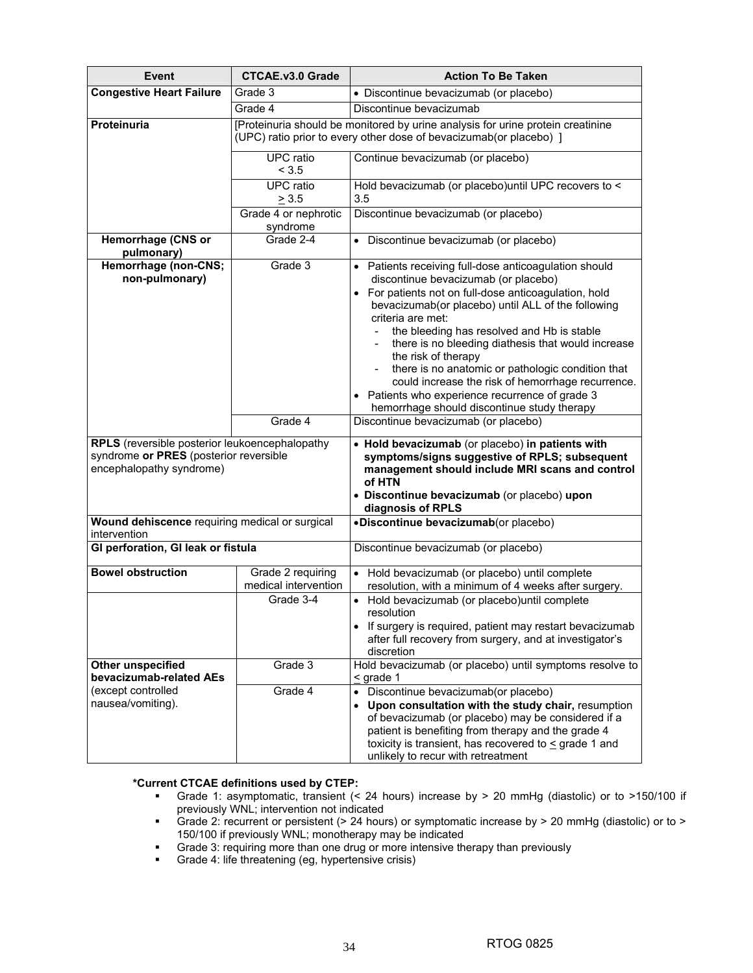| <b>Event</b>                                                                                                         | <b>CTCAE.v3.0 Grade</b>                   | <b>Action To Be Taken</b>                                                                                                                                                                                                                                                                                                                                                                                                                                                                                                                                            |
|----------------------------------------------------------------------------------------------------------------------|-------------------------------------------|----------------------------------------------------------------------------------------------------------------------------------------------------------------------------------------------------------------------------------------------------------------------------------------------------------------------------------------------------------------------------------------------------------------------------------------------------------------------------------------------------------------------------------------------------------------------|
| <b>Congestive Heart Failure</b>                                                                                      | Grade 3                                   | • Discontinue bevacizumab (or placebo)                                                                                                                                                                                                                                                                                                                                                                                                                                                                                                                               |
|                                                                                                                      | Grade 4                                   | Discontinue bevacizumab                                                                                                                                                                                                                                                                                                                                                                                                                                                                                                                                              |
| Proteinuria                                                                                                          |                                           | [Proteinuria should be monitored by urine analysis for urine protein creatinine<br>(UPC) ratio prior to every other dose of bevacizumab(or placebo) ]                                                                                                                                                                                                                                                                                                                                                                                                                |
|                                                                                                                      | <b>UPC</b> ratio<br>< 3.5                 | Continue bevacizumab (or placebo)                                                                                                                                                                                                                                                                                                                                                                                                                                                                                                                                    |
|                                                                                                                      | <b>UPC</b> ratio<br>$\geq 3.5$            | Hold bevacizumab (or placebo) until UPC recovers to <<br>3.5                                                                                                                                                                                                                                                                                                                                                                                                                                                                                                         |
|                                                                                                                      | Grade 4 or nephrotic<br>syndrome          | Discontinue bevacizumab (or placebo)                                                                                                                                                                                                                                                                                                                                                                                                                                                                                                                                 |
| Hemorrhage (CNS or<br>pulmonary)                                                                                     | Grade 2-4                                 | • Discontinue bevacizumab (or placebo)                                                                                                                                                                                                                                                                                                                                                                                                                                                                                                                               |
| Hemorrhage (non-CNS;<br>non-pulmonary)                                                                               | Grade 3                                   | • Patients receiving full-dose anticoagulation should<br>discontinue bevacizumab (or placebo)<br>For patients not on full-dose anticoagulation, hold<br>bevacizumab(or placebo) until ALL of the following<br>criteria are met:<br>the bleeding has resolved and Hb is stable<br>there is no bleeding diathesis that would increase<br>the risk of therapy<br>there is no anatomic or pathologic condition that<br>could increase the risk of hemorrhage recurrence.<br>Patients who experience recurrence of grade 3<br>hemorrhage should discontinue study therapy |
|                                                                                                                      | Grade 4                                   | Discontinue bevacizumab (or placebo)                                                                                                                                                                                                                                                                                                                                                                                                                                                                                                                                 |
| RPLS (reversible posterior leukoencephalopathy<br>syndrome or PRES (posterior reversible<br>encephalopathy syndrome) |                                           | • Hold bevacizumab (or placebo) in patients with<br>symptoms/signs suggestive of RPLS; subsequent<br>management should include MRI scans and control<br>of HTN<br>• Discontinue bevacizumab (or placebo) upon<br>diagnosis of RPLS                                                                                                                                                                                                                                                                                                                                   |
| Wound dehiscence requiring medical or surgical<br>intervention                                                       |                                           | •Discontinue bevacizumab(or placebo)                                                                                                                                                                                                                                                                                                                                                                                                                                                                                                                                 |
| GI perforation, GI leak or fistula                                                                                   |                                           | Discontinue bevacizumab (or placebo)                                                                                                                                                                                                                                                                                                                                                                                                                                                                                                                                 |
| <b>Bowel obstruction</b>                                                                                             | Grade 2 requiring<br>medical intervention | Hold bevacizumab (or placebo) until complete<br>resolution, with a minimum of 4 weeks after surgery.                                                                                                                                                                                                                                                                                                                                                                                                                                                                 |
|                                                                                                                      | Grade 3-4                                 | Hold bevacizumab (or placebo)until complete<br>$\bullet$<br>resolution<br>• If surgery is required, patient may restart bevacizumab<br>after full recovery from surgery, and at investigator's<br>discretion                                                                                                                                                                                                                                                                                                                                                         |
| Other unspecified<br>bevacizumab-related AEs                                                                         | Grade 3                                   | Hold bevacizumab (or placebo) until symptoms resolve to<br>$\leq$ grade 1                                                                                                                                                                                                                                                                                                                                                                                                                                                                                            |
| (except controlled<br>nausea/vomiting).                                                                              | Grade 4                                   | Discontinue bevacizumab(or placebo)<br>$\bullet$<br>Upon consultation with the study chair, resumption<br>$\bullet$<br>of bevacizumab (or placebo) may be considered if a<br>patient is benefiting from therapy and the grade 4<br>toxicity is transient, has recovered to $\leq$ grade 1 and<br>unlikely to recur with retreatment                                                                                                                                                                                                                                  |

## **\*Current CTCAE definitions used by CTEP:**

- Grade 1: asymptomatic, transient (< 24 hours) increase by > 20 mmHg (diastolic) or to >150/100 if previously WNL; intervention not indicated
- Grade 2: recurrent or persistent (> 24 hours) or symptomatic increase by > 20 mmHg (diastolic) or to > 150/100 if previously WNL; monotherapy may be indicated
- **Grade 3: requiring more than one drug or more intensive therapy than previously**
- **Grade 4: life threatening (eg, hypertensive crisis)**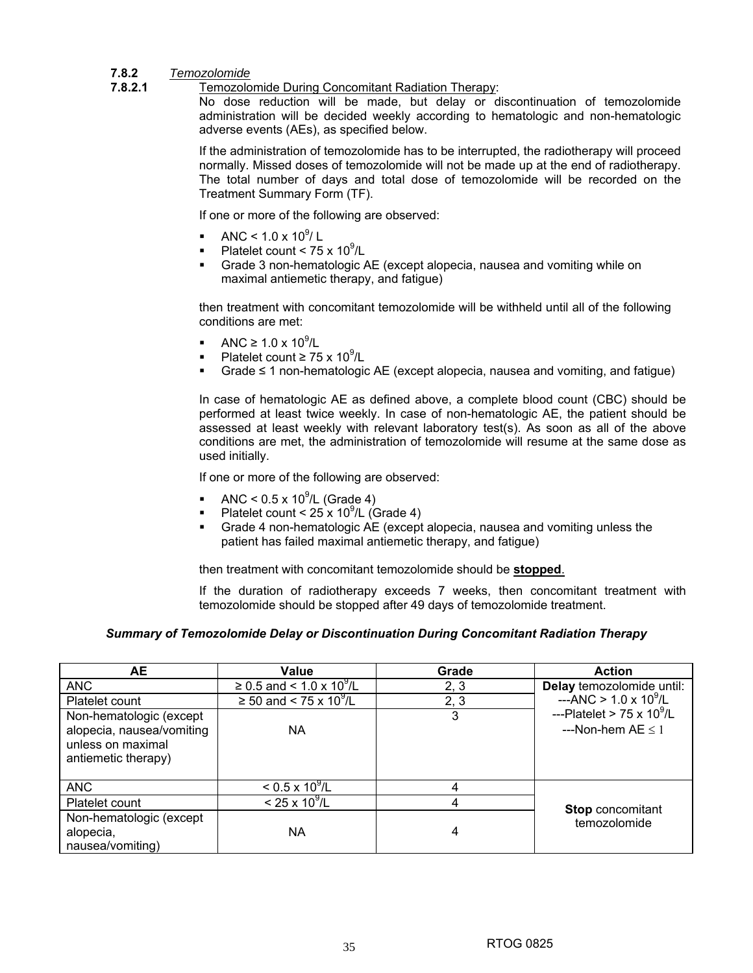## **7.8.2** *Temozolomide*

#### **7.8.2.1** Temozolomide During Concomitant Radiation Therapy:

No dose reduction will be made, but delay or discontinuation of temozolomide administration will be decided weekly according to hematologic and non-hematologic adverse events (AEs), as specified below.

If the administration of temozolomide has to be interrupted, the radiotherapy will proceed normally. Missed doses of temozolomide will not be made up at the end of radiotherapy. The total number of days and total dose of temozolomide will be recorded on the Treatment Summary Form (TF).

If one or more of the following are observed:

- ANC <  $1.0 \times 10^9$ / L
- Platelet count <  $75 \times 10^9$ /L
- Grade 3 non-hematologic AE (except alopecia, nausea and vomiting while on maximal antiemetic therapy, and fatigue)

then treatment with concomitant temozolomide will be withheld until all of the following conditions are met:

- ANC ≥ 1.0 x 10<sup>9</sup>/L
- Platelet count  $\geq 75 \times 10^9$ /L
- Grade ≤ 1 non-hematologic AE (except alopecia, nausea and vomiting, and fatigue)

In case of hematologic AE as defined above, a complete blood count (CBC) should be performed at least twice weekly. In case of non-hematologic AE, the patient should be assessed at least weekly with relevant laboratory test(s). As soon as all of the above conditions are met, the administration of temozolomide will resume at the same dose as used initially.

If one or more of the following are observed:

- ANC <  $0.5 \times 10^9$ /L (Grade 4)
- Platelet count <  $25 \times 10^9$ /L (Grade 4)
- Grade 4 non-hematologic AE (except alopecia, nausea and vomiting unless the patient has failed maximal antiemetic therapy, and fatigue)

then treatment with concomitant temozolomide should be **stopped**.

If the duration of radiotherapy exceeds 7 weeks, then concomitant treatment with temozolomide should be stopped after 49 days of temozolomide treatment.

#### *Summary of Temozolomide Delay or Discontinuation During Concomitant Radiation Therapy*

| <b>AE</b>                                                                                        | Value                              | Grade | <b>Action</b>                                               |
|--------------------------------------------------------------------------------------------------|------------------------------------|-------|-------------------------------------------------------------|
| <b>ANC</b>                                                                                       | ≥ 0.5 and < $1.0 \times 10^9$ /L   | 2, 3  | Delay temozolomide until:                                   |
| Platelet count                                                                                   | ≥ 50 and < 75 x $\frac{10^{9}}{L}$ | 2, 3  | $-AMC > 1.0 \times 10^9$ /L                                 |
| Non-hematologic (except<br>alopecia, nausea/vomiting<br>unless on maximal<br>antiemetic therapy) | ΝA                                 | 3     | ---Platelet > $75 \times 10^9$ /L<br>---Non-hem $AE \leq 1$ |
| <b>ANC</b>                                                                                       | $< 0.5 \times 10^9$ /L             |       |                                                             |
| Platelet count                                                                                   | $< 25 \times 10^{9}$ /L            | 4     | <b>Stop</b> concomitant                                     |
| Non-hematologic (except                                                                          |                                    |       | temozolomide                                                |
| alopecia,                                                                                        | ΝA                                 | 4     |                                                             |
| nausea/vomiting)                                                                                 |                                    |       |                                                             |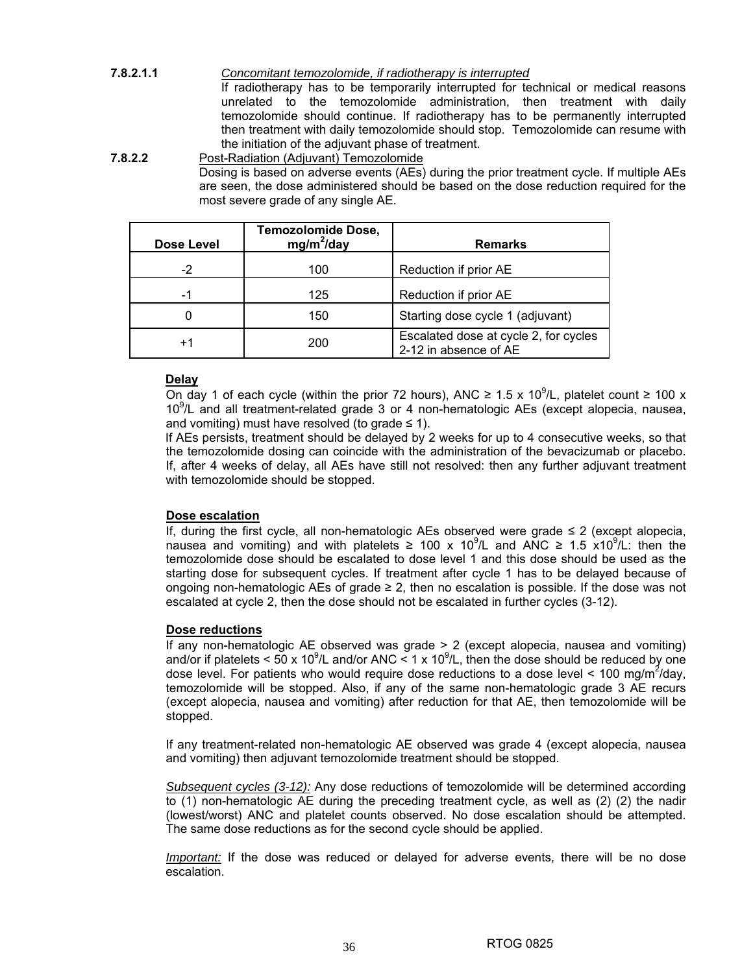## **7.8.2.1.1** *Concomitant temozolomide, if radiotherapy is interrupted*

If radiotherapy has to be temporarily interrupted for technical or medical reasons unrelated to the temozolomide administration, then treatment with daily temozolomide should continue. If radiotherapy has to be permanently interrupted then treatment with daily temozolomide should stop. Temozolomide can resume with the initiation of the adjuvant phase of treatment.

## **7.8.2.2** Post-Radiation (Adjuvant) Temozolomide

Dosing is based on adverse events (AEs) during the prior treatment cycle. If multiple AEs are seen, the dose administered should be based on the dose reduction required for the most severe grade of any single AE.

| Dose Level        | <b>Temozolomide Dose,</b><br>$mg/m^2$ /day | <b>Remarks</b>                                                 |
|-------------------|--------------------------------------------|----------------------------------------------------------------|
| $-2$              | 100                                        | Reduction if prior AE                                          |
| -1                | 125                                        | Reduction if prior AE                                          |
|                   | 150                                        | Starting dose cycle 1 (adjuvant)                               |
| $^{\mathrm {+1}}$ | 200                                        | Escalated dose at cycle 2, for cycles<br>2-12 in absence of AE |

## **Delay**

On day 1 of each cycle (within the prior 72 hours), ANC ≥ 1.5 x 10<sup>9</sup>/L, platelet count ≥ 100 x 10<sup>9</sup>/L and all treatment-related grade 3 or 4 non-hematologic AEs (except alopecia, nausea, and vomiting) must have resolved (to grade  $\leq$  1).

If AEs persists, treatment should be delayed by 2 weeks for up to 4 consecutive weeks, so that the temozolomide dosing can coincide with the administration of the bevacizumab or placebo. If, after 4 weeks of delay, all AEs have still not resolved: then any further adjuvant treatment with temozolomide should be stopped.

#### **Dose escalation**

If, during the first cycle, all non-hematologic AEs observed were grade ≤ 2 (except alopecia, nausea and vomiting) and with platelets ≥ 100 x 10<sup>9</sup>/L and ANC ≥ 1.5 x10<sup>9</sup>/L: then the temozolomide dose should be escalated to dose level 1 and this dose should be used as the starting dose for subsequent cycles. If treatment after cycle 1 has to be delayed because of ongoing non-hematologic AEs of grade ≥ 2, then no escalation is possible. If the dose was not escalated at cycle 2, then the dose should not be escalated in further cycles (3-12).

#### **Dose reductions**

If any non-hematologic AE observed was grade > 2 (except alopecia, nausea and vomiting) and/or if platelets < 50 x 10<sup>9</sup>/L and/or ANC < 1 x 10<sup>9</sup>/L, then the dose should be reduced by one dose level. For patients who would require dose reductions to a dose level < 100 mg/m<sup>2</sup>/day, temozolomide will be stopped. Also, if any of the same non-hematologic grade 3 AE recurs (except alopecia, nausea and vomiting) after reduction for that AE, then temozolomide will be stopped.

If any treatment-related non-hematologic AE observed was grade 4 (except alopecia, nausea and vomiting) then adjuvant temozolomide treatment should be stopped.

*Subsequent cycles (3-12):* Any dose reductions of temozolomide will be determined according to (1) non-hematologic AE during the preceding treatment cycle, as well as (2) (2) the nadir (lowest/worst) ANC and platelet counts observed. No dose escalation should be attempted. The same dose reductions as for the second cycle should be applied.

*Important:* If the dose was reduced or delayed for adverse events, there will be no dose escalation.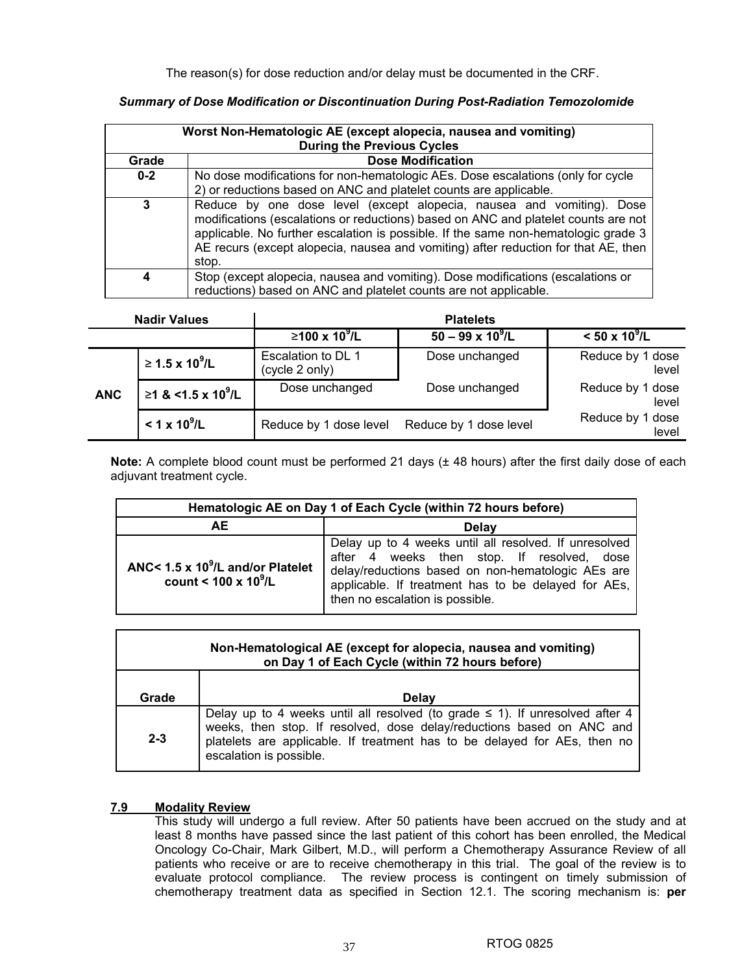The reason(s) for dose reduction and/or delay must be documented in the CRF.

#### Г **Worst Non-Hematologic AE (except alopecia, nausea and vomiting) During the Previous Cycles**

*Summary of Dose Modification or Discontinuation During Post-Radiation Temozolomide* 

| <b>During the Previous Cycles</b> |                                                                                                                                                                                                                                                                                                                                                  |  |  |
|-----------------------------------|--------------------------------------------------------------------------------------------------------------------------------------------------------------------------------------------------------------------------------------------------------------------------------------------------------------------------------------------------|--|--|
| Grade                             | <b>Dose Modification</b>                                                                                                                                                                                                                                                                                                                         |  |  |
| $0-2$                             | No dose modifications for non-hematologic AEs. Dose escalations (only for cycle<br>2) or reductions based on ANC and platelet counts are applicable.                                                                                                                                                                                             |  |  |
| 3                                 | Reduce by one dose level (except alopecia, nausea and vomiting). Dose<br>modifications (escalations or reductions) based on ANC and platelet counts are not<br>applicable. No further escalation is possible. If the same non-hematologic grade 3<br>AE recurs (except alopecia, nausea and vomiting) after reduction for that AE, then<br>stop. |  |  |
| 4                                 | Stop (except alopecia, nausea and vomiting). Dose modifications (escalations or<br>reductions) based on ANC and platelet counts are not applicable.                                                                                                                                                                                              |  |  |

| <b>Nadir Values</b> |                                | <b>Platelets</b>                     |                          |                           |  |
|---------------------|--------------------------------|--------------------------------------|--------------------------|---------------------------|--|
|                     |                                | $≥100 \times 10^9$ /L                | $50 - 99 \times 10^9$ /L | $< 50 \times 10^9$ /L     |  |
|                     | $≥ 1.5 \times 10^9$ /L         | Escalation to DL 1<br>(cycle 2 only) | Dose unchanged           | Reduce by 1 dose<br>level |  |
| <b>ANC</b>          | ≥1 & <1.5 x 10 <sup>9</sup> /L | Dose unchanged                       | Dose unchanged           | Reduce by 1 dose<br>level |  |
|                     | $< 1 \times 10^9$ /L           | Reduce by 1 dose level               | Reduce by 1 dose level   | Reduce by 1 dose<br>level |  |

**Note:** A complete blood count must be performed 21 days ( $\pm$  48 hours) after the first daily dose of each adjuvant treatment cycle.

| Hematologic AE on Day 1 of Each Cycle (within 72 hours before)            |                                                                                                                                                                                                                                                    |  |
|---------------------------------------------------------------------------|----------------------------------------------------------------------------------------------------------------------------------------------------------------------------------------------------------------------------------------------------|--|
| <b>AE</b><br>Delay                                                        |                                                                                                                                                                                                                                                    |  |
| ANC< $1.5 \times 10^9$ /L and/or Platelet<br>count < $100 \times 10^9$ /L | Delay up to 4 weeks until all resolved. If unresolved<br>after 4 weeks then stop. If resolved, dose<br>delay/reductions based on non-hematologic AEs are<br>applicable. If treatment has to be delayed for AEs,<br>then no escalation is possible. |  |

| Non-Hematological AE (except for alopecia, nausea and vomiting)<br>on Day 1 of Each Cycle (within 72 hours before) |                                                                                                                                                                                                                                                                    |  |  |  |  |  |  |
|--------------------------------------------------------------------------------------------------------------------|--------------------------------------------------------------------------------------------------------------------------------------------------------------------------------------------------------------------------------------------------------------------|--|--|--|--|--|--|
| Grade                                                                                                              | Delay                                                                                                                                                                                                                                                              |  |  |  |  |  |  |
| $2 - 3$                                                                                                            | Delay up to 4 weeks until all resolved (to grade $\leq$ 1). If unresolved after 4<br>weeks, then stop. If resolved, dose delay/reductions based on ANC and<br>platelets are applicable. If treatment has to be delayed for AEs, then no<br>escalation is possible. |  |  |  |  |  |  |

## **7.9 Modality Review**

This study will undergo a full review. After 50 patients have been accrued on the study and at least 8 months have passed since the last patient of this cohort has been enrolled, the Medical Oncology Co-Chair, Mark Gilbert, M.D., will perform a Chemotherapy Assurance Review of all patients who receive or are to receive chemotherapy in this trial. The goal of the review is to evaluate protocol compliance. The review process is contingent on timely submission of chemotherapy treatment data as specified in Section 12.1. The scoring mechanism is: **per**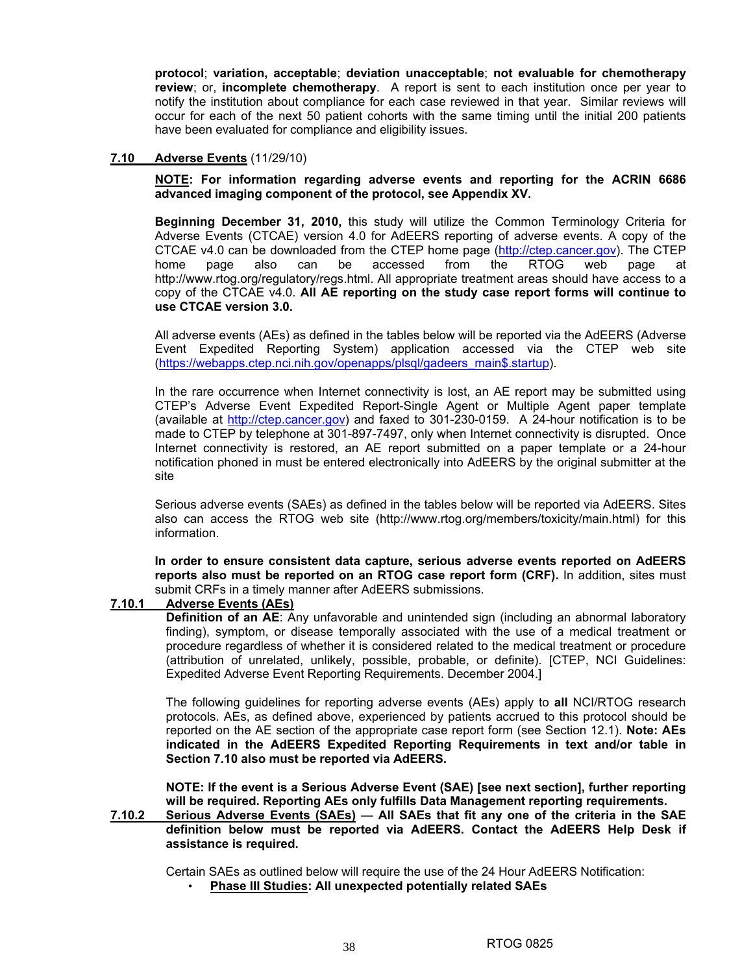**protocol**; **variation, acceptable**; **deviation unacceptable**; **not evaluable for chemotherapy review**; or, **incomplete chemotherapy**. A report is sent to each institution once per year to notify the institution about compliance for each case reviewed in that year. Similar reviews will occur for each of the next 50 patient cohorts with the same timing until the initial 200 patients have been evaluated for compliance and eligibility issues.

## **7.10 Adverse Events** (11/29/10)

**NOTE: For information regarding adverse events and reporting for the ACRIN 6686 advanced imaging component of the protocol, see Appendix XV.** 

**Beginning December 31, 2010,** this study will utilize the Common Terminology Criteria for Adverse Events (CTCAE) version 4.0 for AdEERS reporting of adverse events. A copy of the CTCAE v4.0 can be downloaded from the CTEP home page (http://ctep.cancer.gov). The CTEP home page also can be accessed from the RTOG web page at http://www.rtog.org/regulatory/regs.html. All appropriate treatment areas should have access to a copy of the CTCAE v4.0. **All AE reporting on the study case report forms will continue to use CTCAE version 3.0.** 

 All adverse events (AEs) as defined in the tables below will be reported via the AdEERS (Adverse Event Expedited Reporting System) application accessed via the CTEP web site (https://webapps.ctep.nci.nih.gov/openapps/plsql/gadeers\_main\$.startup).

In the rare occurrence when Internet connectivity is lost, an AE report may be submitted using CTEP's Adverse Event Expedited Report-Single Agent or Multiple Agent paper template (available at http://ctep.cancer.gov) and faxed to 301-230-0159. A 24-hour notification is to be made to CTEP by telephone at 301-897-7497, only when Internet connectivity is disrupted. Once Internet connectivity is restored, an AE report submitted on a paper template or a 24-hour notification phoned in must be entered electronically into AdEERS by the original submitter at the site

Serious adverse events (SAEs) as defined in the tables below will be reported via AdEERS. Sites also can access the RTOG web site (http://www.rtog.org/members/toxicity/main.html) for this information.

**In order to ensure consistent data capture, serious adverse events reported on AdEERS reports also must be reported on an RTOG case report form (CRF).** In addition, sites must submit CRFs in a timely manner after AdEERS submissions.

#### **7.10.1 Adverse Events (AEs)**

**Definition of an AE:** Any unfavorable and unintended sign (including an abnormal laboratory finding), symptom, or disease temporally associated with the use of a medical treatment or procedure regardless of whether it is considered related to the medical treatment or procedure (attribution of unrelated, unlikely, possible, probable, or definite). [CTEP, NCI Guidelines: Expedited Adverse Event Reporting Requirements. December 2004.]

 The following guidelines for reporting adverse events (AEs) apply to **all** NCI/RTOG research protocols. AEs, as defined above, experienced by patients accrued to this protocol should be reported on the AE section of the appropriate case report form (see Section 12.1). **Note: AEs indicated in the AdEERS Expedited Reporting Requirements in text and/or table in Section 7.10 also must be reported via AdEERS.** 

**NOTE: If the event is a Serious Adverse Event (SAE) [see next section], further reporting will be required. Reporting AEs only fulfills Data Management reporting requirements.** 

**7.10.2 Serious Adverse Events (SAEs)** — **All SAEs that fit any one of the criteria in the SAE definition below must be reported via AdEERS. Contact the AdEERS Help Desk if assistance is required.** 

Certain SAEs as outlined below will require the use of the 24 Hour AdEERS Notification:

• **Phase III Studies: All unexpected potentially related SAEs**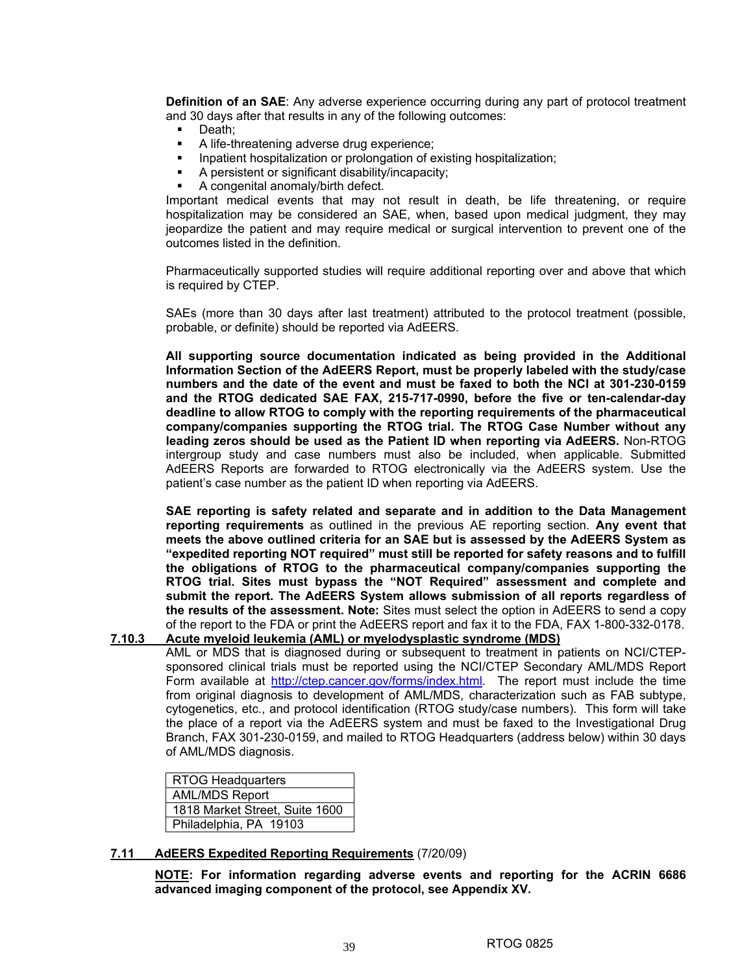**Definition of an SAE**: Any adverse experience occurring during any part of protocol treatment and 30 days after that results in any of the following outcomes:

- Death;
- A life-threatening adverse drug experience;
- **Inpatient hospitalization or prolongation of existing hospitalization;**
- A persistent or significant disability/incapacity;
- A congenital anomaly/birth defect.

 Important medical events that may not result in death, be life threatening, or require hospitalization may be considered an SAE, when, based upon medical judgment, they may jeopardize the patient and may require medical or surgical intervention to prevent one of the outcomes listed in the definition.

Pharmaceutically supported studies will require additional reporting over and above that which is required by CTEP.

 SAEs (more than 30 days after last treatment) attributed to the protocol treatment (possible, probable, or definite) should be reported via AdEERS.

**All supporting source documentation indicated as being provided in the Additional Information Section of the AdEERS Report, must be properly labeled with the study/case numbers and the date of the event and must be faxed to both the NCI at 301-230-0159 and the RTOG dedicated SAE FAX, 215-717-0990, before the five or ten-calendar-day deadline to allow RTOG to comply with the reporting requirements of the pharmaceutical company/companies supporting the RTOG trial. The RTOG Case Number without any leading zeros should be used as the Patient ID when reporting via AdEERS.** Non-RTOG intergroup study and case numbers must also be included, when applicable. Submitted AdEERS Reports are forwarded to RTOG electronically via the AdEERS system. Use the patient's case number as the patient ID when reporting via AdEERS.

 **SAE reporting is safety related and separate and in addition to the Data Management reporting requirements** as outlined in the previous AE reporting section. **Any event that meets the above outlined criteria for an SAE but is assessed by the AdEERS System as "expedited reporting NOT required" must still be reported for safety reasons and to fulfill the obligations of RTOG to the pharmaceutical company/companies supporting the RTOG trial. Sites must bypass the "NOT Required" assessment and complete and submit the report. The AdEERS System allows submission of all reports regardless of the results of the assessment. Note:** Sites must select the option in AdEERS to send a copy of the report to the FDA or print the AdEERS report and fax it to the FDA, FAX 1-800-332-0178.

**7.10.3 Acute myeloid leukemia (AML) or myelodysplastic syndrome (MDS)**

 AML or MDS that is diagnosed during or subsequent to treatment in patients on NCI/CTEPsponsored clinical trials must be reported using the NCI/CTEP Secondary AML/MDS Report Form available at http://ctep.cancer.gov/forms/index.html. The report must include the time from original diagnosis to development of AML/MDS, characterization such as FAB subtype, cytogenetics, etc., and protocol identification (RTOG study/case numbers). This form will take the place of a report via the AdEERS system and must be faxed to the Investigational Drug Branch, FAX 301-230-0159, and mailed to RTOG Headquarters (address below) within 30 days of AML/MDS diagnosis.

RTOG Headquarters AML/MDS Report 1818 Market Street, Suite 1600 Philadelphia, PA 19103

#### **7.11 AdEERS Expedited Reporting Requirements** (7/20/09)

**NOTE: For information regarding adverse events and reporting for the ACRIN 6686 advanced imaging component of the protocol, see Appendix XV.**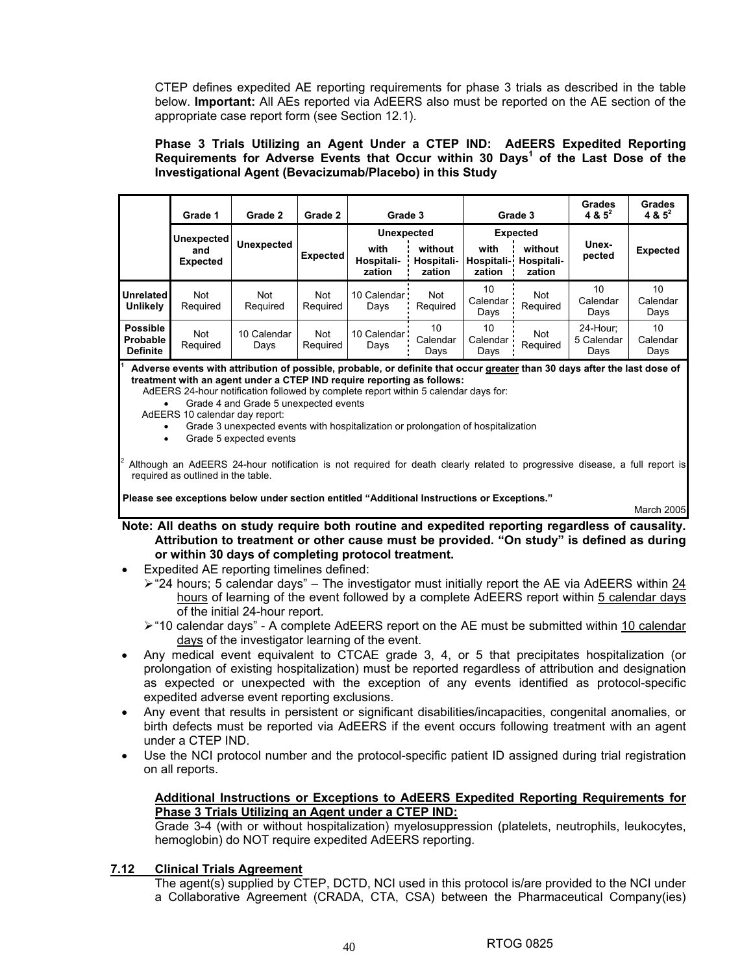CTEP defines expedited AE reporting requirements for phase 3 trials as described in the table below. **Important:** All AEs reported via AdEERS also must be reported on the AE section of the appropriate case report form (see Section 12.1).

**Phase 3 Trials Utilizing an Agent Under a CTEP IND: AdEERS Expedited Reporting Requirements for Adverse Events that Occur within 30 Days<sup>1</sup> of the Last Dose of the Investigational Agent (Bevacizumab/Placebo) in this Study** 

|                                                | Grade 1                | Grade 2             | Grade 2                | Grade 3                      |                                 | Grade 3                      |                                 | Grades<br>4 & $5^2$            | Grades<br>4 & $5^2$    |
|------------------------------------------------|------------------------|---------------------|------------------------|------------------------------|---------------------------------|------------------------------|---------------------------------|--------------------------------|------------------------|
|                                                | Unexpected             | <b>Unexpected</b>   |                        | <b>Unexpected</b>            |                                 | <b>Expected</b>              |                                 | Unex-                          |                        |
|                                                | and<br><b>Expected</b> |                     | <b>Expected</b>        | with<br>Hospitali-<br>zation | without<br>Hospitali-<br>zation | with<br>Hospitali-<br>zation | without<br>Hospitali-<br>zation | pected                         | <b>Expected</b>        |
| <b>Unrelated</b><br><b>Unlikely</b>            | <b>Not</b><br>Required | Not<br>Required     | Not<br>Required        | 10 Calendar<br>Days          | Not<br>Required                 | 10<br>Calendar<br>Days       | Not<br>Required                 | 10<br>Calendar<br>Days         | 10<br>Calendar<br>Days |
| <b>Possible</b><br>Probable<br><b>Definite</b> | <b>Not</b><br>Required | 10 Calendar<br>Days | <b>Not</b><br>Required | 10 Calendar<br>Days          | 10<br>Calendar<br>Days          | 10<br>Calendar<br>Davs       | Not<br>Required                 | 24-Hour:<br>5 Calendar<br>Days | 10<br>Calendar<br>Days |

**1 Adverse events with attribution of possible, probable, or definite that occur greater than 30 days after the last dose of treatment with an agent under a CTEP IND require reporting as follows:** 

AdEERS 24-hour notification followed by complete report within 5 calendar days for:

• Grade 4 and Grade 5 unexpected events

AdEERS 10 calendar day report:

- Grade 3 unexpected events with hospitalization or prolongation of hospitalization
- Grade 5 expected events

2 Although an AdEERS 24-hour notification is not required for death clearly related to progressive disease, a full report is required as outlined in the table.

**Please see exceptions below under section entitled "Additional Instructions or Exceptions."** 

March 2005

**Note: All deaths on study require both routine and expedited reporting regardless of causality. Attribution to treatment or other cause must be provided. "On study" is defined as during or within 30 days of completing protocol treatment.** 

- Expedited AE reporting timelines defined:
	- $\ge$  "24 hours; 5 calendar days" The investigator must initially report the AE via AdEERS within 24 hours of learning of the event followed by a complete AdEERS report within 5 calendar days of the initial 24-hour report.
	- $\triangleright$  "10 calendar days" A complete AdEERS report on the AE must be submitted within 10 calendar days of the investigator learning of the event.
- Any medical event equivalent to CTCAE grade 3, 4, or 5 that precipitates hospitalization (or prolongation of existing hospitalization) must be reported regardless of attribution and designation as expected or unexpected with the exception of any events identified as protocol-specific expedited adverse event reporting exclusions.
- Any event that results in persistent or significant disabilities/incapacities, congenital anomalies, or birth defects must be reported via AdEERS if the event occurs following treatment with an agent under a CTEP IND.
- Use the NCI protocol number and the protocol-specific patient ID assigned during trial registration on all reports.

#### **Additional Instructions or Exceptions to AdEERS Expedited Reporting Requirements for Phase 3 Trials Utilizing an Agent under a CTEP IND:**

Grade 3-4 (with or without hospitalization) myelosuppression (platelets, neutrophils, leukocytes, hemoglobin) do NOT require expedited AdEERS reporting.

## **7.12 Clinical Trials Agreement**

The agent(s) supplied by CTEP, DCTD, NCI used in this protocol is/are provided to the NCI under a Collaborative Agreement (CRADA, CTA, CSA) between the Pharmaceutical Company(ies)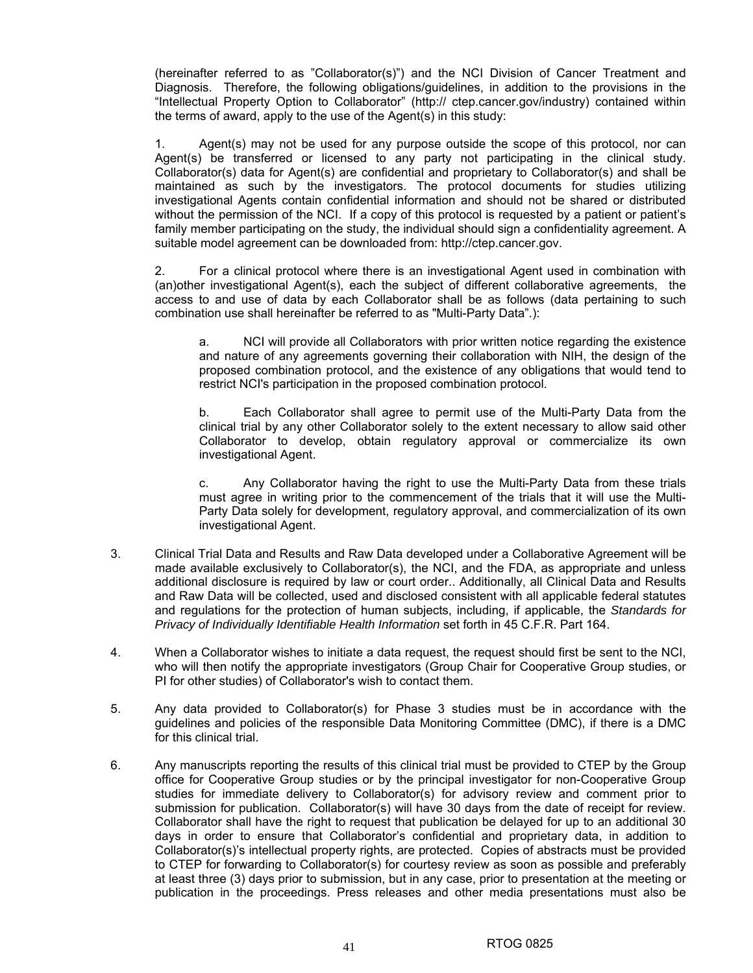(hereinafter referred to as "Collaborator(s)") and the NCI Division of Cancer Treatment and Diagnosis. Therefore, the following obligations/guidelines, in addition to the provisions in the "Intellectual Property Option to Collaborator" (http:// ctep.cancer.gov/industry) contained within the terms of award, apply to the use of the Agent(s) in this study:

 1. Agent(s) may not be used for any purpose outside the scope of this protocol, nor can Agent(s) be transferred or licensed to any party not participating in the clinical study. Collaborator(s) data for Agent(s) are confidential and proprietary to Collaborator(s) and shall be maintained as such by the investigators. The protocol documents for studies utilizing investigational Agents contain confidential information and should not be shared or distributed without the permission of the NCI. If a copy of this protocol is requested by a patient or patient's family member participating on the study, the individual should sign a confidentiality agreement. A suitable model agreement can be downloaded from: http://ctep.cancer.gov.

 2. For a clinical protocol where there is an investigational Agent used in combination with (an)other investigational Agent(s), each the subject of different collaborative agreements, the access to and use of data by each Collaborator shall be as follows (data pertaining to such combination use shall hereinafter be referred to as "Multi-Party Data".):

 a. NCI will provide all Collaborators with prior written notice regarding the existence and nature of any agreements governing their collaboration with NIH, the design of the proposed combination protocol, and the existence of any obligations that would tend to restrict NCI's participation in the proposed combination protocol.

 b. Each Collaborator shall agree to permit use of the Multi-Party Data from the clinical trial by any other Collaborator solely to the extent necessary to allow said other Collaborator to develop, obtain regulatory approval or commercialize its own investigational Agent.

 c. Any Collaborator having the right to use the Multi-Party Data from these trials must agree in writing prior to the commencement of the trials that it will use the Multi-Party Data solely for development, regulatory approval, and commercialization of its own investigational Agent.

- 3. Clinical Trial Data and Results and Raw Data developed under a Collaborative Agreement will be made available exclusively to Collaborator(s), the NCI, and the FDA, as appropriate and unless additional disclosure is required by law or court order.. Additionally, all Clinical Data and Results and Raw Data will be collected, used and disclosed consistent with all applicable federal statutes and regulations for the protection of human subjects, including, if applicable, the *Standards for Privacy of Individually Identifiable Health Information* set forth in 45 C.F.R. Part 164.
- 4. When a Collaborator wishes to initiate a data request, the request should first be sent to the NCI, who will then notify the appropriate investigators (Group Chair for Cooperative Group studies, or PI for other studies) of Collaborator's wish to contact them.
- 5. Any data provided to Collaborator(s) for Phase 3 studies must be in accordance with the guidelines and policies of the responsible Data Monitoring Committee (DMC), if there is a DMC for this clinical trial.
- 6. Any manuscripts reporting the results of this clinical trial must be provided to CTEP by the Group office for Cooperative Group studies or by the principal investigator for non-Cooperative Group studies for immediate delivery to Collaborator(s) for advisory review and comment prior to submission for publication. Collaborator(s) will have 30 days from the date of receipt for review. Collaborator shall have the right to request that publication be delayed for up to an additional 30 days in order to ensure that Collaborator's confidential and proprietary data, in addition to Collaborator(s)'s intellectual property rights, are protected. Copies of abstracts must be provided to CTEP for forwarding to Collaborator(s) for courtesy review as soon as possible and preferably at least three (3) days prior to submission, but in any case, prior to presentation at the meeting or publication in the proceedings. Press releases and other media presentations must also be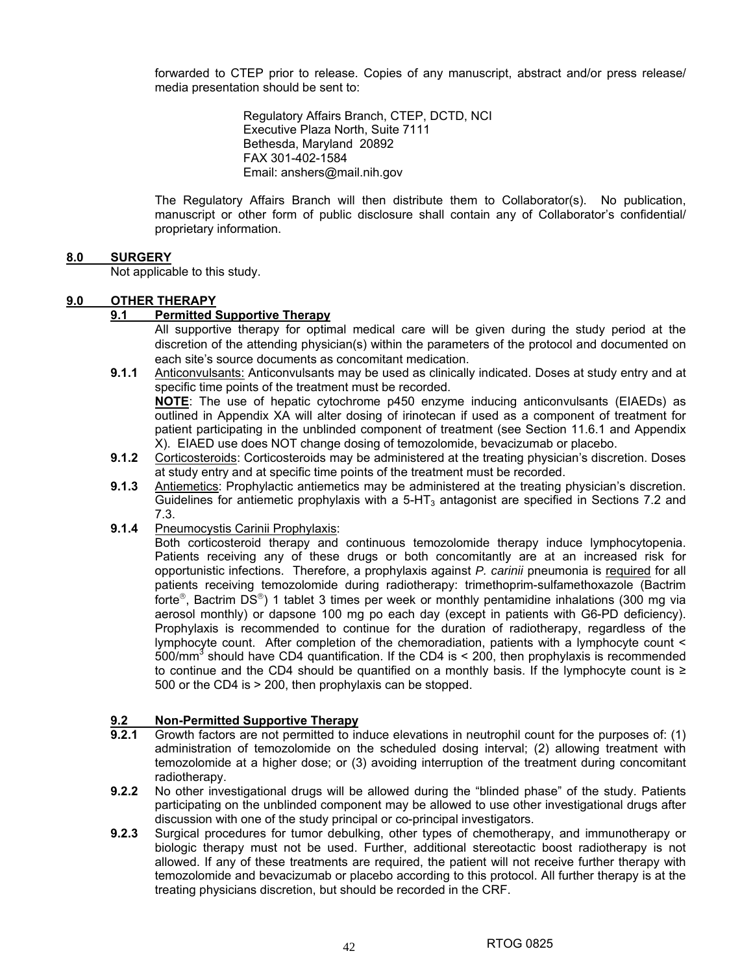forwarded to CTEP prior to release. Copies of any manuscript, abstract and/or press release/ media presentation should be sent to:

> Regulatory Affairs Branch, CTEP, DCTD, NCI Executive Plaza North, Suite 7111 Bethesda, Maryland 20892 FAX 301-402-1584 Email: anshers@mail.nih.gov

The Regulatory Affairs Branch will then distribute them to Collaborator(s). No publication, manuscript or other form of public disclosure shall contain any of Collaborator's confidential/ proprietary information.

## **8.0 SURGERY**

Not applicable to this study.

## **9.0 OTHER THERAPY**

## **9.1 Permitted Supportive Therapy**

All supportive therapy for optimal medical care will be given during the study period at the discretion of the attending physician(s) within the parameters of the protocol and documented on each site's source documents as concomitant medication.

**9.1.1** Anticonvulsants: Anticonvulsants may be used as clinically indicated. Doses at study entry and at specific time points of the treatment must be recorded.

**NOTE**: The use of hepatic cytochrome p450 enzyme inducing anticonvulsants (EIAEDs) as outlined in Appendix XA will alter dosing of irinotecan if used as a component of treatment for patient participating in the unblinded component of treatment (see Section 11.6.1 and Appendix X). EIAED use does NOT change dosing of temozolomide, bevacizumab or placebo.

- **9.1.2** Corticosteroids: Corticosteroids may be administered at the treating physician's discretion. Doses at study entry and at specific time points of the treatment must be recorded.
- **9.1.3** Antiemetics: Prophylactic antiemetics may be administered at the treating physician's discretion. Guidelines for antiemetic prophylaxis with a  $5-HT<sub>3</sub>$  antagonist are specified in Sections 7.2 and 7.3.
- **9.1.4** Pneumocystis Carinii Prophylaxis:

Both corticosteroid therapy and continuous temozolomide therapy induce lymphocytopenia. Patients receiving any of these drugs or both concomitantly are at an increased risk for opportunistic infections. Therefore, a prophylaxis against *P. carinii* pneumonia is required for all patients receiving temozolomide during radiotherapy: trimethoprim-sulfamethoxazole (Bactrim forte®, Bactrim DS®) 1 tablet 3 times per week or monthly pentamidine inhalations (300 mg via aerosol monthly) or dapsone 100 mg po each day (except in patients with G6-PD deficiency). Prophylaxis is recommended to continue for the duration of radiotherapy, regardless of the lymphocyte count. After completion of the chemoradiation, patients with a lymphocyte count < 500/mm<sup>3</sup> should have CD4 quantification. If the CD4 is < 200, then prophylaxis is recommended to continue and the CD4 should be quantified on a monthly basis. If the lymphocyte count is ≥ 500 or the CD4 is > 200, then prophylaxis can be stopped.

## **9.2 Non-Permitted Supportive Therapy**

- **9.2.1** Growth factors are not permitted to induce elevations in neutrophil count for the purposes of: (1) administration of temozolomide on the scheduled dosing interval; (2) allowing treatment with temozolomide at a higher dose; or (3) avoiding interruption of the treatment during concomitant radiotherapy.
- **9.2.2** No other investigational drugs will be allowed during the "blinded phase" of the study. Patients participating on the unblinded component may be allowed to use other investigational drugs after discussion with one of the study principal or co-principal investigators.
- **9.2.3** Surgical procedures for tumor debulking, other types of chemotherapy, and immunotherapy or biologic therapy must not be used. Further, additional stereotactic boost radiotherapy is not allowed. If any of these treatments are required, the patient will not receive further therapy with temozolomide and bevacizumab or placebo according to this protocol. All further therapy is at the treating physicians discretion, but should be recorded in the CRF.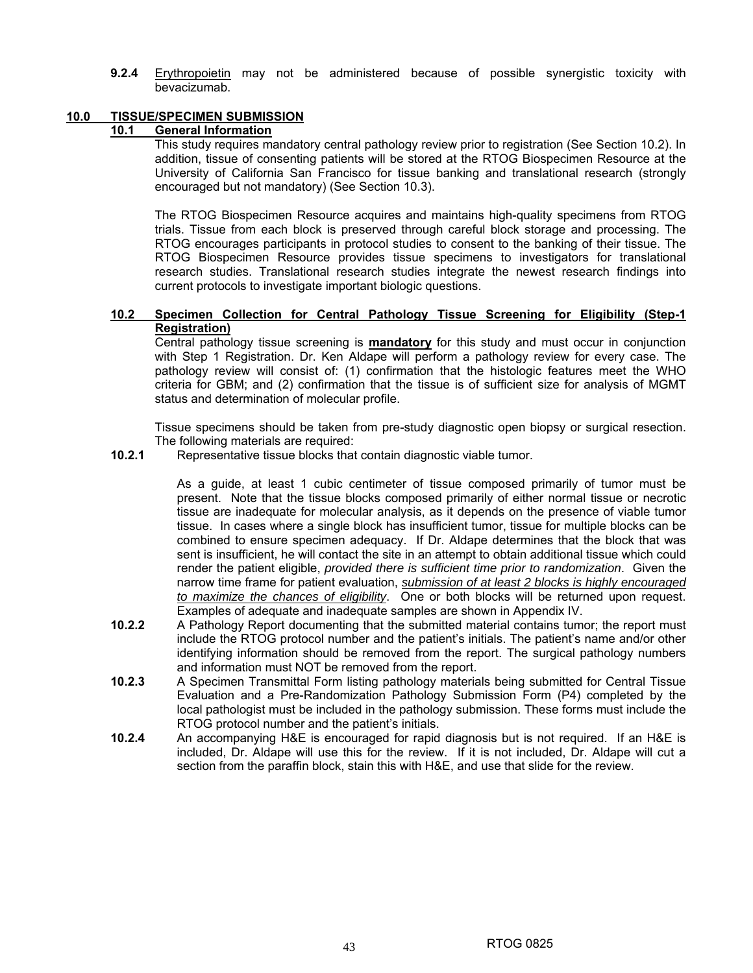**9.2.4** Erythropoietin may not be administered because of possible synergistic toxicity with bevacizumab.

#### **10.0 TISSUE/SPECIMEN SUBMISSION**

## **10.1 General Information**

 This study requires mandatory central pathology review prior to registration (See Section 10.2). In addition, tissue of consenting patients will be stored at the RTOG Biospecimen Resource at the University of California San Francisco for tissue banking and translational research (strongly encouraged but not mandatory) (See Section 10.3).

The RTOG Biospecimen Resource acquires and maintains high-quality specimens from RTOG trials. Tissue from each block is preserved through careful block storage and processing. The RTOG encourages participants in protocol studies to consent to the banking of their tissue. The RTOG Biospecimen Resource provides tissue specimens to investigators for translational research studies. Translational research studies integrate the newest research findings into current protocols to investigate important biologic questions.

#### **10.2 Specimen Collection for Central Pathology Tissue Screening for Eligibility (Step-1 Registration)**

Central pathology tissue screening is **mandatory** for this study and must occur in conjunction with Step 1 Registration. Dr. Ken Aldape will perform a pathology review for every case. The pathology review will consist of: (1) confirmation that the histologic features meet the WHO criteria for GBM; and (2) confirmation that the tissue is of sufficient size for analysis of MGMT status and determination of molecular profile.

Tissue specimens should be taken from pre-study diagnostic open biopsy or surgical resection. The following materials are required:

**10.2.1** Representative tissue blocks that contain diagnostic viable tumor.

As a guide, at least 1 cubic centimeter of tissue composed primarily of tumor must be present. Note that the tissue blocks composed primarily of either normal tissue or necrotic tissue are inadequate for molecular analysis, as it depends on the presence of viable tumor tissue. In cases where a single block has insufficient tumor, tissue for multiple blocks can be combined to ensure specimen adequacy. If Dr. Aldape determines that the block that was sent is insufficient, he will contact the site in an attempt to obtain additional tissue which could render the patient eligible, *provided there is sufficient time prior to randomization*. Given the narrow time frame for patient evaluation, *submission of at least 2 blocks is highly encouraged to maximize the chances of eligibility*. One or both blocks will be returned upon request. Examples of adequate and inadequate samples are shown in Appendix IV.

- **10.2.2** A Pathology Report documenting that the submitted material contains tumor; the report must include the RTOG protocol number and the patient's initials. The patient's name and/or other identifying information should be removed from the report. The surgical pathology numbers and information must NOT be removed from the report.
- **10.2.3** A Specimen Transmittal Form listing pathology materials being submitted for Central Tissue Evaluation and a Pre-Randomization Pathology Submission Form (P4) completed by the local pathologist must be included in the pathology submission. These forms must include the RTOG protocol number and the patient's initials.
- **10.2.4** An accompanying H&E is encouraged for rapid diagnosis but is not required. If an H&E is included, Dr. Aldape will use this for the review. If it is not included, Dr. Aldape will cut a section from the paraffin block, stain this with H&E, and use that slide for the review.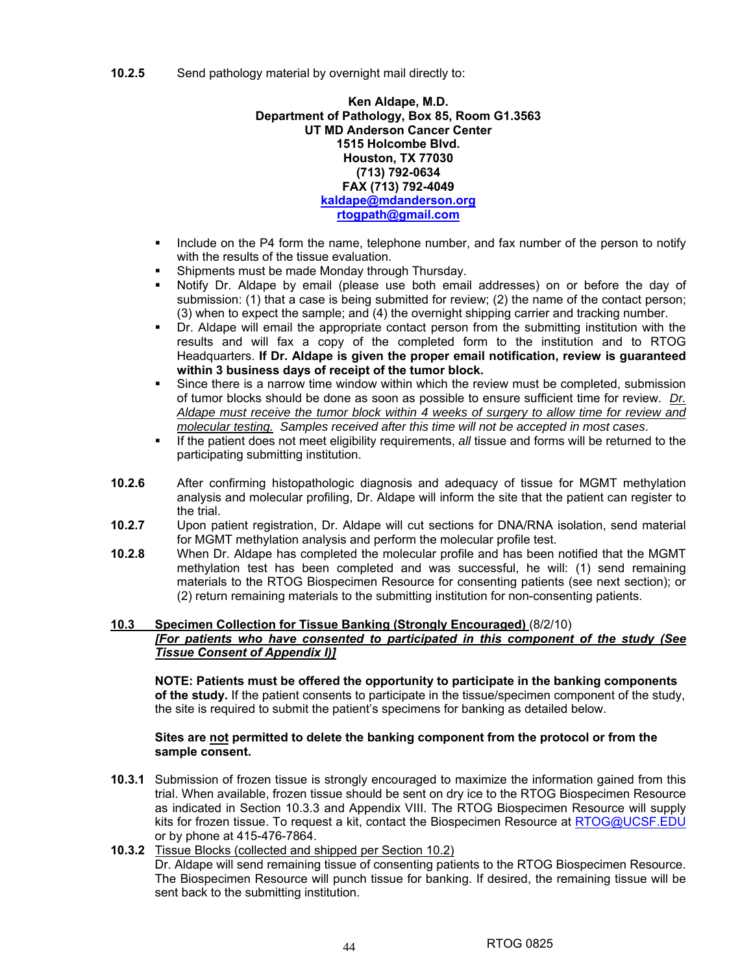**Ken Aldape, M.D. Department of Pathology, Box 85, Room G1.3563 UT MD Anderson Cancer Center 1515 Holcombe Blvd. Houston, TX 77030 (713) 792-0634 FAX (713) 792-4049 kaldape@mdanderson.org rtogpath@gmail.com** 

- Include on the P4 form the name, telephone number, and fax number of the person to notify with the results of the tissue evaluation.
- Shipments must be made Monday through Thursday.
- Notify Dr. Aldape by email (please use both email addresses) on or before the day of submission: (1) that a case is being submitted for review; (2) the name of the contact person; (3) when to expect the sample; and (4) the overnight shipping carrier and tracking number.
- Dr. Aldape will email the appropriate contact person from the submitting institution with the results and will fax a copy of the completed form to the institution and to RTOG Headquarters. **If Dr. Aldape is given the proper email notification, review is guaranteed within 3 business days of receipt of the tumor block.**
- Since there is a narrow time window within which the review must be completed, submission of tumor blocks should be done as soon as possible to ensure sufficient time for review. *Dr. Aldape must receive the tumor block within 4 weeks of surgery to allow time for review and molecular testing. Samples received after this time will not be accepted in most cases*.
- If the patient does not meet eligibility requirements, *all* tissue and forms will be returned to the participating submitting institution.
- **10.2.6** After confirming histopathologic diagnosis and adequacy of tissue for MGMT methylation analysis and molecular profiling, Dr. Aldape will inform the site that the patient can register to the trial.
- **10.2.7** Upon patient registration, Dr. Aldape will cut sections for DNA/RNA isolation, send material for MGMT methylation analysis and perform the molecular profile test.
- **10.2.8** When Dr. Aldape has completed the molecular profile and has been notified that the MGMT methylation test has been completed and was successful, he will: (1) send remaining materials to the RTOG Biospecimen Resource for consenting patients (see next section); or (2) return remaining materials to the submitting institution for non-consenting patients.

## **10.3 Specimen Collection for Tissue Banking (Strongly Encouraged)** (8/2/10) *[For patients who have consented to participated in this component of the study (See Tissue Consent of Appendix I)]*

**NOTE: Patients must be offered the opportunity to participate in the banking components of the study.** If the patient consents to participate in the tissue/specimen component of the study, the site is required to submit the patient's specimens for banking as detailed below.

## **Sites are not permitted to delete the banking component from the protocol or from the sample consent.**

**10.3.1** Submission of frozen tissue is strongly encouraged to maximize the information gained from this trial. When available, frozen tissue should be sent on dry ice to the RTOG Biospecimen Resource as indicated in Section 10.3.3 and Appendix VIII. The RTOG Biospecimen Resource will supply kits for frozen tissue. To request a kit, contact the Biospecimen Resource at RTOG@UCSF.EDU or by phone at 415-476-7864.

## **10.3.2** Tissue Blocks (collected and shipped per Section 10.2) Dr. Aldape will send remaining tissue of consenting patients to the RTOG Biospecimen Resource. The Biospecimen Resource will punch tissue for banking. If desired, the remaining tissue will be sent back to the submitting institution.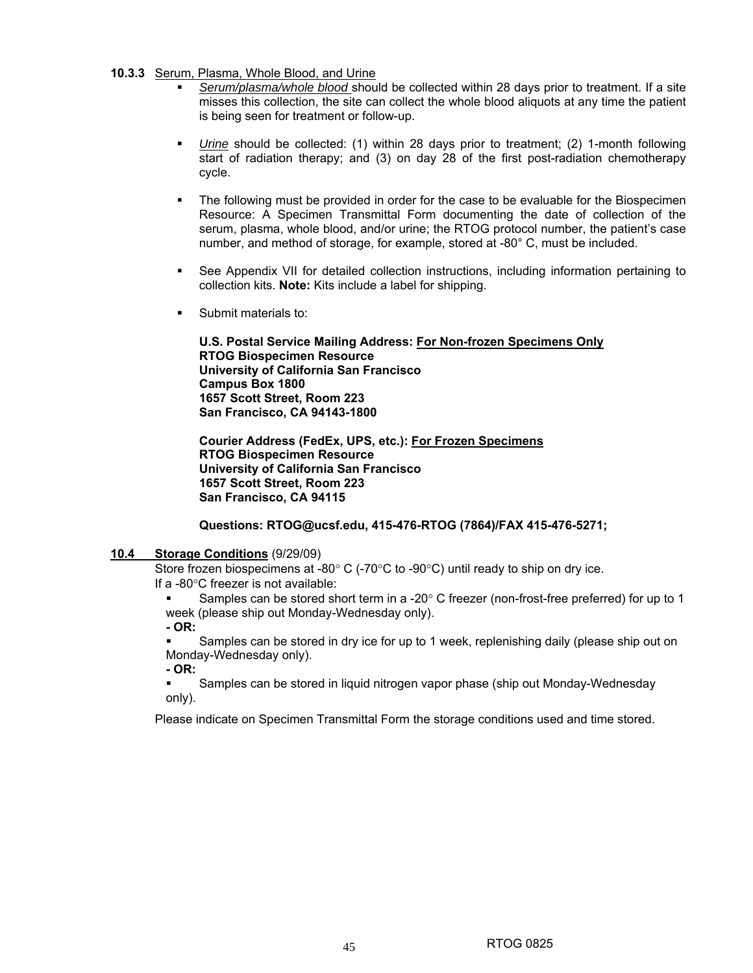#### **10.3.3** Serum, Plasma, Whole Blood, and Urine

- *Serum/plasma/whole blood* should be collected within 28 days prior to treatment. If a site misses this collection, the site can collect the whole blood aliquots at any time the patient is being seen for treatment or follow-up.
- *Urine* should be collected: (1) within 28 days prior to treatment; (2) 1-month following start of radiation therapy; and (3) on day 28 of the first post-radiation chemotherapy cycle.
- The following must be provided in order for the case to be evaluable for the Biospecimen Resource: A Specimen Transmittal Form documenting the date of collection of the serum, plasma, whole blood, and/or urine; the RTOG protocol number, the patient's case number, and method of storage, for example, stored at -80° C, must be included.
- See Appendix VII for detailed collection instructions, including information pertaining to collection kits. **Note:** Kits include a label for shipping.
- Submit materials to:

**U.S. Postal Service Mailing Address: For Non-frozen Specimens Only RTOG Biospecimen Resource University of California San Francisco Campus Box 1800 1657 Scott Street, Room 223 San Francisco, CA 94143-1800** 

**Courier Address (FedEx, UPS, etc.): For Frozen Specimens RTOG Biospecimen Resource University of California San Francisco 1657 Scott Street, Room 223 San Francisco, CA 94115**

#### **Questions: RTOG@ucsf.edu, 415-476-RTOG (7864)/FAX 415-476-5271;**

#### **10.4 Storage Conditions** (9/29/09)

Store frozen biospecimens at -80° C (-70°C to -90°C) until ready to ship on dry ice. If a -80°C freezer is not available:

 Samples can be stored short term in a -20° C freezer (non-frost-free preferred) for up to 1 week (please ship out Monday-Wednesday only).

**- OR:** 

 Samples can be stored in dry ice for up to 1 week, replenishing daily (please ship out on Monday-Wednesday only).

**- OR:** 

 Samples can be stored in liquid nitrogen vapor phase (ship out Monday-Wednesday only).

Please indicate on Specimen Transmittal Form the storage conditions used and time stored.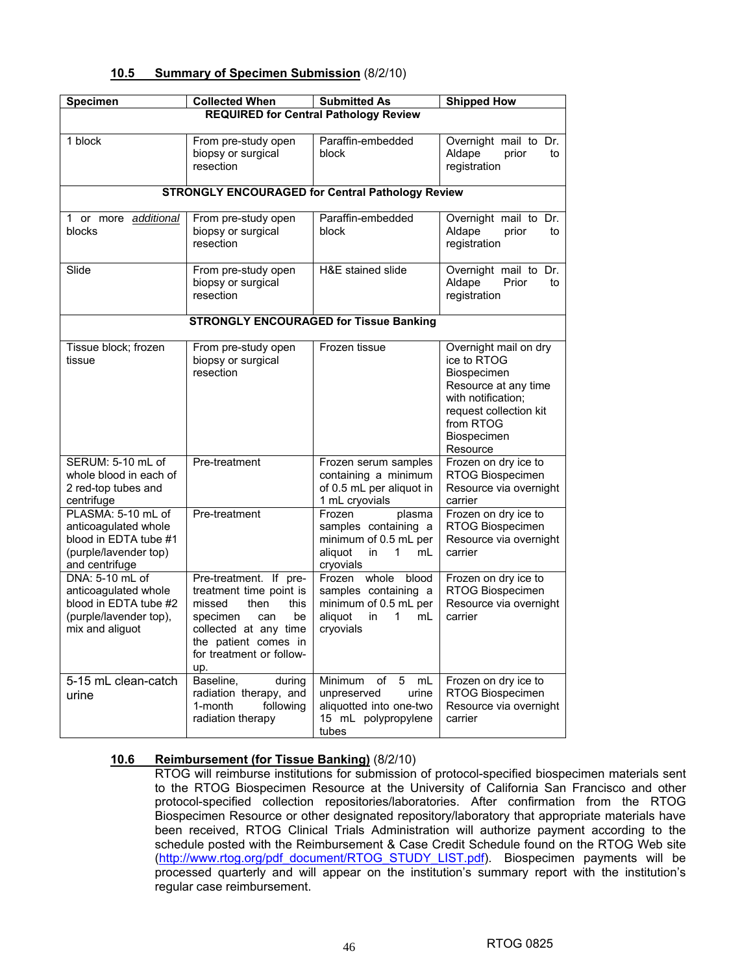| <b>Summary of Specimen Submission (8/2/10)</b><br>10.5 |  |
|--------------------------------------------------------|--|
|--------------------------------------------------------|--|

| <b>Specimen</b>                                                                                                | <b>Collected When</b>                                                                                                                                                                    | <b>Submitted As</b>                                                                                             | <b>Shipped How</b>                                                                                                                                                  |  |  |  |  |  |
|----------------------------------------------------------------------------------------------------------------|------------------------------------------------------------------------------------------------------------------------------------------------------------------------------------------|-----------------------------------------------------------------------------------------------------------------|---------------------------------------------------------------------------------------------------------------------------------------------------------------------|--|--|--|--|--|
| <b>REQUIRED for Central Pathology Review</b>                                                                   |                                                                                                                                                                                          |                                                                                                                 |                                                                                                                                                                     |  |  |  |  |  |
| 1 block                                                                                                        | From pre-study open<br>biopsy or surgical<br>resection                                                                                                                                   | Paraffin-embedded<br>block                                                                                      | Overnight mail to Dr.<br>Aldape<br>prior<br>to<br>registration                                                                                                      |  |  |  |  |  |
|                                                                                                                |                                                                                                                                                                                          | <b>STRONGLY ENCOURAGED for Central Pathology Review</b>                                                         |                                                                                                                                                                     |  |  |  |  |  |
| 1 or more additional<br>blocks                                                                                 | From pre-study open<br>biopsy or surgical<br>resection                                                                                                                                   | Paraffin-embedded<br>block                                                                                      | Overnight mail to Dr.<br>Aldape<br>prior<br>to<br>registration                                                                                                      |  |  |  |  |  |
| Slide                                                                                                          | From pre-study open<br>biopsy or surgical<br>resection                                                                                                                                   | H&E stained slide                                                                                               | Overnight mail to Dr.<br>Aldape<br>Prior<br>to<br>registration                                                                                                      |  |  |  |  |  |
|                                                                                                                |                                                                                                                                                                                          | <b>STRONGLY ENCOURAGED for Tissue Banking</b>                                                                   |                                                                                                                                                                     |  |  |  |  |  |
| Tissue block; frozen<br>tissue                                                                                 | From pre-study open<br>biopsy or surgical<br>resection                                                                                                                                   | Frozen tissue                                                                                                   | Overnight mail on dry<br>ice to RTOG<br>Biospecimen<br>Resource at any time<br>with notification;<br>request collection kit<br>from RTOG<br>Biospecimen<br>Resource |  |  |  |  |  |
| SERUM: 5-10 mL of<br>whole blood in each of<br>2 red-top tubes and<br>centrifuge                               | Pre-treatment                                                                                                                                                                            | Frozen serum samples<br>containing a minimum<br>of 0.5 mL per aliquot in<br>1 mL cryovials                      | Frozen on dry ice to<br>RTOG Biospecimen<br>Resource via overnight<br>carrier                                                                                       |  |  |  |  |  |
| PLASMA: 5-10 mL of<br>anticoagulated whole<br>blood in EDTA tube #1<br>(purple/lavender top)<br>and centrifuge | Pre-treatment                                                                                                                                                                            | Frozen<br>plasma<br>samples containing a<br>minimum of 0.5 mL per<br>aliquot<br>1<br>in.<br>mL<br>cryovials     | Frozen on dry ice to<br>RTOG Biospecimen<br>Resource via overnight<br>carrier                                                                                       |  |  |  |  |  |
| DNA: 5-10 mL of<br>anticoagulated whole<br>blood in EDTA tube #2<br>(purple/lavender top),<br>mix and aliguot  | Pre-treatment. If pre-<br>treatment time point is<br>missed<br>then<br>this<br>specimen<br>be<br>can<br>collected at any time<br>the patient comes in<br>for treatment or follow-<br>up. | Frozen whole<br>blood<br>samples containing a<br>minimum of 0.5 mL per<br>aliquot<br>in<br>1<br>mL<br>cryovials | Frozen on dry ice to<br>RTOG Biospecimen<br>Resource via overnight<br>carrier                                                                                       |  |  |  |  |  |
| 5-15 mL clean-catch<br>urine                                                                                   | Baseline,<br>during<br>radiation therapy, and<br>1-month<br>following<br>radiation therapy                                                                                               | Minimum<br>of 5<br>mL<br>unpreserved<br>urine<br>aliquotted into one-two<br>15 mL polypropylene<br>tubes        | Frozen on dry ice to<br>RTOG Biospecimen<br>Resource via overnight<br>carrier                                                                                       |  |  |  |  |  |

## **10.6 Reimbursement (for Tissue Banking)** (8/2/10)

RTOG will reimburse institutions for submission of protocol-specified biospecimen materials sent to the RTOG Biospecimen Resource at the University of California San Francisco and other protocol-specified collection repositories/laboratories. After confirmation from the RTOG Biospecimen Resource or other designated repository/laboratory that appropriate materials have been received, RTOG Clinical Trials Administration will authorize payment according to the schedule posted with the Reimbursement & Case Credit Schedule found on the RTOG Web site (http://www.rtog.org/pdf\_document/RTOG\_STUDY\_LIST.pdf). Biospecimen payments will be processed quarterly and will appear on the institution's summary report with the institution's regular case reimbursement.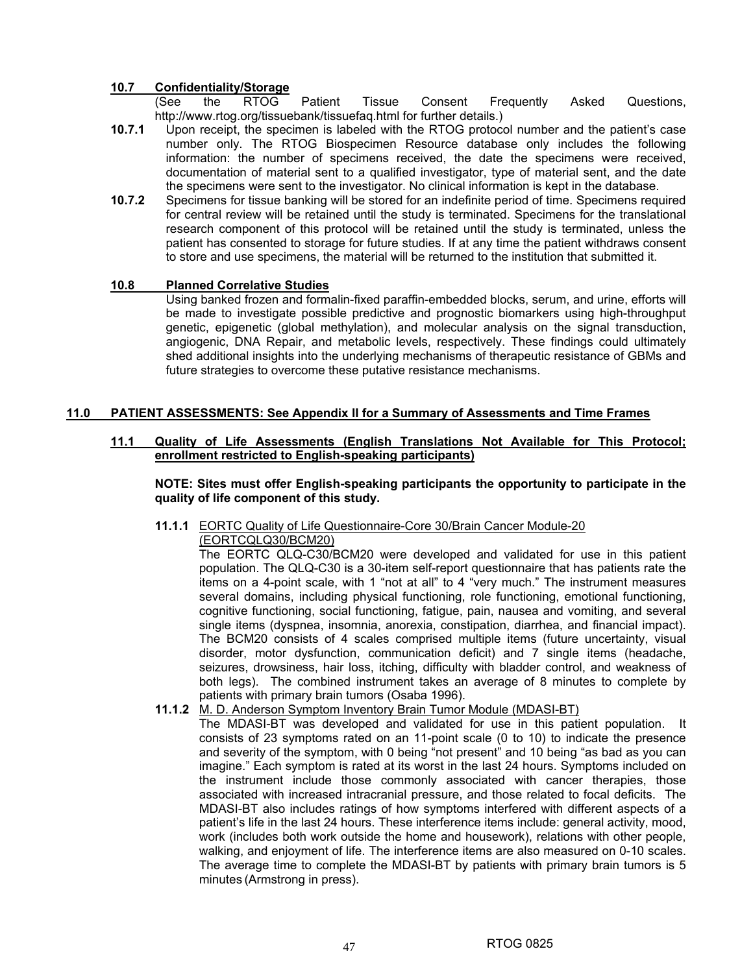## **10.7 Confidentiality/Storage**

 (See the RTOG Patient Tissue Consent Frequently Asked Questions, http://www.rtog.org/tissuebank/tissuefaq.html for further details.)

- **10.7.1** Upon receipt, the specimen is labeled with the RTOG protocol number and the patient's case number only. The RTOG Biospecimen Resource database only includes the following information: the number of specimens received, the date the specimens were received, documentation of material sent to a qualified investigator, type of material sent, and the date the specimens were sent to the investigator. No clinical information is kept in the database.
- **10.7.2** Specimens for tissue banking will be stored for an indefinite period of time. Specimens required for central review will be retained until the study is terminated. Specimens for the translational research component of this protocol will be retained until the study is terminated, unless the patient has consented to storage for future studies. If at any time the patient withdraws consent to store and use specimens, the material will be returned to the institution that submitted it.

#### **10.8 Planned Correlative Studies**

Using banked frozen and formalin-fixed paraffin-embedded blocks, serum, and urine, efforts will be made to investigate possible predictive and prognostic biomarkers using high-throughput genetic, epigenetic (global methylation), and molecular analysis on the signal transduction, angiogenic, DNA Repair, and metabolic levels, respectively. These findings could ultimately shed additional insights into the underlying mechanisms of therapeutic resistance of GBMs and future strategies to overcome these putative resistance mechanisms.

## **11.0 PATIENT ASSESSMENTS: See Appendix II for a Summary of Assessments and Time Frames**

#### **11.1 Quality of Life Assessments (English Translations Not Available for This Protocol; enrollment restricted to English-speaking participants)**

**NOTE: Sites must offer English-speaking participants the opportunity to participate in the quality of life component of this study.** 

**11.1.1** EORTC Quality of Life Questionnaire-Core 30/Brain Cancer Module-20 (EORTCQLQ30/BCM20)

The EORTC QLQ-C30/BCM20 were developed and validated for use in this patient population. The QLQ-C30 is a 30-item self-report questionnaire that has patients rate the items on a 4-point scale, with 1 "not at all" to 4 "very much." The instrument measures several domains, including physical functioning, role functioning, emotional functioning, cognitive functioning, social functioning, fatigue, pain, nausea and vomiting, and several single items (dyspnea, insomnia, anorexia, constipation, diarrhea, and financial impact). The BCM20 consists of 4 scales comprised multiple items (future uncertainty, visual disorder, motor dysfunction, communication deficit) and 7 single items (headache, seizures, drowsiness, hair loss, itching, difficulty with bladder control, and weakness of both legs). The combined instrument takes an average of 8 minutes to complete by patients with primary brain tumors (Osaba 1996).

- **11.1.2** M. D. Anderson Symptom Inventory Brain Tumor Module (MDASI-BT)
	- The MDASI-BT was developed and validated for use in this patient population. It consists of 23 symptoms rated on an 11-point scale (0 to 10) to indicate the presence and severity of the symptom, with 0 being "not present" and 10 being "as bad as you can imagine." Each symptom is rated at its worst in the last 24 hours. Symptoms included on the instrument include those commonly associated with cancer therapies, those associated with increased intracranial pressure, and those related to focal deficits. The MDASI-BT also includes ratings of how symptoms interfered with different aspects of a patient's life in the last 24 hours. These interference items include: general activity, mood, work (includes both work outside the home and housework), relations with other people, walking, and enjoyment of life. The interference items are also measured on 0-10 scales. The average time to complete the MDASI-BT by patients with primary brain tumors is 5 minutes (Armstrong in press).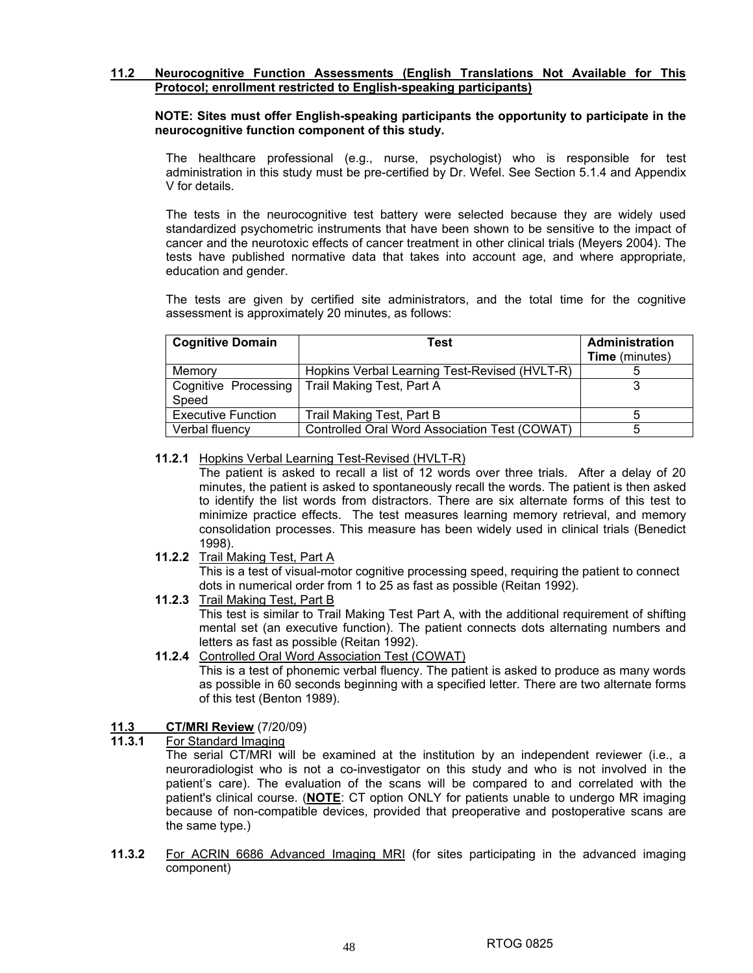## **11.2 Neurocognitive Function Assessments (English Translations Not Available for This Protocol; enrollment restricted to English-speaking participants)**

## **NOTE: Sites must offer English-speaking participants the opportunity to participate in the neurocognitive function component of this study.**

The healthcare professional (e.g., nurse, psychologist) who is responsible for test administration in this study must be pre-certified by Dr. Wefel. See Section 5.1.4 and Appendix V for details.

The tests in the neurocognitive test battery were selected because they are widely used standardized psychometric instruments that have been shown to be sensitive to the impact of cancer and the neurotoxic effects of cancer treatment in other clinical trials (Meyers 2004). The tests have published normative data that takes into account age, and where appropriate, education and gender.

 The tests are given by certified site administrators, and the total time for the cognitive assessment is approximately 20 minutes, as follows:

| <b>Cognitive Domain</b>   | Test                                          | <b>Administration</b><br><b>Time</b> (minutes) |
|---------------------------|-----------------------------------------------|------------------------------------------------|
| Memory                    | Hopkins Verbal Learning Test-Revised (HVLT-R) |                                                |
| Cognitive Processing      | Trail Making Test, Part A                     |                                                |
| Speed                     |                                               |                                                |
| <b>Executive Function</b> | Trail Making Test, Part B                     |                                                |
| Verbal fluency            | Controlled Oral Word Association Test (COWAT) |                                                |

#### **11.2.1** Hopkins Verbal Learning Test-Revised (HVLT-R)

The patient is asked to recall a list of 12 words over three trials. After a delay of 20 minutes, the patient is asked to spontaneously recall the words. The patient is then asked to identify the list words from distractors. There are six alternate forms of this test to minimize practice effects. The test measures learning memory retrieval, and memory consolidation processes. This measure has been widely used in clinical trials (Benedict 1998).

**11.2.2** Trail Making Test, Part A

This is a test of visual-motor cognitive processing speed, requiring the patient to connect dots in numerical order from 1 to 25 as fast as possible (Reitan 1992).

**11.2.3** Trail Making Test, Part B

This test is similar to Trail Making Test Part A, with the additional requirement of shifting mental set (an executive function). The patient connects dots alternating numbers and letters as fast as possible (Reitan 1992).

**11.2.4** Controlled Oral Word Association Test (COWAT) This is a test of phonemic verbal fluency. The patient is asked to produce as many words as possible in 60 seconds beginning with a specified letter. There are two alternate forms of this test (Benton 1989).

#### **11.3 CT/MRI Review** (7/20/09)

#### **11.3.1** For Standard Imaging

The serial CT/MRI will be examined at the institution by an independent reviewer (i.e., a neuroradiologist who is not a co-investigator on this study and who is not involved in the patient's care). The evaluation of the scans will be compared to and correlated with the patient's clinical course. (**NOTE**: CT option ONLY for patients unable to undergo MR imaging because of non-compatible devices, provided that preoperative and postoperative scans are the same type.)

**11.3.2** For ACRIN 6686 Advanced Imaging MRI (for sites participating in the advanced imaging component)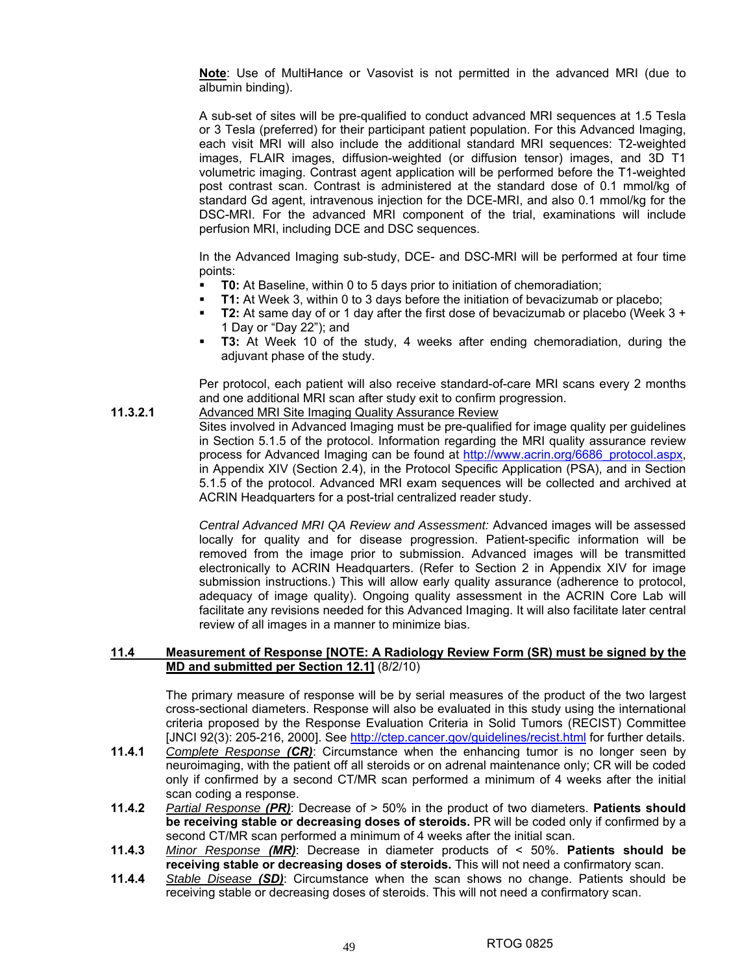**Note**: Use of MultiHance or Vasovist is not permitted in the advanced MRI (due to albumin binding).

A sub-set of sites will be pre-qualified to conduct advanced MRI sequences at 1.5 Tesla or 3 Tesla (preferred) for their participant patient population. For this Advanced Imaging, each visit MRI will also include the additional standard MRI sequences: T2-weighted images, FLAIR images, diffusion-weighted (or diffusion tensor) images, and 3D T1 volumetric imaging. Contrast agent application will be performed before the T1-weighted post contrast scan. Contrast is administered at the standard dose of 0.1 mmol/kg of standard Gd agent, intravenous injection for the DCE-MRI, and also 0.1 mmol/kg for the DSC-MRI. For the advanced MRI component of the trial, examinations will include perfusion MRI, including DCE and DSC sequences.

In the Advanced Imaging sub-study, DCE- and DSC-MRI will be performed at four time points:

- **T0:** At Baseline, within 0 to 5 days prior to initiation of chemoradiation;
- **T1:** At Week 3, within 0 to 3 days before the initiation of bevacizumab or placebo;
- **T2:** At same day of or 1 day after the first dose of bevacizumab or placebo (Week 3 + 1 Day or "Day 22"); and
- **T3:** At Week 10 of the study, 4 weeks after ending chemoradiation, during the adjuvant phase of the study.

Per protocol, each patient will also receive standard-of-care MRI scans every 2 months and one additional MRI scan after study exit to confirm progression.

**11.3.2.1** Advanced MRI Site Imaging Quality Assurance Review Sites involved in Advanced Imaging must be pre-qualified for image quality per guidelines in Section 5.1.5 of the protocol. Information regarding the MRI quality assurance review process for Advanced Imaging can be found at http://www.acrin.org/6686\_protocol.aspx, in Appendix XIV (Section 2.4), in the Protocol Specific Application (PSA), and in Section

5.1.5 of the protocol. Advanced MRI exam sequences will be collected and archived at ACRIN Headquarters for a post-trial centralized reader study.

*Central Advanced MRI QA Review and Assessment:* Advanced images will be assessed locally for quality and for disease progression. Patient-specific information will be removed from the image prior to submission. Advanced images will be transmitted electronically to ACRIN Headquarters. (Refer to Section 2 in Appendix XIV for image submission instructions.) This will allow early quality assurance (adherence to protocol, adequacy of image quality). Ongoing quality assessment in the ACRIN Core Lab will facilitate any revisions needed for this Advanced Imaging. It will also facilitate later central review of all images in a manner to minimize bias.

#### **11.4 Measurement of Response [NOTE: A Radiology Review Form (SR) must be signed by the MD and submitted per Section 12.1]** (8/2/10)

The primary measure of response will be by serial measures of the product of the two largest cross-sectional diameters. Response will also be evaluated in this study using the international criteria proposed by the Response Evaluation Criteria in Solid Tumors (RECIST) Committee [JNCI 92(3): 205-216, 2000]. See http://ctep.cancer.gov/guidelines/recist.html for further details.

- **11.4.1** *Complete Response (CR)*: Circumstance when the enhancing tumor is no longer seen by neuroimaging, with the patient off all steroids or on adrenal maintenance only; CR will be coded only if confirmed by a second CT/MR scan performed a minimum of 4 weeks after the initial scan coding a response.
- **11.4.2** *Partial Response (PR)*: Decrease of > 50% in the product of two diameters. **Patients should be receiving stable or decreasing doses of steroids.** PR will be coded only if confirmed by a second CT/MR scan performed a minimum of 4 weeks after the initial scan.
- **11.4.3** *Minor Response (MR)*: Decrease in diameter products of < 50%. **Patients should be receiving stable or decreasing doses of steroids.** This will not need a confirmatory scan.
- **11.4.4** *Stable Disease (SD)*: Circumstance when the scan shows no change. Patients should be receiving stable or decreasing doses of steroids. This will not need a confirmatory scan.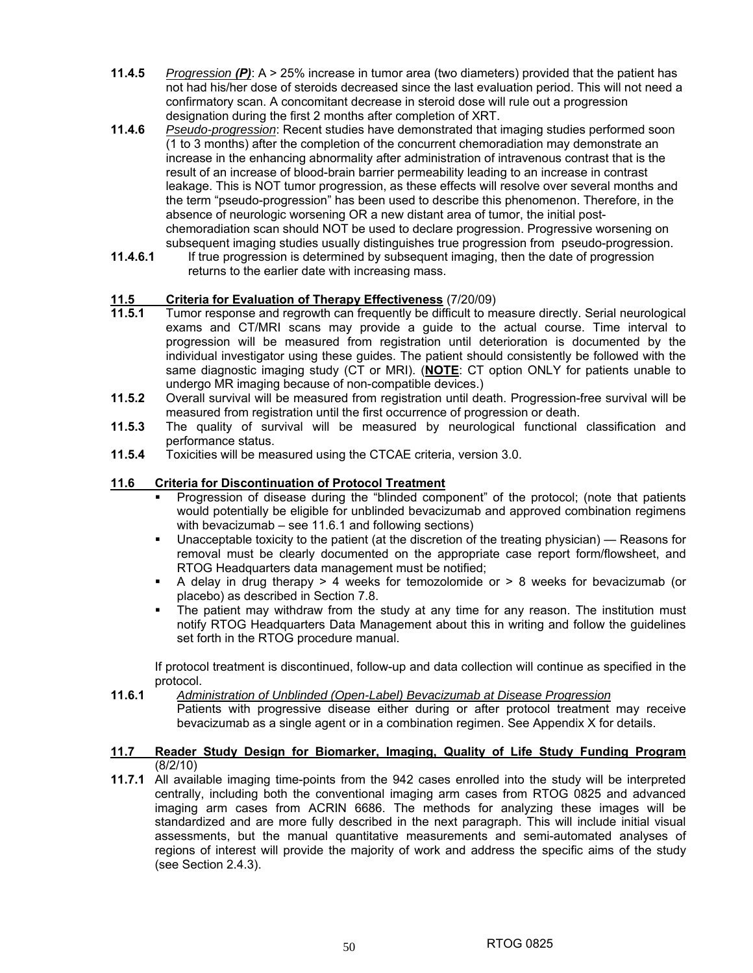- **11.4.5** *Progression (P)*: A > 25% increase in tumor area (two diameters) provided that the patient has not had his/her dose of steroids decreased since the last evaluation period. This will not need a confirmatory scan. A concomitant decrease in steroid dose will rule out a progression designation during the first 2 months after completion of XRT.
- **11.4.6** *Pseudo-progression*: Recent studies have demonstrated that imaging studies performed soon (1 to 3 months) after the completion of the concurrent chemoradiation may demonstrate an increase in the enhancing abnormality after administration of intravenous contrast that is the result of an increase of blood-brain barrier permeability leading to an increase in contrast leakage. This is NOT tumor progression, as these effects will resolve over several months and the term "pseudo-progression" has been used to describe this phenomenon. Therefore, in the absence of neurologic worsening OR a new distant area of tumor, the initial postchemoradiation scan should NOT be used to declare progression. Progressive worsening on subsequent imaging studies usually distinguishes true progression from pseudo-progression.
- **11.4.6.1** If true progression is determined by subsequent imaging, then the date of progression returns to the earlier date with increasing mass.

## **11.5 Criteria for Evaluation of Therapy Effectiveness** (7/20/09)

- Tumor response and regrowth can frequently be difficult to measure directly. Serial neurological exams and CT/MRI scans may provide a guide to the actual course. Time interval to progression will be measured from registration until deterioration is documented by the individual investigator using these guides. The patient should consistently be followed with the same diagnostic imaging study (CT or MRI). (**NOTE**: CT option ONLY for patients unable to undergo MR imaging because of non-compatible devices.)
- **11.5.2** Overall survival will be measured from registration until death. Progression-free survival will be measured from registration until the first occurrence of progression or death.
- **11.5.3** The quality of survival will be measured by neurological functional classification and performance status.
- **11.5.4** Toxicities will be measured using the CTCAE criteria, version 3.0.

## **11.6 Criteria for Discontinuation of Protocol Treatment**

- Progression of disease during the "blinded component" of the protocol; (note that patients would potentially be eligible for unblinded bevacizumab and approved combination regimens with bevacizumab – see 11.6.1 and following sections)
- Unacceptable toxicity to the patient (at the discretion of the treating physician) Reasons for removal must be clearly documented on the appropriate case report form/flowsheet, and RTOG Headquarters data management must be notified;
- A delay in drug therapy  $> 4$  weeks for temozolomide or  $> 8$  weeks for bevacizumab (or placebo) as described in Section 7.8.
- The patient may withdraw from the study at any time for any reason. The institution must notify RTOG Headquarters Data Management about this in writing and follow the guidelines set forth in the RTOG procedure manual.

 If protocol treatment is discontinued, follow-up and data collection will continue as specified in the protocol.

#### **11.6.1** *Administration of Unblinded (Open-Label) Bevacizumab at Disease Progression*

 Patients with progressive disease either during or after protocol treatment may receive bevacizumab as a single agent or in a combination regimen. See Appendix X for details.

#### **11.7 Reader Study Design for Biomarker, Imaging, Quality of Life Study Funding Program** (8/2/10)

**11.7.1** All available imaging time-points from the 942 cases enrolled into the study will be interpreted centrally, including both the conventional imaging arm cases from RTOG 0825 and advanced imaging arm cases from ACRIN 6686. The methods for analyzing these images will be standardized and are more fully described in the next paragraph. This will include initial visual assessments, but the manual quantitative measurements and semi-automated analyses of regions of interest will provide the majority of work and address the specific aims of the study (see Section 2.4.3).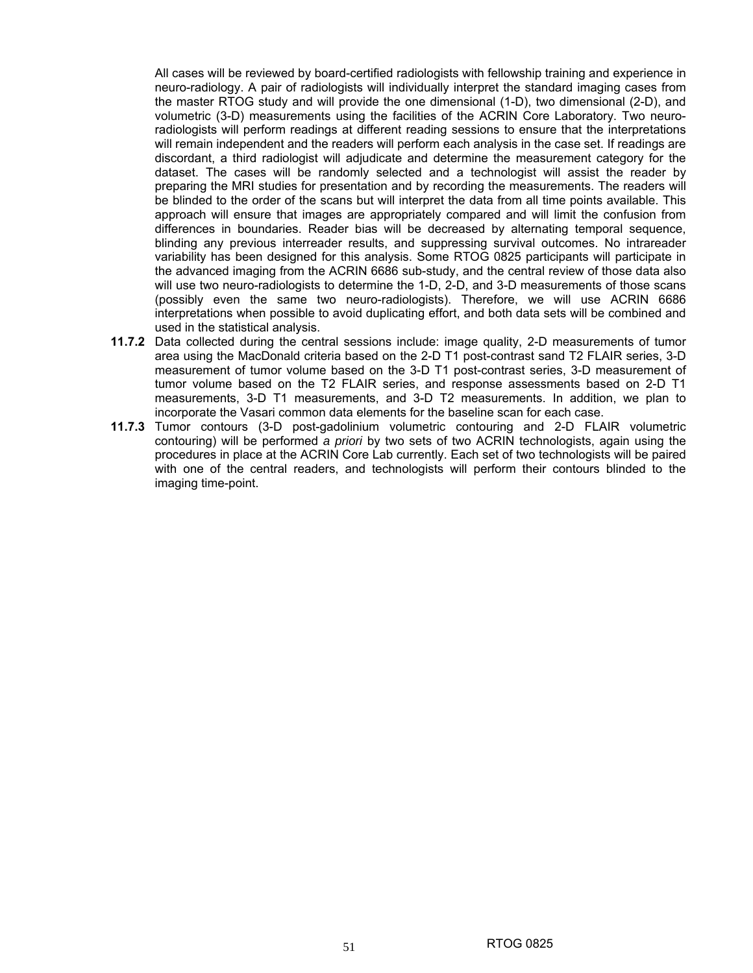All cases will be reviewed by board-certified radiologists with fellowship training and experience in neuro-radiology. A pair of radiologists will individually interpret the standard imaging cases from the master RTOG study and will provide the one dimensional (1-D), two dimensional (2-D), and volumetric (3-D) measurements using the facilities of the ACRIN Core Laboratory. Two neuroradiologists will perform readings at different reading sessions to ensure that the interpretations will remain independent and the readers will perform each analysis in the case set. If readings are discordant, a third radiologist will adjudicate and determine the measurement category for the dataset. The cases will be randomly selected and a technologist will assist the reader by preparing the MRI studies for presentation and by recording the measurements. The readers will be blinded to the order of the scans but will interpret the data from all time points available. This approach will ensure that images are appropriately compared and will limit the confusion from differences in boundaries. Reader bias will be decreased by alternating temporal sequence, blinding any previous interreader results, and suppressing survival outcomes. No intrareader variability has been designed for this analysis. Some RTOG 0825 participants will participate in the advanced imaging from the ACRIN 6686 sub-study, and the central review of those data also will use two neuro-radiologists to determine the 1-D, 2-D, and 3-D measurements of those scans (possibly even the same two neuro-radiologists). Therefore, we will use ACRIN 6686 interpretations when possible to avoid duplicating effort, and both data sets will be combined and used in the statistical analysis.

- **11.7.2** Data collected during the central sessions include: image quality, 2-D measurements of tumor area using the MacDonald criteria based on the 2-D T1 post-contrast sand T2 FLAIR series, 3-D measurement of tumor volume based on the 3-D T1 post-contrast series, 3-D measurement of tumor volume based on the T2 FLAIR series, and response assessments based on 2-D T1 measurements, 3-D T1 measurements, and 3-D T2 measurements. In addition, we plan to incorporate the Vasari common data elements for the baseline scan for each case.
- **11.7.3** Tumor contours (3-D post-gadolinium volumetric contouring and 2-D FLAIR volumetric contouring) will be performed *a priori* by two sets of two ACRIN technologists, again using the procedures in place at the ACRIN Core Lab currently. Each set of two technologists will be paired with one of the central readers, and technologists will perform their contours blinded to the imaging time-point.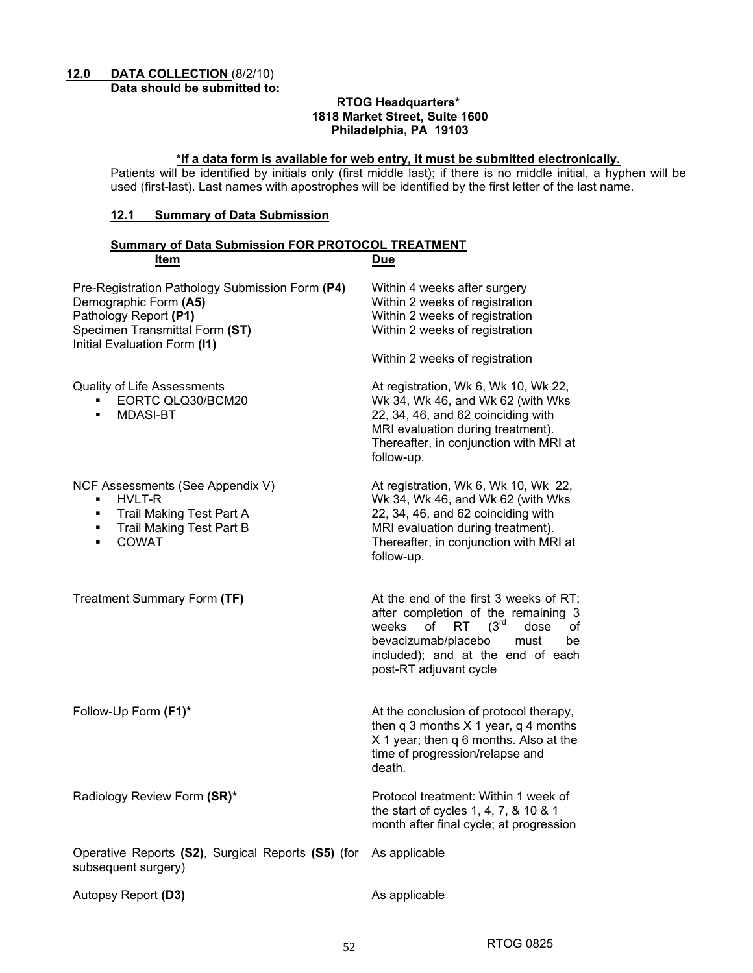## **12.0 DATA COLLECTION** (8/2/10)

**Data should be submitted to:** 

#### **RTOG Headquarters\* 1818 Market Street, Suite 1600 Philadelphia, PA 19103**

#### **\*If a data form is available for web entry, it must be submitted electronically.**

Patients will be identified by initials only (first middle last); if there is no middle initial, a hyphen will be used (first-last). Last names with apostrophes will be identified by the first letter of the last name.

## **12.1 Summary of Data Submission**

| <b>Summary of Data Submission FOR PROTOCOL TREATMENT</b>                                                                                                            |                                                                                                                                                                                                                                           |  |  |  |  |  |  |
|---------------------------------------------------------------------------------------------------------------------------------------------------------------------|-------------------------------------------------------------------------------------------------------------------------------------------------------------------------------------------------------------------------------------------|--|--|--|--|--|--|
| Item                                                                                                                                                                | <b>Due</b>                                                                                                                                                                                                                                |  |  |  |  |  |  |
| Pre-Registration Pathology Submission Form (P4)<br>Demographic Form (A5)<br>Pathology Report (P1)<br>Specimen Transmittal Form (ST)<br>Initial Evaluation Form (I1) | Within 4 weeks after surgery<br>Within 2 weeks of registration<br>Within 2 weeks of registration<br>Within 2 weeks of registration<br>Within 2 weeks of registration                                                                      |  |  |  |  |  |  |
| <b>Quality of Life Assessments</b><br>EORTC QLQ30/BCM20<br>٠<br><b>MDASI-BT</b><br>$\blacksquare$                                                                   | At registration, Wk 6, Wk 10, Wk 22,<br>Wk 34, Wk 46, and Wk 62 (with Wks<br>22, 34, 46, and 62 coinciding with<br>MRI evaluation during treatment).<br>Thereafter, in conjunction with MRI at<br>follow-up.                              |  |  |  |  |  |  |
| NCF Assessments (See Appendix V)<br>HVLT-R<br>٠<br><b>Trail Making Test Part A</b><br>٠<br>Trail Making Test Part B<br>٠<br><b>COWAT</b><br>٠                       | At registration, Wk 6, Wk 10, Wk 22,<br>Wk 34, Wk 46, and Wk 62 (with Wks<br>22, 34, 46, and 62 coinciding with<br>MRI evaluation during treatment).<br>Thereafter, in conjunction with MRI at<br>follow-up.                              |  |  |  |  |  |  |
| Treatment Summary Form (TF)                                                                                                                                         | At the end of the first 3 weeks of RT;<br>after completion of the remaining 3<br>(3 <sup>rd</sup><br>weeks<br>of<br>RT.<br>of<br>dose<br>bevacizumab/placebo<br>must<br>be<br>included); and at the end of each<br>post-RT adjuvant cycle |  |  |  |  |  |  |
| Follow-Up Form (F1)*                                                                                                                                                | At the conclusion of protocol therapy,<br>then $q$ 3 months $X$ 1 year, $q$ 4 months<br>X 1 year; then q 6 months. Also at the<br>time of progression/relapse and<br>death.                                                               |  |  |  |  |  |  |
| Radiology Review Form (SR)*                                                                                                                                         | Protocol treatment: Within 1 week of<br>the start of cycles 1, 4, 7, & 10 & 1<br>month after final cycle; at progression                                                                                                                  |  |  |  |  |  |  |
| Operative Reports (S2), Surgical Reports (S5) (for<br>subsequent surgery)                                                                                           | As applicable                                                                                                                                                                                                                             |  |  |  |  |  |  |
| Autopsy Report (D3)                                                                                                                                                 | As applicable                                                                                                                                                                                                                             |  |  |  |  |  |  |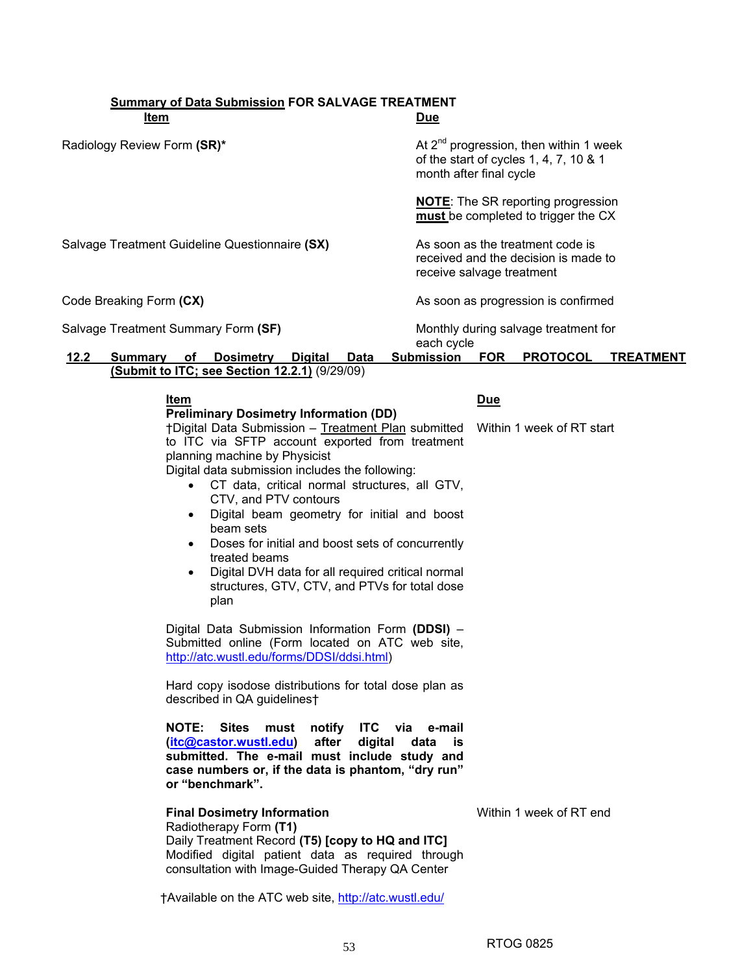#### **Summary of Data Submission FOR SALVAGE TREATMENT Item Due Due**

| Radiology Review Form (SR)*         |                                                                                                                                                                                                                                                                                                            |                                                                                                                                                                                                                                                        | month after final cycle   |            | At $2^{nd}$ progression, then within 1 week<br>of the start of cycles 1, 4, 7, 10 & 1 |                  |
|-------------------------------------|------------------------------------------------------------------------------------------------------------------------------------------------------------------------------------------------------------------------------------------------------------------------------------------------------------|--------------------------------------------------------------------------------------------------------------------------------------------------------------------------------------------------------------------------------------------------------|---------------------------|------------|---------------------------------------------------------------------------------------|------------------|
|                                     |                                                                                                                                                                                                                                                                                                            |                                                                                                                                                                                                                                                        |                           |            | <b>NOTE:</b> The SR reporting progression<br>must be completed to trigger the CX      |                  |
|                                     | Salvage Treatment Guideline Questionnaire (SX)                                                                                                                                                                                                                                                             |                                                                                                                                                                                                                                                        | receive salvage treatment |            | As soon as the treatment code is<br>received and the decision is made to              |                  |
| Code Breaking Form (CX)             |                                                                                                                                                                                                                                                                                                            |                                                                                                                                                                                                                                                        |                           |            | As soon as progression is confirmed                                                   |                  |
| Salvage Treatment Summary Form (SF) |                                                                                                                                                                                                                                                                                                            |                                                                                                                                                                                                                                                        | each cycle                |            | Monthly during salvage treatment for                                                  |                  |
| 12.2<br>Summary                     | оf<br><b>Dosimetry</b><br>(Submit to ITC; see Section 12.2.1) (9/29/09)                                                                                                                                                                                                                                    | <b>Digital</b><br>Data                                                                                                                                                                                                                                 | <b>Submission</b>         | <b>FOR</b> | <b>PROTOCOL</b>                                                                       | <b>TREATMENT</b> |
|                                     | Item                                                                                                                                                                                                                                                                                                       |                                                                                                                                                                                                                                                        |                           | <u>Due</u> |                                                                                       |                  |
|                                     | <b>Preliminary Dosimetry Information (DD)</b><br>†Digital Data Submission - Treatment Plan submitted<br>to ITC via SFTP account exported from treatment<br>planning machine by Physicist<br>Digital data submission includes the following:<br>CTV, and PTV contours<br>beam sets<br>treated beams<br>plan | CT data, critical normal structures, all GTV,<br>Digital beam geometry for initial and boost<br>Doses for initial and boost sets of concurrently<br>Digital DVH data for all required critical normal<br>structures, GTV, CTV, and PTVs for total dose |                           |            | Within 1 week of RT start                                                             |                  |
|                                     | Digital Data Submission Information Form (DDSI) -<br>Submitted online (Form located on ATC web site,<br>http://atc.wustl.edu/forms/DDSI/ddsi.html)                                                                                                                                                         |                                                                                                                                                                                                                                                        |                           |            |                                                                                       |                  |
|                                     | Hard copy isodose distributions for total dose plan as<br>described in QA guidelines†                                                                                                                                                                                                                      |                                                                                                                                                                                                                                                        |                           |            |                                                                                       |                  |
|                                     | <b>NOTE:</b><br>(itc@castor.wustl.edu)<br>submitted. The e-mail must include study and<br>case numbers or, if the data is phantom, "dry run"<br>or "benchmark".                                                                                                                                            | Sites must notify ITC via e-mail<br>after<br>digital                                                                                                                                                                                                   | data<br>is                |            |                                                                                       |                  |
|                                     | <b>Final Dosimetry Information</b><br>Radiotherapy Form (T1)<br>Daily Treatment Record (T5) [copy to HQ and ITC]<br>Modified digital patient data as required through<br>consultation with Image-Guided Therapy QA Center                                                                                  |                                                                                                                                                                                                                                                        |                           |            | Within 1 week of RT end                                                               |                  |
|                                     | †Available on the ATC web site, http://atc.wustl.edu/                                                                                                                                                                                                                                                      |                                                                                                                                                                                                                                                        |                           |            |                                                                                       |                  |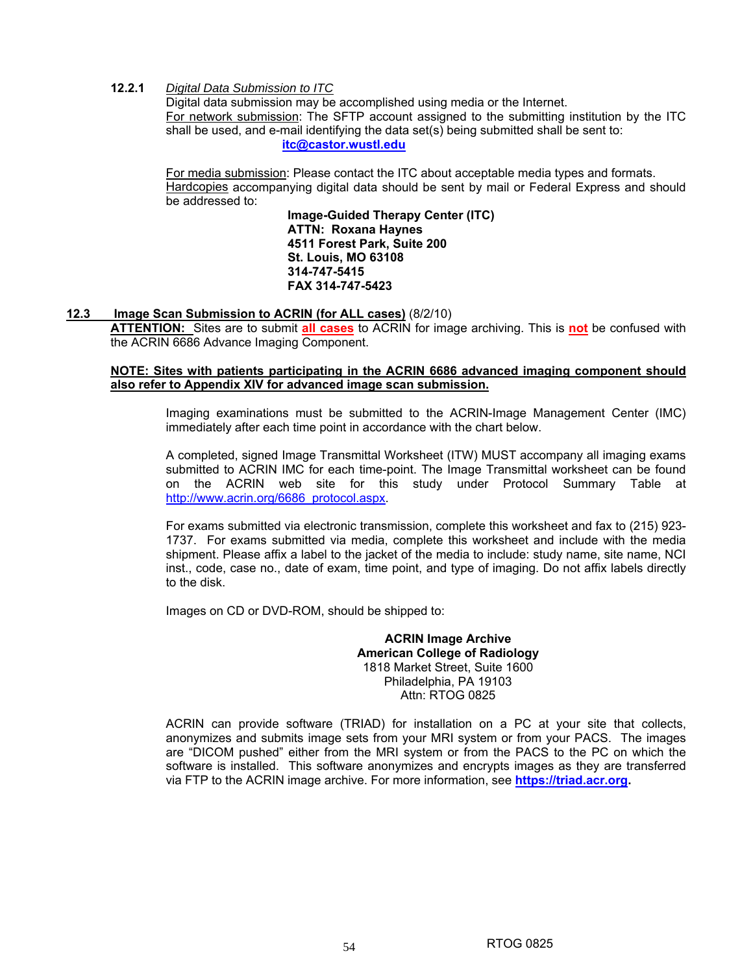## **12.2.1** *Digital Data Submission to ITC*

Digital data submission may be accomplished using media or the Internet. For network submission: The SFTP account assigned to the submitting institution by the ITC shall be used, and e-mail identifying the data set(s) being submitted shall be sent to: **itc@castor.wustl.edu**

For media submission: Please contact the ITC about acceptable media types and formats. Hardcopies accompanying digital data should be sent by mail or Federal Express and should be addressed to:

**Image-Guided Therapy Center (ITC) ATTN: Roxana Haynes 4511 Forest Park, Suite 200 St. Louis, MO 63108 314-747-5415 FAX 314-747-5423** 

## **12.3 Image Scan Submission to ACRIN (for ALL cases)** (8/2/10)

**ATTENTION:** Sites are to submit **all cases** to ACRIN for image archiving. This is **not** be confused with the ACRIN 6686 Advance Imaging Component.

## **NOTE: Sites with patients participating in the ACRIN 6686 advanced imaging component should also refer to Appendix XIV for advanced image scan submission.**

Imaging examinations must be submitted to the ACRIN-Image Management Center (IMC) immediately after each time point in accordance with the chart below.

A completed, signed Image Transmittal Worksheet (ITW) MUST accompany all imaging exams submitted to ACRIN IMC for each time-point. The Image Transmittal worksheet can be found on the ACRIN web site for this study under Protocol Summary Table at http://www.acrin.org/6686\_protocol.aspx.

For exams submitted via electronic transmission, complete this worksheet and fax to (215) 923- 1737. For exams submitted via media, complete this worksheet and include with the media shipment. Please affix a label to the jacket of the media to include: study name, site name, NCI inst., code, case no., date of exam, time point, and type of imaging. Do not affix labels directly to the disk.

Images on CD or DVD-ROM, should be shipped to:

**ACRIN Image Archive American College of Radiology**  1818 Market Street, Suite 1600 Philadelphia, PA 19103 Attn: RTOG 0825

ACRIN can provide software (TRIAD) for installation on a PC at your site that collects, anonymizes and submits image sets from your MRI system or from your PACS. The images are "DICOM pushed" either from the MRI system or from the PACS to the PC on which the software is installed. This software anonymizes and encrypts images as they are transferred via FTP to the ACRIN image archive. For more information, see **https://triad.acr.org.**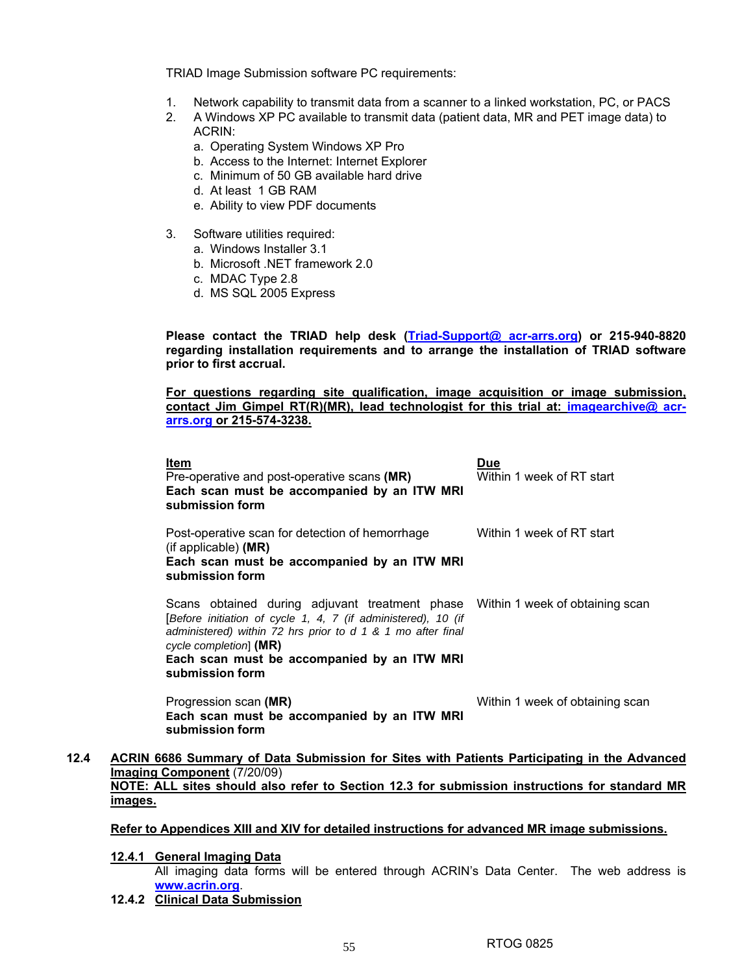TRIAD Image Submission software PC requirements:

- 1. Network capability to transmit data from a scanner to a linked workstation, PC, or PACS
- 2. A Windows XP PC available to transmit data (patient data, MR and PET image data) to ACRIN:
	- a. Operating System Windows XP Pro
	- b. Access to the Internet: Internet Explorer
	- c. Minimum of 50 GB available hard drive
	- d. At least 1 GB RAM
	- e. Ability to view PDF documents
- 3. Software utilities required:
	- a. Windows Installer 3.1
	- b. Microsoft .NET framework 2.0
	- c. MDAC Type 2.8
	- d. MS SQL 2005 Express

**Please contact the TRIAD help desk (Triad-Support@ acr-arrs.org) or 215-940-8820 regarding installation requirements and to arrange the installation of TRIAD software prior to first accrual.** 

**For questions regarding site qualification, image acquisition or image submission,**  contact Jim Gimpel RT(R)(MR), lead technologist for this trial at: *imagearchive@ acr***arrs.org or 215-574-3238.**

|                 | Item<br>Pre-operative and post-operative scans (MR)<br>Each scan must be accompanied by an ITW MRI<br>submission form                                                                                                                                                                                        | <b>Due</b><br>Within 1 week of RT start |
|-----------------|--------------------------------------------------------------------------------------------------------------------------------------------------------------------------------------------------------------------------------------------------------------------------------------------------------------|-----------------------------------------|
|                 | Post-operative scan for detection of hemorrhage<br>(if applicable) (MR)<br>Each scan must be accompanied by an ITW MRI<br>submission form                                                                                                                                                                    | Within 1 week of RT start               |
|                 | Scans obtained during adjuvant treatment phase Within 1 week of obtaining scan<br>[Before initiation of cycle 1, 4, 7 (if administered), 10 (if<br>administered) within 72 hrs prior to $d$ 1 & 1 mo after final<br>cycle completion] (MR)<br>Each scan must be accompanied by an ITW MRI<br>submission form |                                         |
|                 | Progression scan (MR)<br>Each scan must be accompanied by an ITW MRI<br>submission form                                                                                                                                                                                                                      | Within 1 week of obtaining scan         |
| 12.4<br>images. | ACRIN 6686 Summary of Data Submission for Sites with Patients Participating in the Advanced<br>Imaging Component (7/20/09)<br>NOTE: ALL sites should also refer to Section 12.3 for submission instructions for standard MR                                                                                  |                                         |

#### **Refer to Appendices XIII and XIV for detailed instructions for advanced MR image submissions.**

**12.4.1 General Imaging Data** All imaging data forms will be entered through ACRIN's Data Center. The web address is **www.acrin.org**.

**12.4.2 Clinical Data Submission**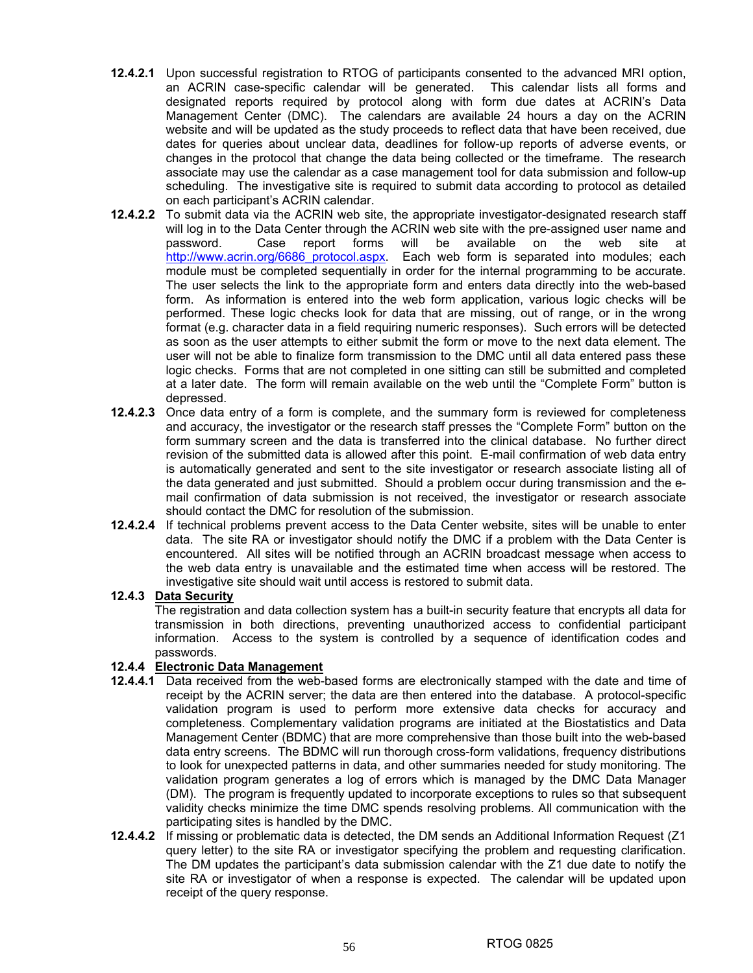- **12.4.2.1** Upon successful registration to RTOG of participants consented to the advanced MRI option, an ACRIN case-specific calendar will be generated. This calendar lists all forms and designated reports required by protocol along with form due dates at ACRIN's Data Management Center (DMC). The calendars are available 24 hours a day on the ACRIN website and will be updated as the study proceeds to reflect data that have been received, due dates for queries about unclear data, deadlines for follow-up reports of adverse events, or changes in the protocol that change the data being collected or the timeframe. The research associate may use the calendar as a case management tool for data submission and follow-up scheduling. The investigative site is required to submit data according to protocol as detailed on each participant's ACRIN calendar.
- **12.4.2.2** To submit data via the ACRIN web site, the appropriate investigator-designated research staff will log in to the Data Center through the ACRIN web site with the pre-assigned user name and password. Case report forms will be available on the web site at http://www.acrin.org/6686 protocol.aspx. Each web form is separated into modules; each module must be completed sequentially in order for the internal programming to be accurate. The user selects the link to the appropriate form and enters data directly into the web-based form. As information is entered into the web form application, various logic checks will be performed. These logic checks look for data that are missing, out of range, or in the wrong format (e.g. character data in a field requiring numeric responses). Such errors will be detected as soon as the user attempts to either submit the form or move to the next data element. The user will not be able to finalize form transmission to the DMC until all data entered pass these logic checks. Forms that are not completed in one sitting can still be submitted and completed at a later date. The form will remain available on the web until the "Complete Form" button is depressed.
- **12.4.2.3** Once data entry of a form is complete, and the summary form is reviewed for completeness and accuracy, the investigator or the research staff presses the "Complete Form" button on the form summary screen and the data is transferred into the clinical database. No further direct revision of the submitted data is allowed after this point. E-mail confirmation of web data entry is automatically generated and sent to the site investigator or research associate listing all of the data generated and just submitted. Should a problem occur during transmission and the email confirmation of data submission is not received, the investigator or research associate should contact the DMC for resolution of the submission.
- **12.4.2.4** If technical problems prevent access to the Data Center website, sites will be unable to enter data. The site RA or investigator should notify the DMC if a problem with the Data Center is encountered. All sites will be notified through an ACRIN broadcast message when access to the web data entry is unavailable and the estimated time when access will be restored. The investigative site should wait until access is restored to submit data.

#### **12.4.3 Data Security**

The registration and data collection system has a built-in security feature that encrypts all data for transmission in both directions, preventing unauthorized access to confidential participant information. Access to the system is controlled by a sequence of identification codes and passwords.

## **12.4.4 Electronic Data Management**

- **12.4.4.1** Data received from the web-based forms are electronically stamped with the date and time of receipt by the ACRIN server; the data are then entered into the database. A protocol-specific validation program is used to perform more extensive data checks for accuracy and completeness. Complementary validation programs are initiated at the Biostatistics and Data Management Center (BDMC) that are more comprehensive than those built into the web-based data entry screens. The BDMC will run thorough cross-form validations, frequency distributions to look for unexpected patterns in data, and other summaries needed for study monitoring. The validation program generates a log of errors which is managed by the DMC Data Manager (DM). The program is frequently updated to incorporate exceptions to rules so that subsequent validity checks minimize the time DMC spends resolving problems. All communication with the participating sites is handled by the DMC.
- **12.4.4.2** If missing or problematic data is detected, the DM sends an Additional Information Request (Z1 query letter) to the site RA or investigator specifying the problem and requesting clarification. The DM updates the participant's data submission calendar with the Z1 due date to notify the site RA or investigator of when a response is expected. The calendar will be updated upon receipt of the query response.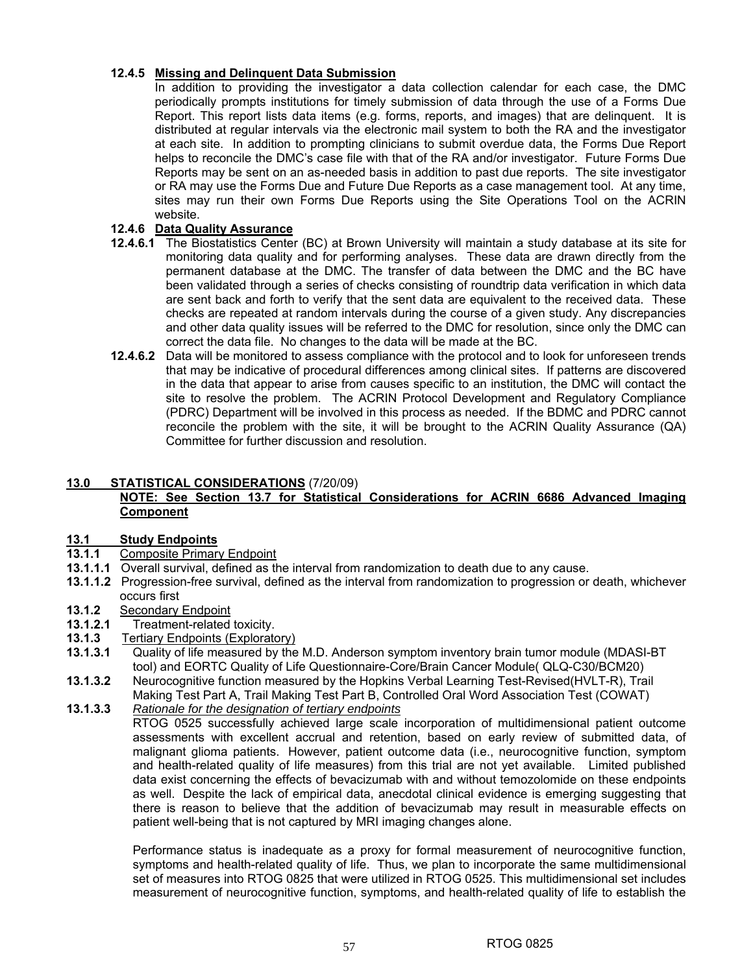## **12.4.5 Missing and Delinquent Data Submission**

In addition to providing the investigator a data collection calendar for each case, the DMC periodically prompts institutions for timely submission of data through the use of a Forms Due Report. This report lists data items (e.g. forms, reports, and images) that are delinquent. It is distributed at regular intervals via the electronic mail system to both the RA and the investigator at each site. In addition to prompting clinicians to submit overdue data, the Forms Due Report helps to reconcile the DMC's case file with that of the RA and/or investigator. Future Forms Due Reports may be sent on an as-needed basis in addition to past due reports. The site investigator or RA may use the Forms Due and Future Due Reports as a case management tool. At any time, sites may run their own Forms Due Reports using the Site Operations Tool on the ACRIN website.

## **12.4.6 Data Quality Assurance**

- **12.4.6.1** The Biostatistics Center (BC) at Brown University will maintain a study database at its site for monitoring data quality and for performing analyses. These data are drawn directly from the permanent database at the DMC. The transfer of data between the DMC and the BC have been validated through a series of checks consisting of roundtrip data verification in which data are sent back and forth to verify that the sent data are equivalent to the received data. These checks are repeated at random intervals during the course of a given study. Any discrepancies and other data quality issues will be referred to the DMC for resolution, since only the DMC can correct the data file. No changes to the data will be made at the BC.
- **12.4.6.2** Data will be monitored to assess compliance with the protocol and to look for unforeseen trends that may be indicative of procedural differences among clinical sites. If patterns are discovered in the data that appear to arise from causes specific to an institution, the DMC will contact the site to resolve the problem. The ACRIN Protocol Development and Regulatory Compliance (PDRC) Department will be involved in this process as needed. If the BDMC and PDRC cannot reconcile the problem with the site, it will be brought to the ACRIN Quality Assurance (QA) Committee for further discussion and resolution.

## **13.0 STATISTICAL CONSIDERATIONS** (7/20/09)

## **NOTE: See Section 13.7 for Statistical Considerations for ACRIN 6686 Advanced Imaging Component**

#### **13.1 Study Endpoints**

- **13.1.1** Composite Primary Endpoint
- **13.1.1.1** Overall survival, defined as the interval from randomization to death due to any cause.
- **13.1.1.2** Progression-free survival, defined as the interval from randomization to progression or death, whichever occurs first
- **13.1.2** Secondary Endpoint
- **13.1.2.1** Treatment-related toxicity.
- **13.1.3** Tertiary Endpoints (Exploratory)
- **13.1.3.1** Quality of life measured by the M.D. Anderson symptom inventory brain tumor module (MDASI-BT tool) and EORTC Quality of Life Questionnaire-Core/Brain Cancer Module( QLQ-C30/BCM20)
- **13.1.3.2** Neurocognitive function measured by the Hopkins Verbal Learning Test-Revised(HVLT-R), Trail Making Test Part A, Trail Making Test Part B, Controlled Oral Word Association Test (COWAT)
- **13.1.3.3** *Rationale for the designation of tertiary endpoints*

RTOG 0525 successfully achieved large scale incorporation of multidimensional patient outcome assessments with excellent accrual and retention, based on early review of submitted data, of malignant glioma patients. However, patient outcome data (i.e., neurocognitive function, symptom and health-related quality of life measures) from this trial are not yet available. Limited published data exist concerning the effects of bevacizumab with and without temozolomide on these endpoints as well. Despite the lack of empirical data, anecdotal clinical evidence is emerging suggesting that there is reason to believe that the addition of bevacizumab may result in measurable effects on patient well-being that is not captured by MRI imaging changes alone.

 Performance status is inadequate as a proxy for formal measurement of neurocognitive function, symptoms and health-related quality of life. Thus, we plan to incorporate the same multidimensional set of measures into RTOG 0825 that were utilized in RTOG 0525. This multidimensional set includes measurement of neurocognitive function, symptoms, and health-related quality of life to establish the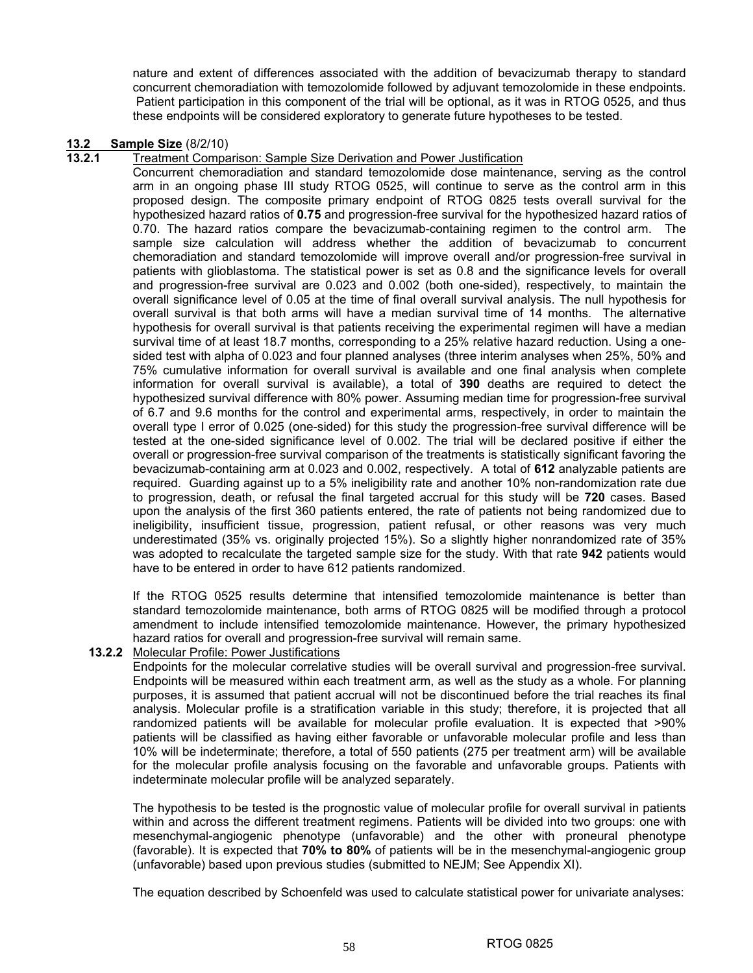nature and extent of differences associated with the addition of bevacizumab therapy to standard concurrent chemoradiation with temozolomide followed by adjuvant temozolomide in these endpoints. Patient participation in this component of the trial will be optional, as it was in RTOG 0525, and thus these endpoints will be considered exploratory to generate future hypotheses to be tested.

## **13.2 Sample Size** (8/2/10)<br>**13.2.1** Treatment Compa

#### **13.2.1** Treatment Comparison: Sample Size Derivation and Power Justification

Concurrent chemoradiation and standard temozolomide dose maintenance, serving as the control arm in an ongoing phase III study RTOG 0525, will continue to serve as the control arm in this proposed design. The composite primary endpoint of RTOG 0825 tests overall survival for the hypothesized hazard ratios of **0.75** and progression-free survival for the hypothesized hazard ratios of 0.70. The hazard ratios compare the bevacizumab-containing regimen to the control arm. The sample size calculation will address whether the addition of bevacizumab to concurrent chemoradiation and standard temozolomide will improve overall and/or progression-free survival in patients with glioblastoma. The statistical power is set as 0.8 and the significance levels for overall and progression-free survival are 0.023 and 0.002 (both one-sided), respectively, to maintain the overall significance level of 0.05 at the time of final overall survival analysis. The null hypothesis for overall survival is that both arms will have a median survival time of 14 months. The alternative hypothesis for overall survival is that patients receiving the experimental regimen will have a median survival time of at least 18.7 months, corresponding to a 25% relative hazard reduction. Using a onesided test with alpha of 0.023 and four planned analyses (three interim analyses when 25%, 50% and 75% cumulative information for overall survival is available and one final analysis when complete information for overall survival is available), a total of **390** deaths are required to detect the hypothesized survival difference with 80% power. Assuming median time for progression-free survival of 6.7 and 9.6 months for the control and experimental arms, respectively, in order to maintain the overall type I error of 0.025 (one-sided) for this study the progression-free survival difference will be tested at the one-sided significance level of 0.002. The trial will be declared positive if either the overall or progression-free survival comparison of the treatments is statistically significant favoring the bevacizumab-containing arm at 0.023 and 0.002, respectively. A total of **612** analyzable patients are required. Guarding against up to a 5% ineligibility rate and another 10% non-randomization rate due to progression, death, or refusal the final targeted accrual for this study will be **720** cases. Based upon the analysis of the first 360 patients entered, the rate of patients not being randomized due to ineligibility, insufficient tissue, progression, patient refusal, or other reasons was very much underestimated (35% vs. originally projected 15%). So a slightly higher nonrandomized rate of 35% was adopted to recalculate the targeted sample size for the study. With that rate **942** patients would have to be entered in order to have 612 patients randomized.

If the RTOG 0525 results determine that intensified temozolomide maintenance is better than standard temozolomide maintenance, both arms of RTOG 0825 will be modified through a protocol amendment to include intensified temozolomide maintenance. However, the primary hypothesized hazard ratios for overall and progression-free survival will remain same.

**13.2.2** Molecular Profile: Power Justifications

Endpoints for the molecular correlative studies will be overall survival and progression-free survival. Endpoints will be measured within each treatment arm, as well as the study as a whole. For planning purposes, it is assumed that patient accrual will not be discontinued before the trial reaches its final analysis. Molecular profile is a stratification variable in this study; therefore, it is projected that all randomized patients will be available for molecular profile evaluation. It is expected that >90% patients will be classified as having either favorable or unfavorable molecular profile and less than 10% will be indeterminate; therefore, a total of 550 patients (275 per treatment arm) will be available for the molecular profile analysis focusing on the favorable and unfavorable groups. Patients with indeterminate molecular profile will be analyzed separately.

The hypothesis to be tested is the prognostic value of molecular profile for overall survival in patients within and across the different treatment regimens. Patients will be divided into two groups: one with mesenchymal-angiogenic phenotype (unfavorable) and the other with proneural phenotype (favorable). It is expected that **70% to 80%** of patients will be in the mesenchymal-angiogenic group (unfavorable) based upon previous studies (submitted to NEJM; See Appendix XI).

The equation described by Schoenfeld was used to calculate statistical power for univariate analyses: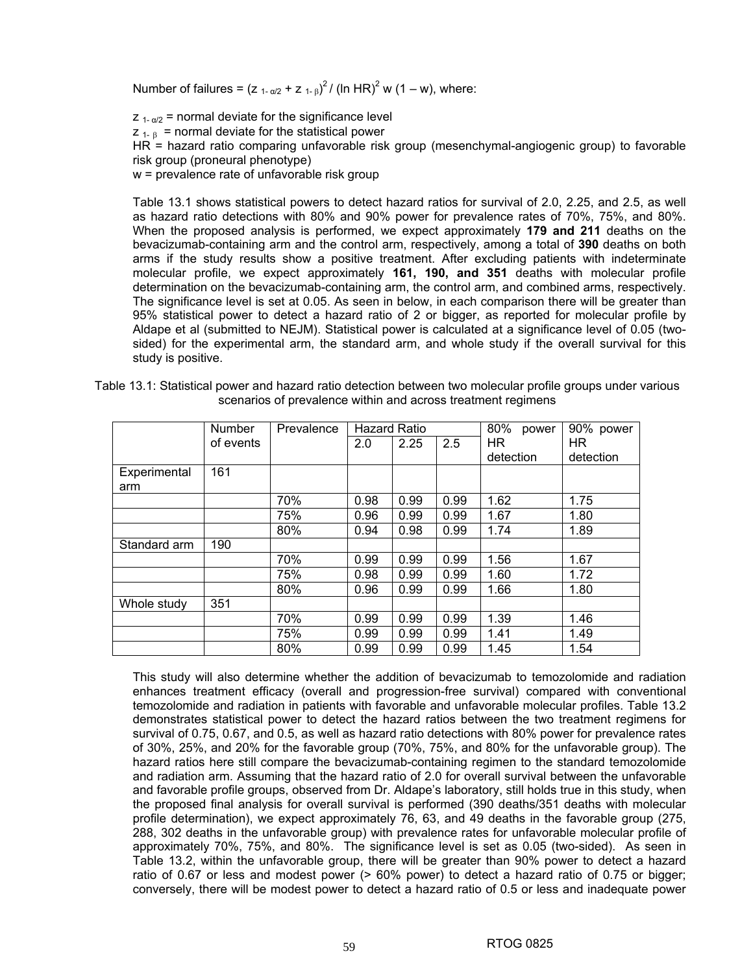Number of failures =  $(z_{1-\alpha/2} + z_{1-\beta})^2 / (ln HR)^2$  w (1 – w), where:

 $Z_{1-\alpha/2}$  = normal deviate for the significance level  $Z_{1-R}$  = normal deviate for the statistical power  $HR =$  hazard ratio comparing unfavorable risk group (mesenchymal-angiogenic group) to favorable risk group (proneural phenotype) w = prevalence rate of unfavorable risk group

Table 13.1 shows statistical powers to detect hazard ratios for survival of 2.0, 2.25, and 2.5, as well as hazard ratio detections with 80% and 90% power for prevalence rates of 70%, 75%, and 80%. When the proposed analysis is performed, we expect approximately **179 and 211** deaths on the bevacizumab-containing arm and the control arm, respectively, among a total of **390** deaths on both arms if the study results show a positive treatment. After excluding patients with indeterminate molecular profile, we expect approximately **161, 190, and 351** deaths with molecular profile determination on the bevacizumab-containing arm, the control arm, and combined arms, respectively. The significance level is set at 0.05. As seen in below, in each comparison there will be greater than 95% statistical power to detect a hazard ratio of 2 or bigger, as reported for molecular profile by Aldape et al (submitted to NEJM). Statistical power is calculated at a significance level of 0.05 (twosided) for the experimental arm, the standard arm, and whole study if the overall survival for this study is positive.

|  |        | Table 13.1: Statistical power and hazard ratio detection between two molecular profile groups under various<br>scenarios of prevalence within and across treatment regimens |                     |  |  |
|--|--------|-----------------------------------------------------------------------------------------------------------------------------------------------------------------------------|---------------------|--|--|
|  | Number | Prevalence   Hazard Ratio                                                                                                                                                   | 80% power 90% power |  |  |

|              | <b>Number</b> | Prevalence | <b>Hazard Ratio</b> |      | 80%<br>power | 90% power |           |
|--------------|---------------|------------|---------------------|------|--------------|-----------|-----------|
|              | of events     |            | 2.0                 | 2.25 | 2.5          | HR.       | HR.       |
|              |               |            |                     |      |              | detection | detection |
| Experimental | 161           |            |                     |      |              |           |           |
| arm          |               |            |                     |      |              |           |           |
|              |               | 70%        | 0.98                | 0.99 | 0.99         | 1.62      | 1.75      |
|              |               | 75%        | 0.96                | 0.99 | 0.99         | 1.67      | 1.80      |
|              |               | 80%        | 0.94                | 0.98 | 0.99         | 1.74      | 1.89      |
| Standard arm | 190           |            |                     |      |              |           |           |
|              |               | 70%        | 0.99                | 0.99 | 0.99         | 1.56      | 1.67      |
|              |               | 75%        | 0.98                | 0.99 | 0.99         | 1.60      | 1.72      |
|              |               | 80%        | 0.96                | 0.99 | 0.99         | 1.66      | 1.80      |
| Whole study  | 351           |            |                     |      |              |           |           |
|              |               | 70%        | 0.99                | 0.99 | 0.99         | 1.39      | 1.46      |
|              |               | 75%        | 0.99                | 0.99 | 0.99         | 1.41      | 1.49      |
|              |               | 80%        | 0.99                | 0.99 | 0.99         | 1.45      | 1.54      |

This study will also determine whether the addition of bevacizumab to temozolomide and radiation enhances treatment efficacy (overall and progression-free survival) compared with conventional temozolomide and radiation in patients with favorable and unfavorable molecular profiles. Table 13.2 demonstrates statistical power to detect the hazard ratios between the two treatment regimens for survival of 0.75, 0.67, and 0.5, as well as hazard ratio detections with 80% power for prevalence rates of 30%, 25%, and 20% for the favorable group (70%, 75%, and 80% for the unfavorable group). The hazard ratios here still compare the bevacizumab-containing regimen to the standard temozolomide and radiation arm. Assuming that the hazard ratio of 2.0 for overall survival between the unfavorable and favorable profile groups, observed from Dr. Aldape's laboratory, still holds true in this study, when the proposed final analysis for overall survival is performed (390 deaths/351 deaths with molecular profile determination), we expect approximately 76, 63, and 49 deaths in the favorable group (275, 288, 302 deaths in the unfavorable group) with prevalence rates for unfavorable molecular profile of approximately 70%, 75%, and 80%. The significance level is set as 0.05 (two-sided). As seen in Table 13.2, within the unfavorable group, there will be greater than 90% power to detect a hazard ratio of 0.67 or less and modest power (> 60% power) to detect a hazard ratio of 0.75 or bigger; conversely, there will be modest power to detect a hazard ratio of 0.5 or less and inadequate power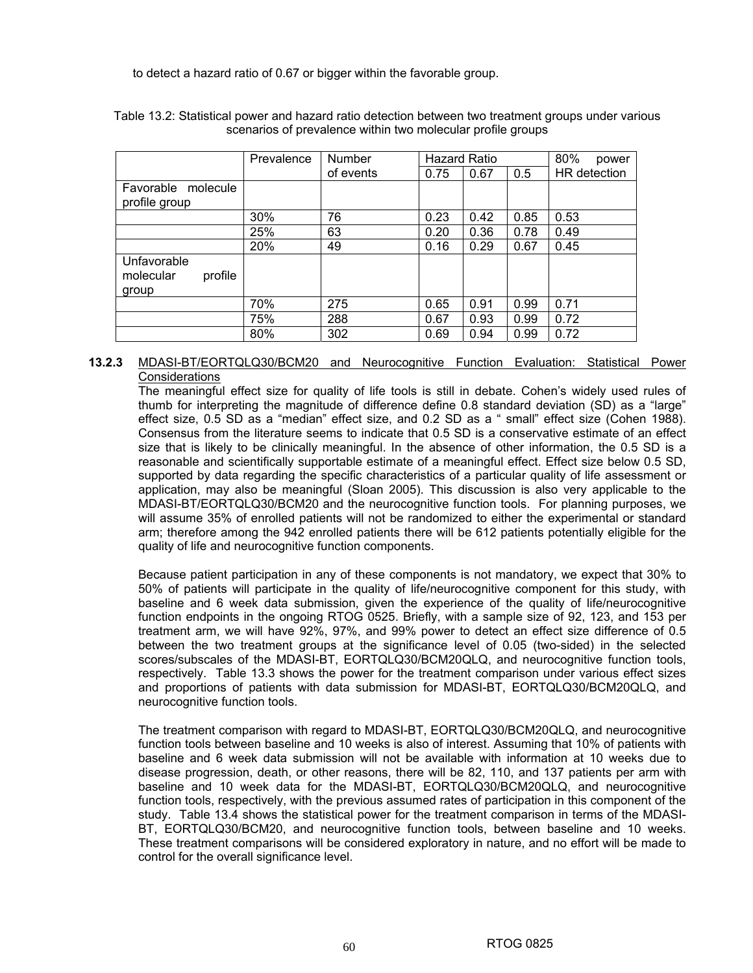to detect a hazard ratio of 0.67 or bigger within the favorable group.

|                                              | Prevalence | Number    | <b>Hazard Ratio</b> |      | 80%<br>power |              |
|----------------------------------------------|------------|-----------|---------------------|------|--------------|--------------|
|                                              |            | of events | 0.75                | 0.67 | 0.5          | HR detection |
| Favorable<br>molecule                        |            |           |                     |      |              |              |
| profile group                                |            |           |                     |      |              |              |
|                                              | 30%        | 76        | 0.23                | 0.42 | 0.85         | 0.53         |
|                                              | 25%        | 63        | 0.20                | 0.36 | 0.78         | 0.49         |
|                                              | 20%        | 49        | 0.16                | 0.29 | 0.67         | 0.45         |
| Unfavorable<br>profile<br>molecular<br>group |            |           |                     |      |              |              |
|                                              | 70%        | 275       | 0.65                | 0.91 | 0.99         | 0.71         |
|                                              | 75%        | 288       | 0.67                | 0.93 | 0.99         | 0.72         |
|                                              | 80%        | 302       | 0.69                | 0.94 | 0.99         | 0.72         |

Table 13.2: Statistical power and hazard ratio detection between two treatment groups under various scenarios of prevalence within two molecular profile groups

### **13.2.3** MDASI-BT/EORTQLQ30/BCM20 and Neurocognitive Function Evaluation: Statistical Power **Considerations**

The meaningful effect size for quality of life tools is still in debate. Cohen's widely used rules of thumb for interpreting the magnitude of difference define 0.8 standard deviation (SD) as a "large" effect size, 0.5 SD as a "median" effect size, and 0.2 SD as a " small" effect size (Cohen 1988). Consensus from the literature seems to indicate that 0.5 SD is a conservative estimate of an effect size that is likely to be clinically meaningful. In the absence of other information, the 0.5 SD is a reasonable and scientifically supportable estimate of a meaningful effect. Effect size below 0.5 SD, supported by data regarding the specific characteristics of a particular quality of life assessment or application, may also be meaningful (Sloan 2005). This discussion is also very applicable to the MDASI-BT/EORTQLQ30/BCM20 and the neurocognitive function tools. For planning purposes, we will assume 35% of enrolled patients will not be randomized to either the experimental or standard arm; therefore among the 942 enrolled patients there will be 612 patients potentially eligible for the quality of life and neurocognitive function components.

Because patient participation in any of these components is not mandatory, we expect that 30% to 50% of patients will participate in the quality of life/neurocognitive component for this study, with baseline and 6 week data submission, given the experience of the quality of life/neurocognitive function endpoints in the ongoing RTOG 0525. Briefly, with a sample size of 92, 123, and 153 per treatment arm, we will have 92%, 97%, and 99% power to detect an effect size difference of 0.5 between the two treatment groups at the significance level of 0.05 (two-sided) in the selected scores/subscales of the MDASI-BT, EORTQLQ30/BCM20QLQ, and neurocognitive function tools, respectively. Table 13.3 shows the power for the treatment comparison under various effect sizes and proportions of patients with data submission for MDASI-BT, EORTQLQ30/BCM20QLQ, and neurocognitive function tools.

The treatment comparison with regard to MDASI-BT, EORTQLQ30/BCM20QLQ, and neurocognitive function tools between baseline and 10 weeks is also of interest. Assuming that 10% of patients with baseline and 6 week data submission will not be available with information at 10 weeks due to disease progression, death, or other reasons, there will be 82, 110, and 137 patients per arm with baseline and 10 week data for the MDASI-BT, EORTQLQ30/BCM20QLQ, and neurocognitive function tools, respectively, with the previous assumed rates of participation in this component of the study. Table 13.4 shows the statistical power for the treatment comparison in terms of the MDASI-BT, EORTQLQ30/BCM20, and neurocognitive function tools, between baseline and 10 weeks. These treatment comparisons will be considered exploratory in nature, and no effort will be made to control for the overall significance level.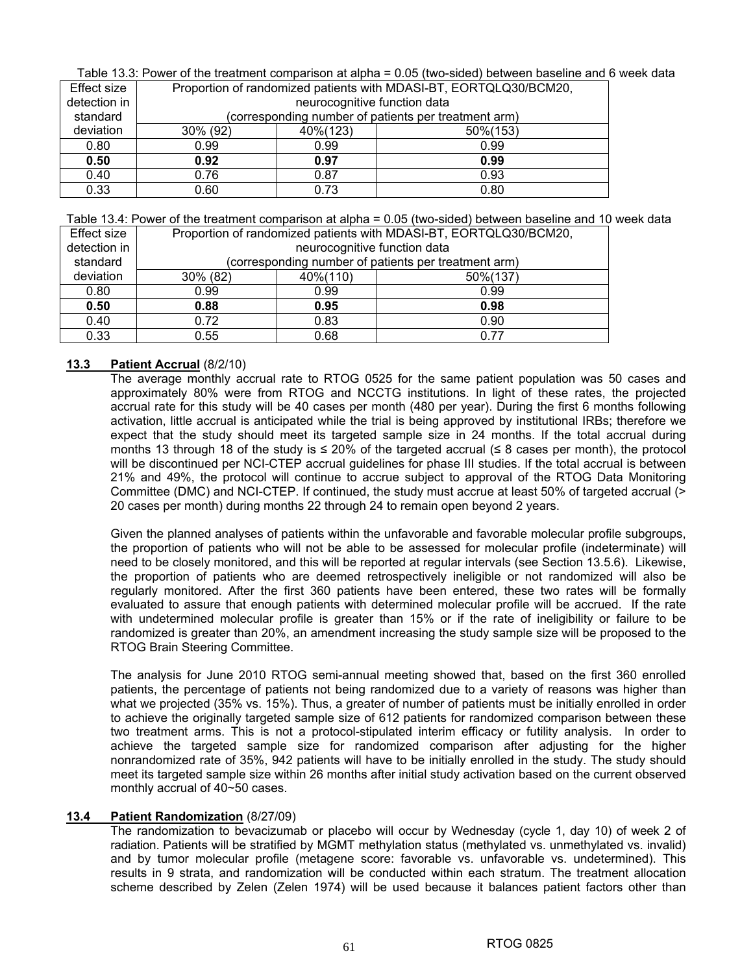Table 13.3: Power of the treatment comparison at alpha = 0.05 (two-sided) between baseline and 6 week data

| Effect size  | Proportion of randomized patients with MDASI-BT, EORTQLQ30/BCM20, |                                                      |      |  |  |
|--------------|-------------------------------------------------------------------|------------------------------------------------------|------|--|--|
| detection in |                                                                   | neurocognitive function data                         |      |  |  |
| standard     |                                                                   | (corresponding number of patients per treatment arm) |      |  |  |
| deviation    | 30% (92)                                                          | 40%(123)<br>50%(153)                                 |      |  |  |
| 0.80         | 0.99                                                              | 0.99                                                 | 0.99 |  |  |
| 0.50         | 0.92                                                              | 0.97<br>0.99                                         |      |  |  |
| 0.40         | 0.76                                                              | 0.87                                                 | 0.93 |  |  |
| 0.33         | 0.60                                                              | 0.73                                                 | 0.80 |  |  |

Table 13.4: Power of the treatment comparison at alpha = 0.05 (two-sided) between baseline and 10 week data

| Effect size  | Proportion of randomized patients with MDASI-BT, EORTQLQ30/BCM20, |                                                      |      |  |  |  |
|--------------|-------------------------------------------------------------------|------------------------------------------------------|------|--|--|--|
| detection in |                                                                   | neurocognitive function data                         |      |  |  |  |
| standard     |                                                                   | (corresponding number of patients per treatment arm) |      |  |  |  |
| deviation    | 30% (82)                                                          | 40%(110)<br>50%(137)                                 |      |  |  |  |
| 0.80         | 0.99                                                              | 0.99                                                 | 0.99 |  |  |  |
| 0.50         | 0.95<br>0.88<br>0.98                                              |                                                      |      |  |  |  |
| 0.40         | 0.72                                                              | 0.83                                                 | 0.90 |  |  |  |
| 0.33         | 0.55                                                              | 0.68                                                 | በ 77 |  |  |  |

### **13.3 Patient Accrual** (8/2/10)

The average monthly accrual rate to RTOG 0525 for the same patient population was 50 cases and approximately 80% were from RTOG and NCCTG institutions. In light of these rates, the projected accrual rate for this study will be 40 cases per month (480 per year). During the first 6 months following activation, little accrual is anticipated while the trial is being approved by institutional IRBs; therefore we expect that the study should meet its targeted sample size in 24 months. If the total accrual during months 13 through 18 of the study is ≤ 20% of the targeted accrual (≤ 8 cases per month), the protocol will be discontinued per NCI-CTEP accrual guidelines for phase III studies. If the total accrual is between 21% and 49%, the protocol will continue to accrue subject to approval of the RTOG Data Monitoring Committee (DMC) and NCI-CTEP. If continued, the study must accrue at least 50% of targeted accrual (> 20 cases per month) during months 22 through 24 to remain open beyond 2 years.

Given the planned analyses of patients within the unfavorable and favorable molecular profile subgroups, the proportion of patients who will not be able to be assessed for molecular profile (indeterminate) will need to be closely monitored, and this will be reported at regular intervals (see Section 13.5.6). Likewise, the proportion of patients who are deemed retrospectively ineligible or not randomized will also be regularly monitored. After the first 360 patients have been entered, these two rates will be formally evaluated to assure that enough patients with determined molecular profile will be accrued. If the rate with undetermined molecular profile is greater than 15% or if the rate of ineligibility or failure to be randomized is greater than 20%, an amendment increasing the study sample size will be proposed to the RTOG Brain Steering Committee.

The analysis for June 2010 RTOG semi-annual meeting showed that, based on the first 360 enrolled patients, the percentage of patients not being randomized due to a variety of reasons was higher than what we projected (35% vs. 15%). Thus, a greater of number of patients must be initially enrolled in order to achieve the originally targeted sample size of 612 patients for randomized comparison between these two treatment arms. This is not a protocol-stipulated interim efficacy or futility analysis. In order to achieve the targeted sample size for randomized comparison after adjusting for the higher nonrandomized rate of 35%, 942 patients will have to be initially enrolled in the study. The study should meet its targeted sample size within 26 months after initial study activation based on the current observed monthly accrual of 40~50 cases.

### **13.4 Patient Randomization** (8/27/09)

The randomization to bevacizumab or placebo will occur by Wednesday (cycle 1, day 10) of week 2 of radiation. Patients will be stratified by MGMT methylation status (methylated vs. unmethylated vs. invalid) and by tumor molecular profile (metagene score: favorable vs. unfavorable vs. undetermined). This results in 9 strata, and randomization will be conducted within each stratum. The treatment allocation scheme described by Zelen (Zelen 1974) will be used because it balances patient factors other than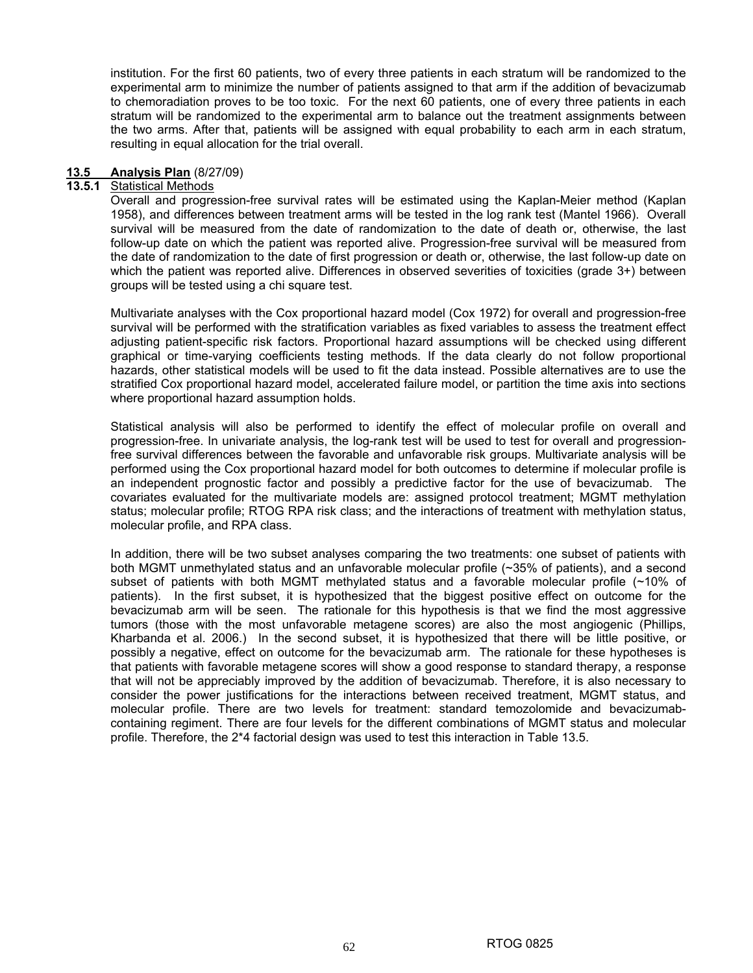institution. For the first 60 patients, two of every three patients in each stratum will be randomized to the experimental arm to minimize the number of patients assigned to that arm if the addition of bevacizumab to chemoradiation proves to be too toxic. For the next 60 patients, one of every three patients in each stratum will be randomized to the experimental arm to balance out the treatment assignments between the two arms. After that, patients will be assigned with equal probability to each arm in each stratum, resulting in equal allocation for the trial overall.

#### **13.5 Analysis Plan** (8/27/09)

### **13.5.1** Statistical Methods

Overall and progression-free survival rates will be estimated using the Kaplan-Meier method (Kaplan 1958), and differences between treatment arms will be tested in the log rank test (Mantel 1966). Overall survival will be measured from the date of randomization to the date of death or, otherwise, the last follow-up date on which the patient was reported alive. Progression-free survival will be measured from the date of randomization to the date of first progression or death or, otherwise, the last follow-up date on which the patient was reported alive. Differences in observed severities of toxicities (grade 3+) between groups will be tested using a chi square test.

Multivariate analyses with the Cox proportional hazard model (Cox 1972) for overall and progression-free survival will be performed with the stratification variables as fixed variables to assess the treatment effect adjusting patient-specific risk factors. Proportional hazard assumptions will be checked using different graphical or time-varying coefficients testing methods. If the data clearly do not follow proportional hazards, other statistical models will be used to fit the data instead. Possible alternatives are to use the stratified Cox proportional hazard model, accelerated failure model, or partition the time axis into sections where proportional hazard assumption holds.

Statistical analysis will also be performed to identify the effect of molecular profile on overall and progression-free. In univariate analysis, the log-rank test will be used to test for overall and progressionfree survival differences between the favorable and unfavorable risk groups. Multivariate analysis will be performed using the Cox proportional hazard model for both outcomes to determine if molecular profile is an independent prognostic factor and possibly a predictive factor for the use of bevacizumab. The covariates evaluated for the multivariate models are: assigned protocol treatment; MGMT methylation status; molecular profile; RTOG RPA risk class; and the interactions of treatment with methylation status, molecular profile, and RPA class.

In addition, there will be two subset analyses comparing the two treatments: one subset of patients with both MGMT unmethylated status and an unfavorable molecular profile (~35% of patients), and a second subset of patients with both MGMT methylated status and a favorable molecular profile (~10% of patients). In the first subset, it is hypothesized that the biggest positive effect on outcome for the bevacizumab arm will be seen. The rationale for this hypothesis is that we find the most aggressive tumors (those with the most unfavorable metagene scores) are also the most angiogenic (Phillips, Kharbanda et al. 2006.) In the second subset, it is hypothesized that there will be little positive, or possibly a negative, effect on outcome for the bevacizumab arm. The rationale for these hypotheses is that patients with favorable metagene scores will show a good response to standard therapy, a response that will not be appreciably improved by the addition of bevacizumab. Therefore, it is also necessary to consider the power justifications for the interactions between received treatment, MGMT status, and molecular profile. There are two levels for treatment: standard temozolomide and bevacizumabcontaining regiment. There are four levels for the different combinations of MGMT status and molecular profile. Therefore, the 2\*4 factorial design was used to test this interaction in Table 13.5.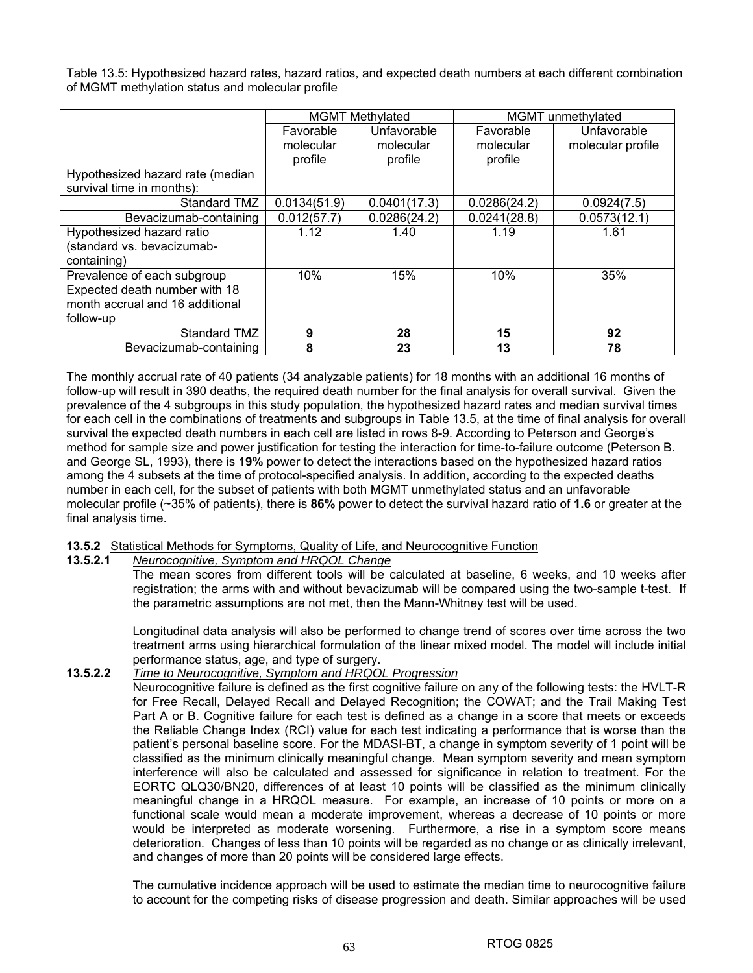Table 13.5: Hypothesized hazard rates, hazard ratios, and expected death numbers at each different combination of MGMT methylation status and molecular profile

|                                  | <b>MGMT Methylated</b> |              |              | MGMT unmethylated |
|----------------------------------|------------------------|--------------|--------------|-------------------|
|                                  | Favorable              | Unfavorable  | Favorable    | Unfavorable       |
|                                  | molecular              | molecular    | molecular    | molecular profile |
|                                  | profile                | profile      | profile      |                   |
| Hypothesized hazard rate (median |                        |              |              |                   |
| survival time in months):        |                        |              |              |                   |
| Standard TMZ                     | 0.0134(51.9)           | 0.0401(17.3) | 0.0286(24.2) | 0.0924(7.5)       |
| Bevacizumab-containing           | 0.012(57.7)            | 0.0286(24.2) | 0.0241(28.8) | 0.0573(12.1)      |
| Hypothesized hazard ratio        | 1.12                   | 1.40         | 1.19         | 1.61              |
| (standard vs. bevacizumab-       |                        |              |              |                   |
| containing)                      |                        |              |              |                   |
| Prevalence of each subgroup      | 10%                    | 15%          | 10%          | 35%               |
| Expected death number with 18    |                        |              |              |                   |
| month accrual and 16 additional  |                        |              |              |                   |
| follow-up                        |                        |              |              |                   |
| Standard TMZ                     | 9                      | 28           | 15           | 92                |
| Bevacizumab-containing           | 8                      | 23           | 13           | 78                |

The monthly accrual rate of 40 patients (34 analyzable patients) for 18 months with an additional 16 months of follow-up will result in 390 deaths, the required death number for the final analysis for overall survival. Given the prevalence of the 4 subgroups in this study population, the hypothesized hazard rates and median survival times for each cell in the combinations of treatments and subgroups in Table 13.5, at the time of final analysis for overall survival the expected death numbers in each cell are listed in rows 8-9. According to Peterson and George's method for sample size and power justification for testing the interaction for time-to-failure outcome (Peterson B. and George SL, 1993), there is **19%** power to detect the interactions based on the hypothesized hazard ratios among the 4 subsets at the time of protocol-specified analysis. In addition, according to the expected deaths number in each cell, for the subset of patients with both MGMT unmethylated status and an unfavorable molecular profile (~35% of patients), there is **86%** power to detect the survival hazard ratio of **1.6** or greater at the final analysis time.

### **13.5.2** Statistical Methods for Symptoms, Quality of Life, and Neurocognitive Function

### **13.5.2.1** *Neurocognitive, Symptom and HRQOL Change*

The mean scores from different tools will be calculated at baseline, 6 weeks, and 10 weeks after registration; the arms with and without bevacizumab will be compared using the two-sample t-test. If the parametric assumptions are not met, then the Mann-Whitney test will be used.

Longitudinal data analysis will also be performed to change trend of scores over time across the two treatment arms using hierarchical formulation of the linear mixed model. The model will include initial performance status, age, and type of surgery.

### **13.5.2.2** *Time to Neurocognitive, Symptom and HRQOL Progression*

Neurocognitive failure is defined as the first cognitive failure on any of the following tests: the HVLT-R for Free Recall, Delayed Recall and Delayed Recognition; the COWAT; and the Trail Making Test Part A or B. Cognitive failure for each test is defined as a change in a score that meets or exceeds the Reliable Change Index (RCI) value for each test indicating a performance that is worse than the patient's personal baseline score. For the MDASI-BT, a change in symptom severity of 1 point will be classified as the minimum clinically meaningful change. Mean symptom severity and mean symptom interference will also be calculated and assessed for significance in relation to treatment. For the EORTC QLQ30/BN20, differences of at least 10 points will be classified as the minimum clinically meaningful change in a HRQOL measure. For example, an increase of 10 points or more on a functional scale would mean a moderate improvement, whereas a decrease of 10 points or more would be interpreted as moderate worsening. Furthermore, a rise in a symptom score means deterioration. Changes of less than 10 points will be regarded as no change or as clinically irrelevant, and changes of more than 20 points will be considered large effects.

The cumulative incidence approach will be used to estimate the median time to neurocognitive failure to account for the competing risks of disease progression and death. Similar approaches will be used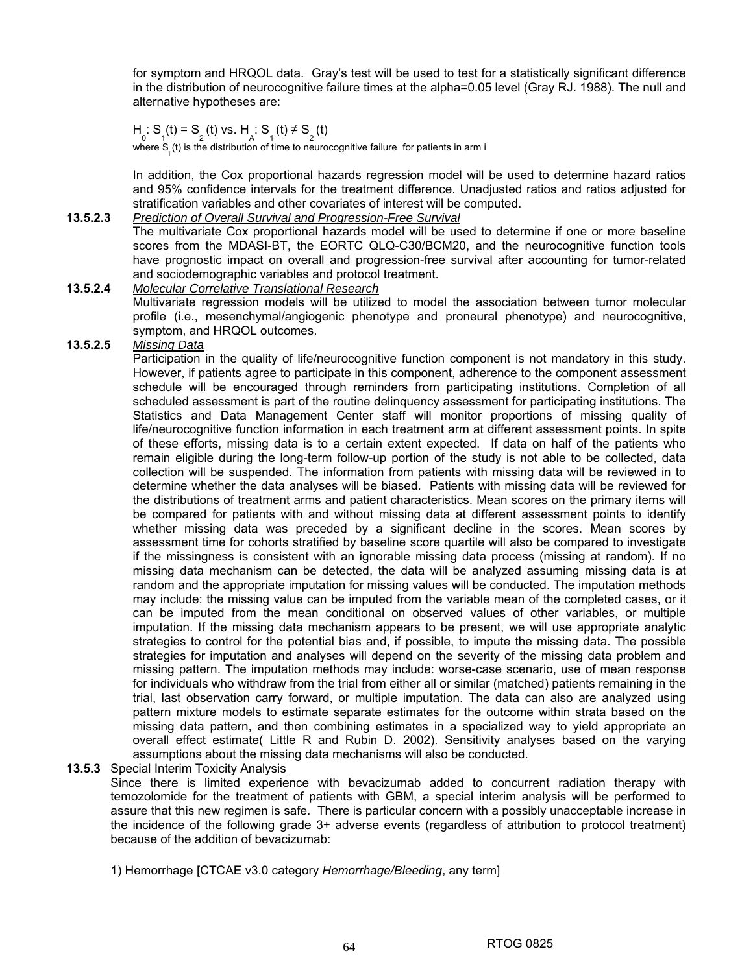for symptom and HRQOL data. Gray's test will be used to test for a statistically significant difference in the distribution of neurocognitive failure times at the alpha=0.05 level (Gray RJ. 1988). The null and alternative hypotheses are:

 $H_0: S_1(t) = S_2(t)$  vs.  $H_A: S_1(t) \neq S_2(t)$ 

where  $S_{\frac{1}{2}}(t)$  is the distribution of time to neurocognitive failure for patients in arm i

In addition, the Cox proportional hazards regression model will be used to determine hazard ratios and 95% confidence intervals for the treatment difference. Unadjusted ratios and ratios adjusted for stratification variables and other covariates of interest will be computed.

#### **13.5.2.3** *Prediction of Overall Survival and Progression-Free Survival*

The multivariate Cox proportional hazards model will be used to determine if one or more baseline scores from the MDASI-BT, the EORTC QLQ-C30/BCM20, and the neurocognitive function tools have prognostic impact on overall and progression-free survival after accounting for tumor-related and sociodemographic variables and protocol treatment.

### **13.5.2.4** *Molecular Correlative Translational Research*

Multivariate regression models will be utilized to model the association between tumor molecular profile (i.e., mesenchymal/angiogenic phenotype and proneural phenotype) and neurocognitive, symptom, and HRQOL outcomes.

### **13.5.2.5** *Missing Data*

Participation in the quality of life/neurocognitive function component is not mandatory in this study. However, if patients agree to participate in this component, adherence to the component assessment schedule will be encouraged through reminders from participating institutions. Completion of all scheduled assessment is part of the routine delinquency assessment for participating institutions. The Statistics and Data Management Center staff will monitor proportions of missing quality of life/neurocognitive function information in each treatment arm at different assessment points. In spite of these efforts, missing data is to a certain extent expected. If data on half of the patients who remain eligible during the long-term follow-up portion of the study is not able to be collected, data collection will be suspended. The information from patients with missing data will be reviewed in to determine whether the data analyses will be biased. Patients with missing data will be reviewed for the distributions of treatment arms and patient characteristics. Mean scores on the primary items will be compared for patients with and without missing data at different assessment points to identify whether missing data was preceded by a significant decline in the scores. Mean scores by assessment time for cohorts stratified by baseline score quartile will also be compared to investigate if the missingness is consistent with an ignorable missing data process (missing at random). If no missing data mechanism can be detected, the data will be analyzed assuming missing data is at random and the appropriate imputation for missing values will be conducted. The imputation methods may include: the missing value can be imputed from the variable mean of the completed cases, or it can be imputed from the mean conditional on observed values of other variables, or multiple imputation. If the missing data mechanism appears to be present, we will use appropriate analytic strategies to control for the potential bias and, if possible, to impute the missing data. The possible strategies for imputation and analyses will depend on the severity of the missing data problem and missing pattern. The imputation methods may include: worse-case scenario, use of mean response for individuals who withdraw from the trial from either all or similar (matched) patients remaining in the trial, last observation carry forward, or multiple imputation. The data can also are analyzed using pattern mixture models to estimate separate estimates for the outcome within strata based on the missing data pattern, and then combining estimates in a specialized way to yield appropriate an overall effect estimate( Little R and Rubin D. 2002). Sensitivity analyses based on the varying assumptions about the missing data mechanisms will also be conducted.

#### **13.5.3** Special Interim Toxicity Analysis

Since there is limited experience with bevacizumab added to concurrent radiation therapy with temozolomide for the treatment of patients with GBM, a special interim analysis will be performed to assure that this new regimen is safe. There is particular concern with a possibly unacceptable increase in the incidence of the following grade 3+ adverse events (regardless of attribution to protocol treatment) because of the addition of bevacizumab:

1) Hemorrhage [CTCAE v3.0 category *Hemorrhage/Bleeding*, any term]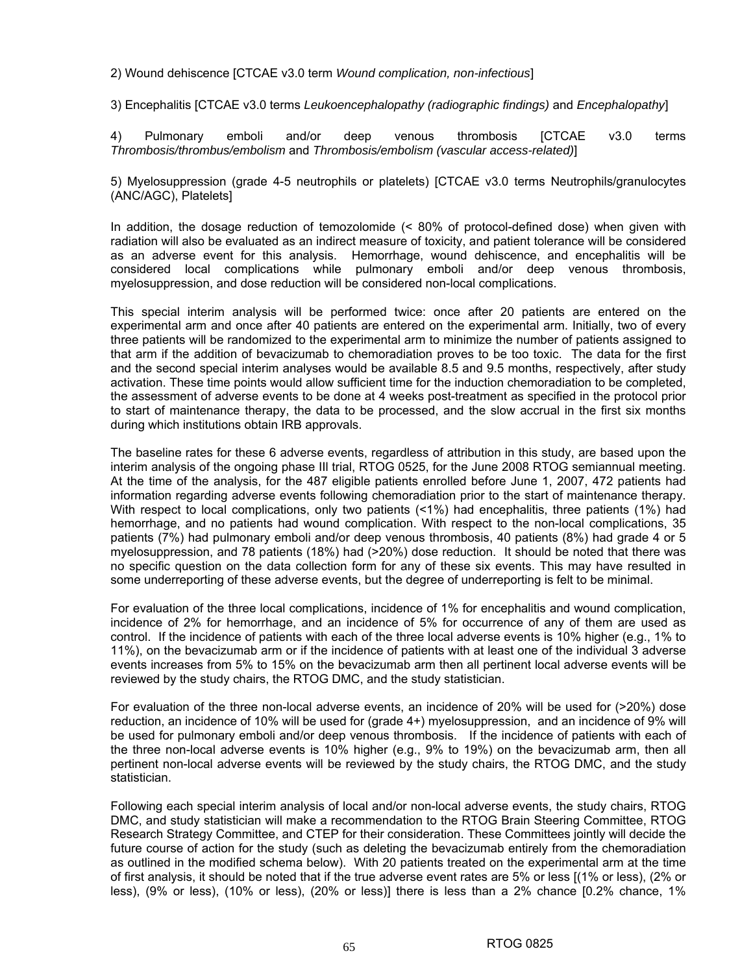2) Wound dehiscence [CTCAE v3.0 term *Wound complication, non-infectious*]

3) Encephalitis [CTCAE v3.0 terms *Leukoencephalopathy (radiographic findings)* and *Encephalopathy*]

4) Pulmonary emboli and/or deep venous thrombosis [CTCAE v3.0 terms *Thrombosis/thrombus/embolism* and *Thrombosis/embolism (vascular access-related)*]

5) Myelosuppression (grade 4-5 neutrophils or platelets) [CTCAE v3.0 terms Neutrophils/granulocytes (ANC/AGC), Platelets]

In addition, the dosage reduction of temozolomide (< 80% of protocol-defined dose) when given with radiation will also be evaluated as an indirect measure of toxicity, and patient tolerance will be considered as an adverse event for this analysis. Hemorrhage, wound dehiscence, and encephalitis will be considered local complications while pulmonary emboli and/or deep venous thrombosis, myelosuppression, and dose reduction will be considered non-local complications.

This special interim analysis will be performed twice: once after 20 patients are entered on the experimental arm and once after 40 patients are entered on the experimental arm. Initially, two of every three patients will be randomized to the experimental arm to minimize the number of patients assigned to that arm if the addition of bevacizumab to chemoradiation proves to be too toxic. The data for the first and the second special interim analyses would be available 8.5 and 9.5 months, respectively, after study activation. These time points would allow sufficient time for the induction chemoradiation to be completed, the assessment of adverse events to be done at 4 weeks post-treatment as specified in the protocol prior to start of maintenance therapy, the data to be processed, and the slow accrual in the first six months during which institutions obtain IRB approvals.

The baseline rates for these 6 adverse events, regardless of attribution in this study, are based upon the interim analysis of the ongoing phase IIl trial, RTOG 0525, for the June 2008 RTOG semiannual meeting. At the time of the analysis, for the 487 eligible patients enrolled before June 1, 2007, 472 patients had information regarding adverse events following chemoradiation prior to the start of maintenance therapy. With respect to local complications, only two patients (<1%) had encephalitis, three patients (1%) had hemorrhage, and no patients had wound complication. With respect to the non-local complications, 35 patients (7%) had pulmonary emboli and/or deep venous thrombosis, 40 patients (8%) had grade 4 or 5 myelosuppression, and 78 patients (18%) had (>20%) dose reduction. It should be noted that there was no specific question on the data collection form for any of these six events. This may have resulted in some underreporting of these adverse events, but the degree of underreporting is felt to be minimal.

For evaluation of the three local complications, incidence of 1% for encephalitis and wound complication, incidence of 2% for hemorrhage, and an incidence of 5% for occurrence of any of them are used as control. If the incidence of patients with each of the three local adverse events is 10% higher (e.g., 1% to 11%), on the bevacizumab arm or if the incidence of patients with at least one of the individual 3 adverse events increases from 5% to 15% on the bevacizumab arm then all pertinent local adverse events will be reviewed by the study chairs, the RTOG DMC, and the study statistician.

For evaluation of the three non-local adverse events, an incidence of 20% will be used for (>20%) dose reduction, an incidence of 10% will be used for (grade 4+) myelosuppression, and an incidence of 9% will be used for pulmonary emboli and/or deep venous thrombosis. If the incidence of patients with each of the three non-local adverse events is 10% higher (e.g., 9% to 19%) on the bevacizumab arm, then all pertinent non-local adverse events will be reviewed by the study chairs, the RTOG DMC, and the study statistician.

Following each special interim analysis of local and/or non-local adverse events, the study chairs, RTOG DMC, and study statistician will make a recommendation to the RTOG Brain Steering Committee, RTOG Research Strategy Committee, and CTEP for their consideration. These Committees jointly will decide the future course of action for the study (such as deleting the bevacizumab entirely from the chemoradiation as outlined in the modified schema below). With 20 patients treated on the experimental arm at the time of first analysis, it should be noted that if the true adverse event rates are 5% or less [(1% or less), (2% or less), (9% or less), (10% or less), (20% or less)] there is less than a 2% chance [0.2% chance, 1%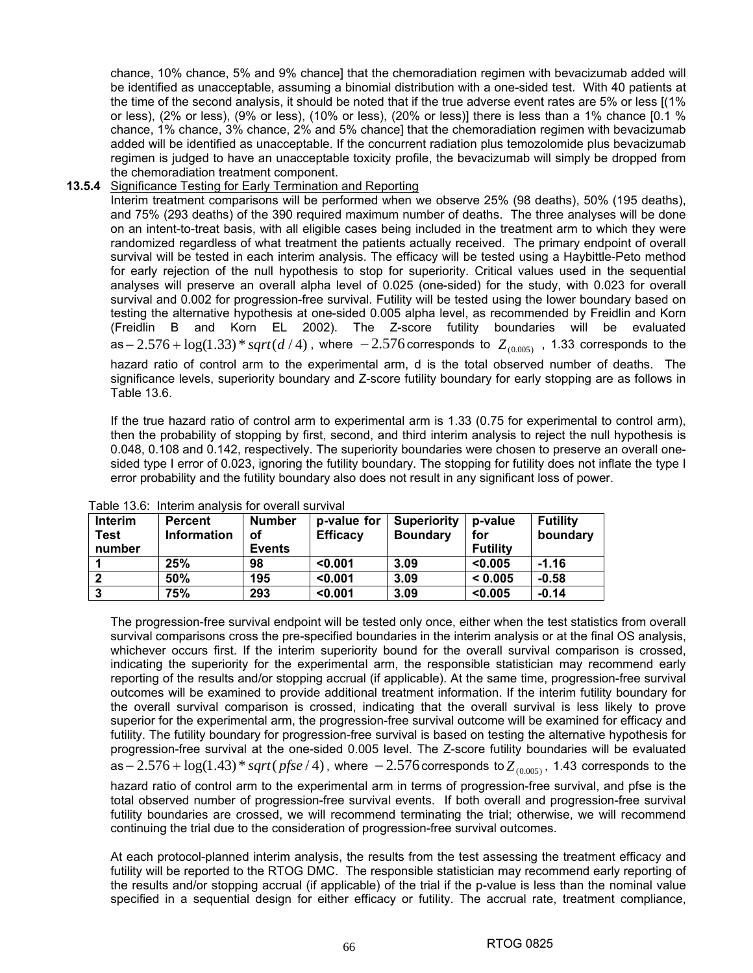chance, 10% chance, 5% and 9% chance] that the chemoradiation regimen with bevacizumab added will be identified as unacceptable, assuming a binomial distribution with a one-sided test. With 40 patients at the time of the second analysis, it should be noted that if the true adverse event rates are 5% or less [(1% or less), (2% or less), (9% or less), (10% or less), (20% or less)] there is less than a 1% chance [0.1 % chance, 1% chance, 3% chance, 2% and 5% chance] that the chemoradiation regimen with bevacizumab added will be identified as unacceptable. If the concurrent radiation plus temozolomide plus bevacizumab regimen is judged to have an unacceptable toxicity profile, the bevacizumab will simply be dropped from the chemoradiation treatment component.

#### **13.5.4** Significance Testing for Early Termination and Reporting

Interim treatment comparisons will be performed when we observe 25% (98 deaths), 50% (195 deaths), and 75% (293 deaths) of the 390 required maximum number of deaths. The three analyses will be done on an intent-to-treat basis, with all eligible cases being included in the treatment arm to which they were randomized regardless of what treatment the patients actually received. The primary endpoint of overall survival will be tested in each interim analysis. The efficacy will be tested using a Haybittle-Peto method for early rejection of the null hypothesis to stop for superiority. Critical values used in the sequential analyses will preserve an overall alpha level of 0.025 (one-sided) for the study, with 0.023 for overall survival and 0.002 for progression-free survival. Futility will be tested using the lower boundary based on testing the alternative hypothesis at one-sided 0.005 alpha level, as recommended by Freidlin and Korn (Freidlin B and Korn EL 2002). The Z-score futility boundaries will be evaluated as  $-2.576 + \log(1.33) * sqrt(d/4)$ , where  $-2.576$  corresponds to  $Z_{(0.005)}$ , 1.33 corresponds to the hazard ratio of control arm to the experimental arm, d is the total observed number of deaths. The significance levels, superiority boundary and Z-score futility boundary for early stopping are as follows in Table 13.6.

If the true hazard ratio of control arm to experimental arm is 1.33 (0.75 for experimental to control arm), then the probability of stopping by first, second, and third interim analysis to reject the null hypothesis is 0.048, 0.108 and 0.142, respectively. The superiority boundaries were chosen to preserve an overall onesided type I error of 0.023, ignoring the futility boundary. The stopping for futility does not inflate the type I error probability and the futility boundary also does not result in any significant loss of power.

| Interim<br><b>Test</b><br>number | <b>Percent</b><br><b>Information</b> | <b>Number</b><br>οf<br><b>Events</b> | p-value for<br><b>Efficacy</b> | <b>Superiority</b><br><b>Boundary</b> | p-value<br>for<br><b>Futility</b> | <b>Futility</b><br>boundary |
|----------------------------------|--------------------------------------|--------------------------------------|--------------------------------|---------------------------------------|-----------------------------------|-----------------------------|
|                                  | 25%                                  | 98                                   | < 0.001                        | 3.09                                  | < 0.005                           | $-1.16$                     |
|                                  | 50%                                  | 195                                  | < 0.001                        | 3.09                                  | < 0.005                           | $-0.58$                     |
|                                  | 75%                                  | 293                                  | < 0.001                        | 3.09                                  | < 0.005                           | $-0.14$                     |

Table 13.6: Interim analysis for overall survival

The progression-free survival endpoint will be tested only once, either when the test statistics from overall survival comparisons cross the pre-specified boundaries in the interim analysis or at the final OS analysis, whichever occurs first. If the interim superiority bound for the overall survival comparison is crossed, indicating the superiority for the experimental arm, the responsible statistician may recommend early reporting of the results and/or stopping accrual (if applicable). At the same time, progression-free survival outcomes will be examined to provide additional treatment information. If the interim futility boundary for the overall survival comparison is crossed, indicating that the overall survival is less likely to prove superior for the experimental arm, the progression-free survival outcome will be examined for efficacy and futility. The futility boundary for progression-free survival is based on testing the alternative hypothesis for progression-free survival at the one-sided 0.005 level. The Z-score futility boundaries will be evaluated as − 2.576 + log(1.43) \* *sqrt*( *pfse* / 4), where − 2.576 corresponds to  $Z_{(0.005)}$ , 1.43 corresponds to the hazard ratio of control arm to the experimental arm in terms of progression-free survival, and pfse is the total observed number of progression-free survival events. If both overall and progression-free survival futility boundaries are crossed, we will recommend terminating the trial; otherwise, we will recommend continuing the trial due to the consideration of progression-free survival outcomes.

At each protocol-planned interim analysis, the results from the test assessing the treatment efficacy and futility will be reported to the RTOG DMC. The responsible statistician may recommend early reporting of the results and/or stopping accrual (if applicable) of the trial if the p-value is less than the nominal value specified in a sequential design for either efficacy or futility. The accrual rate, treatment compliance,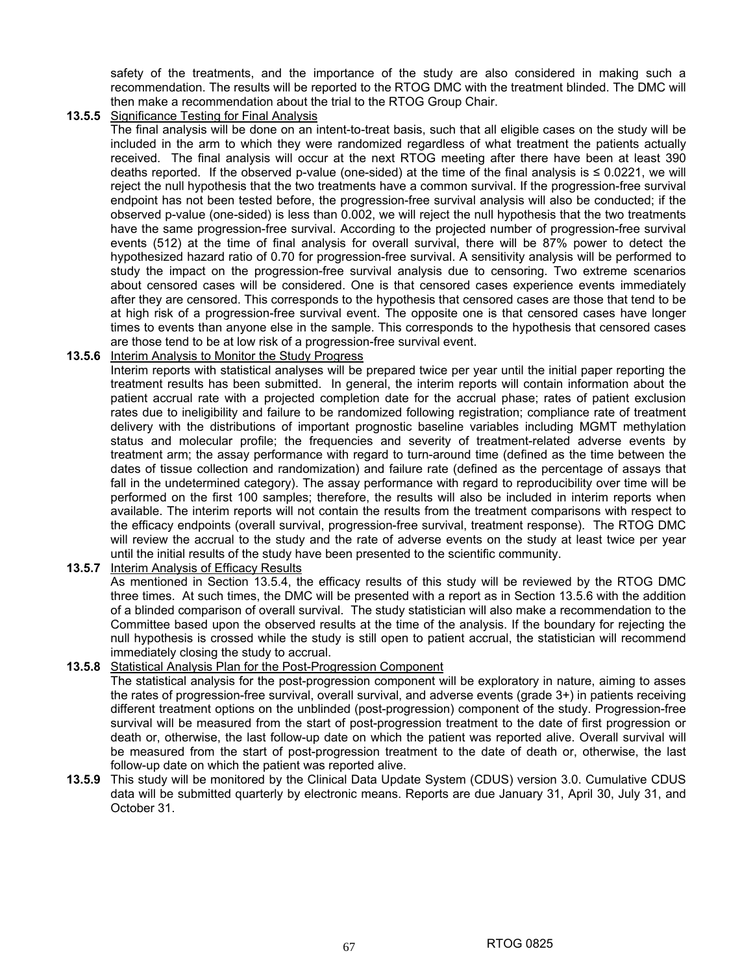safety of the treatments, and the importance of the study are also considered in making such a recommendation. The results will be reported to the RTOG DMC with the treatment blinded. The DMC will then make a recommendation about the trial to the RTOG Group Chair.

### **13.5.5** Significance Testing for Final Analysis

 The final analysis will be done on an intent-to-treat basis, such that all eligible cases on the study will be included in the arm to which they were randomized regardless of what treatment the patients actually received. The final analysis will occur at the next RTOG meeting after there have been at least 390 deaths reported. If the observed p-value (one-sided) at the time of the final analysis is ≤ 0.0221, we will reject the null hypothesis that the two treatments have a common survival. If the progression-free survival endpoint has not been tested before, the progression-free survival analysis will also be conducted; if the observed p-value (one-sided) is less than 0.002, we will reject the null hypothesis that the two treatments have the same progression-free survival. According to the projected number of progression-free survival events (512) at the time of final analysis for overall survival, there will be 87% power to detect the hypothesized hazard ratio of 0.70 for progression-free survival. A sensitivity analysis will be performed to study the impact on the progression-free survival analysis due to censoring. Two extreme scenarios about censored cases will be considered. One is that censored cases experience events immediately after they are censored. This corresponds to the hypothesis that censored cases are those that tend to be at high risk of a progression-free survival event. The opposite one is that censored cases have longer times to events than anyone else in the sample. This corresponds to the hypothesis that censored cases are those tend to be at low risk of a progression-free survival event.

### **13.5.6** Interim Analysis to Monitor the Study Progress

 Interim reports with statistical analyses will be prepared twice per year until the initial paper reporting the treatment results has been submitted. In general, the interim reports will contain information about the patient accrual rate with a projected completion date for the accrual phase; rates of patient exclusion rates due to ineligibility and failure to be randomized following registration; compliance rate of treatment delivery with the distributions of important prognostic baseline variables including MGMT methylation status and molecular profile; the frequencies and severity of treatment-related adverse events by treatment arm; the assay performance with regard to turn-around time (defined as the time between the dates of tissue collection and randomization) and failure rate (defined as the percentage of assays that fall in the undetermined category). The assay performance with regard to reproducibility over time will be performed on the first 100 samples; therefore, the results will also be included in interim reports when available. The interim reports will not contain the results from the treatment comparisons with respect to the efficacy endpoints (overall survival, progression-free survival, treatment response). The RTOG DMC will review the accrual to the study and the rate of adverse events on the study at least twice per year until the initial results of the study have been presented to the scientific community.

**13.5.7** Interim Analysis of Efficacy Results

 As mentioned in Section 13.5.4, the efficacy results of this study will be reviewed by the RTOG DMC three times. At such times, the DMC will be presented with a report as in Section 13.5.6 with the addition of a blinded comparison of overall survival. The study statistician will also make a recommendation to the Committee based upon the observed results at the time of the analysis. If the boundary for rejecting the null hypothesis is crossed while the study is still open to patient accrual, the statistician will recommend immediately closing the study to accrual.

- **13.5.8** Statistical Analysis Plan for the Post-Progression Component The statistical analysis for the post-progression component will be exploratory in nature, aiming to asses the rates of progression-free survival, overall survival, and adverse events (grade 3+) in patients receiving different treatment options on the unblinded (post-progression) component of the study. Progression-free survival will be measured from the start of post-progression treatment to the date of first progression or death or, otherwise, the last follow-up date on which the patient was reported alive. Overall survival will be measured from the start of post-progression treatment to the date of death or, otherwise, the last follow-up date on which the patient was reported alive.
- **13.5.9** This study will be monitored by the Clinical Data Update System (CDUS) version 3.0. Cumulative CDUS data will be submitted quarterly by electronic means. Reports are due January 31, April 30, July 31, and October 31.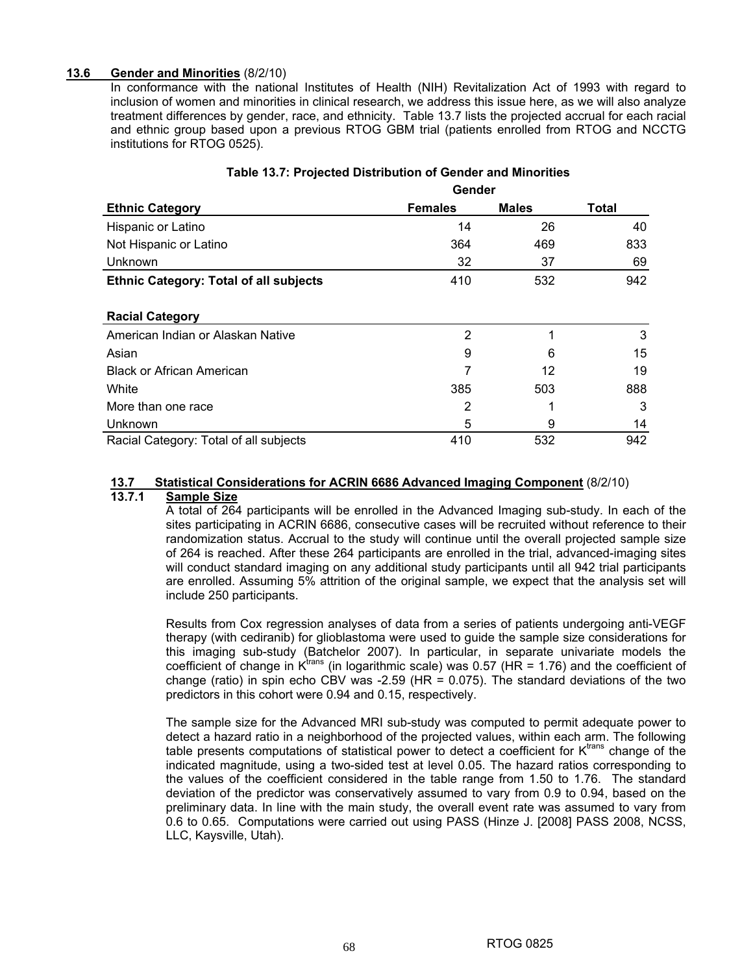#### **13.6 Gender and Minorities** (8/2/10)

In conformance with the national Institutes of Health (NIH) Revitalization Act of 1993 with regard to inclusion of women and minorities in clinical research, we address this issue here, as we will also analyze treatment differences by gender, race, and ethnicity. Table 13.7 lists the projected accrual for each racial and ethnic group based upon a previous RTOG GBM trial (patients enrolled from RTOG and NCCTG institutions for RTOG 0525).

|                                               |                | Gender       |              |  |
|-----------------------------------------------|----------------|--------------|--------------|--|
| <b>Ethnic Category</b>                        | <b>Females</b> | <b>Males</b> | <b>Total</b> |  |
| Hispanic or Latino                            | 14             | 26           | 40           |  |
| Not Hispanic or Latino                        | 364            | 469          | 833          |  |
| Unknown                                       | 32             | 37           | 69           |  |
| <b>Ethnic Category: Total of all subjects</b> | 410            | 532          | 942          |  |
| <b>Racial Category</b>                        |                |              |              |  |
| American Indian or Alaskan Native             | 2              | 1            | 3            |  |
| Asian                                         | 9              | 6            | 15           |  |
| <b>Black or African American</b>              |                | 12           | 19           |  |
| White                                         | 385            | 503          | 888          |  |
| More than one race                            | 2              |              | 3            |  |
| Unknown                                       | 5              | 9            | 14           |  |
| Racial Category: Total of all subjects        | 410            | 532          | 942          |  |

# **Table 13.7: Projected Distribution of Gender and Minorities**

### **13.7 Statistical Considerations for ACRIN 6686 Advanced Imaging Component** (8/2/10)

### **13.7.1 Sample Size**

A total of 264 participants will be enrolled in the Advanced Imaging sub-study. In each of the sites participating in ACRIN 6686, consecutive cases will be recruited without reference to their randomization status. Accrual to the study will continue until the overall projected sample size of 264 is reached. After these 264 participants are enrolled in the trial, advanced-imaging sites will conduct standard imaging on any additional study participants until all 942 trial participants are enrolled. Assuming 5% attrition of the original sample, we expect that the analysis set will include 250 participants.

Results from Cox regression analyses of data from a series of patients undergoing anti-VEGF therapy (with cediranib) for glioblastoma were used to guide the sample size considerations for this imaging sub-study (Batchelor 2007). In particular, in separate univariate models the coefficient of change in  $K<sup>trans</sup>$  (in logarithmic scale) was 0.57 (HR = 1.76) and the coefficient of change (ratio) in spin echo CBV was  $-2.59$  (HR = 0.075). The standard deviations of the two predictors in this cohort were 0.94 and 0.15, respectively.

The sample size for the Advanced MRI sub-study was computed to permit adequate power to detect a hazard ratio in a neighborhood of the projected values, within each arm. The following table presents computations of statistical power to detect a coefficient for  $K<sup>trans</sup>$  change of the indicated magnitude, using a two-sided test at level 0.05. The hazard ratios corresponding to the values of the coefficient considered in the table range from 1.50 to 1.76. The standard deviation of the predictor was conservatively assumed to vary from 0.9 to 0.94, based on the preliminary data. In line with the main study, the overall event rate was assumed to vary from 0.6 to 0.65. Computations were carried out using PASS (Hinze J. [2008] PASS 2008, NCSS, LLC, Kaysville, Utah).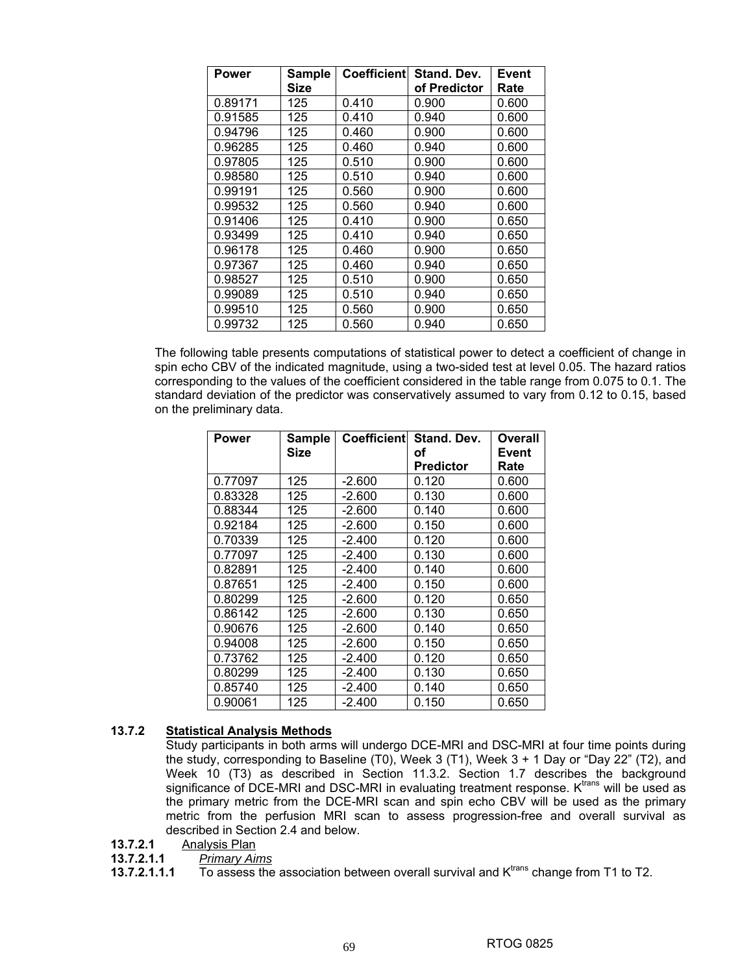| <b>Power</b> | <b>Sample</b><br>Size | Coefficientl | Stand, Dev.<br>of Predictor | Event<br>Rate |
|--------------|-----------------------|--------------|-----------------------------|---------------|
| 0.89171      | 125                   | 0.410        | 0.900                       | 0.600         |
| 0.91585      | 125                   | 0.410        | 0.940                       | 0.600         |
| 0.94796      | 125                   | 0.460        | 0.900                       | 0.600         |
| 0.96285      | 125                   | 0.460        | 0.940                       | 0.600         |
| 0.97805      | 125                   | 0.510        | 0.900                       | 0.600         |
| 0.98580      | 125                   | 0.510        | 0.940                       | 0.600         |
| 0.99191      | 125                   | 0.560        | 0.900                       | 0.600         |
| 0.99532      | 125                   | 0.560        | 0.940                       | 0.600         |
| 0.91406      | 125                   | 0.410        | 0.900                       | 0.650         |
| 0.93499      | 125                   | 0.410        | 0.940                       | 0.650         |
| 0.96178      | 125                   | 0.460        | 0.900                       | 0.650         |
| 0.97367      | 125                   | 0.460        | 0.940                       | 0.650         |
| 0.98527      | 125                   | 0.510        | 0.900                       | 0.650         |
| 0.99089      | 125                   | 0.510        | 0.940                       | 0.650         |
| 0.99510      | 125                   | 0.560        | 0.900                       | 0.650         |
| 0.99732      | 125                   | 0.560        | 0.940                       | 0.650         |

The following table presents computations of statistical power to detect a coefficient of change in spin echo CBV of the indicated magnitude, using a two-sided test at level 0.05. The hazard ratios corresponding to the values of the coefficient considered in the table range from 0.075 to 0.1. The standard deviation of the predictor was conservatively assumed to vary from 0.12 to 0.15, based on the preliminary data.

| <b>Power</b> | <b>Sample</b><br>Size | Coefficient | Stand, Dev.<br>οf | Overall<br><b>Event</b> |
|--------------|-----------------------|-------------|-------------------|-------------------------|
|              |                       |             | <b>Predictor</b>  | Rate                    |
| 0.77097      | 125                   | $-2.600$    | 0.120             | 0.600                   |
| 0.83328      | 125                   | $-2.600$    | 0.130             | 0.600                   |
| 0.88344      | 125                   | $-2.600$    | 0.140             | 0.600                   |
| 0.92184      | 125                   | $-2.600$    | 0.150             | 0.600                   |
| 0.70339      | 125                   | $-2.400$    | 0.120             | 0.600                   |
| 0.77097      | 125                   | $-2.400$    | 0.130             | 0.600                   |
| 0.82891      | 125                   | $-2.400$    | 0.140             | 0.600                   |
| 0.87651      | 125                   | $-2.400$    | 0.150             | 0.600                   |
| 0.80299      | 125                   | -2.600      | 0.120             | 0.650                   |
| 0.86142      | 125                   | -2.600      | 0.130             | 0.650                   |
| 0.90676      | 125                   | -2.600      | 0.140             | 0.650                   |
| 0.94008      | 125                   | $-2.600$    | 0.150             | 0.650                   |
| 0.73762      | 125                   | $-2.400$    | 0.120             | 0.650                   |
| 0.80299      | 125                   | $-2.400$    | 0.130             | 0.650                   |
| 0.85740      | 125                   | $-2.400$    | 0.140             | 0.650                   |
| 0.90061      | 125                   | $-2.400$    | 0.150             | 0.650                   |

#### **13.7.2 Statistical Analysis Methods**

Study participants in both arms will undergo DCE-MRI and DSC-MRI at four time points during the study, corresponding to Baseline (T0), Week 3 (T1), Week 3 + 1 Day or "Day 22" (T2), and Week 10 (T3) as described in Section 11.3.2. Section 1.7 describes the background significance of DCE-MRI and DSC-MRI in evaluating treatment response. K<sup>trans</sup> will be used as the primary metric from the DCE-MRI scan and spin echo CBV will be used as the primary metric from the perfusion MRI scan to assess progression-free and overall survival as described in Section 2.4 and below.

- **13.7.2.1 Analysis Plan**<br>**13.7.2.1.1** *Primary Ail*
- **13.7.2.1.1** *Primary Aims*

**13.7.2.1.1.1** To assess the association between overall survival and K<sup>trans</sup> change from T1 to T2.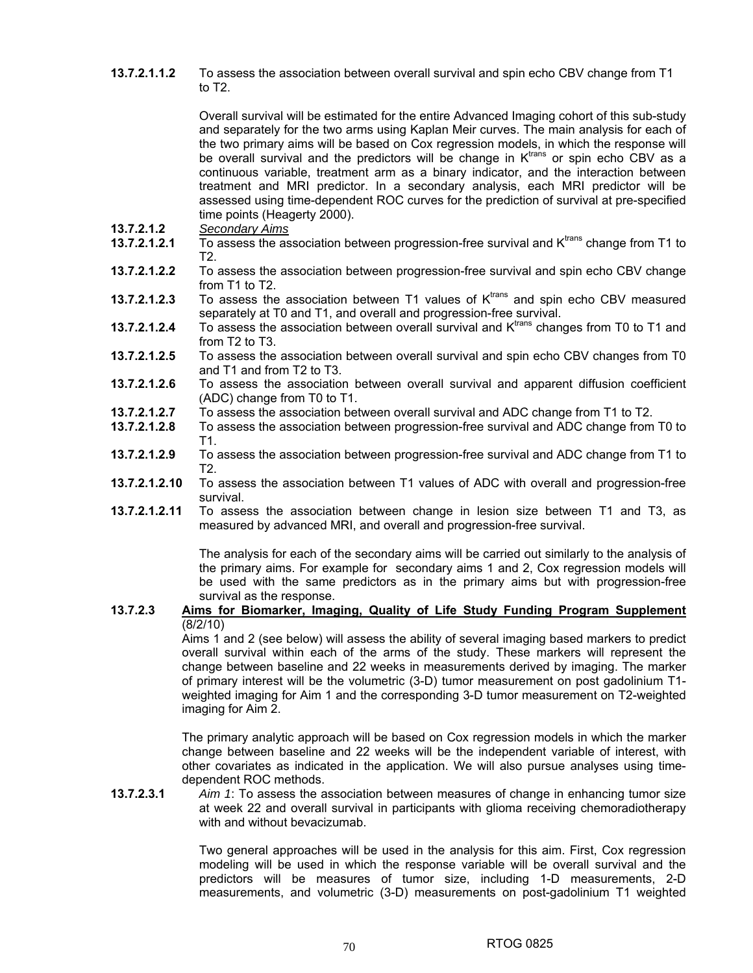**13.7.2.1.1.2** To assess the association between overall survival and spin echo CBV change from T1 to T2.

> Overall survival will be estimated for the entire Advanced Imaging cohort of this sub-study and separately for the two arms using Kaplan Meir curves. The main analysis for each of the two primary aims will be based on Cox regression models, in which the response will be overall survival and the predictors will be change in  $K<sup>trans</sup>$  or spin echo CBV as a continuous variable, treatment arm as a binary indicator, and the interaction between treatment and MRI predictor. In a secondary analysis, each MRI predictor will be assessed using time-dependent ROC curves for the prediction of survival at pre-specified time points (Heagerty 2000).

- **13.7.2.1.2** *Secondary Aims*
- **13.7.2.1.2.1** To assess the association between progression-free survival and Ktrans change from T1 to T2.
- **13.7.2.1.2.2** To assess the association between progression-free survival and spin echo CBV change from T1 to T2.
- **13.7.2.1.2.3** To assess the association between T1 values of K<sup>trans</sup> and spin echo CBV measured separately at T0 and T1, and overall and progression-free survival.
- **13.7.2.1.2.4** To assess the association between overall survival and K<sup>trans</sup> changes from T0 to T1 and from T2 to T3.
- **13.7.2.1.2.5** To assess the association between overall survival and spin echo CBV changes from T0 and T1 and from T2 to T3.
- **13.7.2.1.2.6** To assess the association between overall survival and apparent diffusion coefficient (ADC) change from T0 to T1.
- **13.7.2.1.2.7** To assess the association between overall survival and ADC change from T1 to T2.
- **13.7.2.1.2.8** To assess the association between progression-free survival and ADC change from T0 to T1.
- **13.7.2.1.2.9** To assess the association between progression-free survival and ADC change from T1 to T2.
- **13.7.2.1.2.10** To assess the association between T1 values of ADC with overall and progression-free survival.
- **13.7.2.1.2.11** To assess the association between change in lesion size between T1 and T3, as measured by advanced MRI, and overall and progression-free survival.

The analysis for each of the secondary aims will be carried out similarly to the analysis of the primary aims. For example for secondary aims 1 and 2, Cox regression models will be used with the same predictors as in the primary aims but with progression-free survival as the response.

#### **13.7.2.3 Aims for Biomarker, Imaging, Quality of Life Study Funding Program Supplement** (8/2/10)

Aims 1 and 2 (see below) will assess the ability of several imaging based markers to predict overall survival within each of the arms of the study. These markers will represent the change between baseline and 22 weeks in measurements derived by imaging. The marker of primary interest will be the volumetric (3-D) tumor measurement on post gadolinium T1 weighted imaging for Aim 1 and the corresponding 3-D tumor measurement on T2-weighted imaging for Aim 2.

The primary analytic approach will be based on Cox regression models in which the marker change between baseline and 22 weeks will be the independent variable of interest, with other covariates as indicated in the application. We will also pursue analyses using timedependent ROC methods.

**13.7.2.3.1** *Aim 1*: To assess the association between measures of change in enhancing tumor size at week 22 and overall survival in participants with glioma receiving chemoradiotherapy with and without bevacizumab.

> Two general approaches will be used in the analysis for this aim. First, Cox regression modeling will be used in which the response variable will be overall survival and the predictors will be measures of tumor size, including 1-D measurements, 2-D measurements, and volumetric (3-D) measurements on post-gadolinium T1 weighted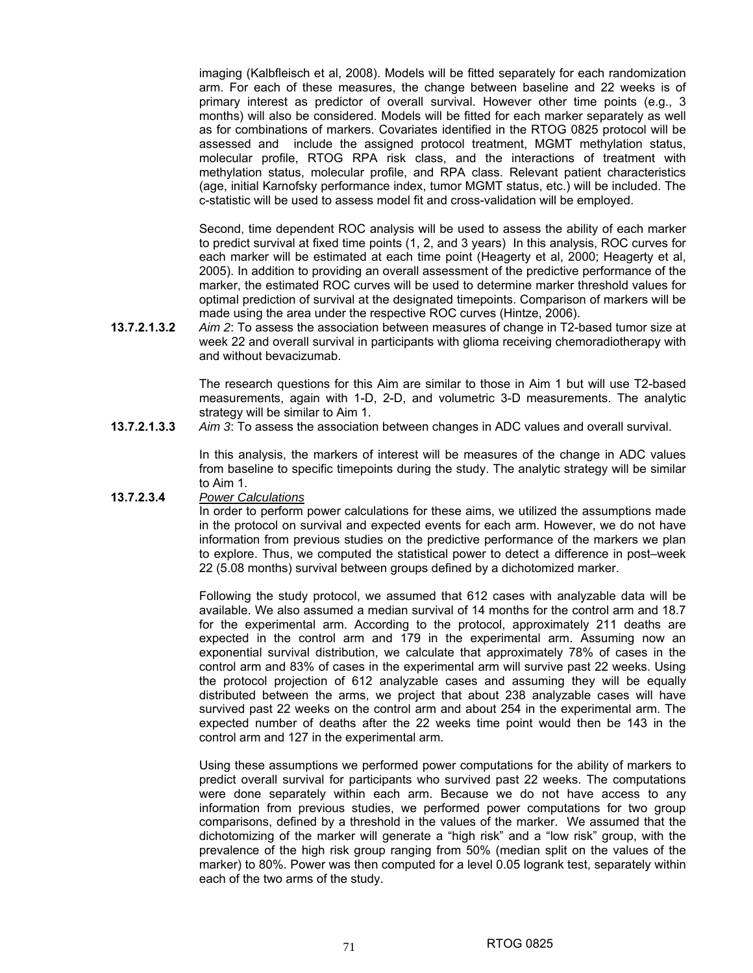imaging (Kalbfleisch et al, 2008). Models will be fitted separately for each randomization arm. For each of these measures, the change between baseline and 22 weeks is of primary interest as predictor of overall survival. However other time points (e.g., 3 months) will also be considered. Models will be fitted for each marker separately as well as for combinations of markers. Covariates identified in the RTOG 0825 protocol will be assessed and include the assigned protocol treatment, MGMT methylation status, molecular profile, RTOG RPA risk class, and the interactions of treatment with methylation status, molecular profile, and RPA class. Relevant patient characteristics (age, initial Karnofsky performance index, tumor MGMT status, etc.) will be included. The c-statistic will be used to assess model fit and cross-validation will be employed.

Second, time dependent ROC analysis will be used to assess the ability of each marker to predict survival at fixed time points (1, 2, and 3 years) In this analysis, ROC curves for each marker will be estimated at each time point (Heagerty et al, 2000; Heagerty et al, 2005). In addition to providing an overall assessment of the predictive performance of the marker, the estimated ROC curves will be used to determine marker threshold values for optimal prediction of survival at the designated timepoints. Comparison of markers will be made using the area under the respective ROC curves (Hintze, 2006).

**13.7.2.1.3.2** *Aim 2*: To assess the association between measures of change in T2-based tumor size at week 22 and overall survival in participants with glioma receiving chemoradiotherapy with and without bevacizumab.

> The research questions for this Aim are similar to those in Aim 1 but will use T2-based measurements, again with 1-D, 2-D, and volumetric 3-D measurements. The analytic strategy will be similar to Aim 1.

**13.7.2.1.3.3** *Aim 3*: To assess the association between changes in ADC values and overall survival.

In this analysis, the markers of interest will be measures of the change in ADC values from baseline to specific timepoints during the study. The analytic strategy will be similar to Aim 1.

#### **13.7.2.3.4** *Power Calculations*

In order to perform power calculations for these aims, we utilized the assumptions made in the protocol on survival and expected events for each arm. However, we do not have information from previous studies on the predictive performance of the markers we plan to explore. Thus, we computed the statistical power to detect a difference in post–week 22 (5.08 months) survival between groups defined by a dichotomized marker.

Following the study protocol, we assumed that 612 cases with analyzable data will be available. We also assumed a median survival of 14 months for the control arm and 18.7 for the experimental arm. According to the protocol, approximately 211 deaths are expected in the control arm and 179 in the experimental arm. Assuming now an exponential survival distribution, we calculate that approximately 78% of cases in the control arm and 83% of cases in the experimental arm will survive past 22 weeks. Using the protocol projection of 612 analyzable cases and assuming they will be equally distributed between the arms, we project that about 238 analyzable cases will have survived past 22 weeks on the control arm and about 254 in the experimental arm. The expected number of deaths after the 22 weeks time point would then be 143 in the control arm and 127 in the experimental arm.

Using these assumptions we performed power computations for the ability of markers to predict overall survival for participants who survived past 22 weeks. The computations were done separately within each arm. Because we do not have access to any information from previous studies, we performed power computations for two group comparisons, defined by a threshold in the values of the marker. We assumed that the dichotomizing of the marker will generate a "high risk" and a "low risk" group, with the prevalence of the high risk group ranging from 50% (median split on the values of the marker) to 80%. Power was then computed for a level 0.05 logrank test, separately within each of the two arms of the study.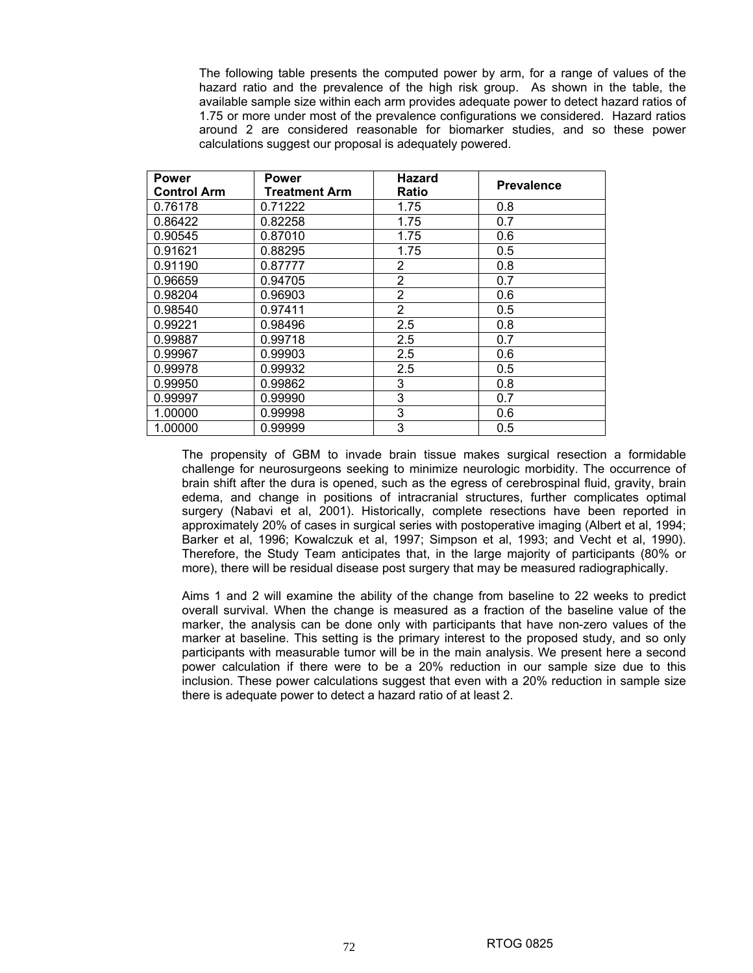The following table presents the computed power by arm, for a range of values of the hazard ratio and the prevalence of the high risk group. As shown in the table, the available sample size within each arm provides adequate power to detect hazard ratios of 1.75 or more under most of the prevalence configurations we considered. Hazard ratios around 2 are considered reasonable for biomarker studies, and so these power calculations suggest our proposal is adequately powered.

| <b>Power</b>       | <b>Power</b>  | <b>Hazard</b>  | <b>Prevalence</b> |
|--------------------|---------------|----------------|-------------------|
| <b>Control Arm</b> | Treatment Arm | Ratio          |                   |
| 0.76178            | 0.71222       | 1.75           | 0.8               |
| 0.86422            | 0.82258       | 1.75           | 0.7               |
| 0.90545            | 0.87010       | 1.75           | 0.6               |
| 0.91621            | 0.88295       | 1.75           | 0.5               |
| 0.91190            | 0.87777       | 2              | 0.8               |
| 0.96659            | 0.94705       | 2              | 0.7               |
| 0.98204            | 0.96903       | 2              | 0.6               |
| 0.98540            | 0.97411       | $\overline{2}$ | 0.5               |
| 0.99221            | 0.98496       | 2.5            | 0.8               |
| 0.99887            | 0.99718       | 2.5            | 0.7               |
| 0.99967            | 0.99903       | 2.5            | 0.6               |
| 0.99978            | 0.99932       | 2.5            | 0.5               |
| 0.99950            | 0.99862       | 3              | 0.8               |
| 0.99997            | 0.99990       | 3              | 0.7               |
| 1.00000            | 0.99998       | 3              | 0.6               |
| 1.00000            | 0.99999       | 3              | 0.5               |

The propensity of GBM to invade brain tissue makes surgical resection a formidable challenge for neurosurgeons seeking to minimize neurologic morbidity. The occurrence of brain shift after the dura is opened, such as the egress of cerebrospinal fluid, gravity, brain edema, and change in positions of intracranial structures, further complicates optimal surgery (Nabavi et al, 2001). Historically, complete resections have been reported in approximately 20% of cases in surgical series with postoperative imaging (Albert et al, 1994; Barker et al, 1996; Kowalczuk et al, 1997; Simpson et al, 1993; and Vecht et al, 1990). Therefore, the Study Team anticipates that, in the large majority of participants (80% or more), there will be residual disease post surgery that may be measured radiographically.

Aims 1 and 2 will examine the ability of the change from baseline to 22 weeks to predict overall survival. When the change is measured as a fraction of the baseline value of the marker, the analysis can be done only with participants that have non-zero values of the marker at baseline. This setting is the primary interest to the proposed study, and so only participants with measurable tumor will be in the main analysis. We present here a second power calculation if there were to be a 20% reduction in our sample size due to this inclusion. These power calculations suggest that even with a 20% reduction in sample size there is adequate power to detect a hazard ratio of at least 2.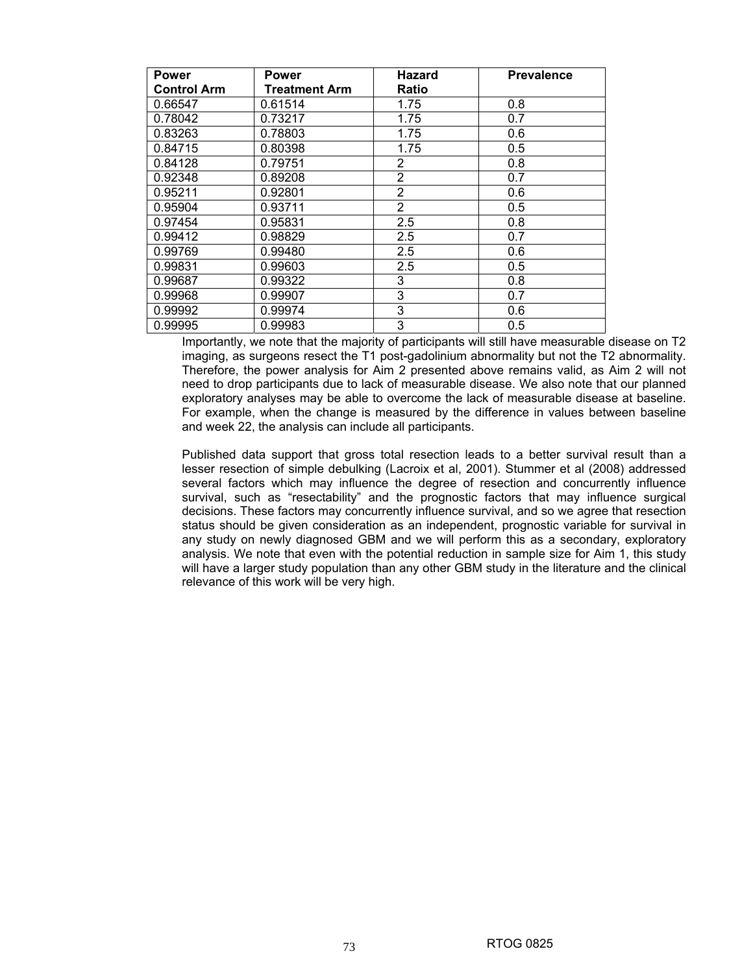| Power              | <b>Power</b>  | Hazard         | <b>Prevalence</b> |
|--------------------|---------------|----------------|-------------------|
| <b>Control Arm</b> | Treatment Arm | Ratio          |                   |
| 0.66547            | 0.61514       | 1.75           | 0.8               |
| 0.78042            | 0.73217       | 1.75           | 0.7               |
| 0.83263            | 0.78803       | 1.75           | 0.6               |
| 0.84715            | 0.80398       | 1.75           | 0.5               |
| 0.84128            | 0.79751       | 2              | 0.8               |
| 0.92348            | 0.89208       | 2              | 0.7               |
| 0.95211            | 0.92801       | 2              | 0.6               |
| 0.95904            | 0.93711       | $\overline{2}$ | 0.5               |
| 0.97454            | 0.95831       | 2.5            | 0.8               |
| 0.99412            | 0.98829       | 2.5            | 0.7               |
| 0.99769            | 0.99480       | 2.5            | 0.6               |
| 0.99831            | 0.99603       | 2.5            | 0.5               |
| 0.99687            | 0.99322       | 3              | 0.8               |
| 0.99968            | 0.99907       | 3              | 0.7               |
| 0.99992            | 0.99974       | 3              | 0.6               |
| 0.99995            | 0.99983       | 3              | 0.5               |

Importantly, we note that the majority of participants will still have measurable disease on T2 imaging, as surgeons resect the T1 post-gadolinium abnormality but not the T2 abnormality. Therefore, the power analysis for Aim 2 presented above remains valid, as Aim 2 will not need to drop participants due to lack of measurable disease. We also note that our planned exploratory analyses may be able to overcome the lack of measurable disease at baseline. For example, when the change is measured by the difference in values between baseline and week 22, the analysis can include all participants.

Published data support that gross total resection leads to a better survival result than a lesser resection of simple debulking (Lacroix et al, 2001). Stummer et al (2008) addressed several factors which may influence the degree of resection and concurrently influence survival, such as "resectability" and the prognostic factors that may influence surgical decisions. These factors may concurrently influence survival, and so we agree that resection status should be given consideration as an independent, prognostic variable for survival in any study on newly diagnosed GBM and we will perform this as a secondary, exploratory analysis. We note that even with the potential reduction in sample size for Aim 1, this study will have a larger study population than any other GBM study in the literature and the clinical relevance of this work will be very high.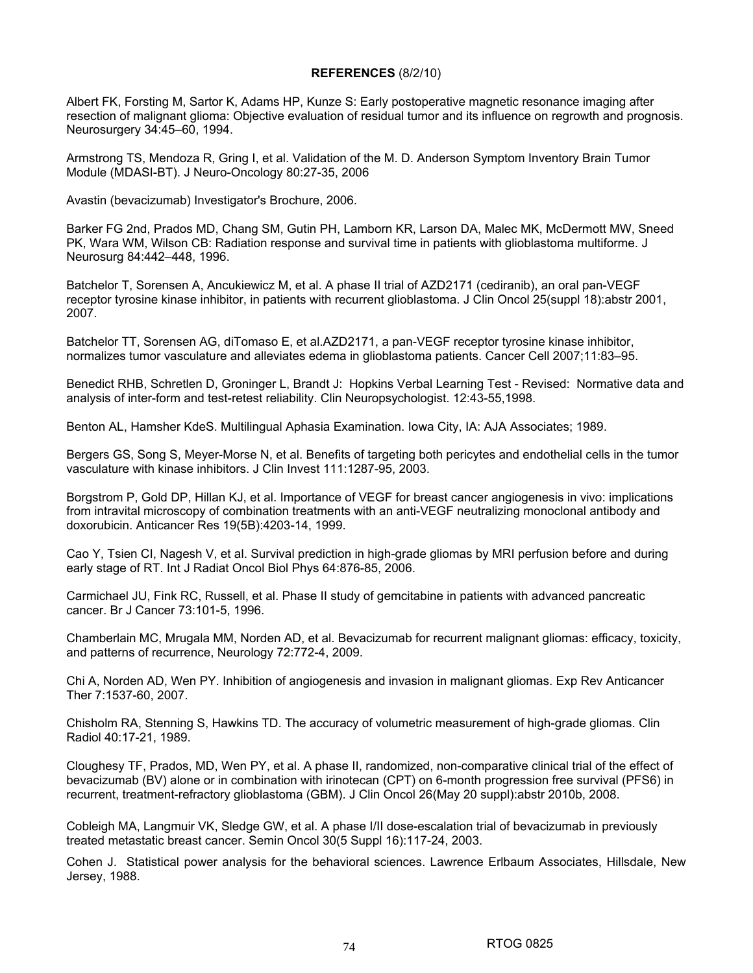#### **REFERENCES** (8/2/10)

Albert FK, Forsting M, Sartor K, Adams HP, Kunze S: Early postoperative magnetic resonance imaging after resection of malignant glioma: Objective evaluation of residual tumor and its influence on regrowth and prognosis. Neurosurgery 34:45–60, 1994.

Armstrong TS, Mendoza R, Gring I, et al. Validation of the M. D. Anderson Symptom Inventory Brain Tumor Module (MDASI-BT). J Neuro-Oncology 80:27-35, 2006

Avastin (bevacizumab) Investigator's Brochure, 2006.

Barker FG 2nd, Prados MD, Chang SM, Gutin PH, Lamborn KR, Larson DA, Malec MK, McDermott MW, Sneed PK, Wara WM, Wilson CB: Radiation response and survival time in patients with glioblastoma multiforme. J Neurosurg 84:442–448, 1996.

Batchelor T, Sorensen A, Ancukiewicz M, et al. A phase II trial of AZD2171 (cediranib), an oral pan-VEGF receptor tyrosine kinase inhibitor, in patients with recurrent glioblastoma. J Clin Oncol 25(suppl 18):abstr 2001, 2007.

Batchelor TT, Sorensen AG, diTomaso E, et al.AZD2171, a pan-VEGF receptor tyrosine kinase inhibitor, normalizes tumor vasculature and alleviates edema in glioblastoma patients. Cancer Cell 2007;11:83–95.

Benedict RHB, Schretlen D, Groninger L, Brandt J: Hopkins Verbal Learning Test - Revised: Normative data and analysis of inter-form and test-retest reliability. Clin Neuropsychologist. 12:43-55,1998.

Benton AL, Hamsher KdeS. Multilingual Aphasia Examination. Iowa City, IA: AJA Associates; 1989.

Bergers GS, Song S, Meyer-Morse N, et al. Benefits of targeting both pericytes and endothelial cells in the tumor vasculature with kinase inhibitors. J Clin Invest 111:1287-95, 2003.

Borgstrom P, Gold DP, Hillan KJ, et al. Importance of VEGF for breast cancer angiogenesis in vivo: implications from intravital microscopy of combination treatments with an anti-VEGF neutralizing monoclonal antibody and doxorubicin. Anticancer Res 19(5B):4203-14, 1999.

Cao Y, Tsien CI, Nagesh V, et al. Survival prediction in high-grade gliomas by MRI perfusion before and during early stage of RT. Int J Radiat Oncol Biol Phys 64:876-85, 2006.

Carmichael JU, Fink RC, Russell, et al. Phase II study of gemcitabine in patients with advanced pancreatic cancer. Br J Cancer 73:101-5, 1996.

Chamberlain MC, Mrugala MM, Norden AD, et al. Bevacizumab for recurrent malignant gliomas: efficacy, toxicity, and patterns of recurrence, Neurology 72:772-4, 2009.

Chi A, Norden AD, Wen PY. Inhibition of angiogenesis and invasion in malignant gliomas. Exp Rev Anticancer Ther 7:1537-60, 2007.

Chisholm RA, Stenning S, Hawkins TD. The accuracy of volumetric measurement of high-grade gliomas. Clin Radiol 40:17-21, 1989.

Cloughesy TF, Prados, MD, Wen PY, et al. A phase II, randomized, non-comparative clinical trial of the effect of bevacizumab (BV) alone or in combination with irinotecan (CPT) on 6-month progression free survival (PFS6) in recurrent, treatment-refractory glioblastoma (GBM). J Clin Oncol 26(May 20 suppl):abstr 2010b, 2008.

Cobleigh MA, Langmuir VK, Sledge GW, et al. A phase I/II dose-escalation trial of bevacizumab in previously treated metastatic breast cancer. Semin Oncol 30(5 Suppl 16):117-24, 2003.

Cohen J. Statistical power analysis for the behavioral sciences. Lawrence Erlbaum Associates, Hillsdale, New Jersey, 1988.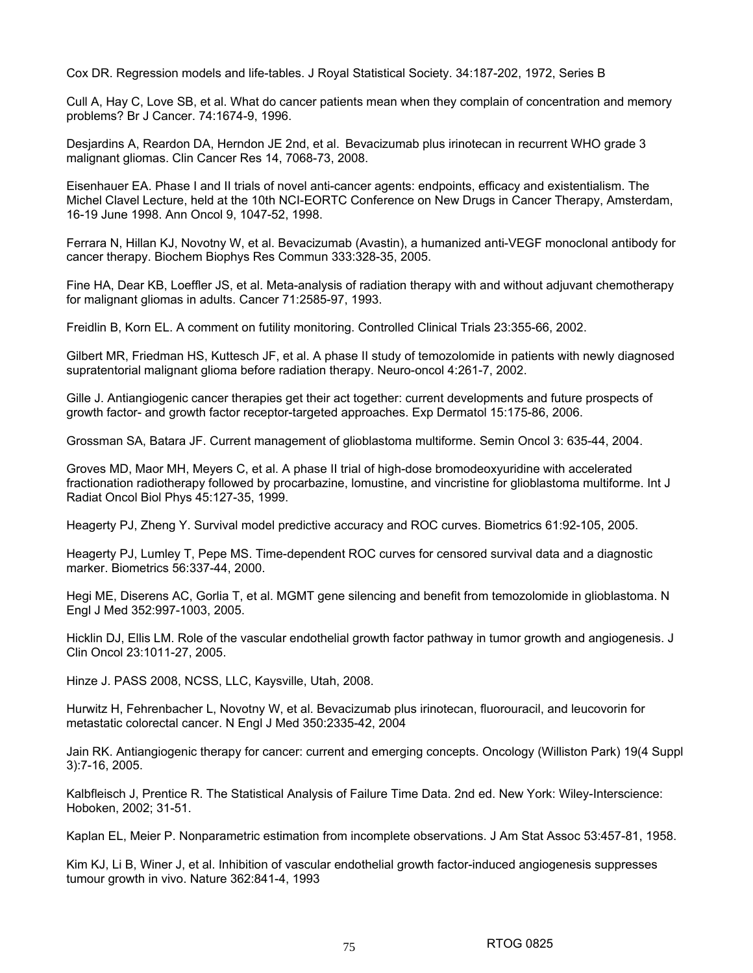Cox DR. Regression models and life-tables. J Royal Statistical Society. 34:187-202, 1972, Series B

Cull A, Hay C, Love SB, et al. What do cancer patients mean when they complain of concentration and memory problems? Br J Cancer. 74:1674-9, 1996.

Desjardins A, Reardon DA, Herndon JE 2nd, et al. Bevacizumab plus irinotecan in recurrent WHO grade 3 malignant gliomas. Clin Cancer Res 14, 7068-73, 2008.

Eisenhauer EA. Phase I and II trials of novel anti-cancer agents: endpoints, efficacy and existentialism. The Michel Clavel Lecture, held at the 10th NCI-EORTC Conference on New Drugs in Cancer Therapy, Amsterdam, 16-19 June 1998. Ann Oncol 9, 1047-52, 1998.

Ferrara N, Hillan KJ, Novotny W, et al. Bevacizumab (Avastin), a humanized anti-VEGF monoclonal antibody for cancer therapy. Biochem Biophys Res Commun 333:328-35, 2005.

Fine HA, Dear KB, Loeffler JS, et al. Meta-analysis of radiation therapy with and without adjuvant chemotherapy for malignant gliomas in adults. Cancer 71:2585-97, 1993.

Freidlin B, Korn EL. A comment on futility monitoring. Controlled Clinical Trials 23:355-66, 2002.

Gilbert MR, Friedman HS, Kuttesch JF, et al. A phase II study of temozolomide in patients with newly diagnosed supratentorial malignant glioma before radiation therapy. Neuro-oncol 4:261-7, 2002.

Gille J. Antiangiogenic cancer therapies get their act together: current developments and future prospects of growth factor- and growth factor receptor-targeted approaches. Exp Dermatol 15:175-86, 2006.

Grossman SA, Batara JF. Current management of glioblastoma multiforme. Semin Oncol 3: 635-44, 2004.

Groves MD, Maor MH, Meyers C, et al. A phase II trial of high-dose bromodeoxyuridine with accelerated fractionation radiotherapy followed by procarbazine, lomustine, and vincristine for glioblastoma multiforme. Int J Radiat Oncol Biol Phys 45:127-35, 1999.

Heagerty PJ, Zheng Y. Survival model predictive accuracy and ROC curves. Biometrics 61:92-105, 2005.

Heagerty PJ, Lumley T, Pepe MS. Time-dependent ROC curves for censored survival data and a diagnostic marker. Biometrics 56:337-44, 2000.

Hegi ME, Diserens AC, Gorlia T, et al. MGMT gene silencing and benefit from temozolomide in glioblastoma. N Engl J Med 352:997-1003, 2005.

Hicklin DJ, Ellis LM. Role of the vascular endothelial growth factor pathway in tumor growth and angiogenesis. J Clin Oncol 23:1011-27, 2005.

Hinze J. PASS 2008, NCSS, LLC, Kaysville, Utah, 2008.

Hurwitz H, Fehrenbacher L, Novotny W, et al. Bevacizumab plus irinotecan, fluorouracil, and leucovorin for metastatic colorectal cancer. N Engl J Med 350:2335-42, 2004

Jain RK. Antiangiogenic therapy for cancer: current and emerging concepts. Oncology (Williston Park) 19(4 Suppl 3):7-16, 2005.

Kalbfleisch J, Prentice R. The Statistical Analysis of Failure Time Data. 2nd ed. New York: Wiley-Interscience: Hoboken, 2002; 31-51.

Kaplan EL, Meier P. Nonparametric estimation from incomplete observations. J Am Stat Assoc 53:457-81, 1958.

Kim KJ, Li B, Winer J, et al. Inhibition of vascular endothelial growth factor-induced angiogenesis suppresses tumour growth in vivo. Nature 362:841-4, 1993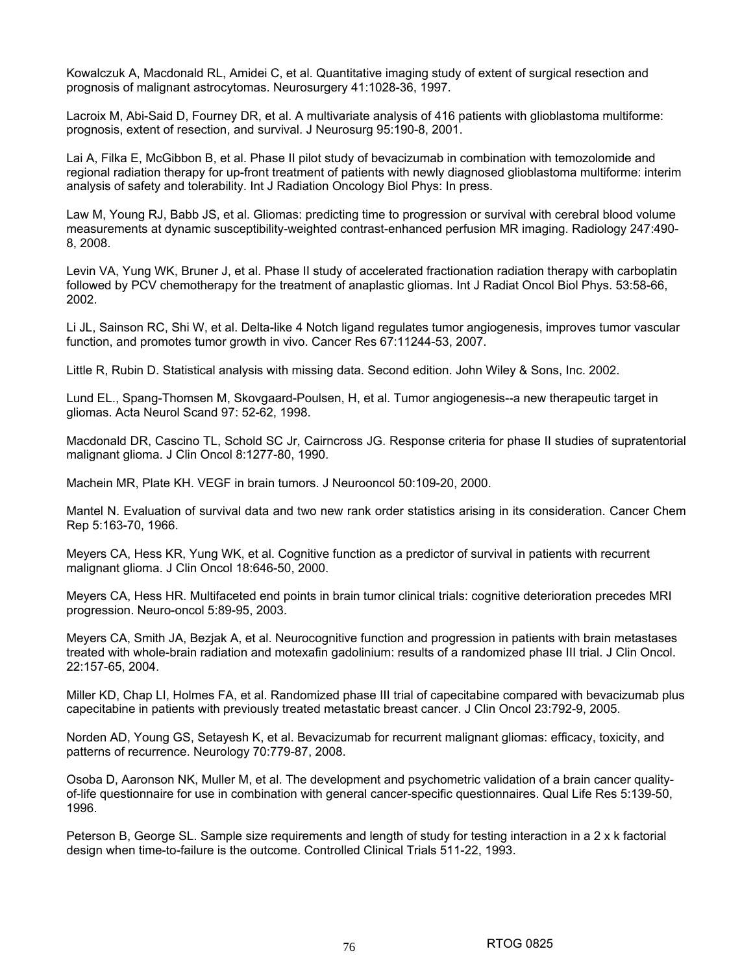Kowalczuk A, Macdonald RL, Amidei C, et al. Quantitative imaging study of extent of surgical resection and prognosis of malignant astrocytomas. Neurosurgery 41:1028-36, 1997.

Lacroix M, Abi-Said D, Fourney DR, et al. A multivariate analysis of 416 patients with glioblastoma multiforme: prognosis, extent of resection, and survival. J Neurosurg 95:190-8, 2001.

Lai A, Filka E, McGibbon B, et al. Phase II pilot study of bevacizumab in combination with temozolomide and regional radiation therapy for up-front treatment of patients with newly diagnosed glioblastoma multiforme: interim analysis of safety and tolerability. Int J Radiation Oncology Biol Phys: In press.

Law M, Young RJ, Babb JS, et al. Gliomas: predicting time to progression or survival with cerebral blood volume measurements at dynamic susceptibility-weighted contrast-enhanced perfusion MR imaging. Radiology 247:490- 8, 2008.

Levin VA, Yung WK, Bruner J, et al. Phase II study of accelerated fractionation radiation therapy with carboplatin followed by PCV chemotherapy for the treatment of anaplastic gliomas. Int J Radiat Oncol Biol Phys. 53:58-66, 2002.

Li JL, Sainson RC, Shi W, et al. Delta-like 4 Notch ligand regulates tumor angiogenesis, improves tumor vascular function, and promotes tumor growth in vivo. Cancer Res 67:11244-53, 2007.

Little R, Rubin D. Statistical analysis with missing data. Second edition. John Wiley & Sons, Inc. 2002.

Lund EL., Spang-Thomsen M, Skovgaard-Poulsen, H, et al. Tumor angiogenesis--a new therapeutic target in gliomas. Acta Neurol Scand 97: 52-62, 1998.

Macdonald DR, Cascino TL, Schold SC Jr, Cairncross JG. Response criteria for phase II studies of supratentorial malignant glioma. J Clin Oncol 8:1277-80, 1990.

Machein MR, Plate KH. VEGF in brain tumors. J Neurooncol 50:109-20, 2000.

Mantel N. Evaluation of survival data and two new rank order statistics arising in its consideration. Cancer Chem Rep 5:163-70, 1966.

Meyers CA, Hess KR, Yung WK, et al. Cognitive function as a predictor of survival in patients with recurrent malignant glioma. J Clin Oncol 18:646-50, 2000.

Meyers CA, Hess HR. Multifaceted end points in brain tumor clinical trials: cognitive deterioration precedes MRI progression. Neuro-oncol 5:89-95, 2003.

Meyers CA, Smith JA, Bezjak A, et al. Neurocognitive function and progression in patients with brain metastases treated with whole-brain radiation and motexafin gadolinium: results of a randomized phase III trial. J Clin Oncol. 22:157-65, 2004.

Miller KD, Chap LI, Holmes FA, et al. Randomized phase III trial of capecitabine compared with bevacizumab plus capecitabine in patients with previously treated metastatic breast cancer. J Clin Oncol 23:792-9, 2005.

Norden AD, Young GS, Setayesh K, et al. Bevacizumab for recurrent malignant gliomas: efficacy, toxicity, and patterns of recurrence. Neurology 70:779-87, 2008.

Osoba D, Aaronson NK, Muller M, et al. The development and psychometric validation of a brain cancer qualityof-life questionnaire for use in combination with general cancer-specific questionnaires. Qual Life Res 5:139-50, 1996.

Peterson B, George SL. Sample size requirements and length of study for testing interaction in a 2 x k factorial design when time-to-failure is the outcome. Controlled Clinical Trials 511-22, 1993.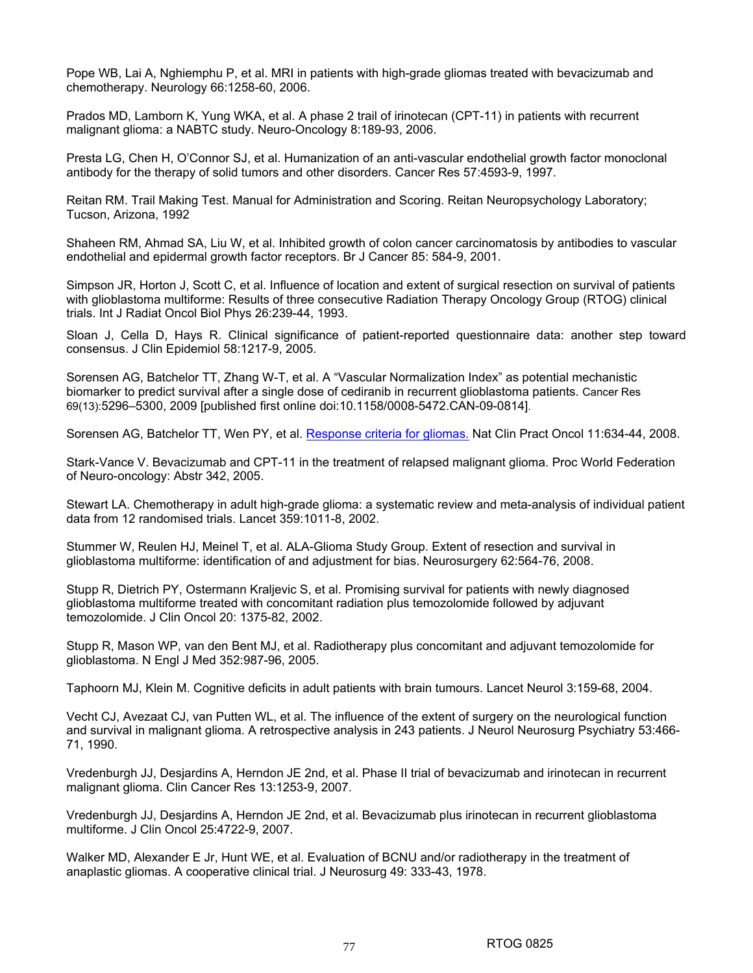Pope WB, Lai A, Nghiemphu P, et al. MRI in patients with high-grade gliomas treated with bevacizumab and chemotherapy. Neurology 66:1258-60, 2006.

Prados MD, Lamborn K, Yung WKA, et al. A phase 2 trail of irinotecan (CPT-11) in patients with recurrent malignant glioma: a NABTC study. Neuro-Oncology 8:189-93, 2006.

Presta LG, Chen H, O'Connor SJ, et al. Humanization of an anti-vascular endothelial growth factor monoclonal antibody for the therapy of solid tumors and other disorders. Cancer Res 57:4593-9, 1997.

Reitan RM. Trail Making Test. Manual for Administration and Scoring. Reitan Neuropsychology Laboratory; Tucson, Arizona, 1992

Shaheen RM, Ahmad SA, Liu W, et al. Inhibited growth of colon cancer carcinomatosis by antibodies to vascular endothelial and epidermal growth factor receptors. Br J Cancer 85: 584-9, 2001.

Simpson JR, Horton J, Scott C, et al. Influence of location and extent of surgical resection on survival of patients with glioblastoma multiforme: Results of three consecutive Radiation Therapy Oncology Group (RTOG) clinical trials. Int J Radiat Oncol Biol Phys 26:239-44, 1993.

Sloan J, Cella D, Hays R. Clinical significance of patient-reported questionnaire data: another step toward consensus. J Clin Epidemiol 58:1217-9, 2005.

Sorensen AG, Batchelor TT, Zhang W-T, et al. A "Vascular Normalization Index" as potential mechanistic biomarker to predict survival after a single dose of cediranib in recurrent glioblastoma patients. Cancer Res 69(13):5296–5300, 2009 [published first online doi:10.1158/0008-5472.CAN-09-0814].

Sorensen AG, Batchelor TT, Wen PY, et al. Response criteria for gliomas. Nat Clin Pract Oncol 11:634-44, 2008.

Stark-Vance V. Bevacizumab and CPT-11 in the treatment of relapsed malignant glioma. Proc World Federation of Neuro-oncology: Abstr 342, 2005.

Stewart LA. Chemotherapy in adult high-grade glioma: a systematic review and meta-analysis of individual patient data from 12 randomised trials. Lancet 359:1011-8, 2002.

Stummer W, Reulen HJ, Meinel T, et al. ALA-Glioma Study Group. Extent of resection and survival in glioblastoma multiforme: identification of and adjustment for bias. Neurosurgery 62:564-76, 2008.

Stupp R, Dietrich PY, Ostermann Kraljevic S, et al. Promising survival for patients with newly diagnosed glioblastoma multiforme treated with concomitant radiation plus temozolomide followed by adjuvant temozolomide. J Clin Oncol 20: 1375-82, 2002.

Stupp R, Mason WP, van den Bent MJ, et al. Radiotherapy plus concomitant and adjuvant temozolomide for glioblastoma. N Engl J Med 352:987-96, 2005.

Taphoorn MJ, Klein M. Cognitive deficits in adult patients with brain tumours. Lancet Neurol 3:159-68, 2004.

Vecht CJ, Avezaat CJ, van Putten WL, et al. The influence of the extent of surgery on the neurological function and survival in malignant glioma. A retrospective analysis in 243 patients. J Neurol Neurosurg Psychiatry 53:466- 71, 1990.

Vredenburgh JJ, Desjardins A, Herndon JE 2nd, et al. Phase II trial of bevacizumab and irinotecan in recurrent malignant glioma. Clin Cancer Res 13:1253-9, 2007.

Vredenburgh JJ, Desjardins A, Herndon JE 2nd, et al. Bevacizumab plus irinotecan in recurrent glioblastoma multiforme. J Clin Oncol 25:4722-9, 2007.

Walker MD, Alexander E Jr, Hunt WE, et al. Evaluation of BCNU and/or radiotherapy in the treatment of anaplastic gliomas. A cooperative clinical trial. J Neurosurg 49: 333-43, 1978.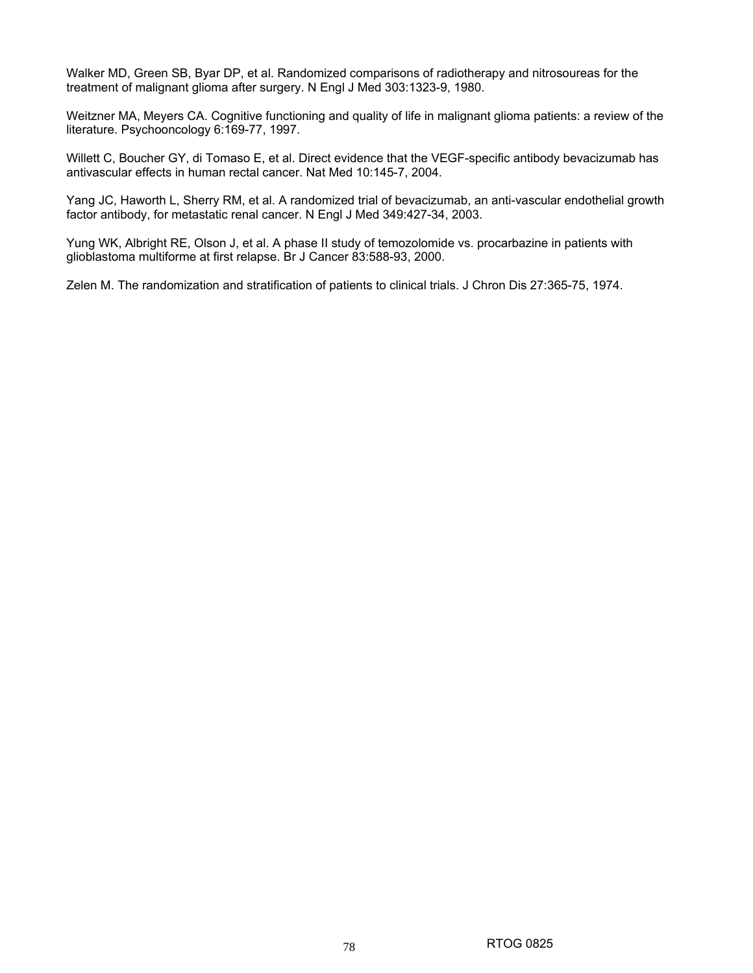Walker MD, Green SB, Byar DP, et al. Randomized comparisons of radiotherapy and nitrosoureas for the treatment of malignant glioma after surgery. N Engl J Med 303:1323-9, 1980.

Weitzner MA, Meyers CA. Cognitive functioning and quality of life in malignant glioma patients: a review of the literature. Psychooncology 6:169-77, 1997.

Willett C, Boucher GY, di Tomaso E, et al. Direct evidence that the VEGF-specific antibody bevacizumab has antivascular effects in human rectal cancer. Nat Med 10:145-7, 2004.

Yang JC, Haworth L, Sherry RM, et al. A randomized trial of bevacizumab, an anti-vascular endothelial growth factor antibody, for metastatic renal cancer. N Engl J Med 349:427-34, 2003.

Yung WK, Albright RE, Olson J, et al. A phase II study of temozolomide vs. procarbazine in patients with glioblastoma multiforme at first relapse. Br J Cancer 83:588-93, 2000.

Zelen M. The randomization and stratification of patients to clinical trials. J Chron Dis 27:365-75, 1974.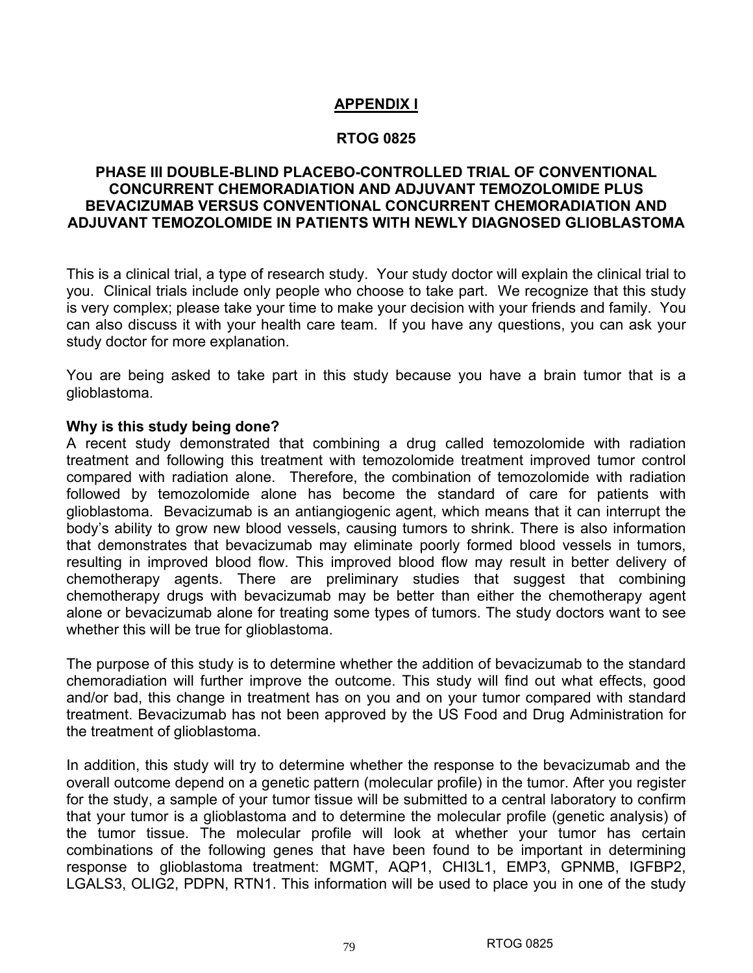### **APPENDIX I**

### **RTOG 0825**

### **PHASE III DOUBLE-BLIND PLACEBO-CONTROLLED TRIAL OF CONVENTIONAL CONCURRENT CHEMORADIATION AND ADJUVANT TEMOZOLOMIDE PLUS BEVACIZUMAB VERSUS CONVENTIONAL CONCURRENT CHEMORADIATION AND ADJUVANT TEMOZOLOMIDE IN PATIENTS WITH NEWLY DIAGNOSED GLIOBLASTOMA**

This is a clinical trial, a type of research study. Your study doctor will explain the clinical trial to you. Clinical trials include only people who choose to take part. We recognize that this study is very complex; please take your time to make your decision with your friends and family. You can also discuss it with your health care team. If you have any questions, you can ask your study doctor for more explanation.

You are being asked to take part in this study because you have a brain tumor that is a glioblastoma.

### **Why is this study being done?**

A recent study demonstrated that combining a drug called temozolomide with radiation treatment and following this treatment with temozolomide treatment improved tumor control compared with radiation alone. Therefore, the combination of temozolomide with radiation followed by temozolomide alone has become the standard of care for patients with glioblastoma. Bevacizumab is an antiangiogenic agent, which means that it can interrupt the body's ability to grow new blood vessels, causing tumors to shrink. There is also information that demonstrates that bevacizumab may eliminate poorly formed blood vessels in tumors, resulting in improved blood flow. This improved blood flow may result in better delivery of chemotherapy agents. There are preliminary studies that suggest that combining chemotherapy drugs with bevacizumab may be better than either the chemotherapy agent alone or bevacizumab alone for treating some types of tumors. The study doctors want to see whether this will be true for glioblastoma.

The purpose of this study is to determine whether the addition of bevacizumab to the standard chemoradiation will further improve the outcome. This study will find out what effects, good and/or bad, this change in treatment has on you and on your tumor compared with standard treatment. Bevacizumab has not been approved by the US Food and Drug Administration for the treatment of glioblastoma.

In addition, this study will try to determine whether the response to the bevacizumab and the overall outcome depend on a genetic pattern (molecular profile) in the tumor. After you register for the study, a sample of your tumor tissue will be submitted to a central laboratory to confirm that your tumor is a glioblastoma and to determine the molecular profile (genetic analysis) of the tumor tissue. The molecular profile will look at whether your tumor has certain combinations of the following genes that have been found to be important in determining response to glioblastoma treatment: MGMT, AQP1, CHI3L1, EMP3, GPNMB, IGFBP2, LGALS3, OLIG2, PDPN, RTN1. This information will be used to place you in one of the study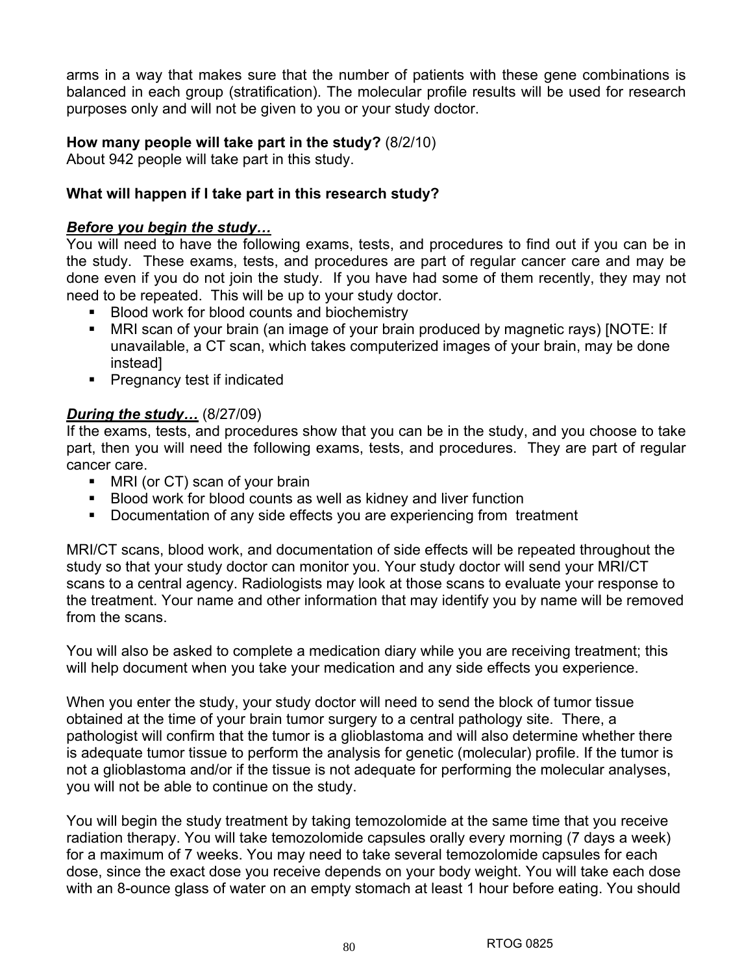arms in a way that makes sure that the number of patients with these gene combinations is balanced in each group (stratification). The molecular profile results will be used for research purposes only and will not be given to you or your study doctor.

### **How many people will take part in the study?** (8/2/10)

About 942 people will take part in this study.

### **What will happen if I take part in this research study?**

### *Before you begin the study…*

You will need to have the following exams, tests, and procedures to find out if you can be in the study. These exams, tests, and procedures are part of regular cancer care and may be done even if you do not join the study. If you have had some of them recently, they may not need to be repeated. This will be up to your study doctor.

- **Blood work for blood counts and biochemistry**
- MRI scan of your brain (an image of your brain produced by magnetic rays) [NOTE: If unavailable, a CT scan, which takes computerized images of your brain, may be done instead]
- **Pregnancy test if indicated**

### *During the study…* (8/27/09)

If the exams, tests, and procedures show that you can be in the study, and you choose to take part, then you will need the following exams, tests, and procedures. They are part of regular cancer care.

- MRI (or CT) scan of your brain
- Blood work for blood counts as well as kidney and liver function
- Documentation of any side effects you are experiencing from treatment

MRI/CT scans, blood work, and documentation of side effects will be repeated throughout the study so that your study doctor can monitor you. Your study doctor will send your MRI/CT scans to a central agency. Radiologists may look at those scans to evaluate your response to the treatment. Your name and other information that may identify you by name will be removed from the scans.

You will also be asked to complete a medication diary while you are receiving treatment; this will help document when you take your medication and any side effects you experience.

When you enter the study, your study doctor will need to send the block of tumor tissue obtained at the time of your brain tumor surgery to a central pathology site. There, a pathologist will confirm that the tumor is a glioblastoma and will also determine whether there is adequate tumor tissue to perform the analysis for genetic (molecular) profile. If the tumor is not a glioblastoma and/or if the tissue is not adequate for performing the molecular analyses, you will not be able to continue on the study.

You will begin the study treatment by taking temozolomide at the same time that you receive radiation therapy. You will take temozolomide capsules orally every morning (7 days a week) for a maximum of 7 weeks. You may need to take several temozolomide capsules for each dose, since the exact dose you receive depends on your body weight. You will take each dose with an 8-ounce glass of water on an empty stomach at least 1 hour before eating. You should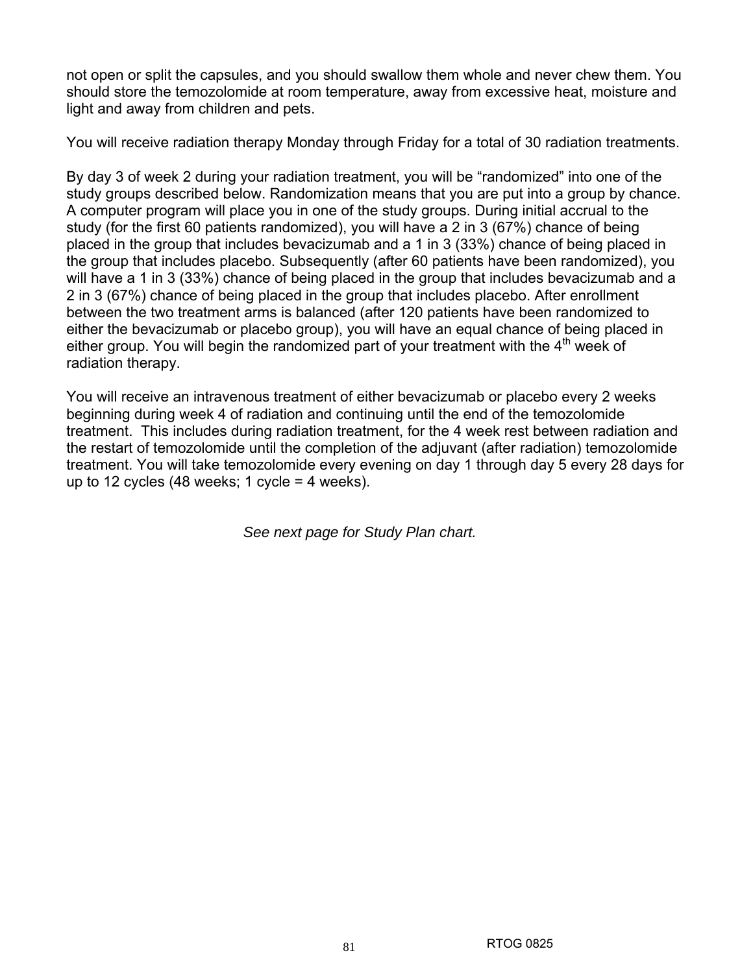not open or split the capsules, and you should swallow them whole and never chew them. You should store the temozolomide at room temperature, away from excessive heat, moisture and light and away from children and pets.

You will receive radiation therapy Monday through Friday for a total of 30 radiation treatments.

By day 3 of week 2 during your radiation treatment, you will be "randomized" into one of the study groups described below. Randomization means that you are put into a group by chance. A computer program will place you in one of the study groups. During initial accrual to the study (for the first 60 patients randomized), you will have a 2 in 3 (67%) chance of being placed in the group that includes bevacizumab and a 1 in 3 (33%) chance of being placed in the group that includes placebo. Subsequently (after 60 patients have been randomized), you will have a 1 in 3 (33%) chance of being placed in the group that includes bevacizumab and a 2 in 3 (67%) chance of being placed in the group that includes placebo. After enrollment between the two treatment arms is balanced (after 120 patients have been randomized to either the bevacizumab or placebo group), you will have an equal chance of being placed in either group. You will begin the randomized part of your treatment with the  $4<sup>th</sup>$  week of radiation therapy.

You will receive an intravenous treatment of either bevacizumab or placebo every 2 weeks beginning during week 4 of radiation and continuing until the end of the temozolomide treatment. This includes during radiation treatment, for the 4 week rest between radiation and the restart of temozolomide until the completion of the adjuvant (after radiation) temozolomide treatment. You will take temozolomide every evening on day 1 through day 5 every 28 days for up to 12 cycles  $(48 \text{ weeks}; 1 \text{ cycle} = 4 \text{ weeks}).$ 

*See next page for Study Plan chart.*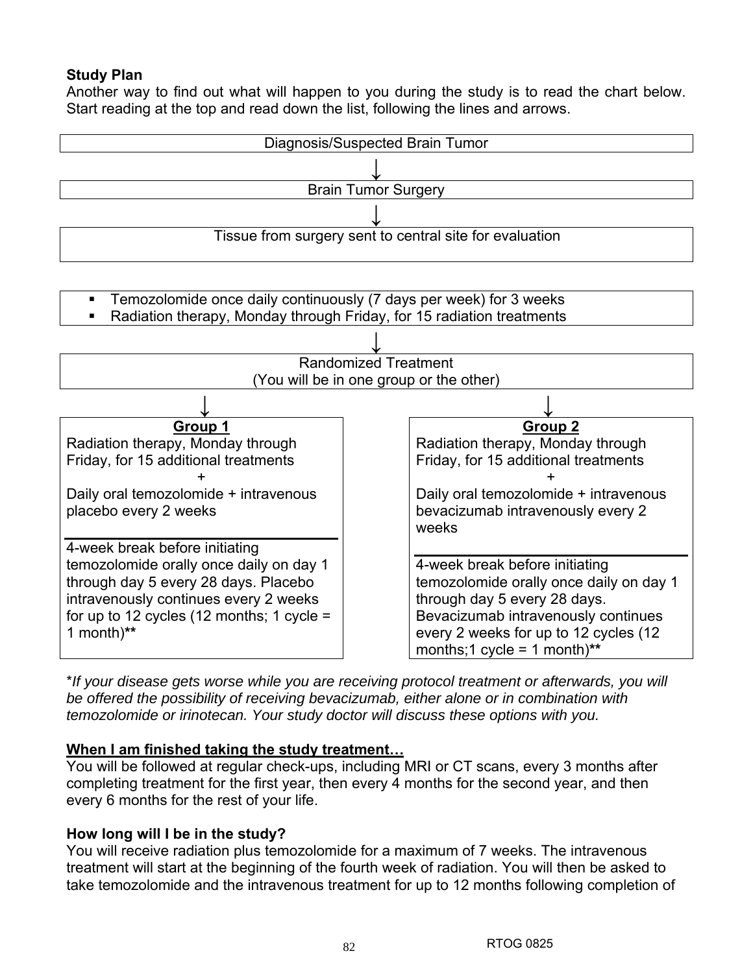# **Study Plan**

Another way to find out what will happen to you during the study is to read the chart below. Start reading at the top and read down the list, following the lines and arrows.



\**If your disease gets worse while you are receiving protocol treatment or afterwards, you will be offered the possibility of receiving bevacizumab, either alone or in combination with temozolomide or irinotecan. Your study doctor will discuss these options with you.*

### **When I am finished taking the study treatment…**

You will be followed at regular check-ups, including MRI or CT scans, every 3 months after completing treatment for the first year, then every 4 months for the second year, and then every 6 months for the rest of your life.

### **How long will I be in the study?**

You will receive radiation plus temozolomide for a maximum of 7 weeks. The intravenous treatment will start at the beginning of the fourth week of radiation. You will then be asked to take temozolomide and the intravenous treatment for up to 12 months following completion of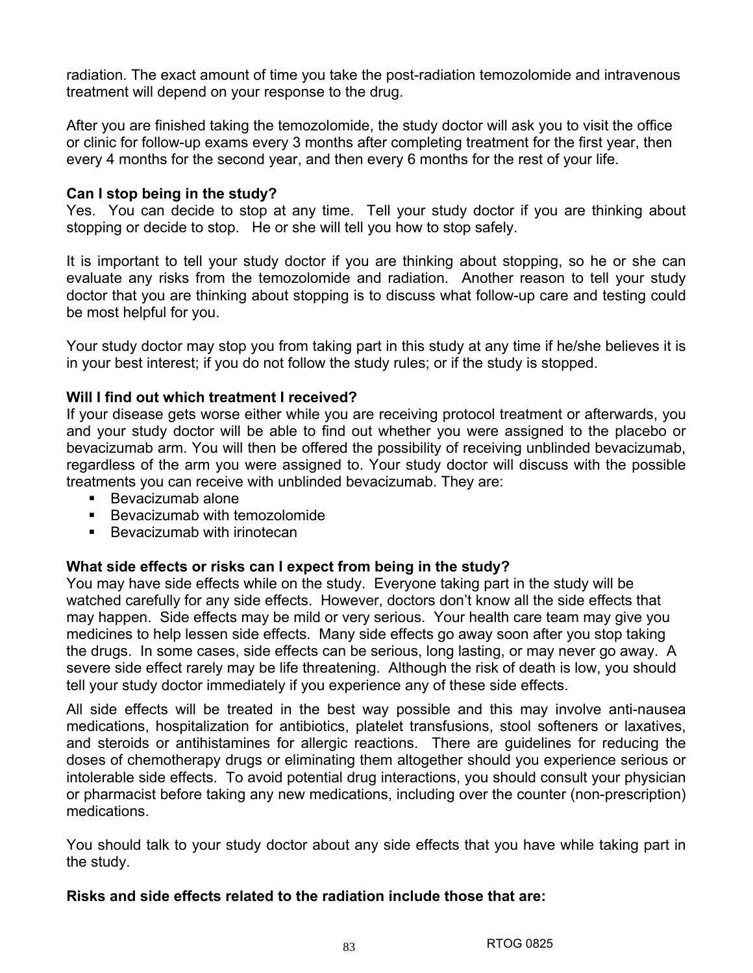radiation. The exact amount of time you take the post-radiation temozolomide and intravenous treatment will depend on your response to the drug.

After you are finished taking the temozolomide, the study doctor will ask you to visit the office or clinic for follow-up exams every 3 months after completing treatment for the first year, then every 4 months for the second year, and then every 6 months for the rest of your life.

### **Can I stop being in the study?**

Yes. You can decide to stop at any time. Tell your study doctor if you are thinking about stopping or decide to stop. He or she will tell you how to stop safely.

It is important to tell your study doctor if you are thinking about stopping, so he or she can evaluate any risks from the temozolomide and radiation. Another reason to tell your study doctor that you are thinking about stopping is to discuss what follow-up care and testing could be most helpful for you.

Your study doctor may stop you from taking part in this study at any time if he/she believes it is in your best interest; if you do not follow the study rules; or if the study is stopped.

### **Will I find out which treatment I received?**

If your disease gets worse either while you are receiving protocol treatment or afterwards, you and your study doctor will be able to find out whether you were assigned to the placebo or bevacizumab arm. You will then be offered the possibility of receiving unblinded bevacizumab, regardless of the arm you were assigned to. Your study doctor will discuss with the possible treatments you can receive with unblinded bevacizumab. They are:

- Bevacizumab alone
- **Bevacizumab with temozolomide**
- Bevacizumab with irinotecan

### **What side effects or risks can I expect from being in the study?**

You may have side effects while on the study. Everyone taking part in the study will be watched carefully for any side effects. However, doctors don't know all the side effects that may happen. Side effects may be mild or very serious. Your health care team may give you medicines to help lessen side effects. Many side effects go away soon after you stop taking the drugs. In some cases, side effects can be serious, long lasting, or may never go away. A severe side effect rarely may be life threatening. Although the risk of death is low, you should tell your study doctor immediately if you experience any of these side effects.

All side effects will be treated in the best way possible and this may involve anti-nausea medications, hospitalization for antibiotics, platelet transfusions, stool softeners or laxatives, and steroids or antihistamines for allergic reactions. There are guidelines for reducing the doses of chemotherapy drugs or eliminating them altogether should you experience serious or intolerable side effects. To avoid potential drug interactions, you should consult your physician or pharmacist before taking any new medications, including over the counter (non-prescription) medications.

You should talk to your study doctor about any side effects that you have while taking part in the study.

### **Risks and side effects related to the radiation include those that are:**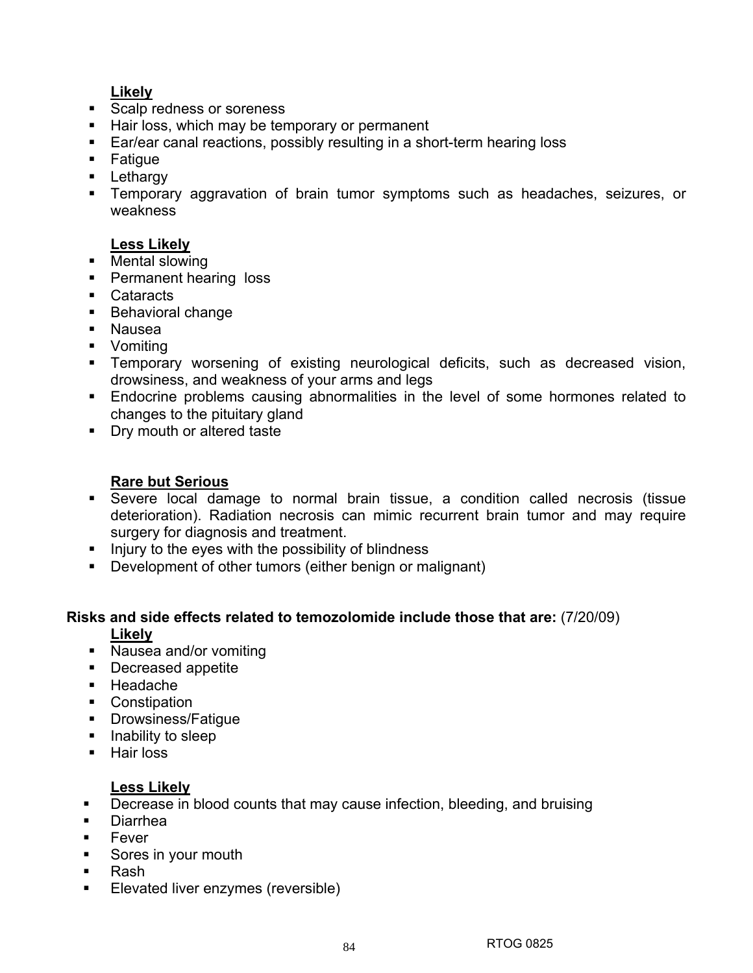# **Likely**

- Scalp redness or soreness
- Hair loss, which may be temporary or permanent
- Ear/ear canal reactions, possibly resulting in a short-term hearing loss
- **Fatigue**
- **Lethargy**
- Temporary aggravation of brain tumor symptoms such as headaches, seizures, or weakness

# **Less Likely**

- Mental slowing
- **Permanent hearing loss**
- Cataracts
- **Behavioral change**
- Nausea
- **•** Vomiting
- Temporary worsening of existing neurological deficits, such as decreased vision, drowsiness, and weakness of your arms and legs
- **Endocrine problems causing abnormalities in the level of some hormones related to** changes to the pituitary gland
- **Dry mouth or altered taste**

# **Rare but Serious**

- Severe local damage to normal brain tissue, a condition called necrosis (tissue deterioration). Radiation necrosis can mimic recurrent brain tumor and may require surgery for diagnosis and treatment.
- $\blacksquare$  Injury to the eyes with the possibility of blindness
- Development of other tumors (either benign or malignant)

### **Risks and side effects related to temozolomide include those that are:** (7/20/09) **Likely**

- **Nausea and/or vomiting**
- **Decreased appetite**
- Headache
- Constipation
- **•** Drowsiness/Fatigue
- **Inability to sleep**
- **Hair loss**

# **Less Likely**

- **•** Decrease in blood counts that may cause infection, bleeding, and bruising
- Diarrhea
- $\blacksquare$  Fever
- Sores in your mouth
- Rash
- **Elevated liver enzymes (reversible)**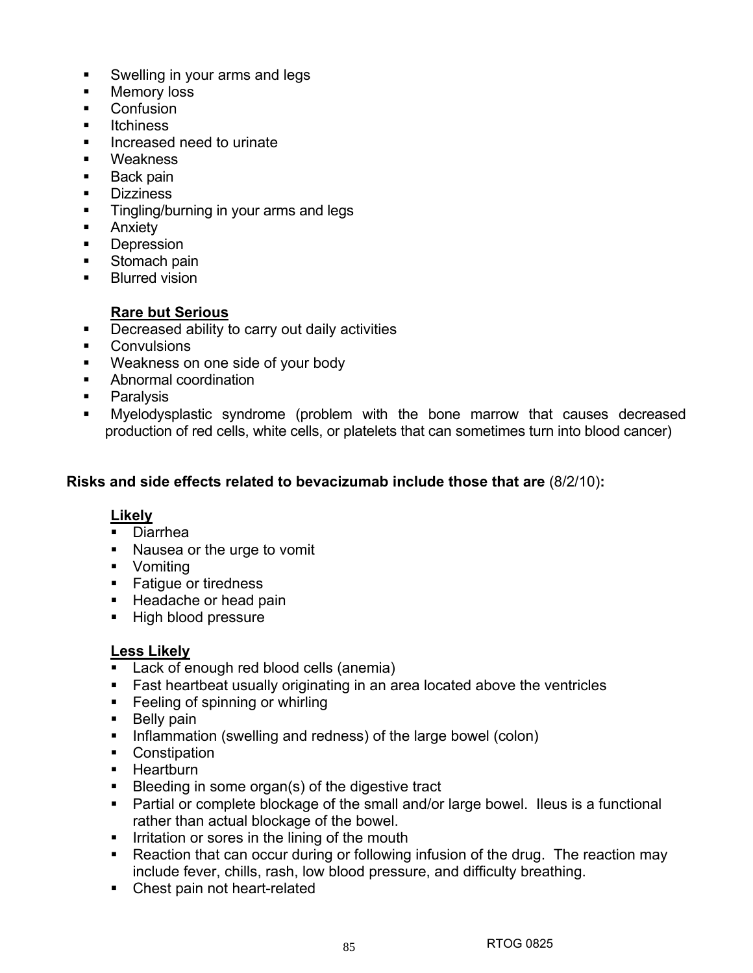- Swelling in your arms and legs
- **Memory loss**
- **Confusion**
- **u** Itchiness
- Increased need to urinate
- **Weakness**
- Back pain
- **Dizziness**
- **Tingling/burning in your arms and legs**
- **Anxiety**
- **Depression**
- Stomach pain
- **Blurred vision**

# **Rare but Serious**

- **Decreased ability to carry out daily activities**
- **Convulsions**
- Weakness on one side of your body
- Abnormal coordination
- **Paralysis**
- Myelodysplastic syndrome (problem with the bone marrow that causes decreased production of red cells, white cells, or platelets that can sometimes turn into blood cancer)

### **Risks and side effects related to bevacizumab include those that are** (8/2/10)**:**

### **Likely**

- Diarrhea
- **Nausea or the urge to vomit**
- **•** Vomiting
- **Fatique or tiredness**
- Headache or head pain
- **High blood pressure**

# **Less Likely**

- **Lack of enough red blood cells (anemia)**
- **Fast heartbeat usually originating in an area located above the ventricles**
- **Feeling of spinning or whirling**
- **Belly pain**
- Inflammation (swelling and redness) of the large bowel (colon)
- **Constipation**
- **Heartburn**
- Bleeding in some organ(s) of the digestive tract
- Partial or complete blockage of the small and/or large bowel. Ileus is a functional rather than actual blockage of the bowel.
- **IFF** Irritation or sores in the lining of the mouth
- Reaction that can occur during or following infusion of the drug. The reaction may include fever, chills, rash, low blood pressure, and difficulty breathing.
- Chest pain not heart-related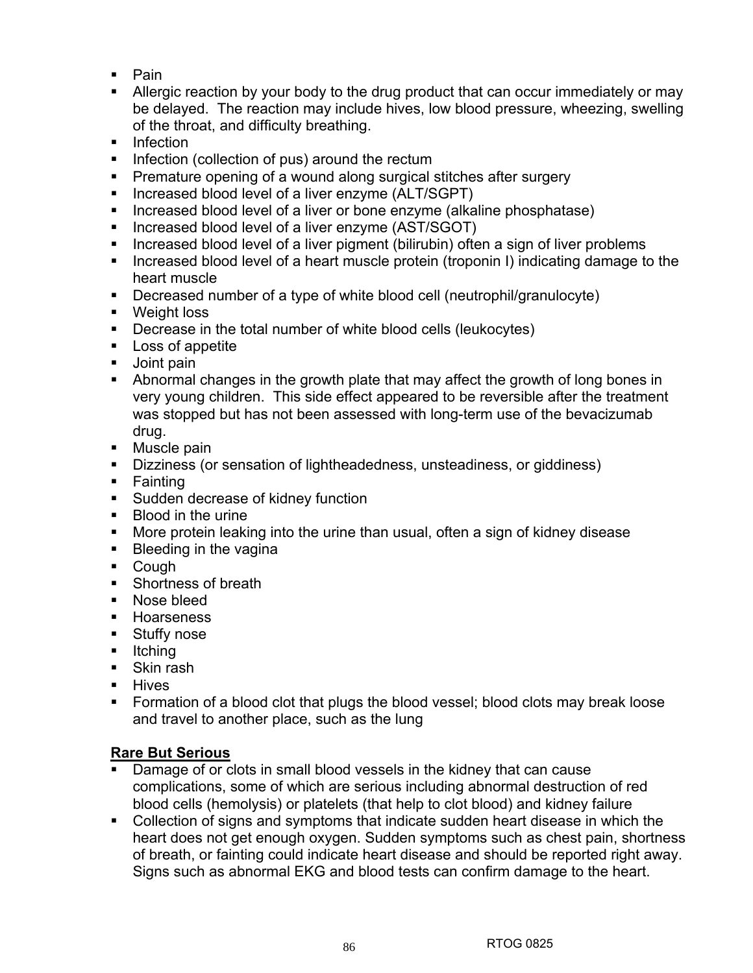- Pain
- Allergic reaction by your body to the drug product that can occur immediately or may be delayed. The reaction may include hives, low blood pressure, wheezing, swelling of the throat, and difficulty breathing.
- **Infection**
- $\blacksquare$  Infection (collection of pus) around the rectum
- **Premature opening of a wound along surgical stitches after surgery**
- **Increased blood level of a liver enzyme (ALT/SGPT)**
- Increased blood level of a liver or bone enzyme (alkaline phosphatase)
- **Increased blood level of a liver enzyme (AST/SGOT)**
- **Increased blood level of a liver pigment (bilirubin) often a sign of liver problems**
- Increased blood level of a heart muscle protein (troponin I) indicating damage to the heart muscle
- Decreased number of a type of white blood cell (neutrophil/granulocyte)
- **•** Weight loss
- **Decrease in the total number of white blood cells (leukocytes)**
- **Loss of appetite**
- **Joint pain**
- Abnormal changes in the growth plate that may affect the growth of long bones in very young children. This side effect appeared to be reversible after the treatment was stopped but has not been assessed with long-term use of the bevacizumab drug.
- Muscle pain
- Dizziness (or sensation of lightheadedness, unsteadiness, or giddiness)
- **Fainting**
- **Sudden decrease of kidney function**
- **Blood in the urine**
- More protein leaking into the urine than usual, often a sign of kidney disease
- **Bleeding in the vagina**
- Cough
- **Shortness of breath**
- **Nose bleed**
- **Hoarseness**
- **Stuffy nose**
- $\blacksquare$ Itching
- Skin rash
- **Hives**
- **Formation of a blood clot that plugs the blood vessel; blood clots may break loose** and travel to another place, such as the lung

### **Rare But Serious**

- Damage of or clots in small blood vessels in the kidney that can cause complications, some of which are serious including abnormal destruction of red blood cells (hemolysis) or platelets (that help to clot blood) and kidney failure
- Collection of signs and symptoms that indicate sudden heart disease in which the heart does not get enough oxygen. Sudden symptoms such as chest pain, shortness of breath, or fainting could indicate heart disease and should be reported right away. Signs such as abnormal EKG and blood tests can confirm damage to the heart.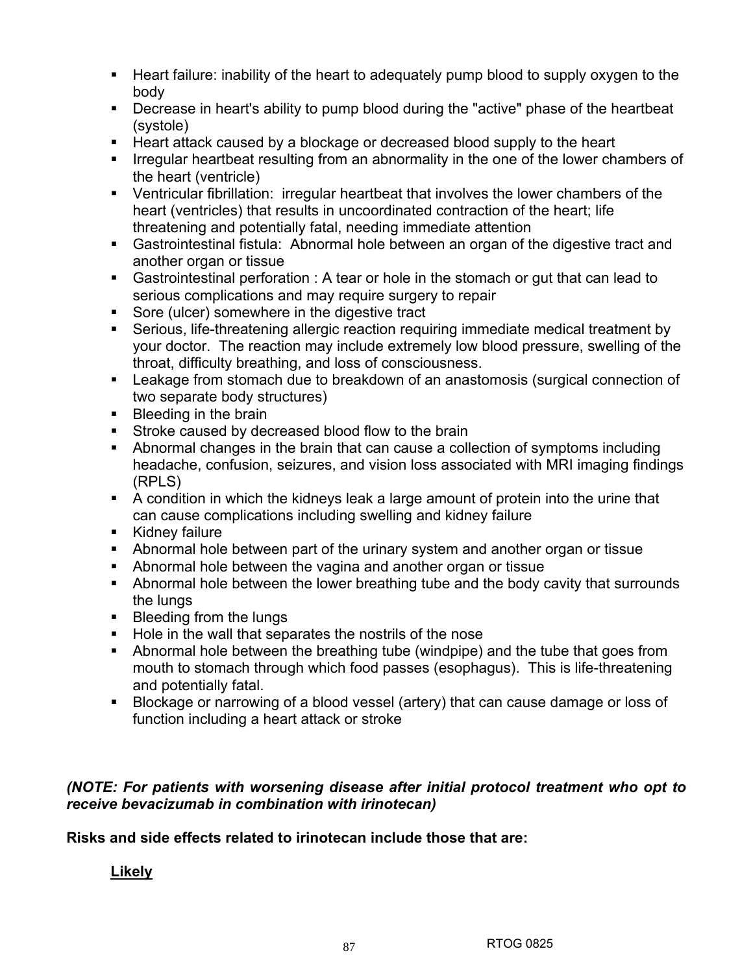- Heart failure: inability of the heart to adequately pump blood to supply oxygen to the body
- Decrease in heart's ability to pump blood during the "active" phase of the heartbeat (systole)
- Heart attack caused by a blockage or decreased blood supply to the heart
- **IFFE** Irregular heartbeat resulting from an abnormality in the one of the lower chambers of the heart (ventricle)
- Ventricular fibrillation: irregular heartbeat that involves the lower chambers of the heart (ventricles) that results in uncoordinated contraction of the heart; life threatening and potentially fatal, needing immediate attention
- Gastrointestinal fistula: Abnormal hole between an organ of the digestive tract and another organ or tissue
- Gastrointestinal perforation : A tear or hole in the stomach or gut that can lead to serious complications and may require surgery to repair
- Sore (ulcer) somewhere in the digestive tract
- Serious, life-threatening allergic reaction requiring immediate medical treatment by your doctor. The reaction may include extremely low blood pressure, swelling of the throat, difficulty breathing, and loss of consciousness.
- Leakage from stomach due to breakdown of an anastomosis (surgical connection of two separate body structures)
- **Bleeding in the brain**
- **Stroke caused by decreased blood flow to the brain**
- Abnormal changes in the brain that can cause a collection of symptoms including headache, confusion, seizures, and vision loss associated with MRI imaging findings (RPLS)
- A condition in which the kidneys leak a large amount of protein into the urine that can cause complications including swelling and kidney failure
- Kidney failure
- Abnormal hole between part of the urinary system and another organ or tissue
- Abnormal hole between the vagina and another organ or tissue
- Abnormal hole between the lower breathing tube and the body cavity that surrounds the lungs
- **Bleeding from the lungs**
- Hole in the wall that separates the nostrils of the nose
- Abnormal hole between the breathing tube (windpipe) and the tube that goes from mouth to stomach through which food passes (esophagus). This is life-threatening and potentially fatal.
- Blockage or narrowing of a blood vessel (artery) that can cause damage or loss of function including a heart attack or stroke

# *(NOTE: For patients with worsening disease after initial protocol treatment who opt to receive bevacizumab in combination with irinotecan)*

**Risks and side effects related to irinotecan include those that are:** 

# **Likely**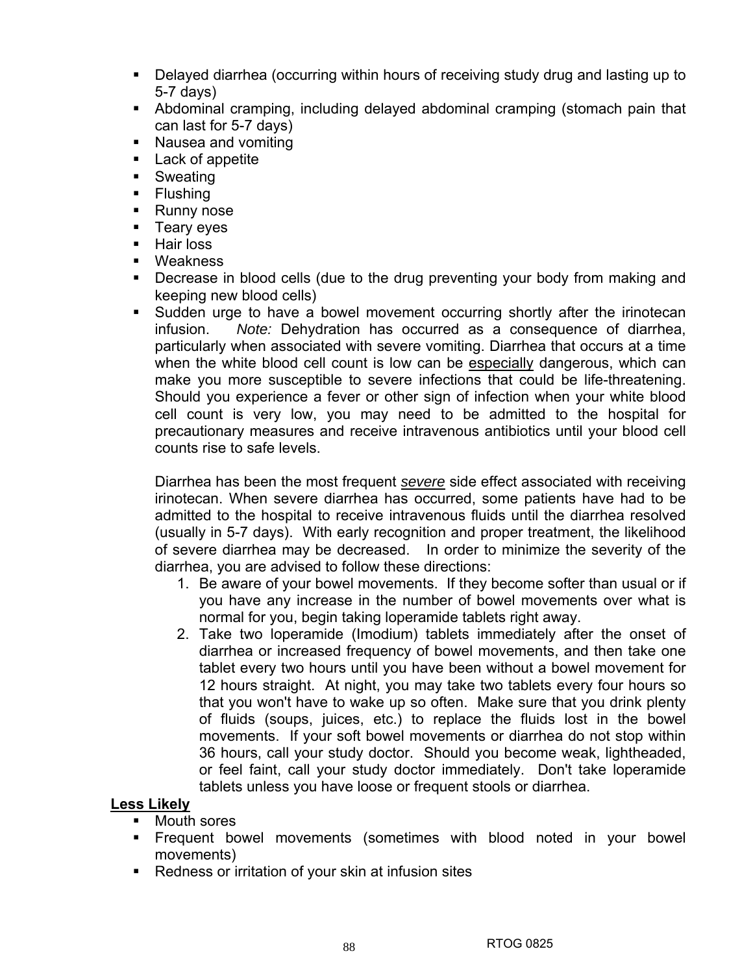- Delayed diarrhea (occurring within hours of receiving study drug and lasting up to 5-7 days)
- Abdominal cramping, including delayed abdominal cramping (stomach pain that can last for 5-7 days)
- **Nausea and vomiting**
- **Lack of appetite**
- **Sweating**
- Flushing
- Runny nose
- **Teary eyes**
- **Hair loss**
- Weakness
- Decrease in blood cells (due to the drug preventing your body from making and keeping new blood cells)
- **Sudden urge to have a bowel movement occurring shortly after the irinotecan** infusion. *Note:* Dehydration has occurred as a consequence of diarrhea, particularly when associated with severe vomiting. Diarrhea that occurs at a time when the white blood cell count is low can be especially dangerous, which can make you more susceptible to severe infections that could be life-threatening. Should you experience a fever or other sign of infection when your white blood cell count is very low, you may need to be admitted to the hospital for precautionary measures and receive intravenous antibiotics until your blood cell counts rise to safe levels.

Diarrhea has been the most frequent *severe* side effect associated with receiving irinotecan. When severe diarrhea has occurred, some patients have had to be admitted to the hospital to receive intravenous fluids until the diarrhea resolved (usually in 5-7 days). With early recognition and proper treatment, the likelihood of severe diarrhea may be decreased. In order to minimize the severity of the diarrhea, you are advised to follow these directions:

- 1. Be aware of your bowel movements. If they become softer than usual or if you have any increase in the number of bowel movements over what is normal for you, begin taking loperamide tablets right away.
- 2. Take two loperamide (Imodium) tablets immediately after the onset of diarrhea or increased frequency of bowel movements, and then take one tablet every two hours until you have been without a bowel movement for 12 hours straight. At night, you may take two tablets every four hours so that you won't have to wake up so often. Make sure that you drink plenty of fluids (soups, juices, etc.) to replace the fluids lost in the bowel movements. If your soft bowel movements or diarrhea do not stop within 36 hours, call your study doctor. Should you become weak, lightheaded, or feel faint, call your study doctor immediately. Don't take loperamide tablets unless you have loose or frequent stools or diarrhea.

# **Less Likely**

- Mouth sores
- Frequent bowel movements (sometimes with blood noted in your bowel movements)
- **Redness or irritation of your skin at infusion sites**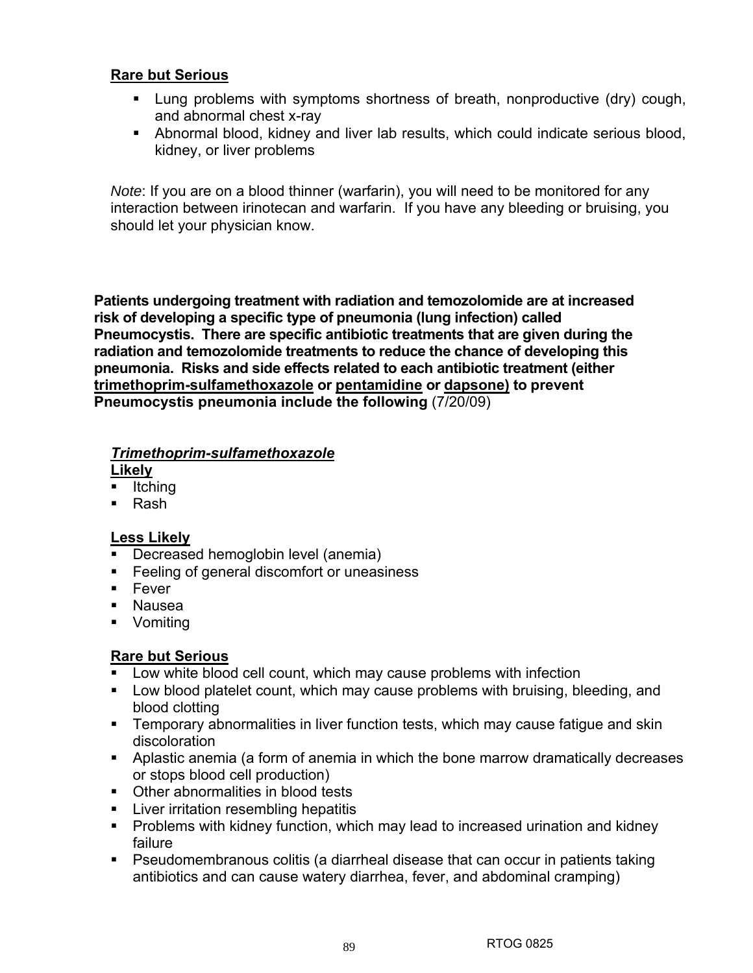# **Rare but Serious**

- Lung problems with symptoms shortness of breath, nonproductive (dry) cough, and abnormal chest x-ray
- Abnormal blood, kidney and liver lab results, which could indicate serious blood, kidney, or liver problems

*Note*: If you are on a blood thinner (warfarin), you will need to be monitored for any interaction between irinotecan and warfarin. If you have any bleeding or bruising, you should let your physician know.

**Patients undergoing treatment with radiation and temozolomide are at increased risk of developing a specific type of pneumonia (lung infection) called Pneumocystis. There are specific antibiotic treatments that are given during the radiation and temozolomide treatments to reduce the chance of developing this pneumonia. Risks and side effects related to each antibiotic treatment (either trimethoprim-sulfamethoxazole or pentamidine or dapsone) to prevent Pneumocystis pneumonia include the following (7/20/09)** 

### *Trimethoprim-sulfamethoxazole*

**Likely**

- $\blacksquare$ Itching
- Rash

# **Less Likely**

- **Decreased hemoglobin level (anemia)**
- **Feeling of general discomfort or uneasiness**
- **Fever**
- Nausea
- **v** Vomiting

# **Rare but Serious**

- Low white blood cell count, which may cause problems with infection
- Low blood platelet count, which may cause problems with bruising, bleeding, and blood clotting
- **Temporary abnormalities in liver function tests, which may cause fatigue and skin** discoloration
- Aplastic anemia (a form of anemia in which the bone marrow dramatically decreases or stops blood cell production)
- Other abnormalities in blood tests
- **EXEC** Liver irritation resembling hepatitis
- **Problems with kidney function, which may lead to increased urination and kidney** failure
- Pseudomembranous colitis (a diarrheal disease that can occur in patients taking antibiotics and can cause watery diarrhea, fever, and abdominal cramping)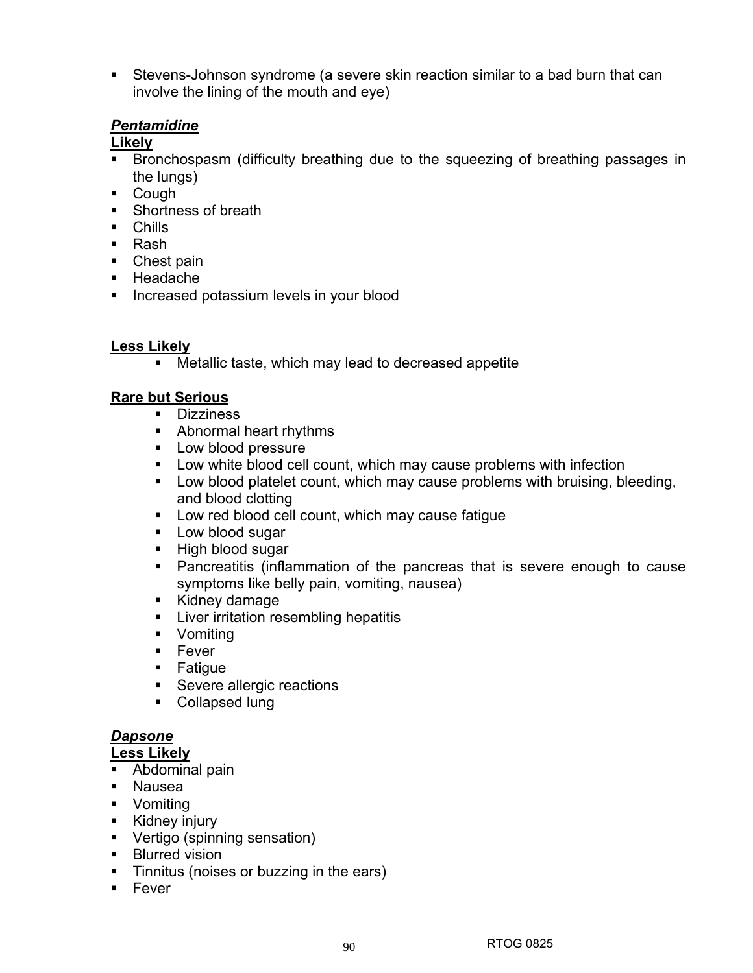Stevens-Johnson syndrome (a severe skin reaction similar to a bad burn that can involve the lining of the mouth and eye)

### *Pentamidine*

# **Likely**

- Bronchospasm (difficulty breathing due to the squeezing of breathing passages in the lungs)
- Cough
- Shortness of breath
- **Chills**
- Rash
- Chest pain
- **-** Headache
- **Increased potassium levels in your blood**

### **Less Likely**

Metallic taste, which may lead to decreased appetite

### **Rare but Serious**

- **Dizziness**
- **Abnormal heart rhythms**
- **Low blood pressure**
- Low white blood cell count, which may cause problems with infection
- Low blood platelet count, which may cause problems with bruising, bleeding, and blood clotting
- **Low red blood cell count, which may cause fatigue**
- **Low blood sugar**
- High blood sugar
- Pancreatitis (inflammation of the pancreas that is severe enough to cause symptoms like belly pain, vomiting, nausea)
- **Kidney damage**
- **EXEC** Liver irritation resembling hepatitis
- **•** Vomiting
- $Fever$
- **Fatigue**
- **Severe allergic reactions**
- Collapsed lung

# *Dapsone*

### **Less Likely**

- **Abdominal pain**
- Nausea
- **v** Vomiting
- **Kidney injury**
- Vertigo (spinning sensation)
- **Blurred vision**
- **Tinnitus (noises or buzzing in the ears)**
- $Fever$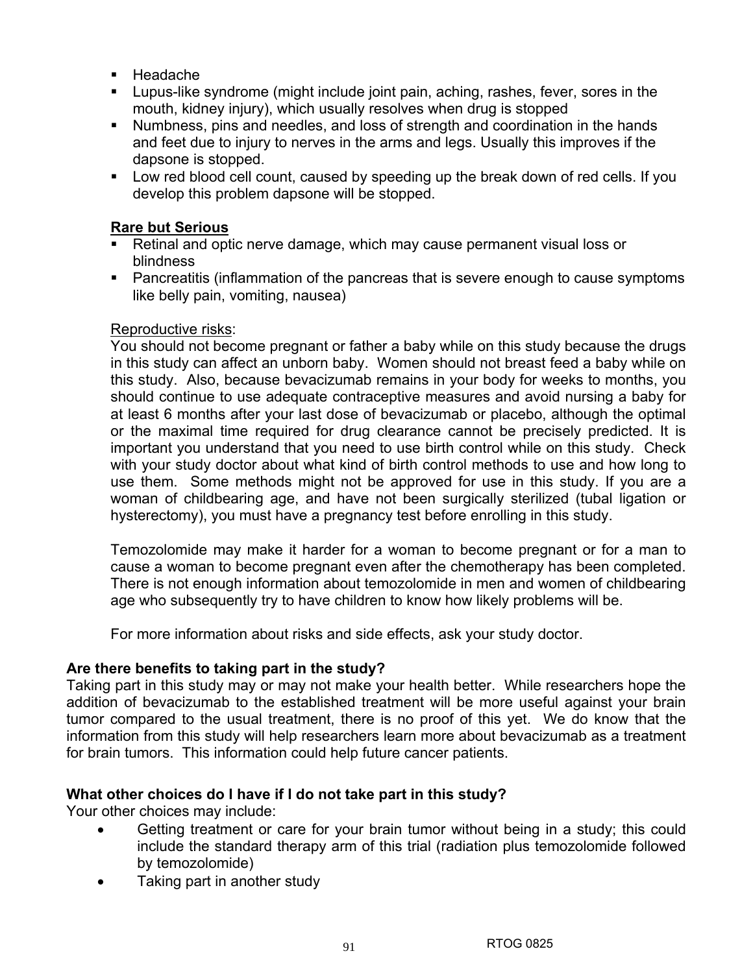- Headache
- Lupus-like syndrome (might include joint pain, aching, rashes, fever, sores in the mouth, kidney injury), which usually resolves when drug is stopped
- Numbness, pins and needles, and loss of strength and coordination in the hands and feet due to injury to nerves in the arms and legs. Usually this improves if the dapsone is stopped.
- Low red blood cell count, caused by speeding up the break down of red cells. If you develop this problem dapsone will be stopped.

# **Rare but Serious**

- Retinal and optic nerve damage, which may cause permanent visual loss or blindness
- Pancreatitis (inflammation of the pancreas that is severe enough to cause symptoms like belly pain, vomiting, nausea)

# Reproductive risks:

You should not become pregnant or father a baby while on this study because the drugs in this study can affect an unborn baby. Women should not breast feed a baby while on this study. Also, because bevacizumab remains in your body for weeks to months, you should continue to use adequate contraceptive measures and avoid nursing a baby for at least 6 months after your last dose of bevacizumab or placebo, although the optimal or the maximal time required for drug clearance cannot be precisely predicted. It is important you understand that you need to use birth control while on this study. Check with your study doctor about what kind of birth control methods to use and how long to use them. Some methods might not be approved for use in this study. If you are a woman of childbearing age, and have not been surgically sterilized (tubal ligation or hysterectomy), you must have a pregnancy test before enrolling in this study.

Temozolomide may make it harder for a woman to become pregnant or for a man to cause a woman to become pregnant even after the chemotherapy has been completed. There is not enough information about temozolomide in men and women of childbearing age who subsequently try to have children to know how likely problems will be.

For more information about risks and side effects, ask your study doctor.

# **Are there benefits to taking part in the study?**

Taking part in this study may or may not make your health better. While researchers hope the addition of bevacizumab to the established treatment will be more useful against your brain tumor compared to the usual treatment, there is no proof of this yet. We do know that the information from this study will help researchers learn more about bevacizumab as a treatment for brain tumors. This information could help future cancer patients.

# **What other choices do I have if I do not take part in this study?**

Your other choices may include:

- Getting treatment or care for your brain tumor without being in a study; this could include the standard therapy arm of this trial (radiation plus temozolomide followed by temozolomide)
- Taking part in another studv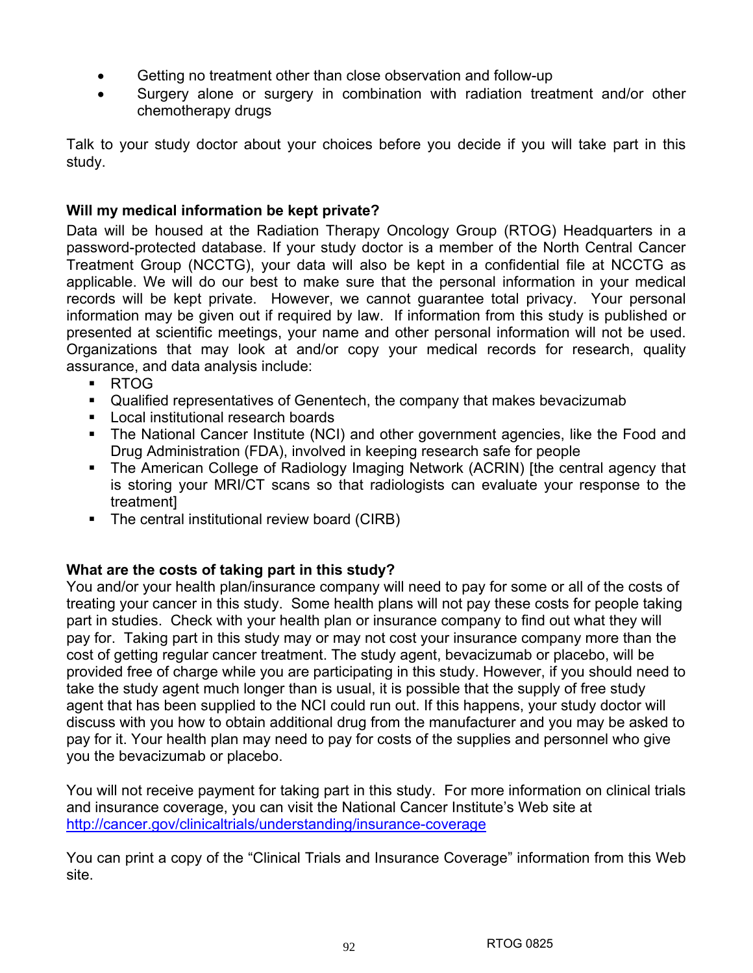- Getting no treatment other than close observation and follow-up
- Surgery alone or surgery in combination with radiation treatment and/or other chemotherapy drugs

Talk to your study doctor about your choices before you decide if you will take part in this study.

# **Will my medical information be kept private?**

Data will be housed at the Radiation Therapy Oncology Group (RTOG) Headquarters in a password-protected database. If your study doctor is a member of the North Central Cancer Treatment Group (NCCTG), your data will also be kept in a confidential file at NCCTG as applicable. We will do our best to make sure that the personal information in your medical records will be kept private. However, we cannot guarantee total privacy. Your personal information may be given out if required by law. If information from this study is published or presented at scientific meetings, your name and other personal information will not be used. Organizations that may look at and/or copy your medical records for research, quality assurance, and data analysis include:

- RTOG
- Qualified representatives of Genentech, the company that makes bevacizumab
- **Local institutional research boards**
- The National Cancer Institute (NCI) and other government agencies, like the Food and Drug Administration (FDA), involved in keeping research safe for people
- The American College of Radiology Imaging Network (ACRIN) [the central agency that is storing your MRI/CT scans so that radiologists can evaluate your response to the treatment]
- The central institutional review board (CIRB)

# **What are the costs of taking part in this study?**

You and/or your health plan/insurance company will need to pay for some or all of the costs of treating your cancer in this study. Some health plans will not pay these costs for people taking part in studies. Check with your health plan or insurance company to find out what they will pay for. Taking part in this study may or may not cost your insurance company more than the cost of getting regular cancer treatment. The study agent, bevacizumab or placebo, will be provided free of charge while you are participating in this study. However, if you should need to take the study agent much longer than is usual, it is possible that the supply of free study agent that has been supplied to the NCI could run out. If this happens, your study doctor will discuss with you how to obtain additional drug from the manufacturer and you may be asked to pay for it. Your health plan may need to pay for costs of the supplies and personnel who give you the bevacizumab or placebo.

You will not receive payment for taking part in this study. For more information on clinical trials and insurance coverage, you can visit the National Cancer Institute's Web site at http://cancer.gov/clinicaltrials/understanding/insurance-coverage

You can print a copy of the "Clinical Trials and Insurance Coverage" information from this Web site.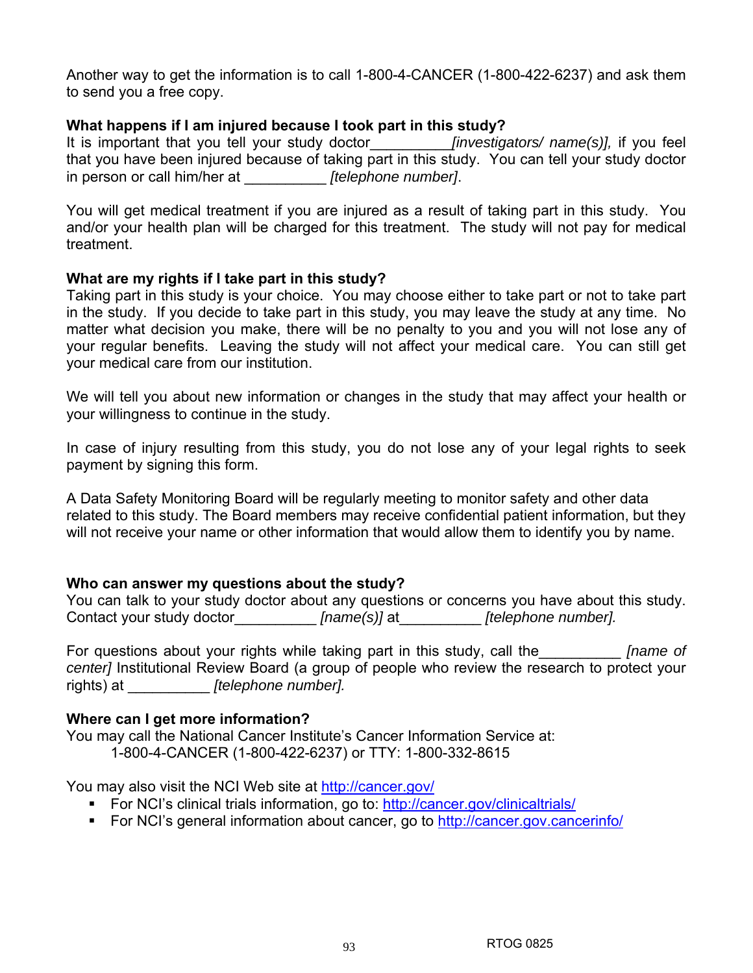Another way to get the information is to call 1-800-4-CANCER (1-800-422-6237) and ask them to send you a free copy.

### **What happens if I am injured because I took part in this study?**

It is important that you tell your study doctor\_\_\_\_\_\_\_\_\_\_*[investigators/ name(s)],* if you feel that you have been injured because of taking part in this study. You can tell your study doctor in person or call him/her at \_\_\_\_\_\_\_\_\_\_ *[telephone number]*.

You will get medical treatment if you are injured as a result of taking part in this study. You and/or your health plan will be charged for this treatment. The study will not pay for medical treatment.

### **What are my rights if I take part in this study?**

Taking part in this study is your choice. You may choose either to take part or not to take part in the study. If you decide to take part in this study, you may leave the study at any time. No matter what decision you make, there will be no penalty to you and you will not lose any of your regular benefits. Leaving the study will not affect your medical care. You can still get your medical care from our institution.

We will tell you about new information or changes in the study that may affect your health or your willingness to continue in the study.

In case of injury resulting from this study, you do not lose any of your legal rights to seek payment by signing this form.

A Data Safety Monitoring Board will be regularly meeting to monitor safety and other data related to this study. The Board members may receive confidential patient information, but they will not receive your name or other information that would allow them to identify you by name.

### **Who can answer my questions about the study?**

You can talk to your study doctor about any questions or concerns you have about this study. Contact your study doctor\_\_\_\_\_\_\_\_\_\_ *[name(s)]* at\_\_\_\_\_\_\_\_\_\_ *[telephone number].*

For questions about your rights while taking part in this study, call the\_\_\_\_\_\_\_\_\_\_ *[name of center]* Institutional Review Board (a group of people who review the research to protect your rights) at \_\_\_\_\_\_\_\_\_\_ *[telephone number].* 

### **Where can I get more information?**

You may call the National Cancer Institute's Cancer Information Service at: 1-800-4-CANCER (1-800-422-6237) or TTY: 1-800-332-8615

You may also visit the NCI Web site at http://cancer.gov/

- For NCI's clinical trials information, go to: http://cancer.gov/clinicaltrials/
- For NCI's general information about cancer, go to http://cancer.gov.cancerinfo/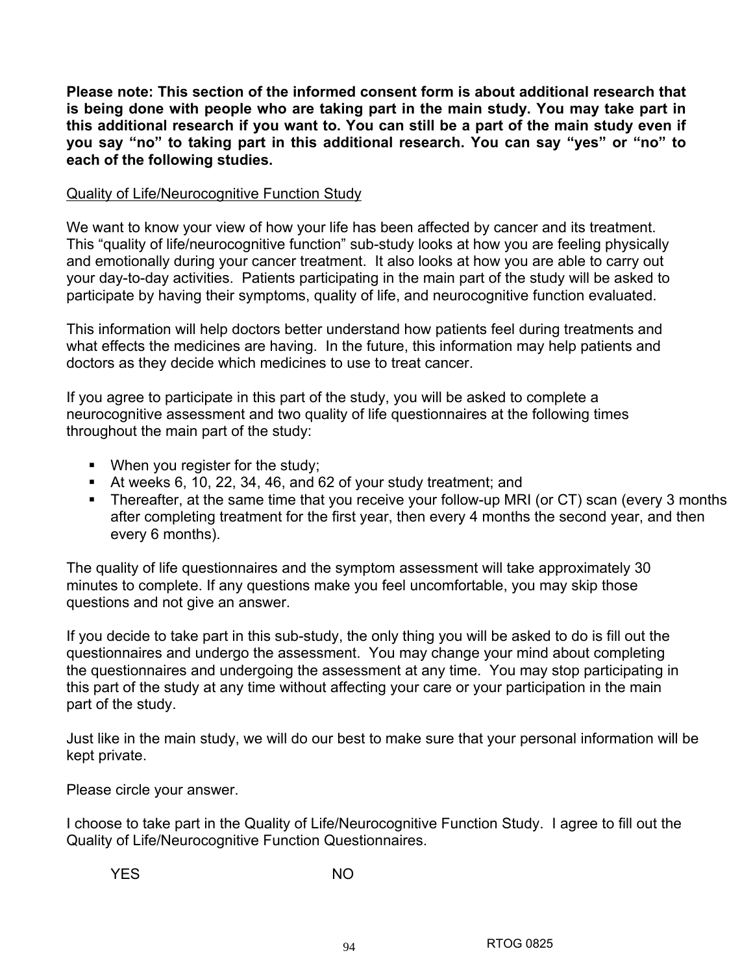**Please note: This section of the informed consent form is about additional research that is being done with people who are taking part in the main study. You may take part in this additional research if you want to. You can still be a part of the main study even if you say "no" to taking part in this additional research. You can say "yes" or "no" to each of the following studies.** 

### Quality of Life/Neurocognitive Function Study

We want to know your view of how your life has been affected by cancer and its treatment. This "quality of life/neurocognitive function" sub-study looks at how you are feeling physically and emotionally during your cancer treatment. It also looks at how you are able to carry out your day-to-day activities. Patients participating in the main part of the study will be asked to participate by having their symptoms, quality of life, and neurocognitive function evaluated.

This information will help doctors better understand how patients feel during treatments and what effects the medicines are having. In the future, this information may help patients and doctors as they decide which medicines to use to treat cancer.

If you agree to participate in this part of the study, you will be asked to complete a neurocognitive assessment and two quality of life questionnaires at the following times throughout the main part of the study:

- **When you register for the study;**
- At weeks 6, 10, 22, 34, 46, and 62 of your study treatment; and
- Thereafter, at the same time that you receive your follow-up MRI (or CT) scan (every 3 months after completing treatment for the first year, then every 4 months the second year, and then every 6 months).

The quality of life questionnaires and the symptom assessment will take approximately 30 minutes to complete. If any questions make you feel uncomfortable, you may skip those questions and not give an answer.

If you decide to take part in this sub-study, the only thing you will be asked to do is fill out the questionnaires and undergo the assessment. You may change your mind about completing the questionnaires and undergoing the assessment at any time. You may stop participating in this part of the study at any time without affecting your care or your participation in the main part of the study.

Just like in the main study, we will do our best to make sure that your personal information will be kept private.

Please circle your answer.

I choose to take part in the Quality of Life/Neurocognitive Function Study. I agree to fill out the Quality of Life/Neurocognitive Function Questionnaires.

YES NO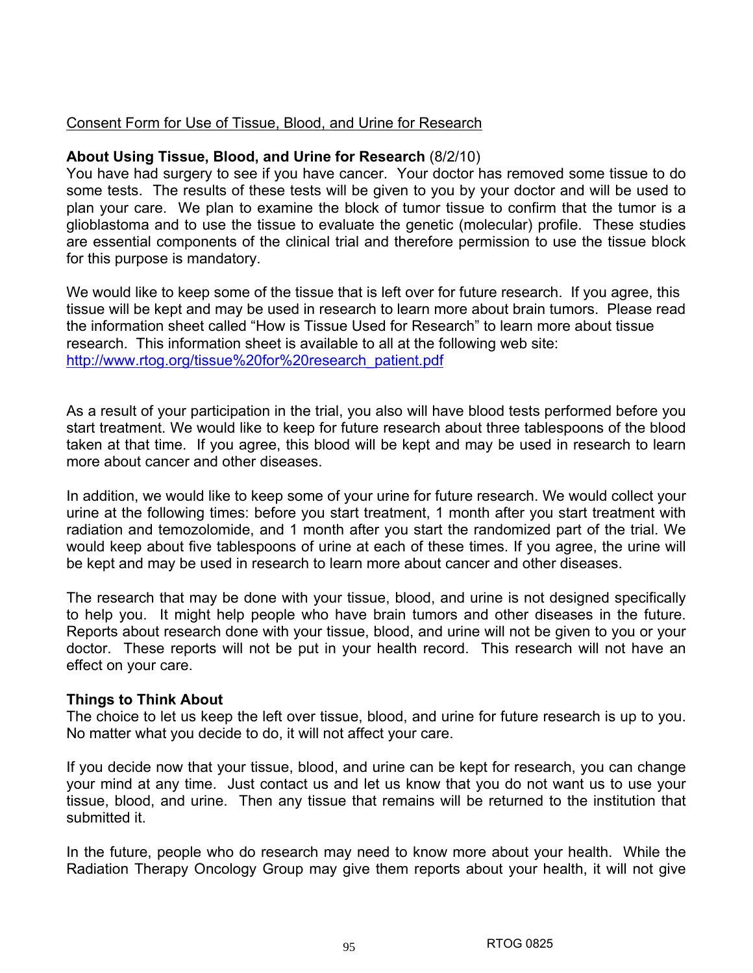### Consent Form for Use of Tissue, Blood, and Urine for Research

### **About Using Tissue, Blood, and Urine for Research** (8/2/10)

You have had surgery to see if you have cancer. Your doctor has removed some tissue to do some tests. The results of these tests will be given to you by your doctor and will be used to plan your care. We plan to examine the block of tumor tissue to confirm that the tumor is a glioblastoma and to use the tissue to evaluate the genetic (molecular) profile. These studies are essential components of the clinical trial and therefore permission to use the tissue block for this purpose is mandatory.

We would like to keep some of the tissue that is left over for future research. If you agree, this tissue will be kept and may be used in research to learn more about brain tumors. Please read the information sheet called "How is Tissue Used for Research" to learn more about tissue research. This information sheet is available to all at the following web site: http://www.rtog.org/tissue%20for%20research\_patient.pdf

As a result of your participation in the trial, you also will have blood tests performed before you start treatment. We would like to keep for future research about three tablespoons of the blood taken at that time. If you agree, this blood will be kept and may be used in research to learn more about cancer and other diseases.

In addition, we would like to keep some of your urine for future research. We would collect your urine at the following times: before you start treatment, 1 month after you start treatment with radiation and temozolomide, and 1 month after you start the randomized part of the trial. We would keep about five tablespoons of urine at each of these times. If you agree, the urine will be kept and may be used in research to learn more about cancer and other diseases.

The research that may be done with your tissue, blood, and urine is not designed specifically to help you. It might help people who have brain tumors and other diseases in the future. Reports about research done with your tissue, blood, and urine will not be given to you or your doctor. These reports will not be put in your health record. This research will not have an effect on your care.

### **Things to Think About**

The choice to let us keep the left over tissue, blood, and urine for future research is up to you. No matter what you decide to do, it will not affect your care.

If you decide now that your tissue, blood, and urine can be kept for research, you can change your mind at any time. Just contact us and let us know that you do not want us to use your tissue, blood, and urine. Then any tissue that remains will be returned to the institution that submitted it.

In the future, people who do research may need to know more about your health. While the Radiation Therapy Oncology Group may give them reports about your health, it will not give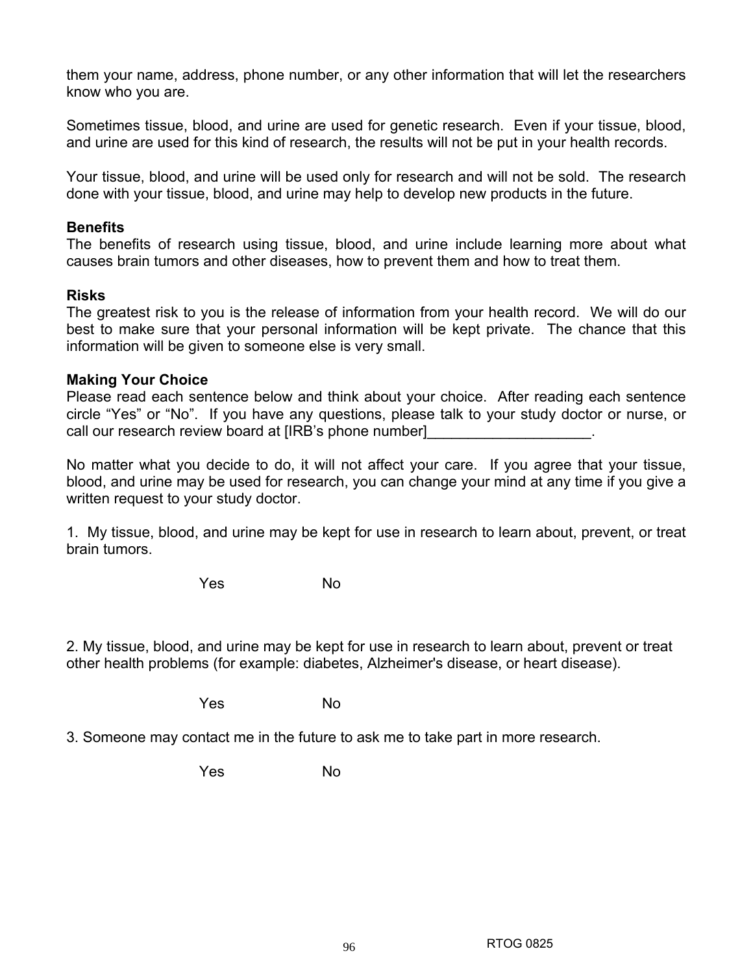them your name, address, phone number, or any other information that will let the researchers know who you are.

Sometimes tissue, blood, and urine are used for genetic research. Even if your tissue, blood, and urine are used for this kind of research, the results will not be put in your health records.

Your tissue, blood, and urine will be used only for research and will not be sold. The research done with your tissue, blood, and urine may help to develop new products in the future.

## **Benefits**

The benefits of research using tissue, blood, and urine include learning more about what causes brain tumors and other diseases, how to prevent them and how to treat them.

# **Risks**

The greatest risk to you is the release of information from your health record. We will do our best to make sure that your personal information will be kept private. The chance that this information will be given to someone else is very small.

# **Making Your Choice**

Please read each sentence below and think about your choice. After reading each sentence circle "Yes" or "No". If you have any questions, please talk to your study doctor or nurse, or call our research review board at [IRB's phone number]

No matter what you decide to do, it will not affect your care. If you agree that your tissue, blood, and urine may be used for research, you can change your mind at any time if you give a written request to your study doctor.

1. My tissue, blood, and urine may be kept for use in research to learn about, prevent, or treat brain tumors.

where the North States of the North States of the North States of the North States of the North States of the No

2. My tissue, blood, and urine may be kept for use in research to learn about, prevent or treat other health problems (for example: diabetes, Alzheimer's disease, or heart disease).

where the North States of the North States of the North States of the North States of the North States of the No

3. Someone may contact me in the future to ask me to take part in more research.

where the North States of the North States of the North States of the North States of the North States of the No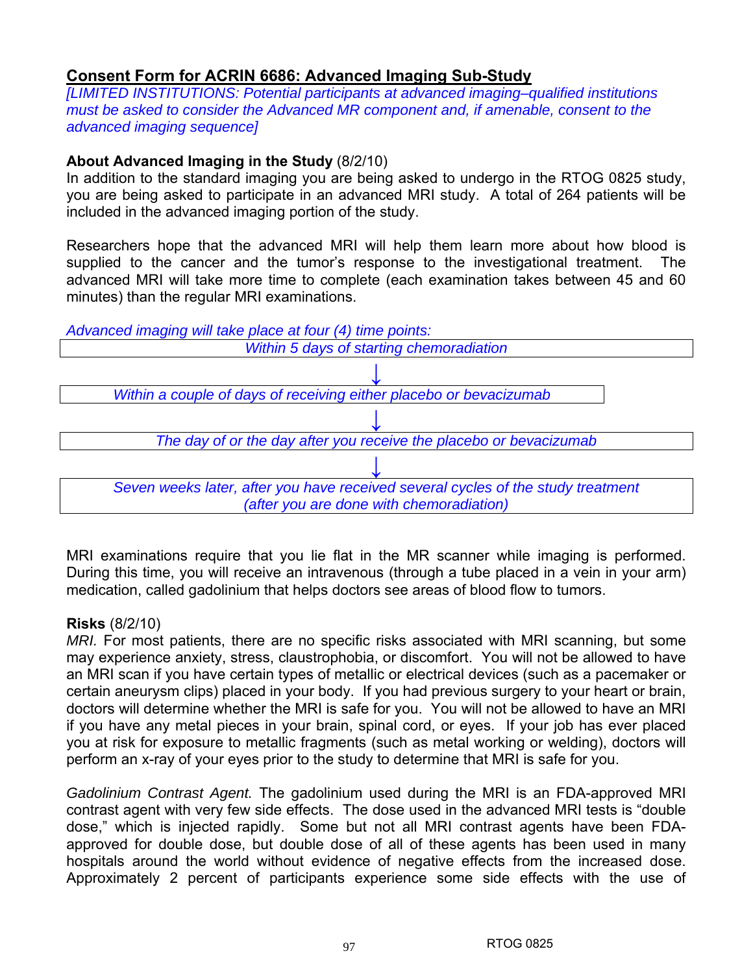# **Consent Form for ACRIN 6686: Advanced Imaging Sub-Study**

*[LIMITED INSTITUTIONS: Potential participants at advanced imaging–qualified institutions must be asked to consider the Advanced MR component and, if amenable, consent to the advanced imaging sequence]* 

# **About Advanced Imaging in the Study** (8/2/10)

In addition to the standard imaging you are being asked to undergo in the RTOG 0825 study, you are being asked to participate in an advanced MRI study. A total of 264 patients will be included in the advanced imaging portion of the study.

Researchers hope that the advanced MRI will help them learn more about how blood is supplied to the cancer and the tumor's response to the investigational treatment. The advanced MRI will take more time to complete (each examination takes between 45 and 60 minutes) than the regular MRI examinations.



MRI examinations require that you lie flat in the MR scanner while imaging is performed. During this time, you will receive an intravenous (through a tube placed in a vein in your arm) medication, called gadolinium that helps doctors see areas of blood flow to tumors.

# **Risks** (8/2/10)

*MRI.* For most patients, there are no specific risks associated with MRI scanning, but some may experience anxiety, stress, claustrophobia, or discomfort. You will not be allowed to have an MRI scan if you have certain types of metallic or electrical devices (such as a pacemaker or certain aneurysm clips) placed in your body. If you had previous surgery to your heart or brain, doctors will determine whether the MRI is safe for you. You will not be allowed to have an MRI if you have any metal pieces in your brain, spinal cord, or eyes. If your job has ever placed you at risk for exposure to metallic fragments (such as metal working or welding), doctors will perform an x-ray of your eyes prior to the study to determine that MRI is safe for you.

*Gadolinium Contrast Agent.* The gadolinium used during the MRI is an FDA-approved MRI contrast agent with very few side effects. The dose used in the advanced MRI tests is "double dose," which is injected rapidly. Some but not all MRI contrast agents have been FDAapproved for double dose, but double dose of all of these agents has been used in many hospitals around the world without evidence of negative effects from the increased dose. Approximately 2 percent of participants experience some side effects with the use of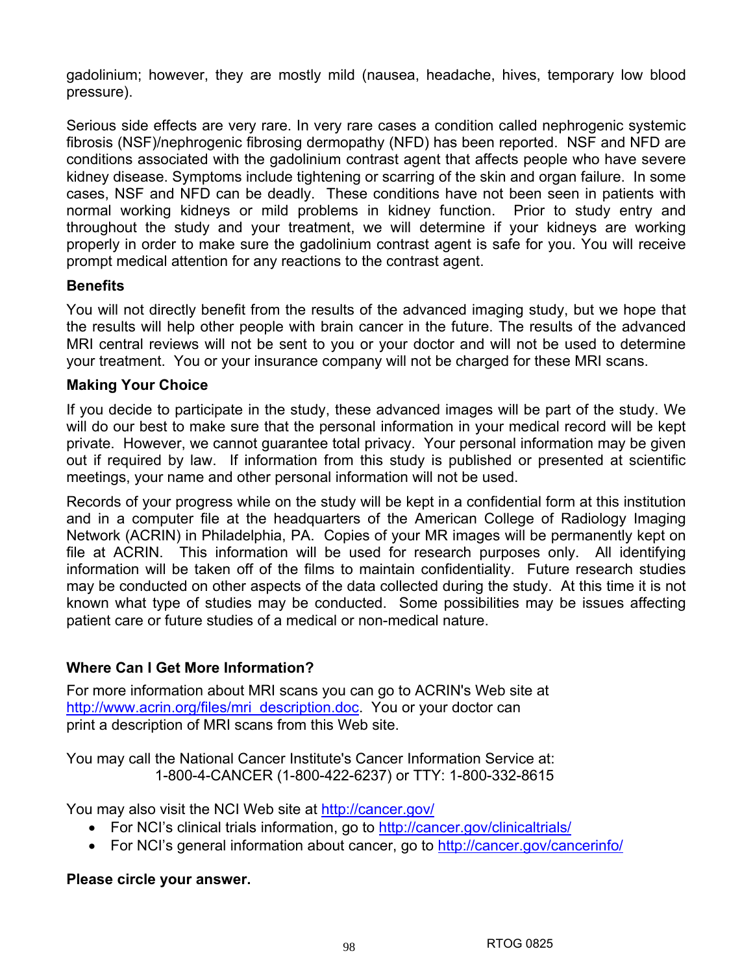gadolinium; however, they are mostly mild (nausea, headache, hives, temporary low blood pressure).

Serious side effects are very rare. In very rare cases a condition called nephrogenic systemic fibrosis (NSF)/nephrogenic fibrosing dermopathy (NFD) has been reported. NSF and NFD are conditions associated with the gadolinium contrast agent that affects people who have severe kidney disease. Symptoms include tightening or scarring of the skin and organ failure. In some cases, NSF and NFD can be deadly. These conditions have not been seen in patients with normal working kidneys or mild problems in kidney function. Prior to study entry and throughout the study and your treatment, we will determine if your kidneys are working properly in order to make sure the gadolinium contrast agent is safe for you. You will receive prompt medical attention for any reactions to the contrast agent.

# **Benefits**

You will not directly benefit from the results of the advanced imaging study, but we hope that the results will help other people with brain cancer in the future. The results of the advanced MRI central reviews will not be sent to you or your doctor and will not be used to determine your treatment. You or your insurance company will not be charged for these MRI scans.

# **Making Your Choice**

If you decide to participate in the study, these advanced images will be part of the study. We will do our best to make sure that the personal information in your medical record will be kept private. However, we cannot guarantee total privacy. Your personal information may be given out if required by law. If information from this study is published or presented at scientific meetings, your name and other personal information will not be used.

Records of your progress while on the study will be kept in a confidential form at this institution and in a computer file at the headquarters of the American College of Radiology Imaging Network (ACRIN) in Philadelphia, PA. Copies of your MR images will be permanently kept on file at ACRIN. This information will be used for research purposes only. All identifying information will be taken off of the films to maintain confidentiality. Future research studies may be conducted on other aspects of the data collected during the study. At this time it is not known what type of studies may be conducted. Some possibilities may be issues affecting patient care or future studies of a medical or non-medical nature.

# **Where Can I Get More Information?**

For more information about MRI scans you can go to ACRIN's Web site at http://www.acrin.org/files/mri\_description.doc. You or your doctor can print a description of MRI scans from this Web site.

You may call the National Cancer Institute's Cancer Information Service at: 1-800-4-CANCER (1-800-422-6237) or TTY: 1-800-332-8615

You may also visit the NCI Web site at http://cancer.gov/

- For NCI's clinical trials information, go to http://cancer.gov/clinicaltrials/
- For NCI's general information about cancer, go to http://cancer.gov/cancerinfo/

# **Please circle your answer.**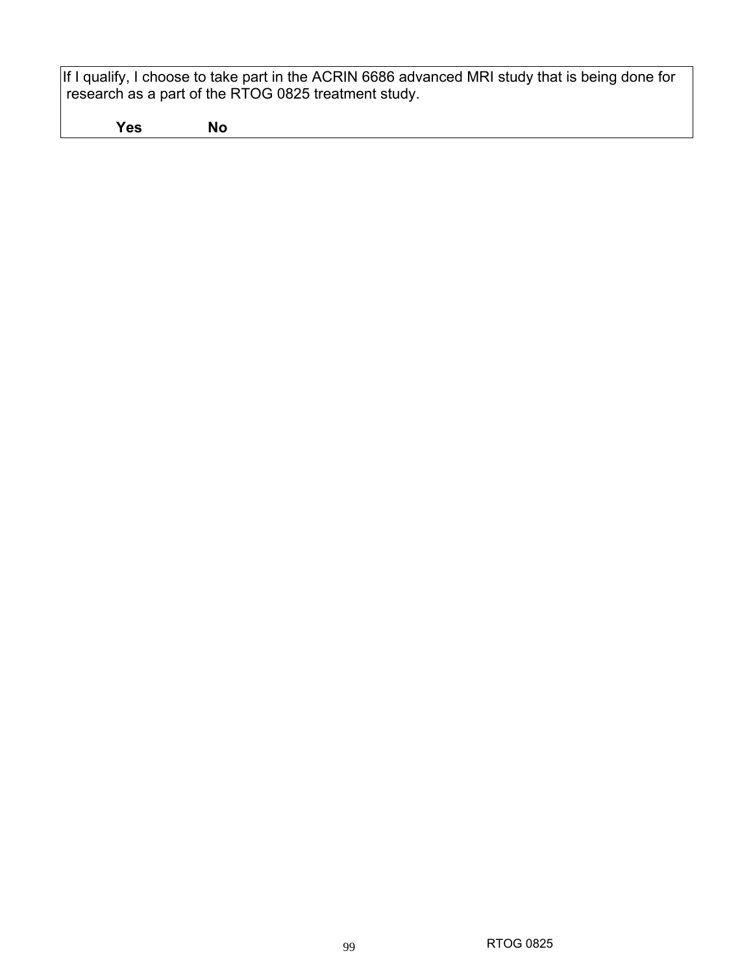If I qualify, I choose to take part in the ACRIN 6686 advanced MRI study that is being done for research as a part of the RTOG 0825 treatment study.

 **Yes No**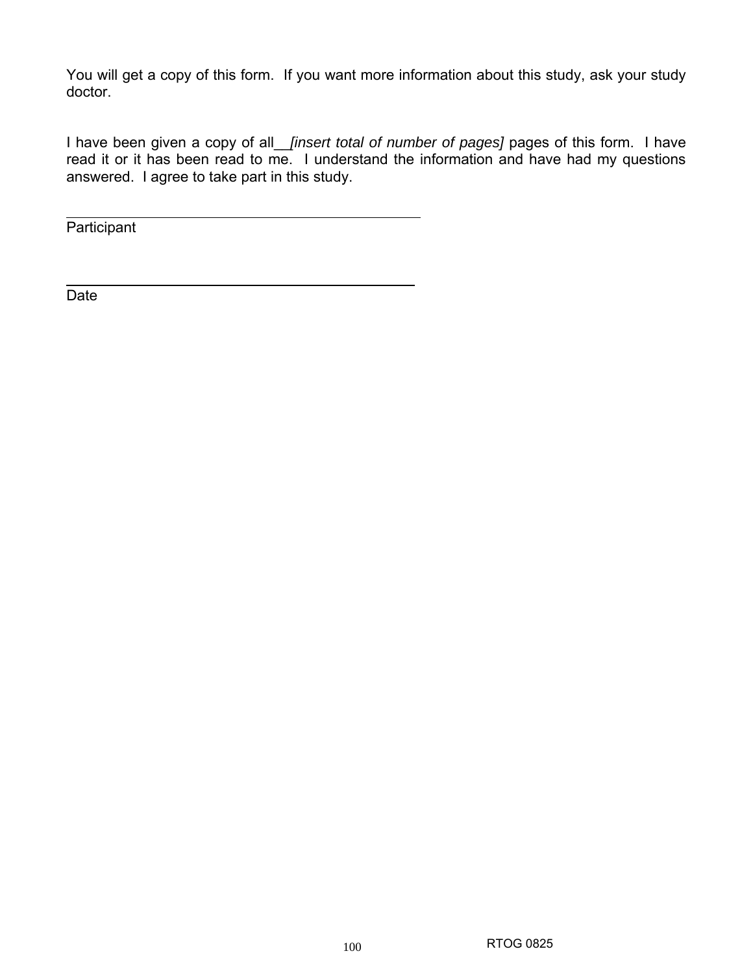You will get a copy of this form. If you want more information about this study, ask your study doctor.

I have been given a copy of all\_\_*[insert total of number of pages]* pages of this form. I have read it or it has been read to me. I understand the information and have had my questions answered. I agree to take part in this study.

Participant

Date

 $\overline{a}$ 

 $\overline{a}$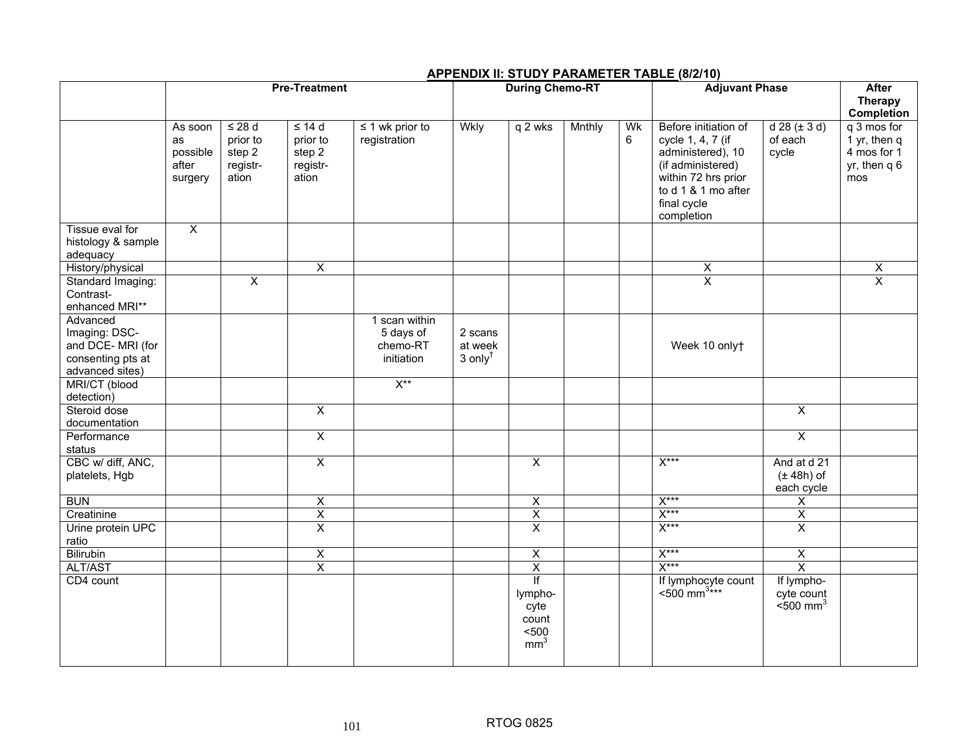## **APPENDIX II: STUDY PARAMETER TABLE (8/2/10)**

|                                                                                        | <b>Pre-Treatment</b>                          |                                                        |                                                        | <b>During Chemo-RT</b>                               |                                             |                                                            |        | <b>Adjuvant Phase</b> |                                                                                                                                                                | <b>After</b><br><b>Therapy</b><br>Completion        |                                                                   |
|----------------------------------------------------------------------------------------|-----------------------------------------------|--------------------------------------------------------|--------------------------------------------------------|------------------------------------------------------|---------------------------------------------|------------------------------------------------------------|--------|-----------------------|----------------------------------------------------------------------------------------------------------------------------------------------------------------|-----------------------------------------------------|-------------------------------------------------------------------|
|                                                                                        | As soon<br>as<br>possible<br>after<br>surgery | $\leq$ 28 d<br>prior to<br>step 2<br>registr-<br>ation | $\leq$ 14 d<br>prior to<br>step 2<br>registr-<br>ation | $\leq$ 1 wk prior to<br>registration                 | Wkly                                        | q 2 wks                                                    | Mnthly | Wk<br>6               | Before initiation of<br>cycle 1, 4, 7 (if<br>administered), 10<br>(if administered)<br>within 72 hrs prior<br>to d 1 & 1 mo after<br>final cycle<br>completion | $d 28 (\pm 3 d)$<br>of each<br>cycle                | q 3 mos for<br>1 yr, then q<br>4 mos for 1<br>yr, then q 6<br>mos |
| Tissue eval for<br>histology & sample<br>adequacy                                      | $\overline{X}$                                |                                                        |                                                        |                                                      |                                             |                                                            |        |                       |                                                                                                                                                                |                                                     |                                                                   |
| History/physical                                                                       |                                               |                                                        | $\overline{\mathsf{x}}$                                |                                                      |                                             |                                                            |        |                       | X                                                                                                                                                              |                                                     | $\overline{\mathsf{X}}$                                           |
| Standard Imaging:<br>Contrast-<br>enhanced MRI**                                       |                                               | $\overline{\mathsf{x}}$                                |                                                        |                                                      |                                             |                                                            |        |                       | $\overline{\mathsf{x}}$                                                                                                                                        |                                                     | $\overline{\mathsf{x}}$                                           |
| Advanced<br>Imaging: DSC-<br>and DCE- MRI (for<br>consenting pts at<br>advanced sites) |                                               |                                                        |                                                        | 1 scan within<br>5 days of<br>chemo-RT<br>initiation | 2 scans<br>at week<br>$3$ only <sup>t</sup> |                                                            |        |                       | Week 10 onlyt                                                                                                                                                  |                                                     |                                                                   |
| MRI/CT (blood<br>detection)                                                            |                                               |                                                        |                                                        | $X^{\ast\ast}$                                       |                                             |                                                            |        |                       |                                                                                                                                                                |                                                     |                                                                   |
| Steroid dose<br>documentation                                                          |                                               |                                                        | $\overline{\mathsf{x}}$                                |                                                      |                                             |                                                            |        |                       |                                                                                                                                                                | $\overline{X}$                                      |                                                                   |
| Performance<br>status                                                                  |                                               |                                                        | $\overline{X}$                                         |                                                      |                                             |                                                            |        |                       |                                                                                                                                                                | $\overline{X}$                                      |                                                                   |
| CBC w/ diff, ANC,<br>platelets, Hgb                                                    |                                               |                                                        | $\overline{X}$                                         |                                                      |                                             | $\overline{X}$                                             |        |                       | $X***$                                                                                                                                                         | And at d 21<br>$(\pm 48h)$ of<br>each cycle         |                                                                   |
| <b>BUN</b>                                                                             |                                               |                                                        | $\pmb{\times}$                                         |                                                      |                                             | $\overline{\mathsf{x}}$                                    |        |                       | $X***$                                                                                                                                                         | X                                                   |                                                                   |
| Creatinine                                                                             |                                               |                                                        | $\overline{X}$                                         |                                                      |                                             | $\overline{\mathsf{X}}$                                    |        |                       | $X***$                                                                                                                                                         | $\overline{\mathsf{X}}$                             |                                                                   |
| Urine protein UPC<br>ratio                                                             |                                               |                                                        | $\overline{\mathsf{x}}$                                |                                                      |                                             | $\overline{\mathsf{x}}$                                    |        |                       | $X***$                                                                                                                                                         | $\overline{X}$                                      |                                                                   |
| Bilirubin                                                                              |                                               |                                                        | $\overline{X}$                                         |                                                      |                                             | $\overline{X}$                                             |        |                       | $X***$                                                                                                                                                         | $\overline{X}$                                      |                                                                   |
| ALT/AST                                                                                |                                               |                                                        | $\overline{\mathsf{x}}$                                |                                                      |                                             | $\overline{X}$                                             |        |                       | $X***$                                                                                                                                                         | $\overline{\mathsf{x}}$                             |                                                                   |
| CD4 count                                                                              |                                               |                                                        |                                                        |                                                      |                                             | If<br>lympho-<br>cyte<br>count<br>$500$<br>mm <sup>3</sup> |        |                       | If lymphocyte count<br><500 mm <sup>3***</sup>                                                                                                                 | If lympho-<br>cyte count<br>$<$ 500 mm <sup>3</sup> |                                                                   |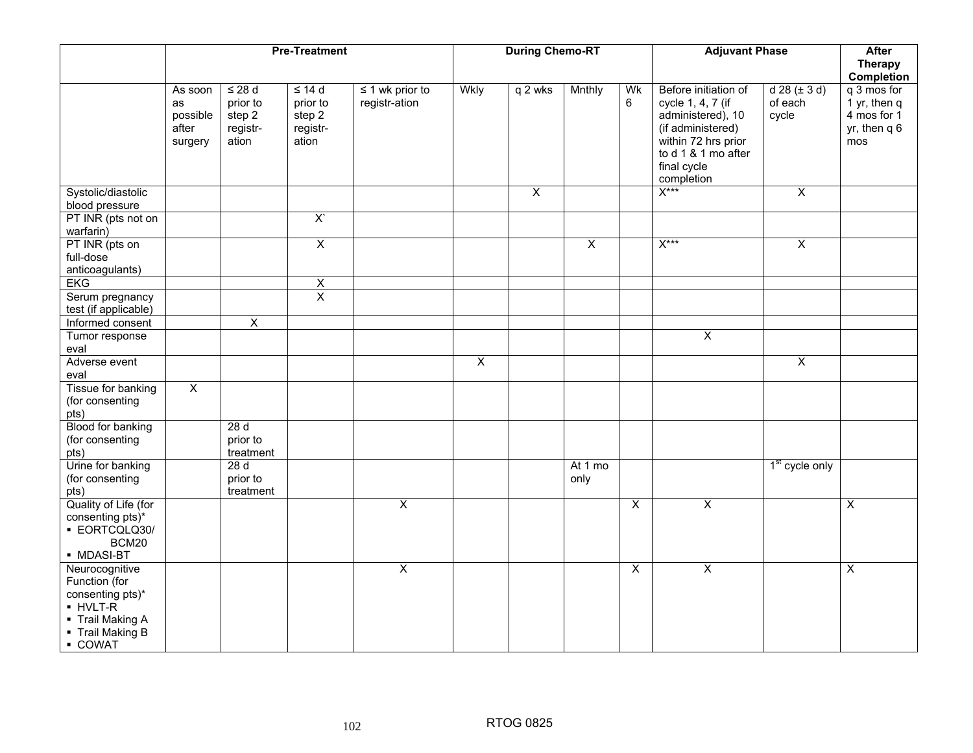|                                                                                                                         | <b>Pre-Treatment</b>                          |                                                        |                                                        | <b>During Chemo-RT</b>                |                |                         |                 | <b>Adjuvant Phase</b>   |                                                                                                                                                                | <b>After</b><br><b>Therapy</b><br>Completion |                                                                     |
|-------------------------------------------------------------------------------------------------------------------------|-----------------------------------------------|--------------------------------------------------------|--------------------------------------------------------|---------------------------------------|----------------|-------------------------|-----------------|-------------------------|----------------------------------------------------------------------------------------------------------------------------------------------------------------|----------------------------------------------|---------------------------------------------------------------------|
|                                                                                                                         | As soon<br>as<br>possible<br>after<br>surgery | $\leq$ 28 d<br>prior to<br>step 2<br>registr-<br>ation | $\leq 14$ d<br>prior to<br>step 2<br>registr-<br>ation | $\leq$ 1 wk prior to<br>registr-ation | Wkly           | $\sqrt{q}$ 2 wks        | Mnthly          | Wk<br>6                 | Before initiation of<br>cycle 1, 4, 7 (if<br>administered), 10<br>(if administered)<br>within 72 hrs prior<br>to d 1 & 1 mo after<br>final cycle<br>completion | $d 28 (\pm 3 d)$<br>of each<br>cycle         | q 3 mos for<br>$1$ yr, then q<br>4 mos for 1<br>yr, then q 6<br>mos |
| Systolic/diastolic<br>blood pressure                                                                                    |                                               |                                                        |                                                        |                                       |                | $\overline{\mathsf{x}}$ |                 |                         | $X***$                                                                                                                                                         | $\overline{\mathsf{x}}$                      |                                                                     |
| PT INR (pts not on<br>warfarin)                                                                                         |                                               |                                                        | $\overline{X}$                                         |                                       |                |                         |                 |                         |                                                                                                                                                                |                                              |                                                                     |
| PT INR (pts on<br>full-dose<br>anticoagulants)                                                                          |                                               |                                                        | $\overline{X}$                                         |                                       |                |                         | $\overline{X}$  |                         | $X***$                                                                                                                                                         | $\overline{X}$                               |                                                                     |
| <b>EKG</b>                                                                                                              |                                               |                                                        | $\overline{\mathsf{x}}$                                |                                       |                |                         |                 |                         |                                                                                                                                                                |                                              |                                                                     |
| Serum pregnancy<br>test (if applicable)                                                                                 |                                               |                                                        | $\overline{X}$                                         |                                       |                |                         |                 |                         |                                                                                                                                                                |                                              |                                                                     |
| Informed consent                                                                                                        |                                               | $\overline{\mathsf{x}}$                                |                                                        |                                       |                |                         |                 |                         |                                                                                                                                                                |                                              |                                                                     |
| Tumor response<br>eval                                                                                                  |                                               |                                                        |                                                        |                                       |                |                         |                 |                         | $\overline{\mathsf{x}}$                                                                                                                                        |                                              |                                                                     |
| Adverse event<br>eval                                                                                                   |                                               |                                                        |                                                        |                                       | $\overline{X}$ |                         |                 |                         |                                                                                                                                                                | $\overline{X}$                               |                                                                     |
| Tissue for banking<br>(for consenting<br>pts)                                                                           | $\overline{X}$                                |                                                        |                                                        |                                       |                |                         |                 |                         |                                                                                                                                                                |                                              |                                                                     |
| Blood for banking<br>(for consenting<br>pts)                                                                            |                                               | 28d<br>prior to<br>treatment                           |                                                        |                                       |                |                         |                 |                         |                                                                                                                                                                |                                              |                                                                     |
| Urine for banking<br>(for consenting<br>pts)                                                                            |                                               | 28d<br>prior to<br>treatment                           |                                                        |                                       |                |                         | At 1 mo<br>only |                         |                                                                                                                                                                | 1 <sup>st</sup> cycle only                   |                                                                     |
| Quality of Life (for<br>consenting pts)*<br>· EORTCQLQ30/<br>BCM20<br>• MDASI-BT                                        |                                               |                                                        |                                                        | $\overline{\mathsf{x}}$               |                |                         |                 | $\overline{X}$          | $\overline{X}$                                                                                                                                                 |                                              | $\overline{X}$                                                      |
| Neurocognitive<br>Function (for<br>consenting pts)*<br>• HVLT-R<br>• Trail Making A<br>- Trail Making B<br><b>COWAT</b> |                                               |                                                        |                                                        | X                                     |                |                         |                 | $\overline{\mathsf{x}}$ | $\overline{\mathsf{x}}$                                                                                                                                        |                                              | $\overline{\mathsf{x}}$                                             |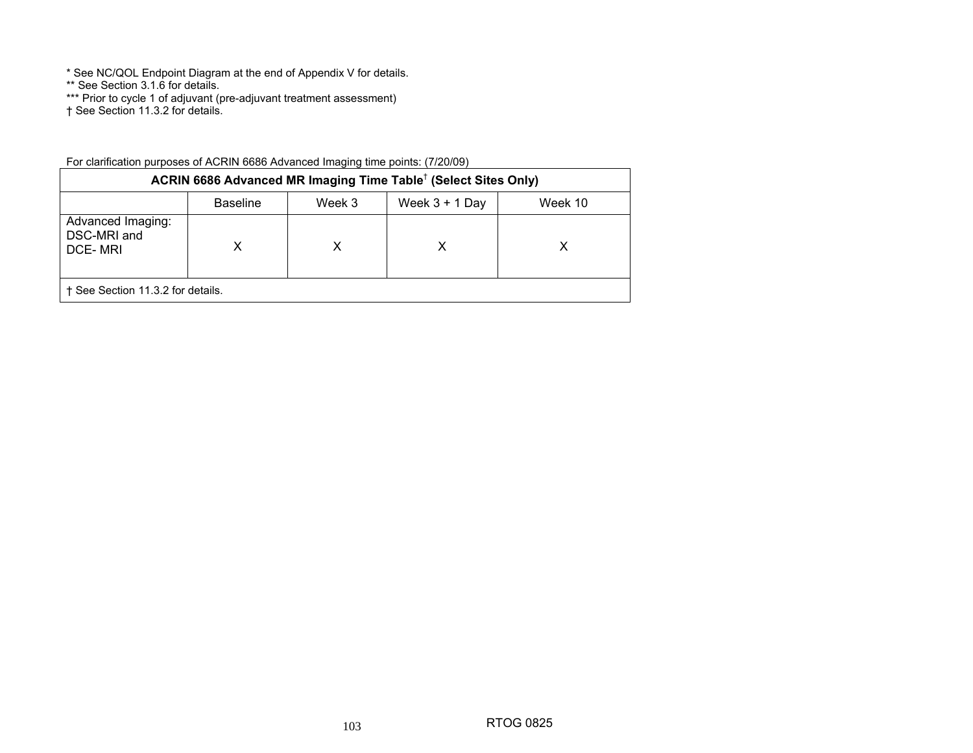\* See NC/QOL Endpoint Diagram at the end of Appendix V for details.

\*\* See Section 3.1.6 for details.

\*\*\* Prior to cycle 1 of adjuvant (pre-adjuvant treatment assessment)

† See Section 11.3.2 for details.

| ACRIN 6686 Advanced MR Imaging Time Table <sup>†</sup> (Select Sites Only) |                 |        |                  |         |  |  |  |
|----------------------------------------------------------------------------|-----------------|--------|------------------|---------|--|--|--|
|                                                                            | <b>Baseline</b> | Week 3 | Week $3 + 1$ Day | Week 10 |  |  |  |
| Advanced Imaging:<br>DSC-MRI and<br>DCE-MRI                                | X               | х      | х                |         |  |  |  |
| + See Section 11.3.2 for details.                                          |                 |        |                  |         |  |  |  |

103

For clarification purposes of ACRIN 6686 Advanced Imaging time points: (7/20/09)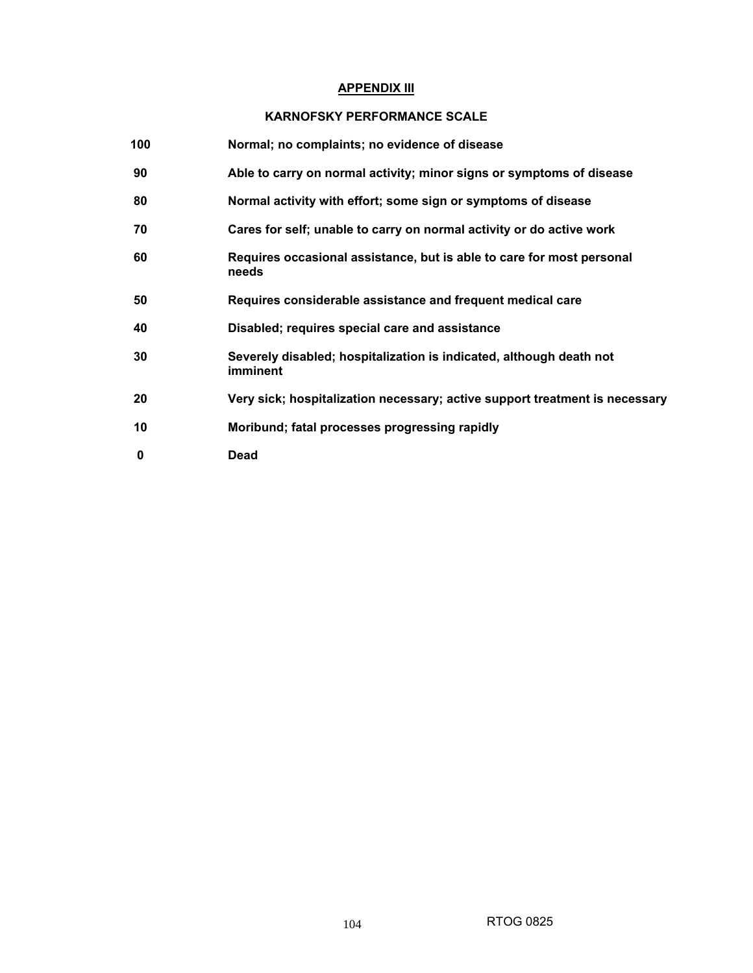# **APPENDIX III**

## **KARNOFSKY PERFORMANCE SCALE**

| 100 | Normal; no complaints; no evidence of disease                                   |
|-----|---------------------------------------------------------------------------------|
| 90  | Able to carry on normal activity; minor signs or symptoms of disease            |
| 80  | Normal activity with effort; some sign or symptoms of disease                   |
| 70  | Cares for self; unable to carry on normal activity or do active work            |
| 60  | Requires occasional assistance, but is able to care for most personal<br>needs  |
| 50  | Requires considerable assistance and frequent medical care                      |
| 40  | Disabled; requires special care and assistance                                  |
| 30  | Severely disabled; hospitalization is indicated, although death not<br>imminent |
| 20  | Very sick; hospitalization necessary; active support treatment is necessary     |
| 10  | Moribund; fatal processes progressing rapidly                                   |
| 0   | <b>Dead</b>                                                                     |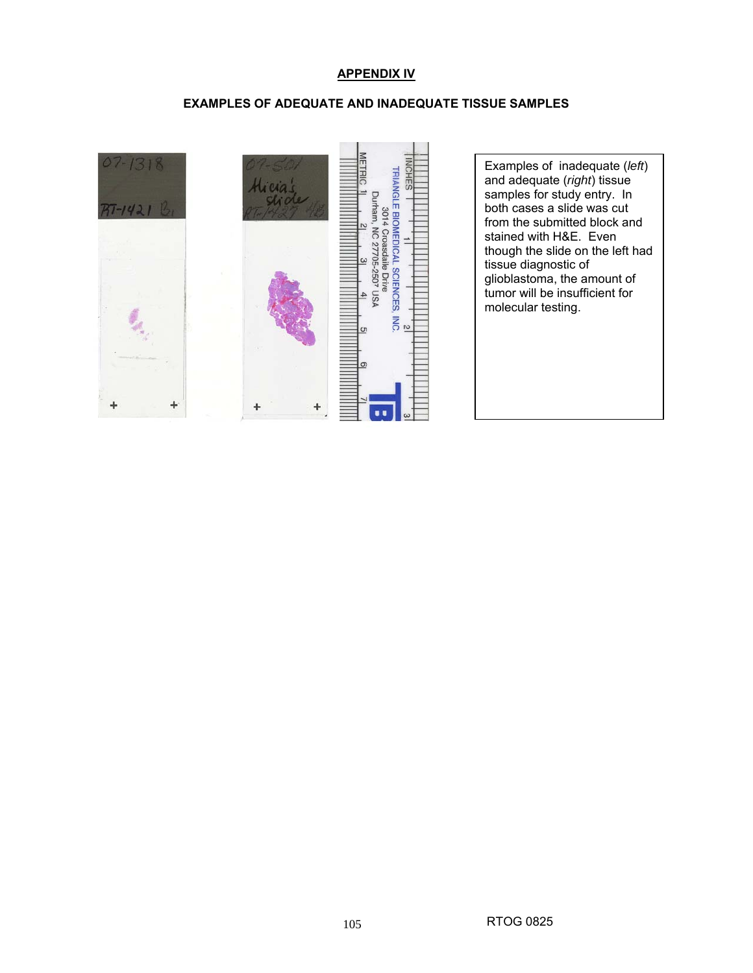## **APPENDIX IV**

## **EXAMPLES OF ADEQUATE AND INADEQUATE TISSUE SAMPLES**

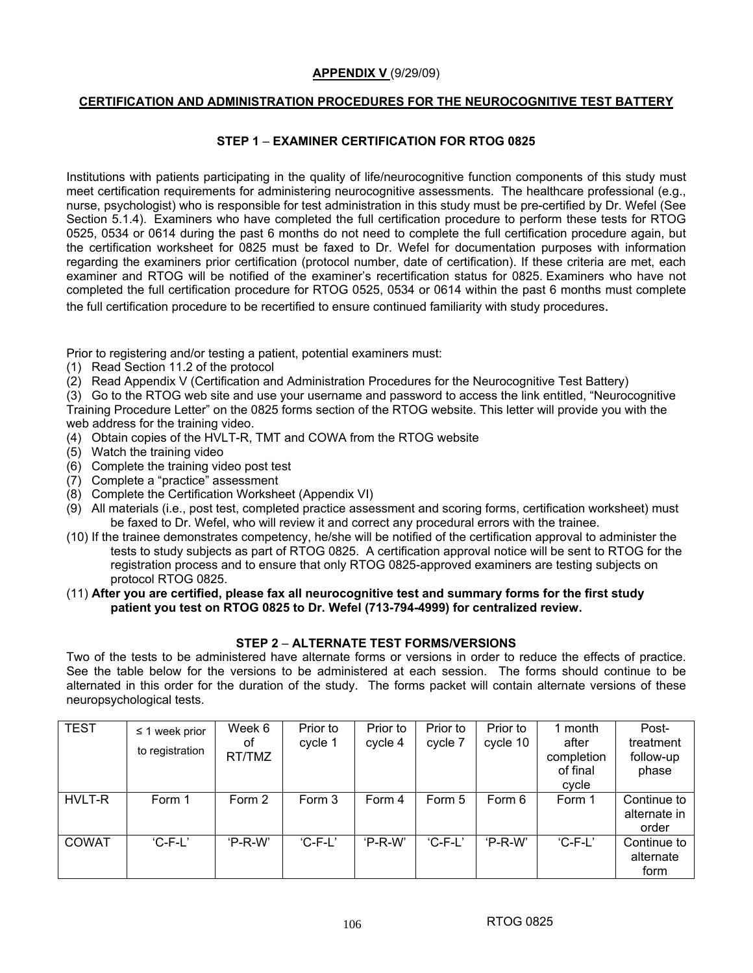#### **APPENDIX V** (9/29/09)

## **CERTIFICATION AND ADMINISTRATION PROCEDURES FOR THE NEUROCOGNITIVE TEST BATTERY**

## **STEP 1** – **EXAMINER CERTIFICATION FOR RTOG 0825**

Institutions with patients participating in the quality of life/neurocognitive function components of this study must meet certification requirements for administering neurocognitive assessments. The healthcare professional (e.g., nurse, psychologist) who is responsible for test administration in this study must be pre-certified by Dr. Wefel (See Section 5.1.4). Examiners who have completed the full certification procedure to perform these tests for RTOG 0525, 0534 or 0614 during the past 6 months do not need to complete the full certification procedure again, but the certification worksheet for 0825 must be faxed to Dr. Wefel for documentation purposes with information regarding the examiners prior certification (protocol number, date of certification). If these criteria are met, each examiner and RTOG will be notified of the examiner's recertification status for 0825. Examiners who have not completed the full certification procedure for RTOG 0525, 0534 or 0614 within the past 6 months must complete the full certification procedure to be recertified to ensure continued familiarity with study procedures.

Prior to registering and/or testing a patient, potential examiners must:

- (1) Read Section 11.2 of the protocol
- (2) Read Appendix V (Certification and Administration Procedures for the Neurocognitive Test Battery)

(3) Go to the RTOG web site and use your username and password to access the link entitled, "Neurocognitive Training Procedure Letter" on the 0825 forms section of the RTOG website. This letter will provide you with the web address for the training video.

- (4) Obtain copies of the HVLT-R, TMT and COWA from the RTOG website
- (5) Watch the training video
- (6) Complete the training video post test
- (7) Complete a "practice" assessment
- (8) Complete the Certification Worksheet (Appendix VI)
- (9) All materials (i.e., post test, completed practice assessment and scoring forms, certification worksheet) must be faxed to Dr. Wefel, who will review it and correct any procedural errors with the trainee.
- (10) If the trainee demonstrates competency, he/she will be notified of the certification approval to administer the tests to study subjects as part of RTOG 0825. A certification approval notice will be sent to RTOG for the registration process and to ensure that only RTOG 0825-approved examiners are testing subjects on protocol RTOG 0825.

#### (11) **After you are certified, please fax all neurocognitive test and summary forms for the first study patient you test on RTOG 0825 to Dr. Wefel (713-794-4999) for centralized review.**

## **STEP 2** – **ALTERNATE TEST FORMS/VERSIONS**

Two of the tests to be administered have alternate forms or versions in order to reduce the effects of practice. See the table below for the versions to be administered at each session. The forms should continue to be alternated in this order for the duration of the study. The forms packet will contain alternate versions of these neuropsychological tests.

| <b>TEST</b>  | $\leq$ 1 week prior<br>to registration | Week 6<br>оf<br>RT/TMZ | Prior to<br>cycle 1 | Prior to<br>cycle 4 | Prior to<br>cycle 7 | Prior to<br>cycle 10 | 1 month<br>after<br>completion<br>of final<br>cycle | Post-<br>treatment<br>follow-up<br>phase |
|--------------|----------------------------------------|------------------------|---------------------|---------------------|---------------------|----------------------|-----------------------------------------------------|------------------------------------------|
| HVLT-R       | Form 1                                 | Form 2                 | Form 3              | Form 4              | Form 5              | Form 6               | Form 1                                              | Continue to<br>alternate in<br>order     |
| <b>COWAT</b> | $C-F-L'$                               | $'P-R-W'$              | $'C$ -F-L'          | $'P-R-W'$           | $C-F-L'$            | $'P-R-W'$            | $'C$ -F-L'                                          | Continue to<br>alternate<br>form         |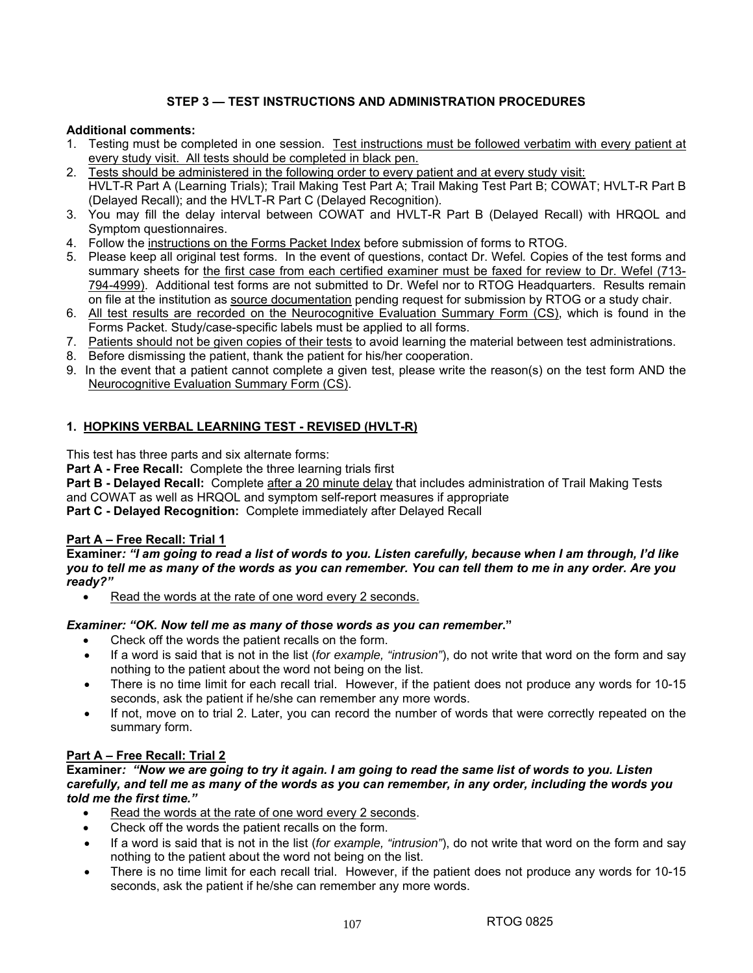# **STEP 3 — TEST INSTRUCTIONS AND ADMINISTRATION PROCEDURES**

## **Additional comments:**

- 1. Testing must be completed in one session. Test instructions must be followed verbatim with every patient at every study visit. All tests should be completed in black pen.
- 2. Tests should be administered in the following order to every patient and at every study visit: HVLT-R Part A (Learning Trials); Trail Making Test Part A; Trail Making Test Part B; COWAT; HVLT-R Part B (Delayed Recall); and the HVLT-R Part C (Delayed Recognition).
- 3. You may fill the delay interval between COWAT and HVLT-R Part B (Delayed Recall) with HRQOL and Symptom questionnaires.
- 4. Follow the instructions on the Forms Packet Index before submission of forms to RTOG.
- 5. Please keep all original test forms. In the event of questions, contact Dr. Wefel*.* Copies of the test forms and summary sheets for the first case from each certified examiner must be faxed for review to Dr. Wefel (713- 794-4999). Additional test forms are not submitted to Dr. Wefel nor to RTOG Headquarters. Results remain on file at the institution as source documentation pending request for submission by RTOG or a study chair.
- 6. All test results are recorded on the Neurocognitive Evaluation Summary Form (CS), which is found in the Forms Packet. Study/case-specific labels must be applied to all forms.
- 7. Patients should not be given copies of their tests to avoid learning the material between test administrations.
- 8. Before dismissing the patient, thank the patient for his/her cooperation.
- 9. In the event that a patient cannot complete a given test, please write the reason(s) on the test form AND the Neurocognitive Evaluation Summary Form (CS).

## **1. HOPKINS VERBAL LEARNING TEST - REVISED (HVLT-R)**

This test has three parts and six alternate forms:

**Part A - Free Recall:** Complete the three learning trials first

**Part B - Delayed Recall:** Complete after a 20 minute delay that includes administration of Trail Making Tests and COWAT as well as HRQOL and symptom self-report measures if appropriate **Part C - Delayed Recognition:** Complete immediately after Delayed Recall

## **Part A – Free Recall: Trial 1**

**Examiner***: "I am going to read a list of words to you. Listen carefully, because when I am through, I'd like you to tell me as many of the words as you can remember. You can tell them to me in any order. Are you ready?"*

Read the words at the rate of one word every 2 seconds.

## *Examiner: "OK. Now tell me as many of those words as you can remember***."**

- Check off the words the patient recalls on the form.
- If a word is said that is not in the list (*for example, "intrusion"*), do not write that word on the form and say nothing to the patient about the word not being on the list.
- There is no time limit for each recall trial. However, if the patient does not produce any words for 10-15 seconds, ask the patient if he/she can remember any more words.
- If not, move on to trial 2. Later, you can record the number of words that were correctly repeated on the summary form.

## **Part A – Free Recall: Trial 2**

## **Examiner***: "Now we are going to try it again. I am going to read the same list of words to you. Listen carefully, and tell me as many of the words as you can remember, in any order, including the words you told me the first time."*

- Read the words at the rate of one word every 2 seconds.
- Check off the words the patient recalls on the form.
- If a word is said that is not in the list (*for example, "intrusion"*), do not write that word on the form and say nothing to the patient about the word not being on the list.
- There is no time limit for each recall trial. However, if the patient does not produce any words for 10-15 seconds, ask the patient if he/she can remember any more words.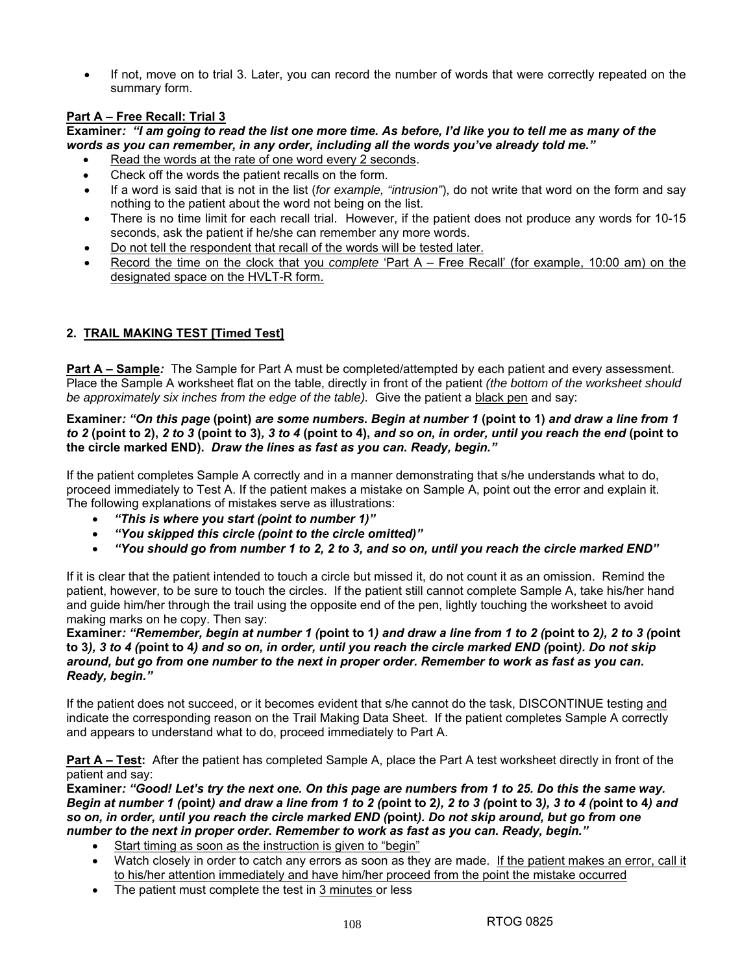• If not, move on to trial 3. Later, you can record the number of words that were correctly repeated on the summary form.

## **Part A – Free Recall: Trial 3**

**Examiner***: "I am going to read the list one more time. As before, I'd like you to tell me as many of the words as you can remember, in any order, including all the words you've already told me."*

- Read the words at the rate of one word every 2 seconds.
- Check off the words the patient recalls on the form.
- If a word is said that is not in the list (*for example, "intrusion"*), do not write that word on the form and say nothing to the patient about the word not being on the list.
- There is no time limit for each recall trial. However, if the patient does not produce any words for 10-15 seconds, ask the patient if he/she can remember any more words.
- Do not tell the respondent that recall of the words will be tested later.
- Record the time on the clock that you *complete* 'Part A Free Recall' (for example, 10:00 am) on the designated space on the HVLT-R form.

# **2. TRAIL MAKING TEST [Timed Test]**

**Part A – Sample:** The Sample for Part A must be completed/attempted by each patient and every assessment. Place the Sample A worksheet flat on the table, directly in front of the patient *(the bottom of the worksheet should be approximately six inches from the edge of the table).* Give the patient a black pen and say:

#### **Examiner***: "On this page* **(point)** *are some numbers. Begin at number 1* **(point to 1)** *and draw a line from 1 to 2* **(point to 2),** *2 to 3* **(point to 3)***, 3 to 4* **(point to 4),** *and so on, in order, until you reach the end* **(point to the circle marked END).** *Draw the lines as fast as you can. Ready, begin."*

If the patient completes Sample A correctly and in a manner demonstrating that s/he understands what to do, proceed immediately to Test A. If the patient makes a mistake on Sample A, point out the error and explain it. The following explanations of mistakes serve as illustrations:

- *"This is where you start (point to number 1)"*
- *"You skipped this circle (point to the circle omitted)"*
- *"You should go from number 1 to 2, 2 to 3, and so on, until you reach the circle marked END"*

If it is clear that the patient intended to touch a circle but missed it, do not count it as an omission. Remind the patient, however, to be sure to touch the circles. If the patient still cannot complete Sample A, take his/her hand and guide him/her through the trail using the opposite end of the pen, lightly touching the worksheet to avoid making marks on he copy. Then say:

**Examiner***: "Remember, begin at number 1 (***point to 1***) and draw a line from 1 to 2 (***point to 2***), 2 to 3 (***point to 3***), 3 to 4 (***point to 4***) and so on, in order, until you reach the circle marked END (***point***). Do not skip around, but go from one number to the next in proper order. Remember to work as fast as you can. Ready, begin."*

If the patient does not succeed, or it becomes evident that s/he cannot do the task, DISCONTINUE testing and indicate the corresponding reason on the Trail Making Data Sheet. If the patient completes Sample A correctly and appears to understand what to do, proceed immediately to Part A.

**Part A – Test:** After the patient has completed Sample A, place the Part A test worksheet directly in front of the patient and say:

**Examiner***: "Good! Let's try the next one. On this page are numbers from 1 to 25. Do this the same way. Begin at number 1 (***point***) and draw a line from 1 to 2 (***point to 2***), 2 to 3 (***point to 3***), 3 to 4 (***point to 4***) and so on, in order, until you reach the circle marked END (***point***). Do not skip around, but go from one number to the next in proper order. Remember to work as fast as you can. Ready, begin."* 

- Start timing as soon as the instruction is given to "begin"
- Watch closely in order to catch any errors as soon as they are made. If the patient makes an error, call it to his/her attention immediately and have him/her proceed from the point the mistake occurred
- The patient must complete the test in 3 minutes or less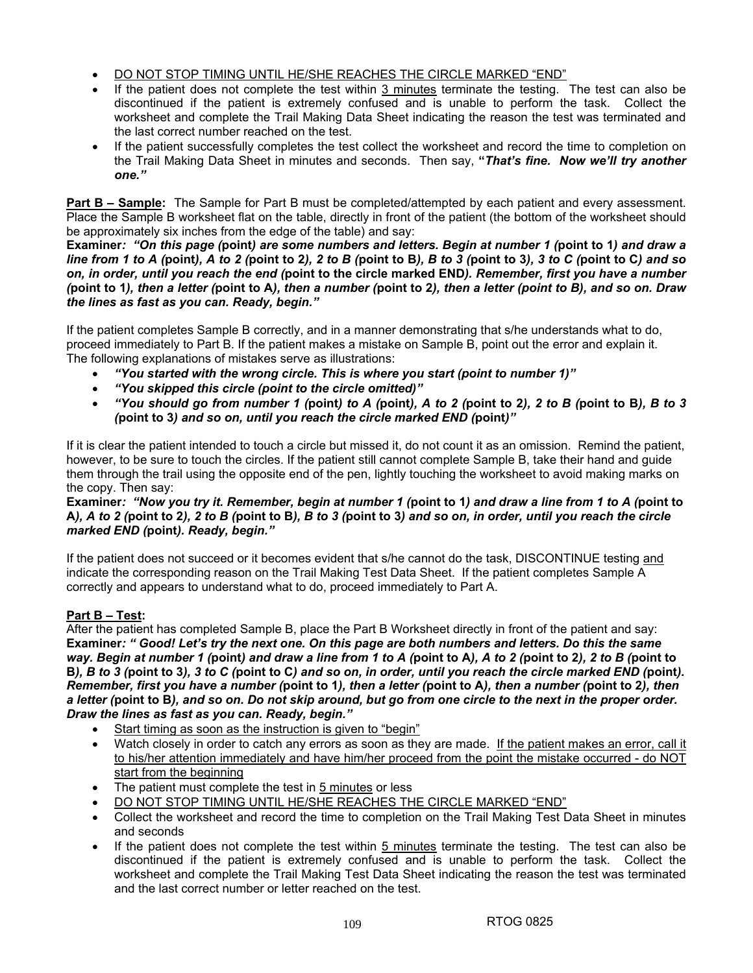- DO NOT STOP TIMING UNTIL HE/SHE REACHES THE CIRCLE MARKED "END"
- If the patient does not complete the test within 3 minutes terminate the testing. The test can also be discontinued if the patient is extremely confused and is unable to perform the task. Collect the worksheet and complete the Trail Making Data Sheet indicating the reason the test was terminated and the last correct number reached on the test.
- If the patient successfully completes the test collect the worksheet and record the time to completion on the Trail Making Data Sheet in minutes and seconds. Then say, **"***That's fine. Now we'll try another one."*

**Part B – Sample:** The Sample for Part B must be completed/attempted by each patient and every assessment. Place the Sample B worksheet flat on the table, directly in front of the patient (the bottom of the worksheet should be approximately six inches from the edge of the table) and say:

**Examiner***: "On this page (***point***) are some numbers and letters. Begin at number 1 (***point to 1***) and draw a line from 1 to A (***point***), A to 2 (***point to 2***), 2 to B (***point to B***), B to 3 (***point to 3***), 3 to C (***point to C***) and so on, in order, until you reach the end (***point to the circle marked END***). Remember, first you have a number (***point to 1***), then a letter (***point to A***), then a number (***point to 2***), then a letter (point to B), and so on. Draw the lines as fast as you can. Ready, begin."* 

If the patient completes Sample B correctly, and in a manner demonstrating that s/he understands what to do, proceed immediately to Part B. If the patient makes a mistake on Sample B, point out the error and explain it. The following explanations of mistakes serve as illustrations:

- *"You started with the wrong circle. This is where you start (point to number 1)"*
- *"You skipped this circle (point to the circle omitted)"*
- *"You should go from number 1 (***point***) to A (***point***), A to 2 (***point to 2***), 2 to B (***point to B***), B to 3 (***point to 3***) and so on, until you reach the circle marked END (***point***)"*

If it is clear the patient intended to touch a circle but missed it, do not count it as an omission. Remind the patient, however, to be sure to touch the circles. If the patient still cannot complete Sample B, take their hand and guide them through the trail using the opposite end of the pen, lightly touching the worksheet to avoid making marks on the copy. Then say:

#### **Examiner***: "Now you try it. Remember, begin at number 1 (***point to 1***) and draw a line from 1 to A (***point to A***), A to 2 (***point to 2***), 2 to B (***point to B***), B to 3 (***point to 3***) and so on, in order, until you reach the circle marked END (***point***). Ready, begin."*

If the patient does not succeed or it becomes evident that s/he cannot do the task, DISCONTINUE testing and indicate the corresponding reason on the Trail Making Test Data Sheet. If the patient completes Sample A correctly and appears to understand what to do, proceed immediately to Part A.

## **Part B – Test:**

After the patient has completed Sample B, place the Part B Worksheet directly in front of the patient and say: **Examiner***: " Good! Let's try the next one. On this page are both numbers and letters. Do this the same way. Begin at number 1 (***point***) and draw a line from 1 to A (***point to A***), A to 2 (***point to 2***), 2 to B (***point to B***), B to 3 (***point to 3***), 3 to C (***point to C***) and so on, in order, until you reach the circle marked END (***point***). Remember, first you have a number (***point to 1***), then a letter (***point to A***), then a number (***point to 2***), then a letter (***point to B***), and so on. Do not skip around, but go from one circle to the next in the proper order. Draw the lines as fast as you can. Ready, begin."* 

- Start timing as soon as the instruction is given to "begin"
- Watch closely in order to catch any errors as soon as they are made. If the patient makes an error, call it to his/her attention immediately and have him/her proceed from the point the mistake occurred - do NOT start from the beginning
- The patient must complete the test in 5 minutes or less
- DO NOT STOP TIMING UNTIL HE/SHE REACHES THE CIRCLE MARKED "END"
- Collect the worksheet and record the time to completion on the Trail Making Test Data Sheet in minutes and seconds
- If the patient does not complete the test within 5 minutes terminate the testing. The test can also be discontinued if the patient is extremely confused and is unable to perform the task. Collect the worksheet and complete the Trail Making Test Data Sheet indicating the reason the test was terminated and the last correct number or letter reached on the test.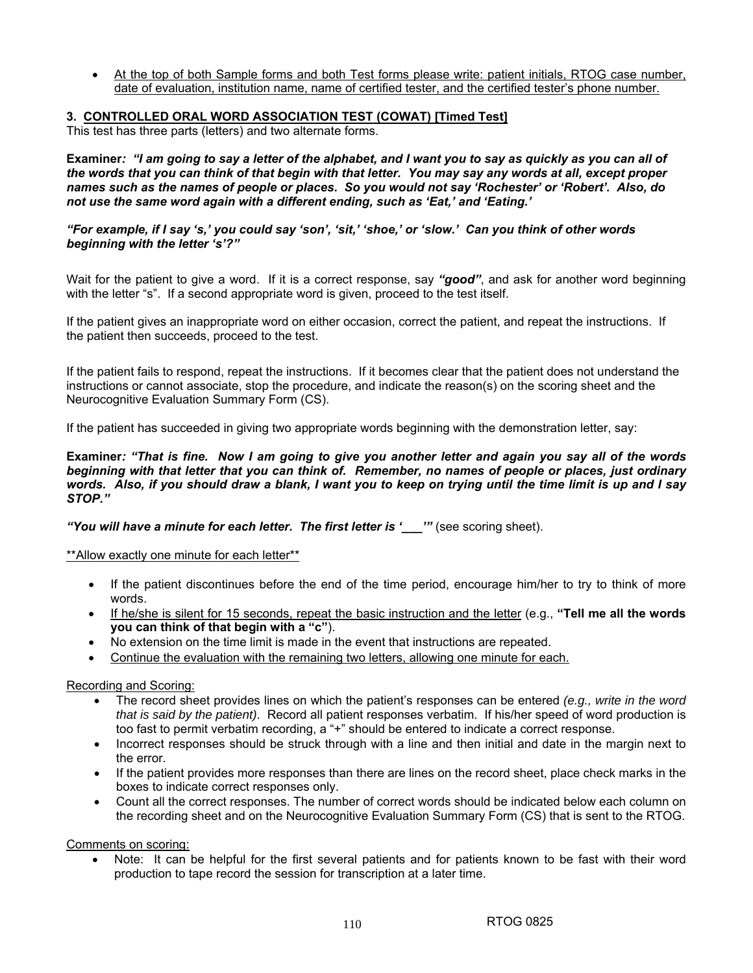• At the top of both Sample forms and both Test forms please write: patient initials, RTOG case number, date of evaluation, institution name, name of certified tester, and the certified tester's phone number.

## **3. CONTROLLED ORAL WORD ASSOCIATION TEST (COWAT) [Timed Test]**

This test has three parts (letters) and two alternate forms.

**Examiner***: "I am going to say a letter of the alphabet, and I want you to say as quickly as you can all of the words that you can think of that begin with that letter. You may say any words at all, except proper names such as the names of people or places. So you would not say 'Rochester' or 'Robert'. Also, do not use the same word again with a different ending, such as 'Eat,' and 'Eating.'*

*"For example, if I say 's,' you could say 'son', 'sit,' 'shoe,' or 'slow.' Can you think of other words beginning with the letter 's'?"* 

Wait for the patient to give a word. If it is a correct response, say *"good"*, and ask for another word beginning with the letter "s". If a second appropriate word is given, proceed to the test itself.

If the patient gives an inappropriate word on either occasion, correct the patient, and repeat the instructions. If the patient then succeeds, proceed to the test.

If the patient fails to respond, repeat the instructions. If it becomes clear that the patient does not understand the instructions or cannot associate, stop the procedure, and indicate the reason(s) on the scoring sheet and the Neurocognitive Evaluation Summary Form (CS).

If the patient has succeeded in giving two appropriate words beginning with the demonstration letter, say:

**Examiner***: "That is fine. Now I am going to give you another letter and again you say all of the words beginning with that letter that you can think of. Remember, no names of people or places, just ordinary words. Also, if you should draw a blank, I want you to keep on trying until the time limit is up and I say STOP."* 

*"You will have a minute for each letter. The first letter is '\_\_\_'"* (see scoring sheet).

\*\*Allow exactly one minute for each letter\*\*

- If the patient discontinues before the end of the time period, encourage him/her to try to think of more words.
- If he/she is silent for 15 seconds, repeat the basic instruction and the letter (e.g., **"Tell me all the words you can think of that begin with a "c"**).
- No extension on the time limit is made in the event that instructions are repeated.
- Continue the evaluation with the remaining two letters, allowing one minute for each.

Recording and Scoring:

- The record sheet provides lines on which the patient's responses can be entered *(e.g., write in the word that is said by the patient)*. Record all patient responses verbatim. If his/her speed of word production is too fast to permit verbatim recording, a "+" should be entered to indicate a correct response.
- Incorrect responses should be struck through with a line and then initial and date in the margin next to the error.
- If the patient provides more responses than there are lines on the record sheet, place check marks in the boxes to indicate correct responses only.
- Count all the correct responses. The number of correct words should be indicated below each column on the recording sheet and on the Neurocognitive Evaluation Summary Form (CS) that is sent to the RTOG.

Comments on scoring:

Note: It can be helpful for the first several patients and for patients known to be fast with their word production to tape record the session for transcription at a later time.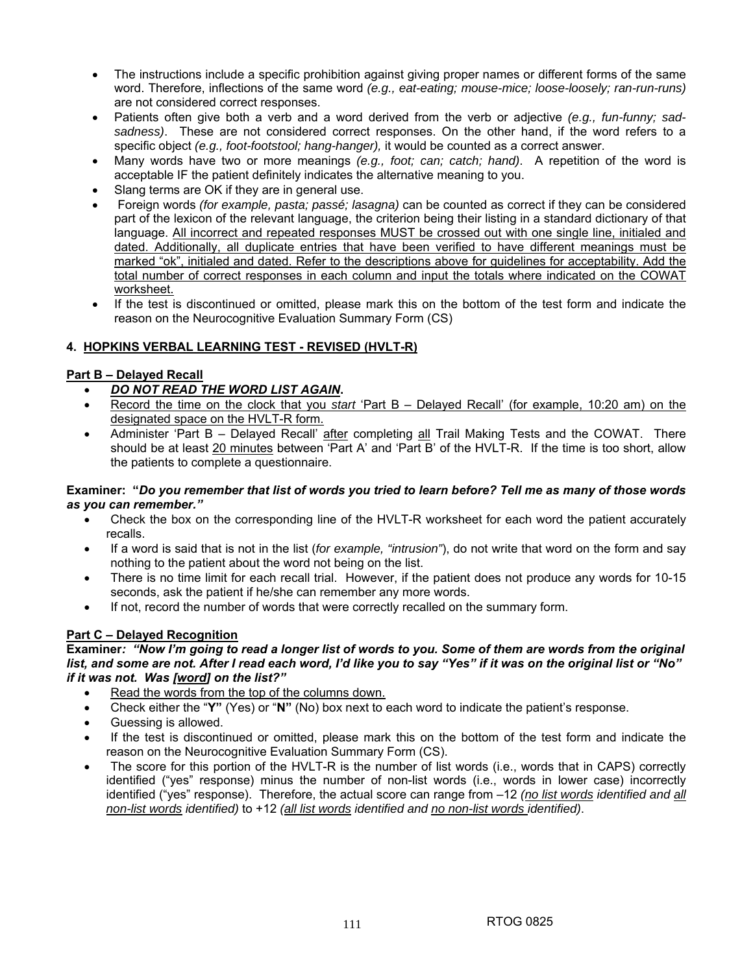- The instructions include a specific prohibition against giving proper names or different forms of the same word. Therefore, inflections of the same word *(e.g., eat-eating; mouse-mice; loose-loosely; ran-run-runs)* are not considered correct responses.
- Patients often give both a verb and a word derived from the verb or adjective *(e.g., fun-funny; sadsadness)*. These are not considered correct responses. On the other hand, if the word refers to a specific object *(e.g., foot-footstool; hang-hanger),* it would be counted as a correct answer.
- Many words have two or more meanings *(e.g., foot; can; catch; hand)*. A repetition of the word is acceptable IF the patient definitely indicates the alternative meaning to you.
- Slang terms are OK if they are in general use.
- Foreign words *(for example, pasta; passé; lasagna)* can be counted as correct if they can be considered part of the lexicon of the relevant language, the criterion being their listing in a standard dictionary of that language. All incorrect and repeated responses MUST be crossed out with one single line, initialed and dated. Additionally, all duplicate entries that have been verified to have different meanings must be marked "ok", initialed and dated. Refer to the descriptions above for guidelines for acceptability. Add the total number of correct responses in each column and input the totals where indicated on the COWAT worksheet.
- If the test is discontinued or omitted, please mark this on the bottom of the test form and indicate the reason on the Neurocognitive Evaluation Summary Form (CS)

## **4. HOPKINS VERBAL LEARNING TEST - REVISED (HVLT-R)**

## **Part B – Delayed Recall**

- *DO NOT READ THE WORD LIST AGAIN***.**
- Record the time on the clock that you *start* 'Part B Delayed Recall' (for example, 10:20 am) on the designated space on the HVLT-R form.
- Administer 'Part B Delayed Recall' after completing all Trail Making Tests and the COWAT. There should be at least 20 minutes between 'Part A' and 'Part B' of the HVLT-R. If the time is too short, allow the patients to complete a questionnaire.

### **Examiner: "***Do you remember that list of words you tried to learn before? Tell me as many of those words as you can remember."*

- Check the box on the corresponding line of the HVLT-R worksheet for each word the patient accurately recalls.
- If a word is said that is not in the list (*for example, "intrusion"*), do not write that word on the form and say nothing to the patient about the word not being on the list.
- There is no time limit for each recall trial. However, if the patient does not produce any words for 10-15 seconds, ask the patient if he/she can remember any more words.
- If not, record the number of words that were correctly recalled on the summary form.

## **Part C – Delayed Recognition**

**Examiner***: "Now I'm going to read a longer list of words to you. Some of them are words from the original list, and some are not. After I read each word, I'd like you to say "Yes" if it was on the original list or "No" if it was not. Was [word] on the list?"* 

- Read the words from the top of the columns down.
- Check either the "**Y"** (Yes) or "**N"** (No) box next to each word to indicate the patient's response.
- Guessing is allowed.
- If the test is discontinued or omitted, please mark this on the bottom of the test form and indicate the reason on the Neurocognitive Evaluation Summary Form (CS).
- The score for this portion of the HVLT-R is the number of list words (i.e., words that in CAPS) correctly identified ("yes" response) minus the number of non-list words (i.e., words in lower case) incorrectly identified ("yes" response). Therefore, the actual score can range from –12 *(no list words identified and all non-list words identified)* to +12 *(all list words identified and no non-list words identified)*.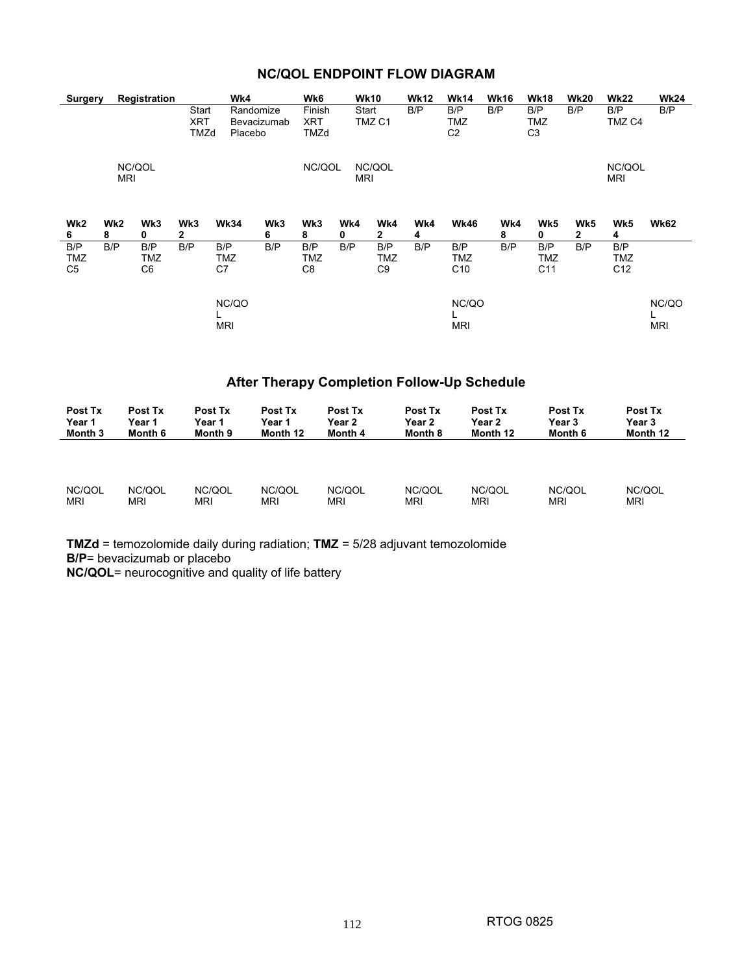|  | <b>NC/QOL ENDPOINT FLOW DIAGRAM</b> |  |
|--|-------------------------------------|--|
|--|-------------------------------------|--|

| <b>Surgery</b>                      |                      | Registration     |                      | Wk4                 |                          | Wk6                          |          | <b>Wk10</b>                | <b>Wk12</b> | <b>Wk14</b>                   | <b>Wk16</b> | <b>Wk18</b>                  | <b>Wk20</b>         | <b>Wk22</b>                   | <b>Wk24</b>         |
|-------------------------------------|----------------------|------------------|----------------------|---------------------|--------------------------|------------------------------|----------|----------------------------|-------------|-------------------------------|-------------|------------------------------|---------------------|-------------------------------|---------------------|
|                                     |                      |                  | Start<br>XRT<br>TMZd | Placebo             | Randomize<br>Bevacizumab | Finish<br>XRT<br>TMZd        |          | Start<br>TMZ <sub>C1</sub> | B/P         | B/P<br>TMZ<br>C <sub>2</sub>  | B/P         | B/P<br>TMZ<br>C <sub>3</sub> | B/P                 | B/P<br>TMZ C4                 | B/P                 |
|                                     | <b>MRI</b>           | NC/QOL           |                      |                     |                          | NC/QOL                       |          | NC/QOL<br><b>MRI</b>       |             |                               |             |                              |                     | NC/QOL<br><b>MRI</b>          |                     |
| Wk2<br>6                            | Wk <sub>2</sub><br>8 | Wk3<br>0         | Wk3<br>2             | <b>Wk34</b>         | Wk3<br>6                 | Wk3<br>8                     | Wk4<br>0 | Wk4<br>$\mathbf{2}$        | Wk4<br>4    | <b>Wk46</b>                   | Wk4<br>8    | Wk5<br>0                     | Wk5<br>$\mathbf{2}$ | Wk5<br>4                      | <b>Wk62</b>         |
| B/P<br><b>TMZ</b><br>C <sub>5</sub> | B/P                  | B/P<br>TMZ<br>C6 | B/P                  | B/P<br>TMZ<br>C7    | B/P                      | B/P<br>TMZ<br>C <sub>8</sub> | B/P      | B/P<br>TMZ<br>C9           | B/P         | B/P<br>TMZ<br>C <sub>10</sub> | B/P         | B/P<br><b>TMZ</b><br>C11     | B/P                 | B/P<br>TMZ<br>C <sub>12</sub> |                     |
|                                     |                      |                  |                      | NC/QO<br><b>MRI</b> |                          |                              |          |                            |             | NC/QO<br><b>MRI</b>           |             |                              |                     |                               | NC/QO<br><b>MRI</b> |

# **After Therapy Completion Follow-Up Schedule**

| Post Tx    | Post Tx | Post Tx | Post Tx    | Post Tx    | Post Tx    | Post Tx    | Post Tx    | Post Tx    |
|------------|---------|---------|------------|------------|------------|------------|------------|------------|
| Year 1     | Year 1  | Year 1  | Year 1     | Year 2     | Year 2     | Year 2     | Year 3     | Year 3     |
| Month 3    | Month 6 | Month 9 | Month 12   | Month 4    | Month 8    | Month 12   | Month 6    | Month 12   |
|            |         |         |            |            |            |            |            |            |
| NC/QOL     | NC/QOL  | NC/QOL  | NC/QOL     | NC/QOL     | NC/QOL     | NC/QOL     | NC/QOL     | NC/QOL     |
| <b>MRI</b> | MRI     | MRI     | <b>MRI</b> | <b>MRI</b> | <b>MRI</b> | <b>MRI</b> | <b>MRI</b> | <b>MRI</b> |

**TMZd** = temozolomide daily during radiation; **TMZ** = 5/28 adjuvant temozolomide **B/P**= bevacizumab or placebo

**NC/QOL**= neurocognitive and quality of life battery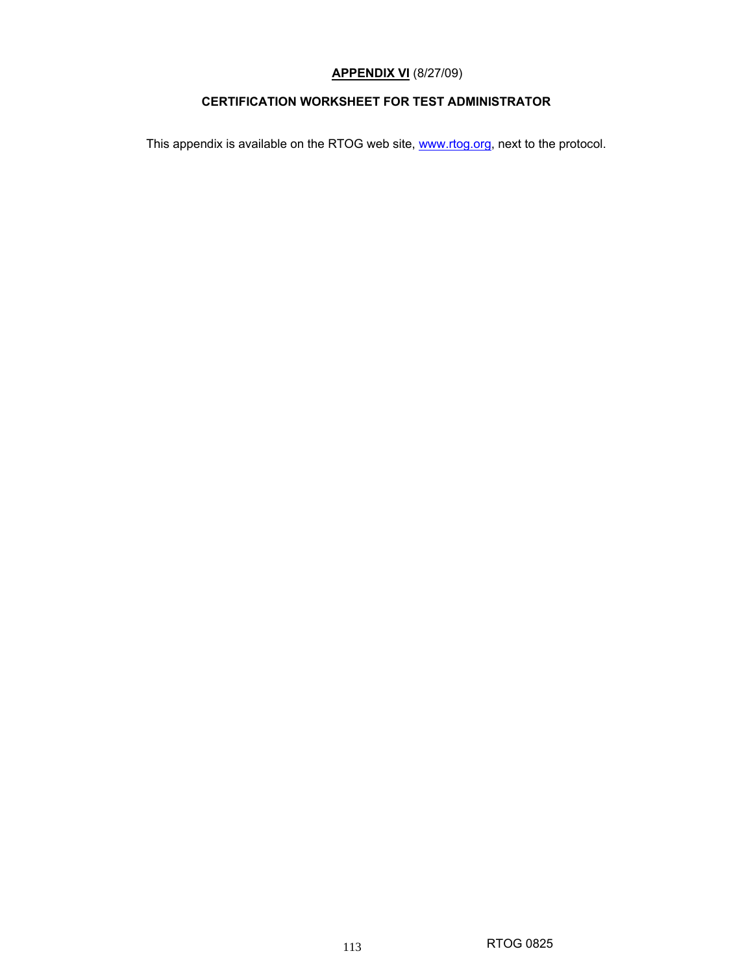# **APPENDIX VI** (8/27/09)

## **CERTIFICATION WORKSHEET FOR TEST ADMINISTRATOR**

This appendix is available on the RTOG web site, www.rtog.org, next to the protocol.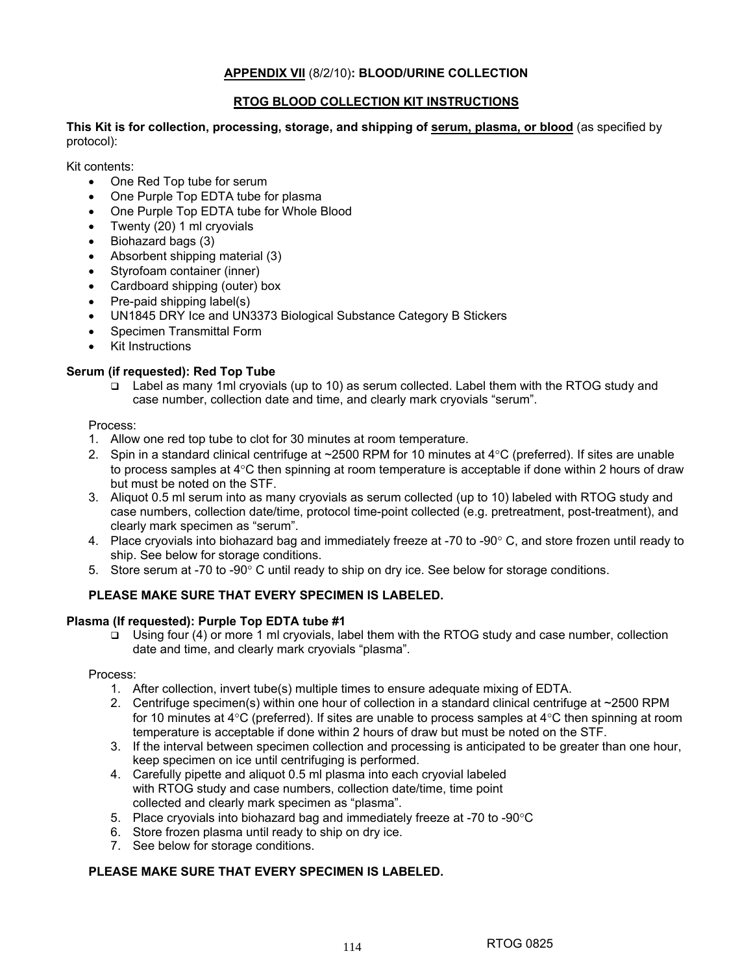## **APPENDIX VII** (8/2/10)**: BLOOD/URINE COLLECTION**

## **RTOG BLOOD COLLECTION KIT INSTRUCTIONS**

**This Kit is for collection, processing, storage, and shipping of serum, plasma, or blood** (as specified by protocol):

Kit contents:

- One Red Top tube for serum
- One Purple Top EDTA tube for plasma
- One Purple Top EDTA tube for Whole Blood
- Twenty (20) 1 ml cryovials
- Biohazard bags (3)
- Absorbent shipping material (3)
- Styrofoam container (inner)
- Cardboard shipping (outer) box
- Pre-paid shipping label(s)
- UN1845 DRY Ice and UN3373 Biological Substance Category B Stickers
- Specimen Transmittal Form
- **Kit Instructions**

### **Serum (if requested): Red Top Tube**

 Label as many 1ml cryovials (up to 10) as serum collected. Label them with the RTOG study and case number, collection date and time, and clearly mark cryovials "serum".

#### Process:

- 1. Allow one red top tube to clot for 30 minutes at room temperature.
- 2. Spin in a standard clinical centrifuge at ~2500 RPM for 10 minutes at 4°C (preferred). If sites are unable to process samples at 4°C then spinning at room temperature is acceptable if done within 2 hours of draw but must be noted on the STF.
- 3. Aliquot 0.5 ml serum into as many cryovials as serum collected (up to 10) labeled with RTOG study and case numbers, collection date/time, protocol time-point collected (e.g. pretreatment, post-treatment), and clearly mark specimen as "serum".
- 4. Place cryovials into biohazard bag and immediately freeze at -70 to -90° C, and store frozen until ready to ship. See below for storage conditions.
- 5. Store serum at -70 to -90° C until ready to ship on dry ice. See below for storage conditions.

## **PLEASE MAKE SURE THAT EVERY SPECIMEN IS LABELED.**

#### **Plasma (If requested): Purple Top EDTA tube #1**

 Using four (4) or more 1 ml cryovials, label them with the RTOG study and case number, collection date and time, and clearly mark cryovials "plasma".

#### Process:

- 1. After collection, invert tube(s) multiple times to ensure adequate mixing of EDTA.
- 2. Centrifuge specimen(s) within one hour of collection in a standard clinical centrifuge at ~2500 RPM for 10 minutes at  $4^{\circ}$ C (preferred). If sites are unable to process samples at  $4^{\circ}$ C then spinning at room temperature is acceptable if done within 2 hours of draw but must be noted on the STF.
- 3. If the interval between specimen collection and processing is anticipated to be greater than one hour, keep specimen on ice until centrifuging is performed.
- 4. Carefully pipette and aliquot 0.5 ml plasma into each cryovial labeled with RTOG study and case numbers, collection date/time, time point collected and clearly mark specimen as "plasma".
- 5. Place cryovials into biohazard bag and immediately freeze at -70 to -90°C
- 6. Store frozen plasma until ready to ship on dry ice.
- 7. See below for storage conditions.

## **PLEASE MAKE SURE THAT EVERY SPECIMEN IS LABELED.**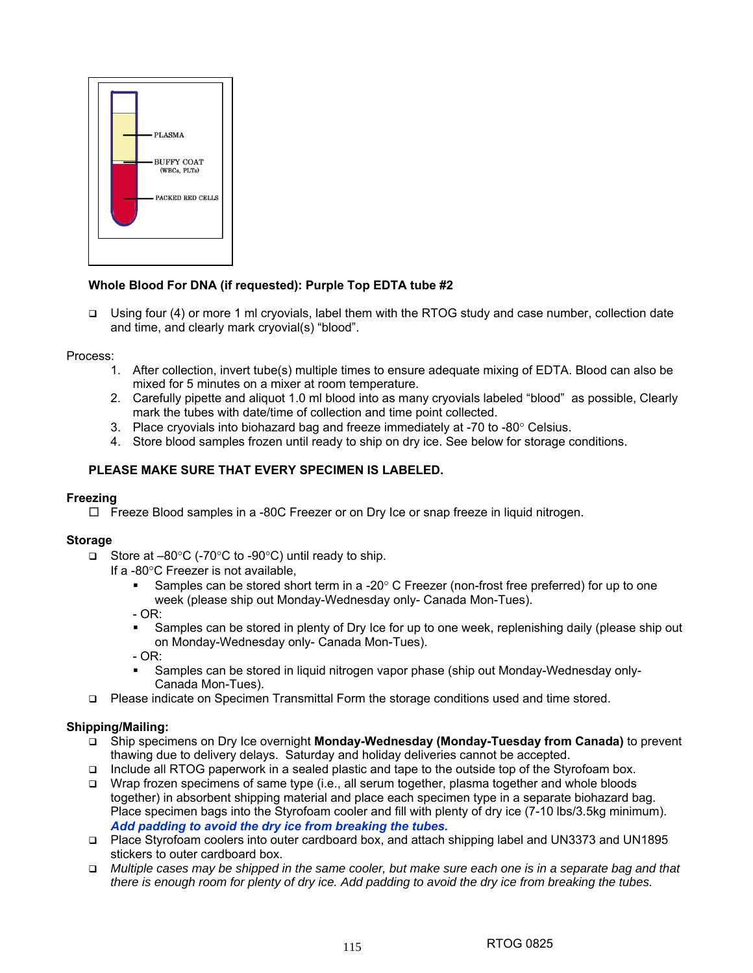

## **Whole Blood For DNA (if requested): Purple Top EDTA tube #2**

 Using four (4) or more 1 ml cryovials, label them with the RTOG study and case number, collection date and time, and clearly mark cryovial(s) "blood".

## Process:

- 1. After collection, invert tube(s) multiple times to ensure adequate mixing of EDTA. Blood can also be mixed for 5 minutes on a mixer at room temperature.
- 2. Carefully pipette and aliquot 1.0 ml blood into as many cryovials labeled "blood" as possible, Clearly mark the tubes with date/time of collection and time point collected.
- 3. Place cryovials into biohazard bag and freeze immediately at  $-70$  to  $-80^\circ$  Celsius.
- 4. Store blood samples frozen until ready to ship on dry ice. See below for storage conditions.

# **PLEASE MAKE SURE THAT EVERY SPECIMEN IS LABELED.**

## **Freezing**

 $\Box$  Freeze Blood samples in a -80C Freezer or on Dry Ice or snap freeze in liquid nitrogen.

## **Storage**

- Store at  $-80^{\circ}$ C (-70 $^{\circ}$ C to -90 $^{\circ}$ C) until ready to ship.
	- If a -80°C Freezer is not available,
		- Samples can be stored short term in a -20 $^{\circ}$  C Freezer (non-frost free preferred) for up to one week (please ship out Monday-Wednesday only- Canada Mon-Tues).
		- $OR:$
		- Samples can be stored in plenty of Dry Ice for up to one week, replenishing daily (please ship out on Monday-Wednesday only- Canada Mon-Tues).
		- OR:
		- Samples can be stored in liquid nitrogen vapor phase (ship out Monday-Wednesday only-Canada Mon-Tues).
- Please indicate on Specimen Transmittal Form the storage conditions used and time stored.

## **Shipping/Mailing:**

- Ship specimens on Dry Ice overnight **Monday-Wednesday (Monday-Tuesday from Canada)** to prevent thawing due to delivery delays. Saturday and holiday deliveries cannot be accepted.
- Include all RTOG paperwork in a sealed plastic and tape to the outside top of the Styrofoam box.
- □ Wrap frozen specimens of same type (i.e., all serum together, plasma together and whole bloods together) in absorbent shipping material and place each specimen type in a separate biohazard bag. Place specimen bags into the Styrofoam cooler and fill with plenty of dry ice (7-10 lbs/3.5kg minimum). *Add padding to avoid the dry ice from breaking the tubes.*
- Place Styrofoam coolers into outer cardboard box, and attach shipping label and UN3373 and UN1895 stickers to outer cardboard box.
- *Multiple cases may be shipped in the same cooler, but make sure each one is in a separate bag and that there is enough room for plenty of dry ice. Add padding to avoid the dry ice from breaking the tubes.*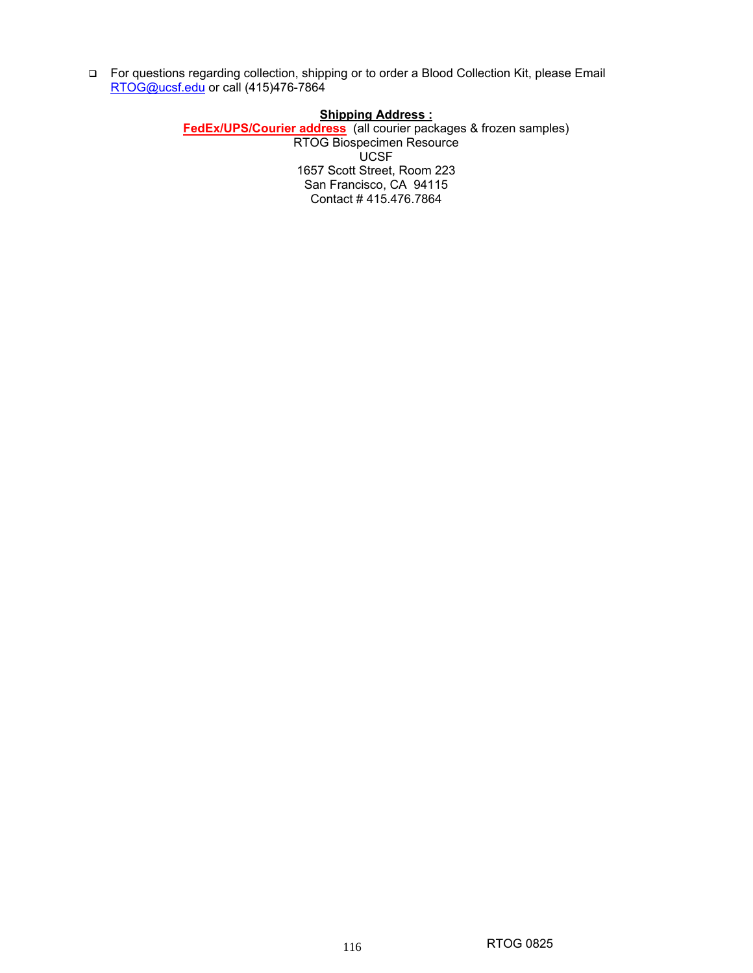For questions regarding collection, shipping or to order a Blood Collection Kit, please Email RTOG@ucsf.edu or call (415)476-7864

## **Shipping Address :**

**FedEx/UPS/Courier address** (all courier packages & frozen samples) RTOG Biospecimen Resource UCSF 1657 Scott Street, Room 223 San Francisco, CA 94115 Contact # 415.476.7864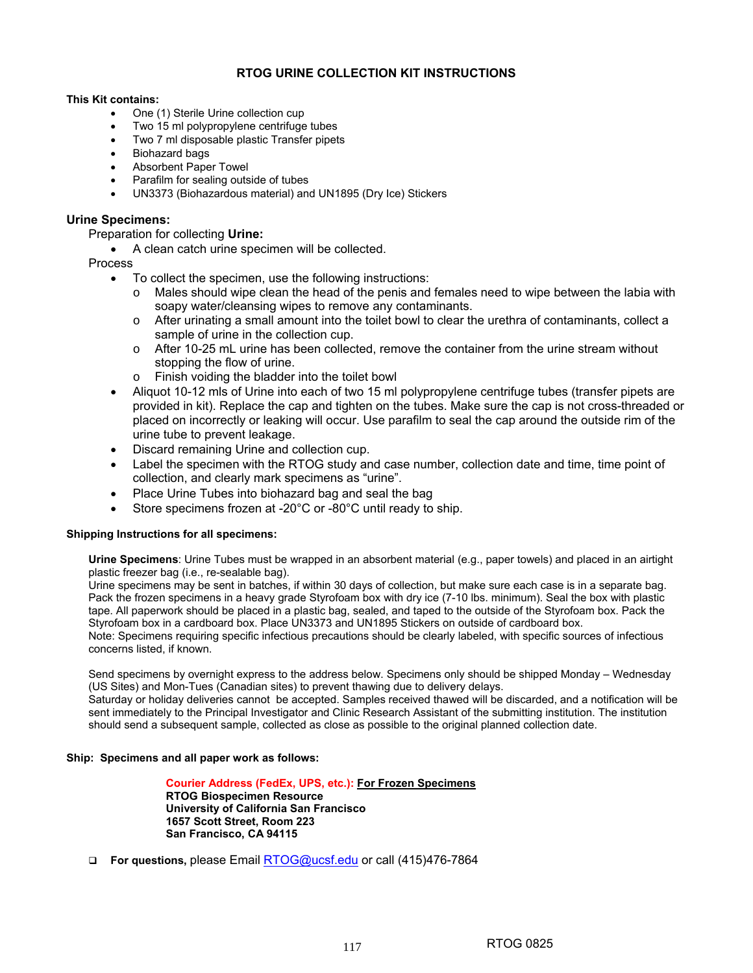## **RTOG URINE COLLECTION KIT INSTRUCTIONS**

#### **This Kit contains:**

- One (1) Sterile Urine collection cup
- Two 15 ml polypropylene centrifuge tubes
- Two 7 ml disposable plastic Transfer pipets
- Biohazard bags
- Absorbent Paper Towel
- Parafilm for sealing outside of tubes
- UN3373 (Biohazardous material) and UN1895 (Dry Ice) Stickers

#### **Urine Specimens:**

Preparation for collecting **Urine:** 

• A clean catch urine specimen will be collected.

#### Process

- To collect the specimen, use the following instructions:
	- $\circ$  Males should wipe clean the head of the penis and females need to wipe between the labia with soapy water/cleansing wipes to remove any contaminants.
	- $\circ$  After urinating a small amount into the toilet bowl to clear the urethra of contaminants, collect a sample of urine in the collection cup.
	- o After 10-25 mL urine has been collected, remove the container from the urine stream without stopping the flow of urine.
- o Finish voiding the bladder into the toilet bowl
- Aliquot 10-12 mls of Urine into each of two 15 ml polypropylene centrifuge tubes (transfer pipets are provided in kit). Replace the cap and tighten on the tubes. Make sure the cap is not cross-threaded or placed on incorrectly or leaking will occur. Use parafilm to seal the cap around the outside rim of the urine tube to prevent leakage.
- Discard remaining Urine and collection cup.
- Label the specimen with the RTOG study and case number, collection date and time, time point of collection, and clearly mark specimens as "urine".
- Place Urine Tubes into biohazard bag and seal the bag
- Store specimens frozen at -20°C or -80°C until ready to ship.

#### **Shipping Instructions for all specimens:**

**Urine Specimens**: Urine Tubes must be wrapped in an absorbent material (e.g., paper towels) and placed in an airtight plastic freezer bag (i.e., re-sealable bag).

Urine specimens may be sent in batches, if within 30 days of collection, but make sure each case is in a separate bag. Pack the frozen specimens in a heavy grade Styrofoam box with dry ice (7-10 lbs. minimum). Seal the box with plastic tape. All paperwork should be placed in a plastic bag, sealed, and taped to the outside of the Styrofoam box. Pack the Styrofoam box in a cardboard box. Place UN3373 and UN1895 Stickers on outside of cardboard box.

Note: Specimens requiring specific infectious precautions should be clearly labeled, with specific sources of infectious concerns listed, if known.

Send specimens by overnight express to the address below. Specimens only should be shipped Monday – Wednesday (US Sites) and Mon-Tues (Canadian sites) to prevent thawing due to delivery delays.

Saturday or holiday deliveries cannot be accepted. Samples received thawed will be discarded, and a notification will be sent immediately to the Principal Investigator and Clinic Research Assistant of the submitting institution. The institution should send a subsequent sample, collected as close as possible to the original planned collection date.

#### **Ship: Specimens and all paper work as follows:**

**Courier Address (FedEx, UPS, etc.): For Frozen Specimens RTOG Biospecimen Resource University of California San Francisco 1657 Scott Street, Room 223 San Francisco, CA 94115** 

**For questions,** please Email RTOG@ucsf.edu or call (415)476-7864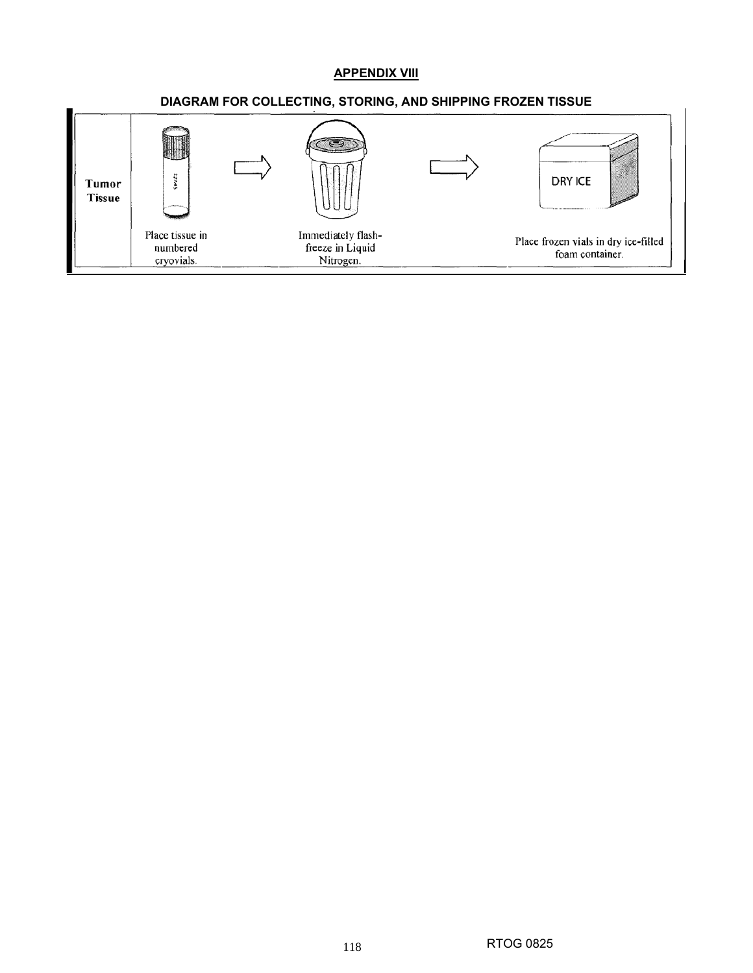# **APPENDIX VIII**

## **DIAGRAM FOR COLLECTING, STORING, AND SHIPPING FROZEN TISSUE**

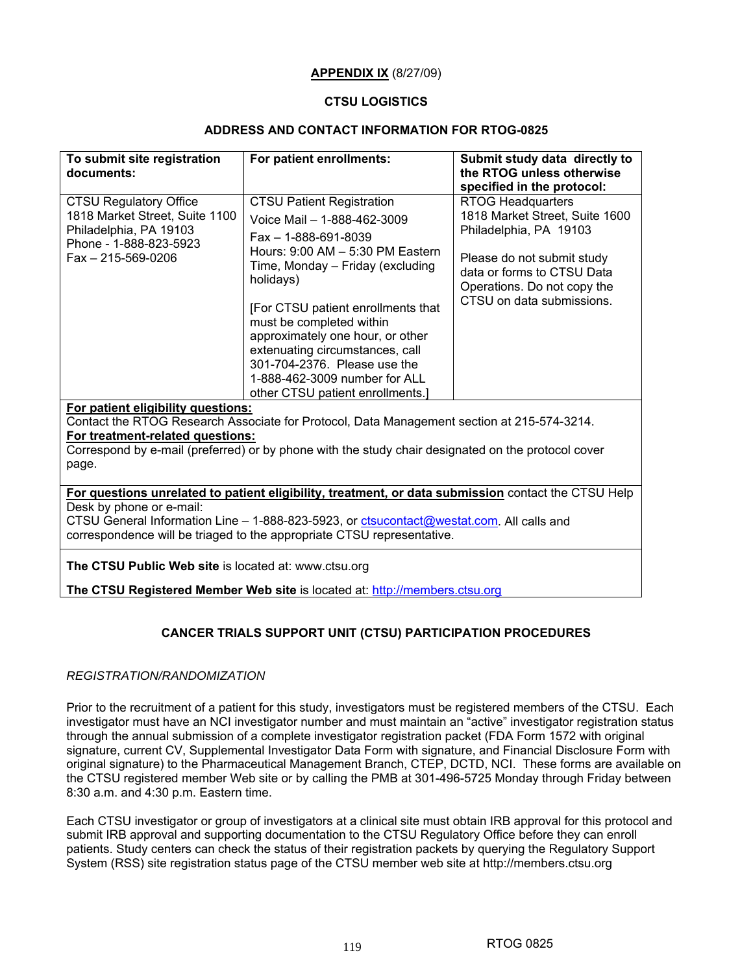### **APPENDIX IX** (8/27/09)

#### **CTSU LOGISTICS**

## **ADDRESS AND CONTACT INFORMATION FOR RTOG-0825**

| To submit site registration<br>documents:                                                                                                                                                                                                                                                             | For patient enrollments:                                                                                                                                                                                                                                                                                                                                                                                                           | Submit study data directly to<br>the RTOG unless otherwise<br>specified in the protocol:                                                                                                                     |  |  |  |  |
|-------------------------------------------------------------------------------------------------------------------------------------------------------------------------------------------------------------------------------------------------------------------------------------------------------|------------------------------------------------------------------------------------------------------------------------------------------------------------------------------------------------------------------------------------------------------------------------------------------------------------------------------------------------------------------------------------------------------------------------------------|--------------------------------------------------------------------------------------------------------------------------------------------------------------------------------------------------------------|--|--|--|--|
| <b>CTSU Regulatory Office</b><br>1818 Market Street, Suite 1100<br>Philadelphia, PA 19103<br>Phone - 1-888-823-5923<br>$Fax - 215 - 569 - 0206$                                                                                                                                                       | <b>CTSU Patient Registration</b><br>Voice Mail - 1-888-462-3009<br>$Fax - 1 - 888 - 691 - 8039$<br>Hours: 9:00 AM - 5:30 PM Eastern<br>Time, Monday - Friday (excluding<br>holidays)<br>[For CTSU patient enrollments that<br>must be completed within<br>approximately one hour, or other<br>extenuating circumstances, call<br>301-704-2376. Please use the<br>1-888-462-3009 number for ALL<br>other CTSU patient enrollments.] | <b>RTOG Headquarters</b><br>1818 Market Street, Suite 1600<br>Philadelphia, PA 19103<br>Please do not submit study<br>data or forms to CTSU Data<br>Operations. Do not copy the<br>CTSU on data submissions. |  |  |  |  |
| For patient eligibility questions:<br>For treatment-related questions:<br>page.                                                                                                                                                                                                                       | Contact the RTOG Research Associate for Protocol, Data Management section at 215-574-3214.<br>Correspond by e-mail (preferred) or by phone with the study chair designated on the protocol cover                                                                                                                                                                                                                                   |                                                                                                                                                                                                              |  |  |  |  |
| For questions unrelated to patient eligibility, treatment, or data submission contact the CTSU Help<br>Desk by phone or e-mail:<br>CTSU General Information Line - 1-888-823-5923, or ctsucontact@westat.com. All calls and<br>correspondence will be triaged to the appropriate CTSU representative. |                                                                                                                                                                                                                                                                                                                                                                                                                                    |                                                                                                                                                                                                              |  |  |  |  |
| The CTSU Public Web site is located at: www.ctsu.org                                                                                                                                                                                                                                                  | The CTSU Registered Member Web site is located at: http://members.ctsu.org                                                                                                                                                                                                                                                                                                                                                         |                                                                                                                                                                                                              |  |  |  |  |

## **CANCER TRIALS SUPPORT UNIT (CTSU) PARTICIPATION PROCEDURES**

### *REGISTRATION/RANDOMIZATION*

Prior to the recruitment of a patient for this study, investigators must be registered members of the CTSU. Each investigator must have an NCI investigator number and must maintain an "active" investigator registration status through the annual submission of a complete investigator registration packet (FDA Form 1572 with original signature, current CV, Supplemental Investigator Data Form with signature, and Financial Disclosure Form with original signature) to the Pharmaceutical Management Branch, CTEP, DCTD, NCI. These forms are available on the CTSU registered member Web site or by calling the PMB at 301-496-5725 Monday through Friday between 8:30 a.m. and 4:30 p.m. Eastern time.

Each CTSU investigator or group of investigators at a clinical site must obtain IRB approval for this protocol and submit IRB approval and supporting documentation to the CTSU Regulatory Office before they can enroll patients. Study centers can check the status of their registration packets by querying the Regulatory Support System (RSS) site registration status page of the CTSU member web site at http://members.ctsu.org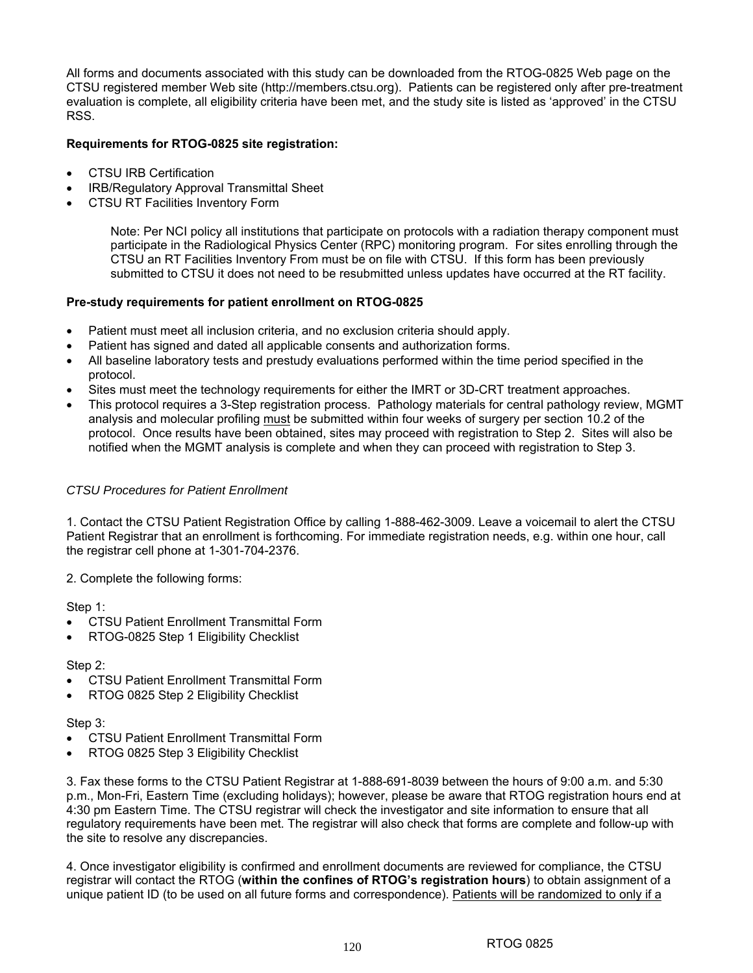All forms and documents associated with this study can be downloaded from the RTOG-0825 Web page on the CTSU registered member Web site (http://members.ctsu.org). Patients can be registered only after pre-treatment evaluation is complete, all eligibility criteria have been met, and the study site is listed as 'approved' in the CTSU RSS.

## **Requirements for RTOG-0825 site registration:**

- CTSU IRB Certification
- IRB/Regulatory Approval Transmittal Sheet
- CTSU RT Facilities Inventory Form

Note: Per NCI policy all institutions that participate on protocols with a radiation therapy component must participate in the Radiological Physics Center (RPC) monitoring program. For sites enrolling through the CTSU an RT Facilities Inventory From must be on file with CTSU. If this form has been previously submitted to CTSU it does not need to be resubmitted unless updates have occurred at the RT facility.

### **Pre-study requirements for patient enrollment on RTOG-0825**

- Patient must meet all inclusion criteria, and no exclusion criteria should apply.
- Patient has signed and dated all applicable consents and authorization forms.
- All baseline laboratory tests and prestudy evaluations performed within the time period specified in the protocol.
- Sites must meet the technology requirements for either the IMRT or 3D-CRT treatment approaches.
- This protocol requires a 3-Step registration process. Pathology materials for central pathology review, MGMT analysis and molecular profiling must be submitted within four weeks of surgery per section 10.2 of the protocol. Once results have been obtained, sites may proceed with registration to Step 2. Sites will also be notified when the MGMT analysis is complete and when they can proceed with registration to Step 3.

#### *CTSU Procedures for Patient Enrollment*

1. Contact the CTSU Patient Registration Office by calling 1-888-462-3009. Leave a voicemail to alert the CTSU Patient Registrar that an enrollment is forthcoming. For immediate registration needs, e.g. within one hour, call the registrar cell phone at 1-301-704-2376.

2. Complete the following forms:

Step 1:

- CTSU Patient Enrollment Transmittal Form
- RTOG-0825 Step 1 Eligibility Checklist

#### Step 2:

- CTSU Patient Enrollment Transmittal Form
- RTOG 0825 Step 2 Eligibility Checklist

#### Step 3:

- CTSU Patient Enrollment Transmittal Form
- RTOG 0825 Step 3 Eligibility Checklist

3. Fax these forms to the CTSU Patient Registrar at 1-888-691-8039 between the hours of 9:00 a.m. and 5:30 p.m., Mon-Fri, Eastern Time (excluding holidays); however, please be aware that RTOG registration hours end at 4:30 pm Eastern Time. The CTSU registrar will check the investigator and site information to ensure that all regulatory requirements have been met. The registrar will also check that forms are complete and follow-up with the site to resolve any discrepancies.

4. Once investigator eligibility is confirmed and enrollment documents are reviewed for compliance, the CTSU registrar will contact the RTOG (**within the confines of RTOG's registration hours**) to obtain assignment of a unique patient ID (to be used on all future forms and correspondence). Patients will be randomized to only if a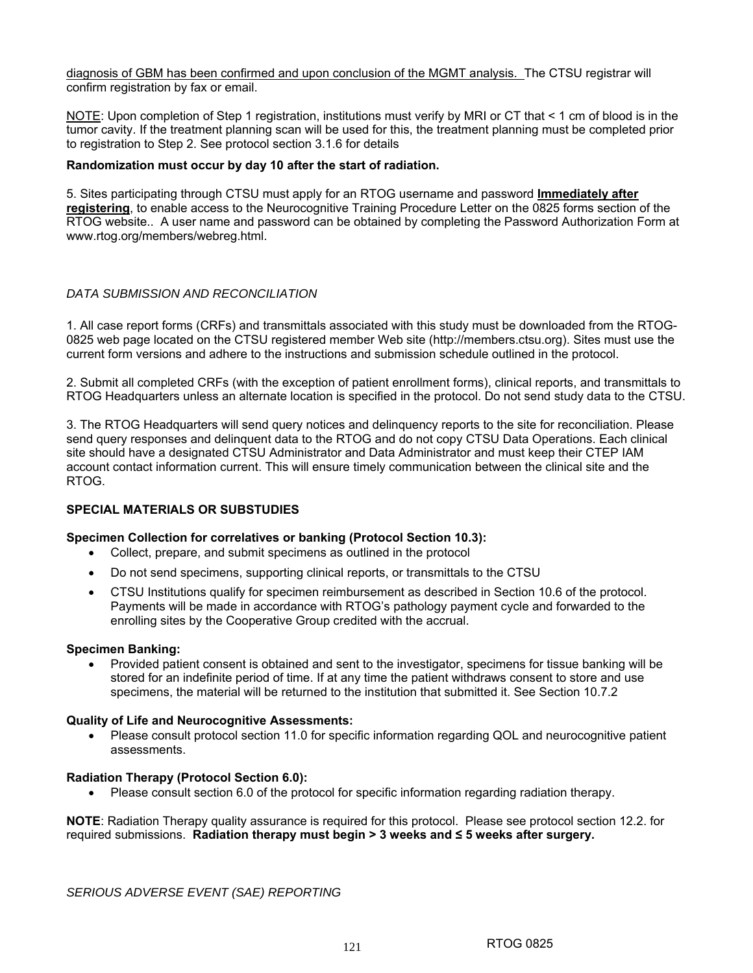diagnosis of GBM has been confirmed and upon conclusion of the MGMT analysis. The CTSU registrar will confirm registration by fax or email.

NOTE: Upon completion of Step 1 registration, institutions must verify by MRI or CT that < 1 cm of blood is in the tumor cavity. If the treatment planning scan will be used for this, the treatment planning must be completed prior to registration to Step 2. See protocol section 3.1.6 for details

### **Randomization must occur by day 10 after the start of radiation.**

5. Sites participating through CTSU must apply for an RTOG username and password **Immediately after registering**, to enable access to the Neurocognitive Training Procedure Letter on the 0825 forms section of the RTOG website.. A user name and password can be obtained by completing the Password Authorization Form at www.rtog.org/members/webreg.html.

## *DATA SUBMISSION AND RECONCILIATION*

1. All case report forms (CRFs) and transmittals associated with this study must be downloaded from the RTOG-0825 web page located on the CTSU registered member Web site (http://members.ctsu.org). Sites must use the current form versions and adhere to the instructions and submission schedule outlined in the protocol.

2. Submit all completed CRFs (with the exception of patient enrollment forms), clinical reports, and transmittals to RTOG Headquarters unless an alternate location is specified in the protocol. Do not send study data to the CTSU.

3. The RTOG Headquarters will send query notices and delinquency reports to the site for reconciliation. Please send query responses and delinquent data to the RTOG and do not copy CTSU Data Operations. Each clinical site should have a designated CTSU Administrator and Data Administrator and must keep their CTEP IAM account contact information current. This will ensure timely communication between the clinical site and the RTOG.

## **SPECIAL MATERIALS OR SUBSTUDIES**

#### **Specimen Collection for correlatives or banking (Protocol Section 10.3):**

- Collect, prepare, and submit specimens as outlined in the protocol
- Do not send specimens, supporting clinical reports, or transmittals to the CTSU
- CTSU Institutions qualify for specimen reimbursement as described in Section 10.6 of the protocol. Payments will be made in accordance with RTOG's pathology payment cycle and forwarded to the enrolling sites by the Cooperative Group credited with the accrual.

#### **Specimen Banking:**

• Provided patient consent is obtained and sent to the investigator, specimens for tissue banking will be stored for an indefinite period of time. If at any time the patient withdraws consent to store and use specimens, the material will be returned to the institution that submitted it. See Section 10.7.2

#### **Quality of Life and Neurocognitive Assessments:**

• Please consult protocol section 11.0 for specific information regarding QOL and neurocognitive patient assessments.

#### **Radiation Therapy (Protocol Section 6.0):**

• Please consult section 6.0 of the protocol for specific information regarding radiation therapy.

**NOTE**: Radiation Therapy quality assurance is required for this protocol. Please see protocol section 12.2. for required submissions. **Radiation therapy must begin > 3 weeks and ≤ 5 weeks after surgery.**

*SERIOUS ADVERSE EVENT (SAE) REPORTING*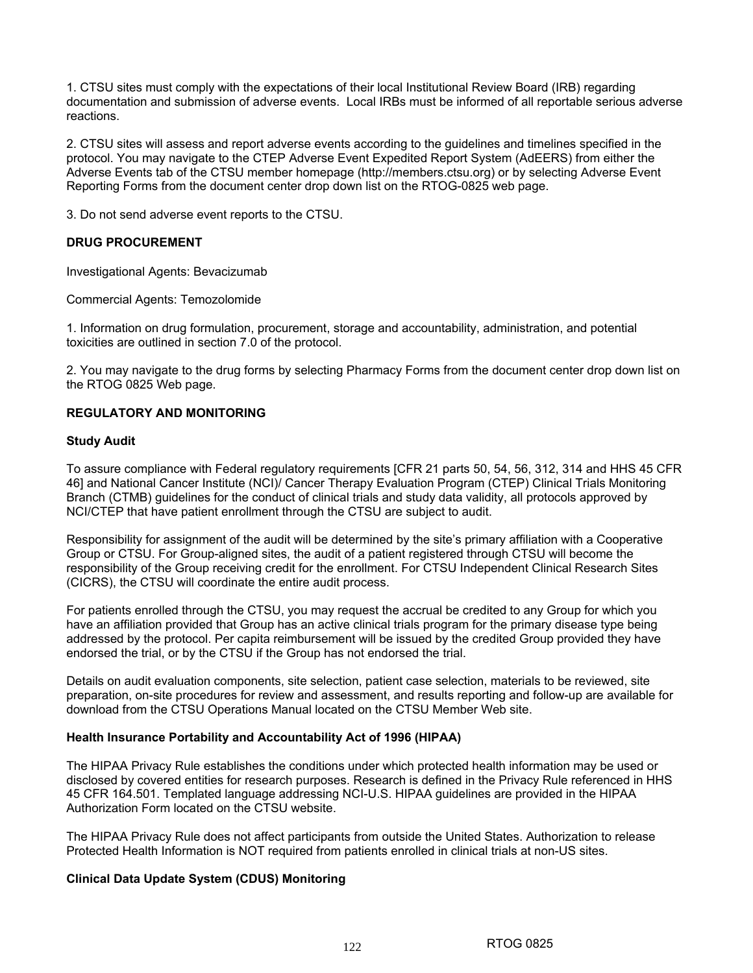1. CTSU sites must comply with the expectations of their local Institutional Review Board (IRB) regarding documentation and submission of adverse events. Local IRBs must be informed of all reportable serious adverse reactions.

2. CTSU sites will assess and report adverse events according to the guidelines and timelines specified in the protocol. You may navigate to the CTEP Adverse Event Expedited Report System (AdEERS) from either the Adverse Events tab of the CTSU member homepage (http://members.ctsu.org) or by selecting Adverse Event Reporting Forms from the document center drop down list on the RTOG-0825 web page.

3. Do not send adverse event reports to the CTSU.

## **DRUG PROCUREMENT**

Investigational Agents: Bevacizumab

Commercial Agents: Temozolomide

1. Information on drug formulation, procurement, storage and accountability, administration, and potential toxicities are outlined in section 7.0 of the protocol.

2. You may navigate to the drug forms by selecting Pharmacy Forms from the document center drop down list on the RTOG 0825 Web page.

### **REGULATORY AND MONITORING**

#### **Study Audit**

To assure compliance with Federal regulatory requirements [CFR 21 parts 50, 54, 56, 312, 314 and HHS 45 CFR 46] and National Cancer Institute (NCI)/ Cancer Therapy Evaluation Program (CTEP) Clinical Trials Monitoring Branch (CTMB) guidelines for the conduct of clinical trials and study data validity, all protocols approved by NCI/CTEP that have patient enrollment through the CTSU are subject to audit.

Responsibility for assignment of the audit will be determined by the site's primary affiliation with a Cooperative Group or CTSU. For Group-aligned sites, the audit of a patient registered through CTSU will become the responsibility of the Group receiving credit for the enrollment. For CTSU Independent Clinical Research Sites (CICRS), the CTSU will coordinate the entire audit process.

For patients enrolled through the CTSU, you may request the accrual be credited to any Group for which you have an affiliation provided that Group has an active clinical trials program for the primary disease type being addressed by the protocol. Per capita reimbursement will be issued by the credited Group provided they have endorsed the trial, or by the CTSU if the Group has not endorsed the trial.

Details on audit evaluation components, site selection, patient case selection, materials to be reviewed, site preparation, on-site procedures for review and assessment, and results reporting and follow-up are available for download from the CTSU Operations Manual located on the CTSU Member Web site.

#### **Health Insurance Portability and Accountability Act of 1996 (HIPAA)**

The HIPAA Privacy Rule establishes the conditions under which protected health information may be used or disclosed by covered entities for research purposes. Research is defined in the Privacy Rule referenced in HHS 45 CFR 164.501. Templated language addressing NCI-U.S. HIPAA guidelines are provided in the HIPAA Authorization Form located on the CTSU website.

The HIPAA Privacy Rule does not affect participants from outside the United States. Authorization to release Protected Health Information is NOT required from patients enrolled in clinical trials at non-US sites.

#### **Clinical Data Update System (CDUS) Monitoring**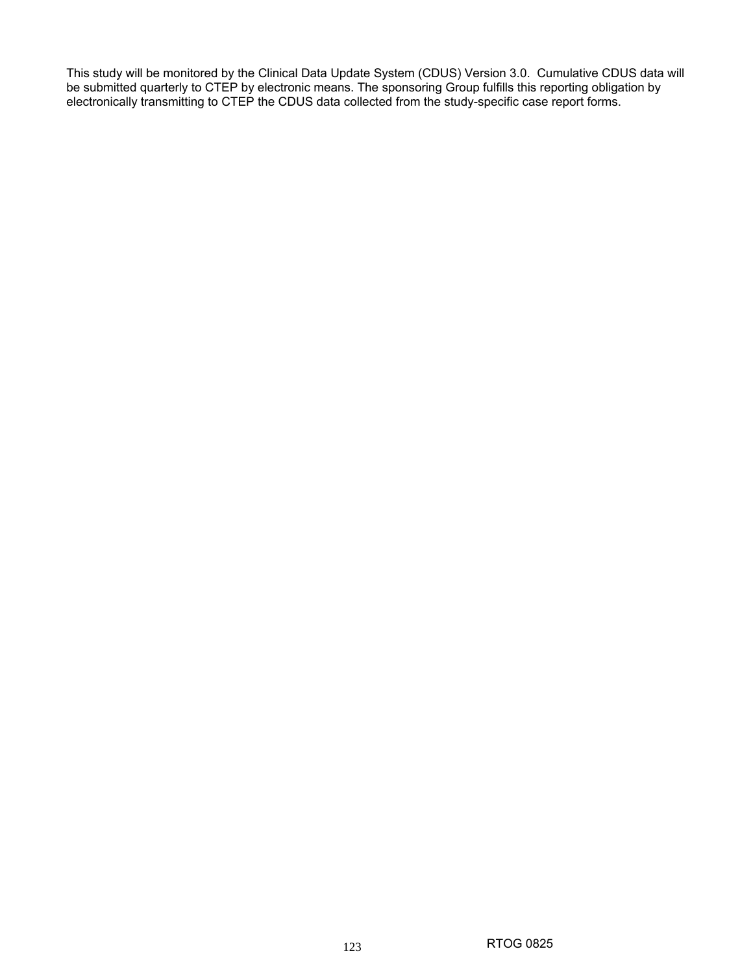This study will be monitored by the Clinical Data Update System (CDUS) Version 3.0. Cumulative CDUS data will be submitted quarterly to CTEP by electronic means. The sponsoring Group fulfills this reporting obligation by electronically transmitting to CTEP the CDUS data collected from the study-specific case report forms.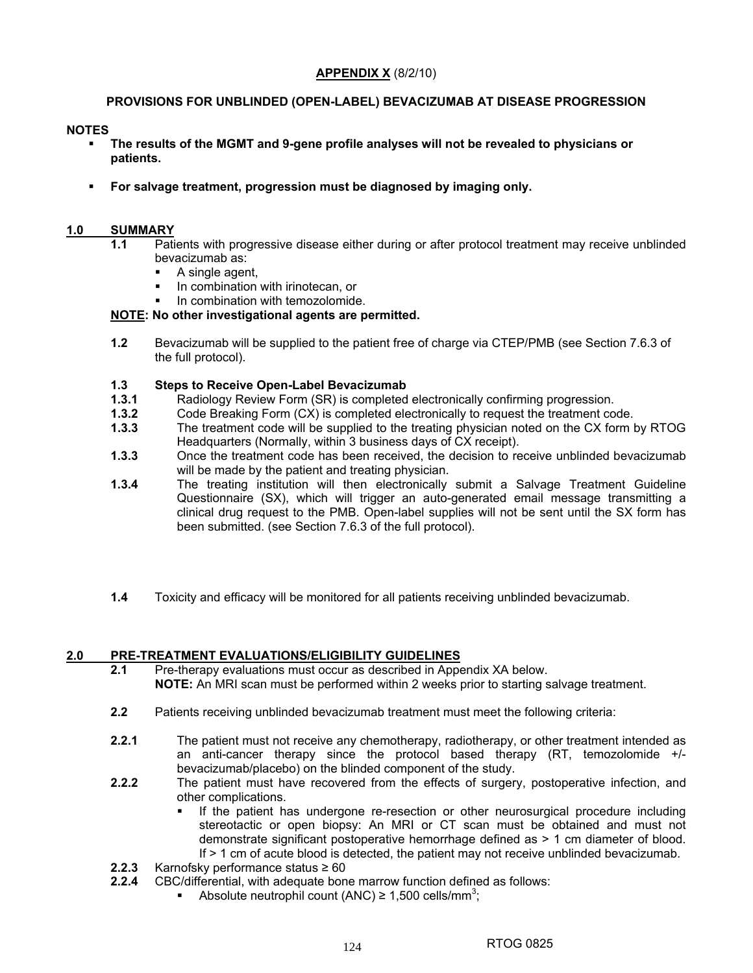## **APPENDIX X** (8/2/10)

## **PROVISIONS FOR UNBLINDED (OPEN-LABEL) BEVACIZUMAB AT DISEASE PROGRESSION**

### **NOTES**

- **The results of the MGMT and 9-gene profile analyses will not be revealed to physicians or patients.**
- **For salvage treatment, progression must be diagnosed by imaging only.**

## **1.0 SUMMARY**

- **1.1** Patients with progressive disease either during or after protocol treatment may receive unblinded bevacizumab as:
	- **A** single agent.
	- **In combination with irinotecan, or**
	- In combination with temozolomide.

### **NOTE: No other investigational agents are permitted.**

**1.2** Bevacizumab will be supplied to the patient free of charge via CTEP/PMB (see Section 7.6.3 of the full protocol).

## **1.3 Steps to Receive Open-Label Bevacizumab**

- **1.3.1** Radiology Review Form (SR) is completed electronically confirming progression.
- **1.3.2** Code Breaking Form (CX) is completed electronically to request the treatment code.
- **1.3.3** The treatment code will be supplied to the treating physician noted on the CX form by RTOG Headquarters (Normally, within 3 business days of CX receipt).
- **1.3.3** Once the treatment code has been received, the decision to receive unblinded bevacizumab will be made by the patient and treating physician.
- **1.3.4** The treating institution will then electronically submit a Salvage Treatment Guideline Questionnaire (SX), which will trigger an auto-generated email message transmitting a clinical drug request to the PMB. Open-label supplies will not be sent until the SX form has been submitted. (see Section 7.6.3 of the full protocol).
- **1.4** Toxicity and efficacy will be monitored for all patients receiving unblinded bevacizumab.

#### **2.0 PRE-TREATMENT EVALUATIONS/ELIGIBILITY GUIDELINES**

- **2.1** Pre-therapy evaluations must occur as described in Appendix XA below. **NOTE:** An MRI scan must be performed within 2 weeks prior to starting salvage treatment.
- **2.2** Patients receiving unblinded bevacizumab treatment must meet the following criteria:
- **2.2.1** The patient must not receive any chemotherapy, radiotherapy, or other treatment intended as an anti-cancer therapy since the protocol based therapy (RT, temozolomide +/ bevacizumab/placebo) on the blinded component of the study.
- **2.2.2** The patient must have recovered from the effects of surgery, postoperative infection, and other complications.
	- If the patient has undergone re-resection or other neurosurgical procedure including stereotactic or open biopsy: An MRI or CT scan must be obtained and must not demonstrate significant postoperative hemorrhage defined as > 1 cm diameter of blood. If > 1 cm of acute blood is detected, the patient may not receive unblinded bevacizumab.
- **2.2.3** Karnofsky performance status ≥ 60
- **2.2.4** CBC/differential, with adequate bone marrow function defined as follows:
	- Absolute neutrophil count (ANC)  $\geq 1,500$  cells/mm<sup>3</sup>;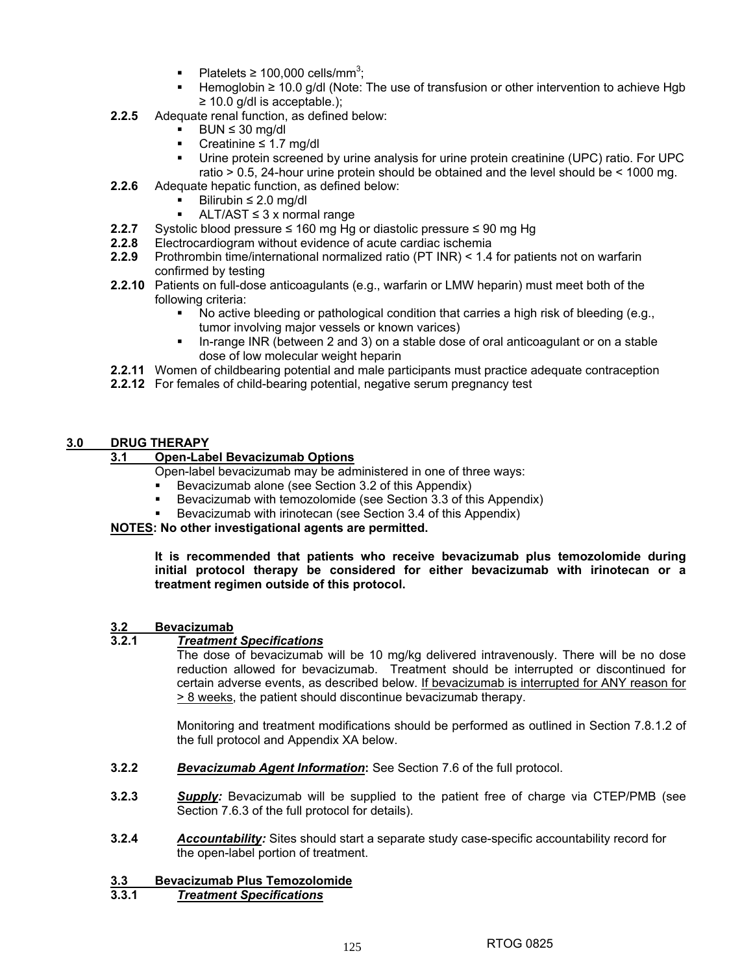- Platelets  $\geq 100,000$  cells/mm<sup>3</sup>;
- Hemoglobin ≥ 10.0 g/dl (Note: The use of transfusion or other intervention to achieve Hgb  $\geq$  10.0 g/dl is acceptable.);
- **2.2.5** Adequate renal function, as defined below:
	- $BUN \leq 30$  mg/dl
	- Creatinine ≤ 1.7 mg/dl
	- Urine protein screened by urine analysis for urine protein creatinine (UPC) ratio. For UPC ratio > 0.5, 24-hour urine protein should be obtained and the level should be < 1000 mg.
- **2.2.6** Adequate hepatic function, as defined below:
	- Bilirubin ≤ 2.0 mg/dl
	- ALT/AST ≤ 3 x normal range
- **2.2.7** Systolic blood pressure ≤ 160 mg Hg or diastolic pressure ≤ 90 mg Hg
- **2.2.8** Electrocardiogram without evidence of acute cardiac ischemia
- **2.2.9** Prothrombin time/international normalized ratio (PT INR) < 1.4 for patients not on warfarin confirmed by testing
- **2.2.10** Patients on full-dose anticoagulants (e.g., warfarin or LMW heparin) must meet both of the following criteria:
	- No active bleeding or pathological condition that carries a high risk of bleeding (e.g., tumor involving major vessels or known varices)
	- In-range INR (between 2 and 3) on a stable dose of oral anticoagulant or on a stable dose of low molecular weight heparin
- **2.2.11** Women of childbearing potential and male participants must practice adequate contraception
- **2.2.12** For females of child-bearing potential, negative serum pregnancy test

## **3.0 DRUG THERAPY**

## **3.1 Open-Label Bevacizumab Options**

- Open-label bevacizumab may be administered in one of three ways:
- Bevacizumab alone (see Section 3.2 of this Appendix)
- Bevacizumab with temozolomide (see Section 3.3 of this Appendix)
- Bevacizumab with irinotecan (see Section 3.4 of this Appendix)

**NOTES: No other investigational agents are permitted.** 

**It is recommended that patients who receive bevacizumab plus temozolomide during initial protocol therapy be considered for either bevacizumab with irinotecan or a treatment regimen outside of this protocol.** 

## **3.2 Bevacizumab**

## **3.2.1** *Treatment Specifications*

The dose of bevacizumab will be 10 mg/kg delivered intravenously. There will be no dose reduction allowed for bevacizumab. Treatment should be interrupted or discontinued for certain adverse events, as described below. If bevacizumab is interrupted for ANY reason for > 8 weeks, the patient should discontinue bevacizumab therapy.

Monitoring and treatment modifications should be performed as outlined in Section 7.8.1.2 of the full protocol and Appendix XA below.

- **3.2.2** *Bevacizumab Agent Information***:** See Section 7.6 of the full protocol.
- **3.2.3** *Supply:* Bevacizumab will be supplied to the patient free of charge via CTEP/PMB (see Section 7.6.3 of the full protocol for details).
- **3.2.4** *Accountability:* Sites should start a separate study case-specific accountability record for the open-label portion of treatment.

# **3.3 Bevacizumab Plus Temozolomide**

## **3.3.1** *Treatment Specifications*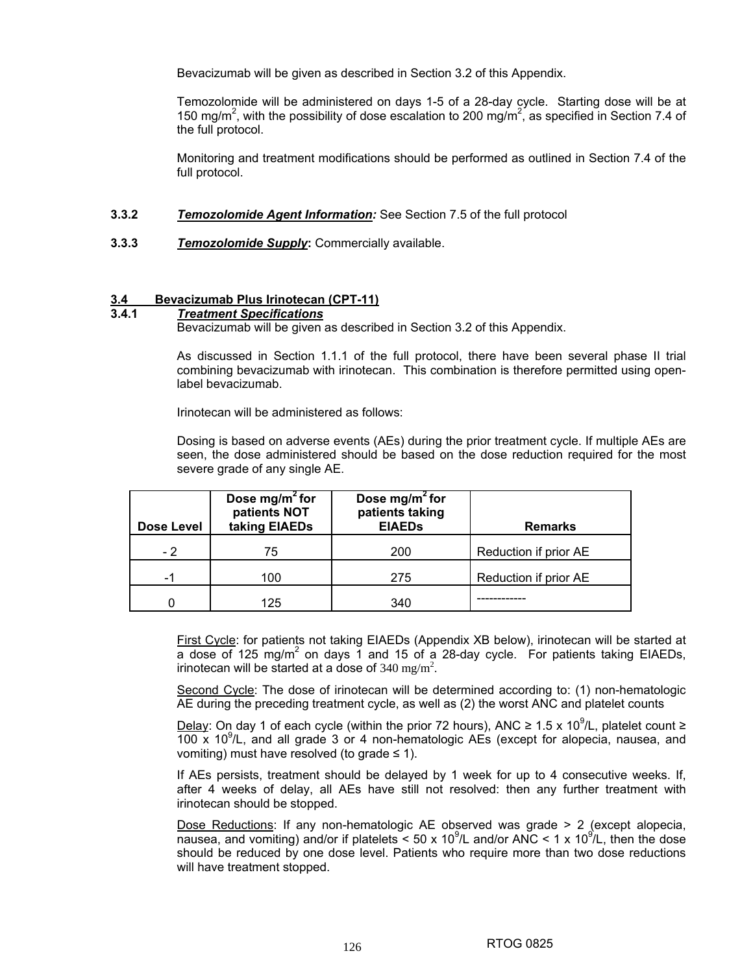Bevacizumab will be given as described in Section 3.2 of this Appendix.

Temozolomide will be administered on days 1-5 of a 28-day cycle. Starting dose will be at 150 mg/m<sup>2</sup>, with the possibility of dose escalation to 200 mg/m<sup>2</sup>, as specified in Section 7.4 of the full protocol.

Monitoring and treatment modifications should be performed as outlined in Section 7.4 of the full protocol.

- **3.3.2** *Temozolomide Agent Information:* See Section 7.5 of the full protocol
- **3.3.3** *Temozolomide Supply***:** Commercially available.

# **3.4 Bevacizumab Plus Irinotecan (CPT-11)**

#### **3.4.1** *Treatment Specifications*

Bevacizumab will be given as described in Section 3.2 of this Appendix.

As discussed in Section 1.1.1 of the full protocol, there have been several phase II trial combining bevacizumab with irinotecan. This combination is therefore permitted using openlabel bevacizumab.

Irinotecan will be administered as follows:

Dosing is based on adverse events (AEs) during the prior treatment cycle. If multiple AEs are seen, the dose administered should be based on the dose reduction required for the most severe grade of any single AE.

| Dose Level | Dose mg/m <sup>2</sup> for<br>patients NOT<br>taking EIAEDs | Dose mg/m <sup>2</sup> for<br>patients taking<br><b>EIAEDs</b> | <b>Remarks</b>        |
|------------|-------------------------------------------------------------|----------------------------------------------------------------|-----------------------|
| - 2        | 75                                                          | 200                                                            | Reduction if prior AE |
|            | 100                                                         | 275                                                            | Reduction if prior AE |
|            | 125                                                         | 340                                                            |                       |

First Cycle: for patients not taking EIAEDs (Appendix XB below), irinotecan will be started at a dose of 125 mg/m<sup>2</sup> on days 1 and 15 of a 28-day cycle. For patients taking EIAEDs, irinotecan will be started at a dose of 340 mg/m<sup>2</sup>.

Second Cycle: The dose of irinotecan will be determined according to: (1) non-hematologic AE during the preceding treatment cycle, as well as (2) the worst ANC and platelet counts

Delay: On day 1 of each cycle (within the prior 72 hours), ANC ≥ 1.5 x 10<sup>9</sup>/L, platelet count ≥  $100 \times 10^9$ /L, and all grade 3 or 4 non-hematologic AEs (except for alopecia, nausea, and vomiting) must have resolved (to grade  $\leq$  1).

If AEs persists, treatment should be delayed by 1 week for up to 4 consecutive weeks. If, after 4 weeks of delay, all AEs have still not resolved: then any further treatment with irinotecan should be stopped.

Dose Reductions: If any non-hematologic AE observed was grade > 2 (except alopecia, nausea, and vomiting) and/or if platelets < 50 x 10<sup>9</sup>/L and/or ANC < 1 x 10<sup>9</sup>/L, then the dose should be reduced by one dose level. Patients who require more than two dose reductions will have treatment stopped.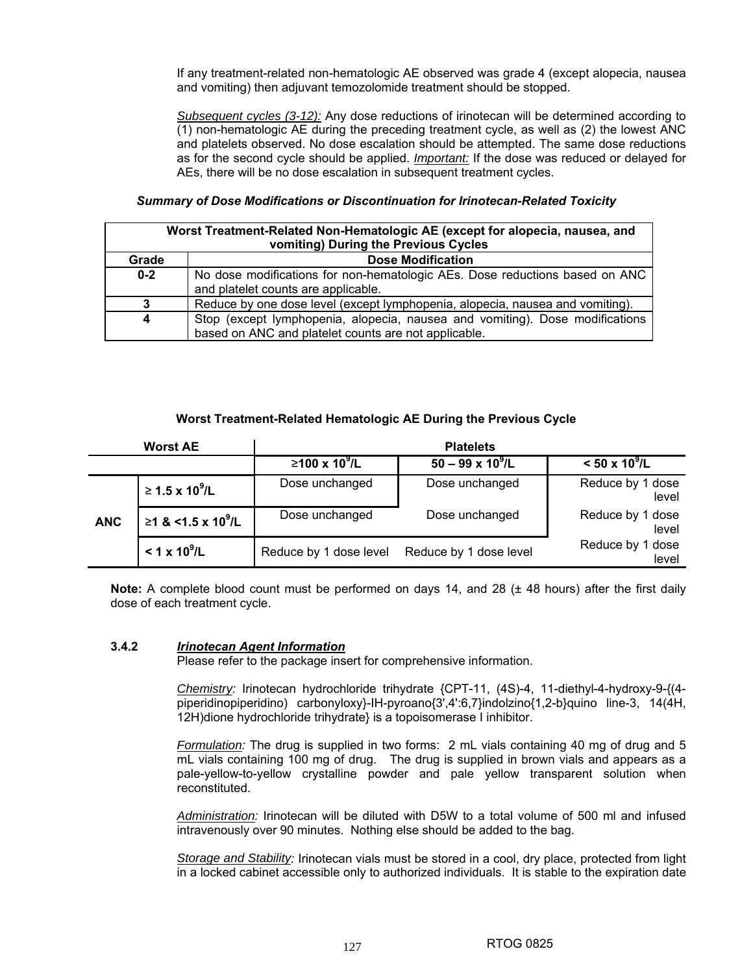If any treatment-related non-hematologic AE observed was grade 4 (except alopecia, nausea and vomiting) then adjuvant temozolomide treatment should be stopped.

*Subsequent cycles (3-12):* Any dose reductions of irinotecan will be determined according to (1) non-hematologic AE during the preceding treatment cycle, as well as (2) the lowest ANC and platelets observed. No dose escalation should be attempted. The same dose reductions as for the second cycle should be applied. *Important:* If the dose was reduced or delayed for AEs, there will be no dose escalation in subsequent treatment cycles.

### *Summary of Dose Modifications or Discontinuation for Irinotecan-Related Toxicity*

|         | Worst Treatment-Related Non-Hematologic AE (except for alopecia, nausea, and                                                         |  |  |  |  |  |  |  |  |
|---------|--------------------------------------------------------------------------------------------------------------------------------------|--|--|--|--|--|--|--|--|
|         | vomiting) During the Previous Cycles                                                                                                 |  |  |  |  |  |  |  |  |
| Grade   | <b>Dose Modification</b>                                                                                                             |  |  |  |  |  |  |  |  |
| $0 - 2$ | No dose modifications for non-hematologic AEs. Dose reductions based on ANC<br>and platelet counts are applicable.                   |  |  |  |  |  |  |  |  |
| 3       | Reduce by one dose level (except lymphopenia, alopecia, nausea and vomiting).                                                        |  |  |  |  |  |  |  |  |
| 4       | Stop (except lymphopenia, alopecia, nausea and vomiting). Dose modifications<br>based on ANC and platelet counts are not applicable. |  |  |  |  |  |  |  |  |

### **Worst Treatment-Related Hematologic AE During the Previous Cycle**

|            | <b>Worst AE</b>                | <b>Platelets</b>       |                          |                           |  |  |  |  |  |  |
|------------|--------------------------------|------------------------|--------------------------|---------------------------|--|--|--|--|--|--|
|            |                                | $≥100 \times 10^9$ /L  | $50 - 99 \times 10^9$ /L | $< 50 \times 10^9$ /L     |  |  |  |  |  |  |
|            | $≥ 1.5 \times 10^9$ /L         | Dose unchanged         | Dose unchanged           | Reduce by 1 dose<br>level |  |  |  |  |  |  |
| <b>ANC</b> | ≥1 & <1.5 x 10 <sup>9</sup> /L | Dose unchanged         | Dose unchanged           | Reduce by 1 dose<br>level |  |  |  |  |  |  |
|            | $< 1 \times 10^9$ /L           | Reduce by 1 dose level | Reduce by 1 dose level   | Reduce by 1 dose<br>level |  |  |  |  |  |  |

**Note:** A complete blood count must be performed on days 14, and 28 ( $\pm$  48 hours) after the first daily dose of each treatment cycle.

#### **3.4.2** *Irinotecan Agent Information*

Please refer to the package insert for comprehensive information.

*Chemistry:* Irinotecan hydrochloride trihydrate {CPT-11, (4S)-4, 11-diethyl-4-hydroxy-9-{(4 piperidinopiperidino) carbonyloxy}-IH-pyroano{3',4':6,7}indolzino{1,2-b}quino line-3, 14(4H, 12H)dione hydrochloride trihydrate} is a topoisomerase I inhibitor.

*Formulation:* The drug is supplied in two forms: 2 mL vials containing 40 mg of drug and 5 mL vials containing 100 mg of drug. The drug is supplied in brown vials and appears as a pale-yellow-to-yellow crystalline powder and pale yellow transparent solution when reconstituted.

*Administration:* Irinotecan will be diluted with D5W to a total volume of 500 ml and infused intravenously over 90 minutes. Nothing else should be added to the bag.

*Storage and Stability:* Irinotecan vials must be stored in a cool, dry place, protected from light in a locked cabinet accessible only to authorized individuals. It is stable to the expiration date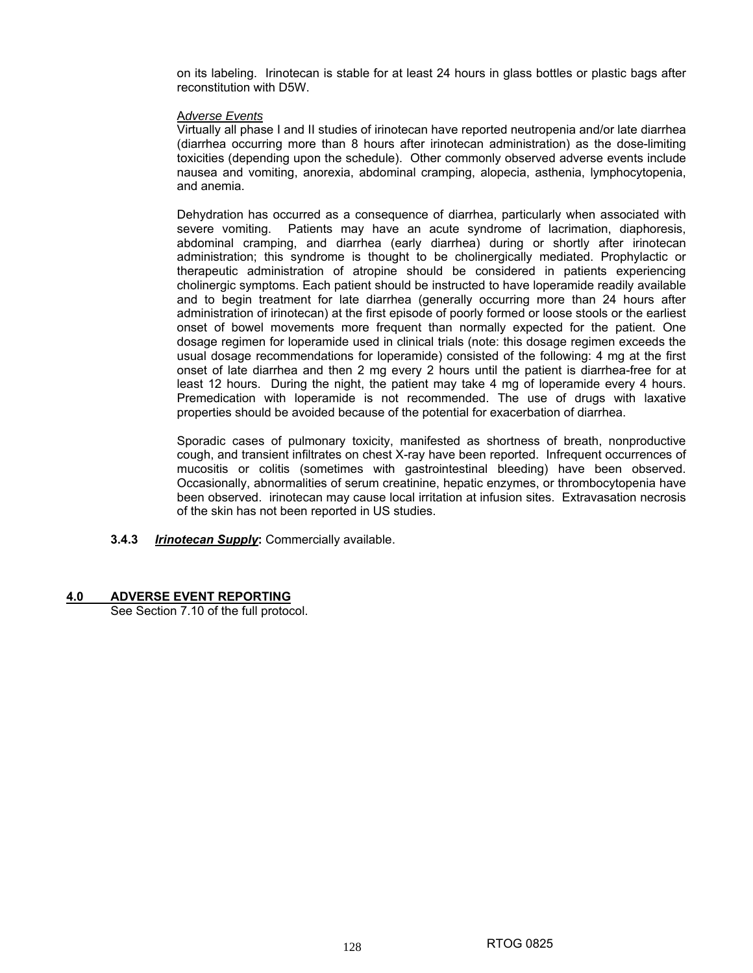on its labeling. Irinotecan is stable for at least 24 hours in glass bottles or plastic bags after reconstitution with D5W.

#### A*dverse Events*

Virtually all phase I and II studies of irinotecan have reported neutropenia and/or late diarrhea (diarrhea occurring more than 8 hours after irinotecan administration) as the dose-limiting toxicities (depending upon the schedule). Other commonly observed adverse events include nausea and vomiting, anorexia, abdominal cramping, alopecia, asthenia, lymphocytopenia, and anemia.

Dehydration has occurred as a consequence of diarrhea, particularly when associated with severe vomiting. Patients may have an acute syndrome of lacrimation, diaphoresis, abdominal cramping, and diarrhea (early diarrhea) during or shortly after irinotecan administration; this syndrome is thought to be cholinergically mediated. Prophylactic or therapeutic administration of atropine should be considered in patients experiencing cholinergic symptoms. Each patient should be instructed to have loperamide readily available and to begin treatment for late diarrhea (generally occurring more than 24 hours after administration of irinotecan) at the first episode of poorly formed or loose stools or the earliest onset of bowel movements more frequent than normally expected for the patient. One dosage regimen for loperamide used in clinical trials (note: this dosage regimen exceeds the usual dosage recommendations for loperamide) consisted of the following: 4 mg at the first onset of late diarrhea and then 2 mg every 2 hours until the patient is diarrhea-free for at least 12 hours. During the night, the patient may take 4 mg of loperamide every 4 hours. Premedication with loperamide is not recommended. The use of drugs with laxative properties should be avoided because of the potential for exacerbation of diarrhea.

Sporadic cases of pulmonary toxicity, manifested as shortness of breath, nonproductive cough, and transient infiltrates on chest X-ray have been reported. Infrequent occurrences of mucositis or colitis (sometimes with gastrointestinal bleeding) have been observed. Occasionally, abnormalities of serum creatinine, hepatic enzymes, or thrombocytopenia have been observed. irinotecan may cause local irritation at infusion sites. Extravasation necrosis of the skin has not been reported in US studies.

**3.4.3** *Irinotecan Supply***:** Commercially available.

#### **4.0 ADVERSE EVENT REPORTING**

See Section 7.10 of the full protocol.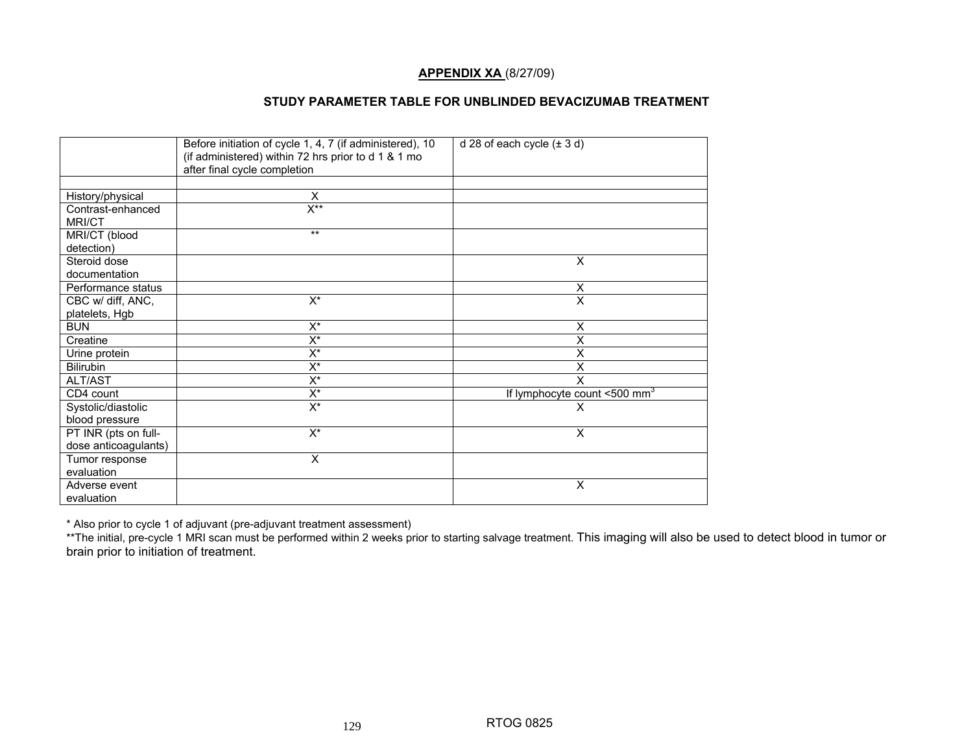## **APPENDIX XA** (8/27/09)

#### **STUDY PARAMETER TABLE FOR UNBLINDED BEVACIZUMAB TREATMENT**

|                             | Before initiation of cycle 1, 4, 7 (if administered), 10<br>(if administered) within 72 hrs prior to d 1 & 1 mo<br>after final cycle completion | d 28 of each cycle $(\pm 3 d)$             |
|-----------------------------|-------------------------------------------------------------------------------------------------------------------------------------------------|--------------------------------------------|
|                             |                                                                                                                                                 |                                            |
| History/physical            | X                                                                                                                                               |                                            |
| Contrast-enhanced<br>MRI/CT | $X^{\star\star}$                                                                                                                                |                                            |
| MRI/CT (blood<br>detection) | $***$                                                                                                                                           |                                            |
| Steroid dose                |                                                                                                                                                 | X                                          |
| documentation               |                                                                                                                                                 |                                            |
| Performance status          |                                                                                                                                                 | X                                          |
| CBC w/ diff, ANC,           | $\overline{X^*}$                                                                                                                                | $\overline{\mathsf{x}}$                    |
| platelets, Hgb              |                                                                                                                                                 |                                            |
| <b>BUN</b>                  | $X^*$                                                                                                                                           | X                                          |
| Creatine                    | $X^*$                                                                                                                                           | X                                          |
| Urine protein               | $X^*$                                                                                                                                           | X                                          |
| Bilirubin                   | $X^*$                                                                                                                                           | $\overline{\mathsf{x}}$                    |
| ALT/AST                     | $X^*$                                                                                                                                           | X                                          |
| CD4 count                   | $X^*$                                                                                                                                           | If lymphocyte count $<500$ mm <sup>3</sup> |
| Systolic/diastolic          | $\overline{X^*}$                                                                                                                                | X                                          |
| blood pressure              |                                                                                                                                                 |                                            |
| PT INR (pts on full-        | $X^*$                                                                                                                                           | X                                          |
| dose anticoagulants)        |                                                                                                                                                 |                                            |
| Tumor response              | X                                                                                                                                               |                                            |
| evaluation                  |                                                                                                                                                 |                                            |
| Adverse event               |                                                                                                                                                 | X                                          |
| evaluation                  |                                                                                                                                                 |                                            |

\* Also prior to cycle 1 of adjuvant (pre-adjuvant treatment assessment)

\*\*The initial, pre-cycle 1 MRI scan must be performed within 2 weeks prior to starting salvage treatment. This imaging will also be used to detect blood in tumor or brain prior to initiation of treatment.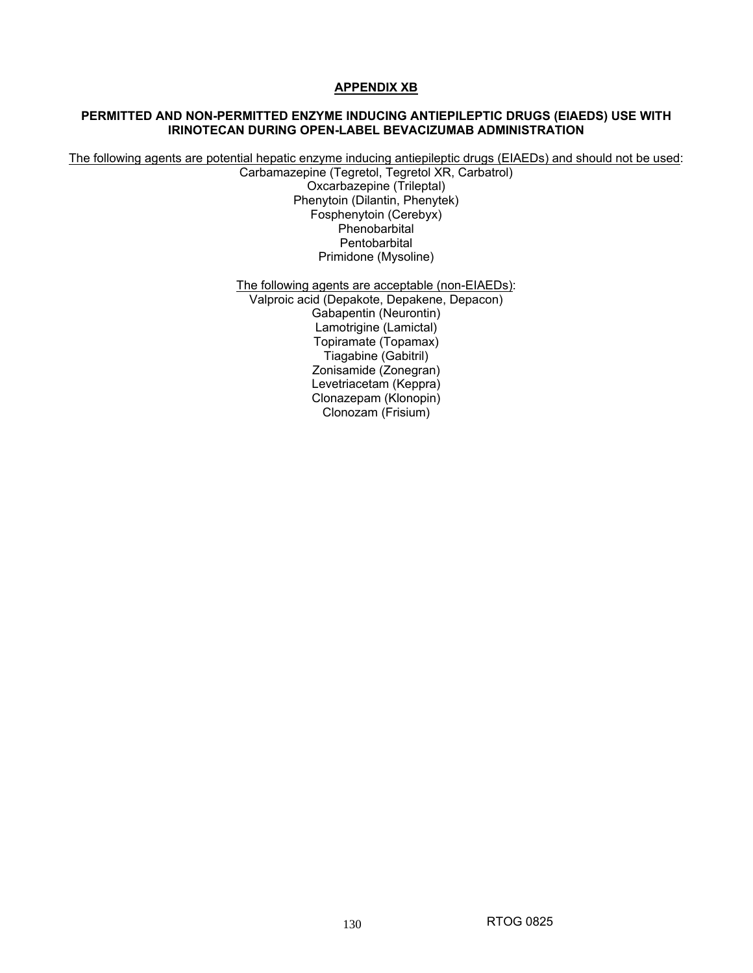## **APPENDIX XB**

## **PERMITTED AND NON-PERMITTED ENZYME INDUCING ANTIEPILEPTIC DRUGS (EIAEDS) USE WITH IRINOTECAN DURING OPEN-LABEL BEVACIZUMAB ADMINISTRATION**

The following agents are potential hepatic enzyme inducing antiepileptic drugs (EIAEDs) and should not be used:

Carbamazepine (Tegretol, Tegretol XR, Carbatrol) Oxcarbazepine (Trileptal) Phenytoin (Dilantin, Phenytek) Fosphenytoin (Cerebyx) Phenobarbital **Pentobarbital** Primidone (Mysoline)

The following agents are acceptable (non-EIAEDs):

Valproic acid (Depakote, Depakene, Depacon) Gabapentin (Neurontin) Lamotrigine (Lamictal) Topiramate (Topamax) Tiagabine (Gabitril) Zonisamide (Zonegran) Levetriacetam (Keppra) Clonazepam (Klonopin) Clonozam (Frisium)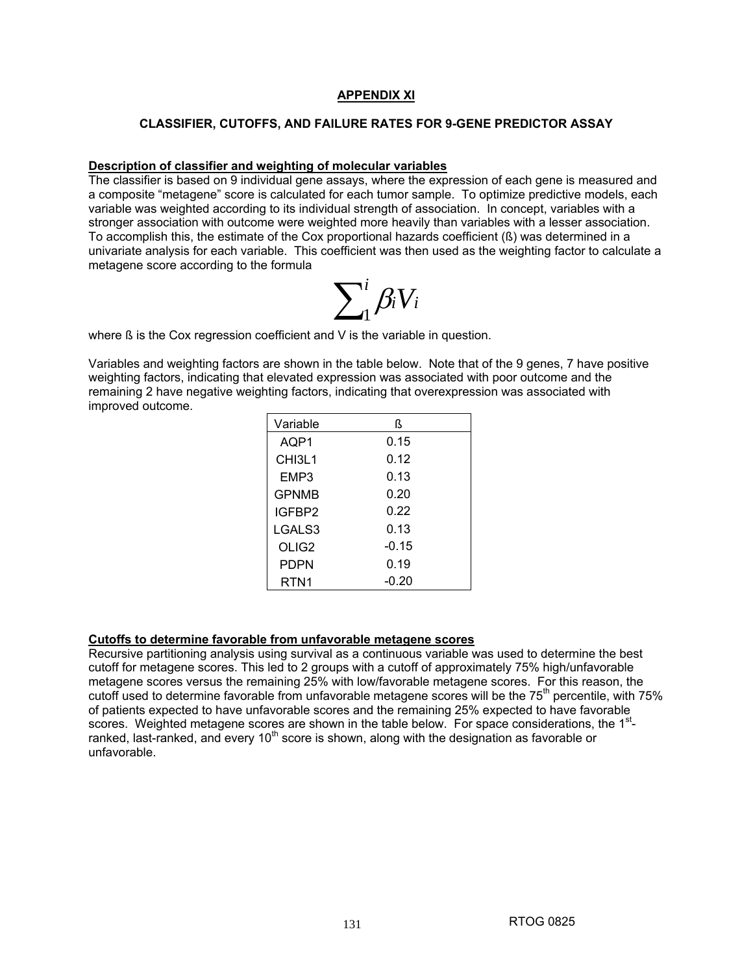## **APPENDIX XI**

#### **CLASSIFIER, CUTOFFS, AND FAILURE RATES FOR 9-GENE PREDICTOR ASSAY**

#### **Description of classifier and weighting of molecular variables**

The classifier is based on 9 individual gene assays, where the expression of each gene is measured and a composite "metagene" score is calculated for each tumor sample. To optimize predictive models, each variable was weighted according to its individual strength of association. In concept, variables with a stronger association with outcome were weighted more heavily than variables with a lesser association. To accomplish this, the estimate of the Cox proportional hazards coefficient (ß) was determined in a univariate analysis for each variable. This coefficient was then used as the weighting factor to calculate a metagene score according to the formula



where ß is the Cox regression coefficient and V is the variable in question.

Variables and weighting factors are shown in the table below. Note that of the 9 genes, 7 have positive weighting factors, indicating that elevated expression was associated with poor outcome and the remaining 2 have negative weighting factors, indicating that overexpression was associated with improved outcome.

| Variable                        | ß       |
|---------------------------------|---------|
| AQP1                            | 0.15    |
| CH <sub>13</sub> L <sub>1</sub> | 0.12    |
| EMP3                            | 0.13    |
| <b>GPNMB</b>                    | 0.20    |
| IGFBP2                          | 0.22    |
| LGALS3                          | 0.13    |
| OLIG <sub>2</sub>               | $-0.15$ |
| PDPN                            | 0.19    |
| RTN <sub>1</sub>                | -0.20   |

#### **Cutoffs to determine favorable from unfavorable metagene scores**

Recursive partitioning analysis using survival as a continuous variable was used to determine the best cutoff for metagene scores. This led to 2 groups with a cutoff of approximately 75% high/unfavorable metagene scores versus the remaining 25% with low/favorable metagene scores. For this reason, the cutoff used to determine favorable from unfavorable metagene scores will be the 75<sup>th</sup> percentile, with 75% of patients expected to have unfavorable scores and the remaining 25% expected to have favorable scores. Weighted metagene scores are shown in the table below. For space considerations, the  $1<sup>st</sup>$ ranked, last-ranked, and every  $10<sup>th</sup>$  score is shown, along with the designation as favorable or unfavorable.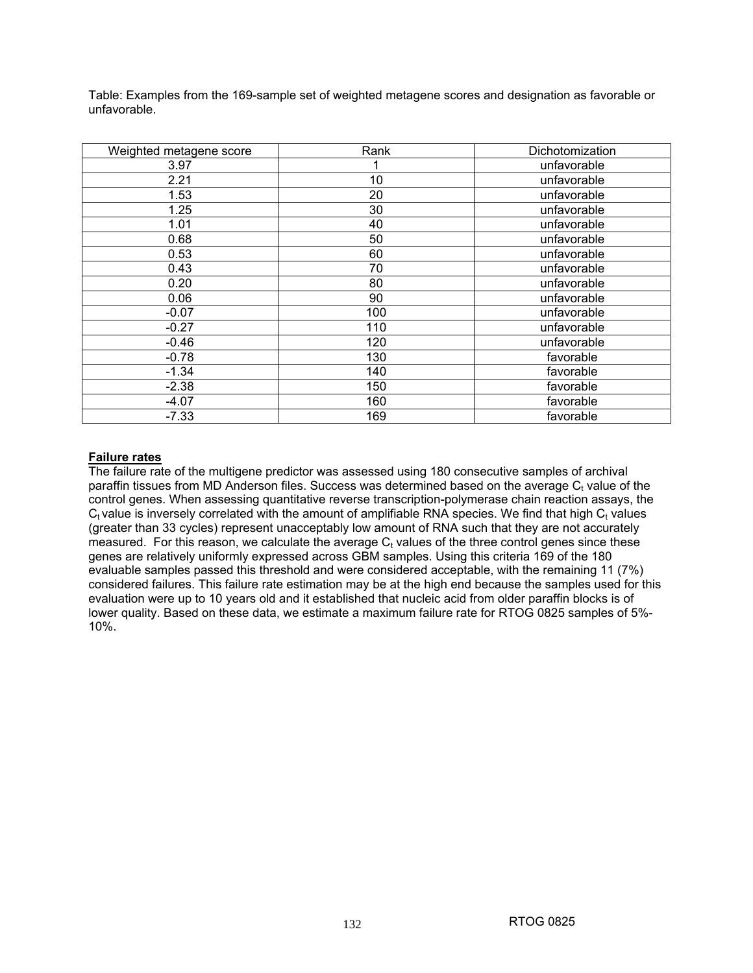Table: Examples from the 169-sample set of weighted metagene scores and designation as favorable or unfavorable.

| Weighted metagene score | Rank | Dichotomization |  |
|-------------------------|------|-----------------|--|
| 3.97                    |      | unfavorable     |  |
| 2.21                    | 10   | unfavorable     |  |
| 1.53                    | 20   | unfavorable     |  |
| 1.25                    | 30   | unfavorable     |  |
| 1.01                    | 40   | unfavorable     |  |
| 0.68                    | 50   | unfavorable     |  |
| 0.53                    | 60   | unfavorable     |  |
| 0.43                    | 70   | unfavorable     |  |
| 0.20                    | 80   | unfavorable     |  |
| 0.06                    | 90   | unfavorable     |  |
| $-0.07$                 | 100  | unfavorable     |  |
| $-0.27$                 | 110  | unfavorable     |  |
| $-0.46$                 | 120  | unfavorable     |  |
| $-0.78$                 | 130  | favorable       |  |
| $-1.34$                 | 140  | favorable       |  |
| $-2.38$                 | 150  | favorable       |  |
| -4.07                   | 160  | favorable       |  |
| $-7.33$                 | 169  | favorable       |  |

# **Failure rates**

The failure rate of the multigene predictor was assessed using 180 consecutive samples of archival paraffin tissues from MD Anderson files. Success was determined based on the average  $C<sub>t</sub>$  value of the control genes. When assessing quantitative reverse transcription-polymerase chain reaction assays, the  $C_t$  value is inversely correlated with the amount of amplifiable RNA species. We find that high  $C_t$  values (greater than 33 cycles) represent unacceptably low amount of RNA such that they are not accurately measured. For this reason, we calculate the average  $C<sub>t</sub>$  values of the three control genes since these genes are relatively uniformly expressed across GBM samples. Using this criteria 169 of the 180 evaluable samples passed this threshold and were considered acceptable, with the remaining 11 (7%) considered failures. This failure rate estimation may be at the high end because the samples used for this evaluation were up to 10 years old and it established that nucleic acid from older paraffin blocks is of lower quality. Based on these data, we estimate a maximum failure rate for RTOG 0825 samples of 5%- 10%.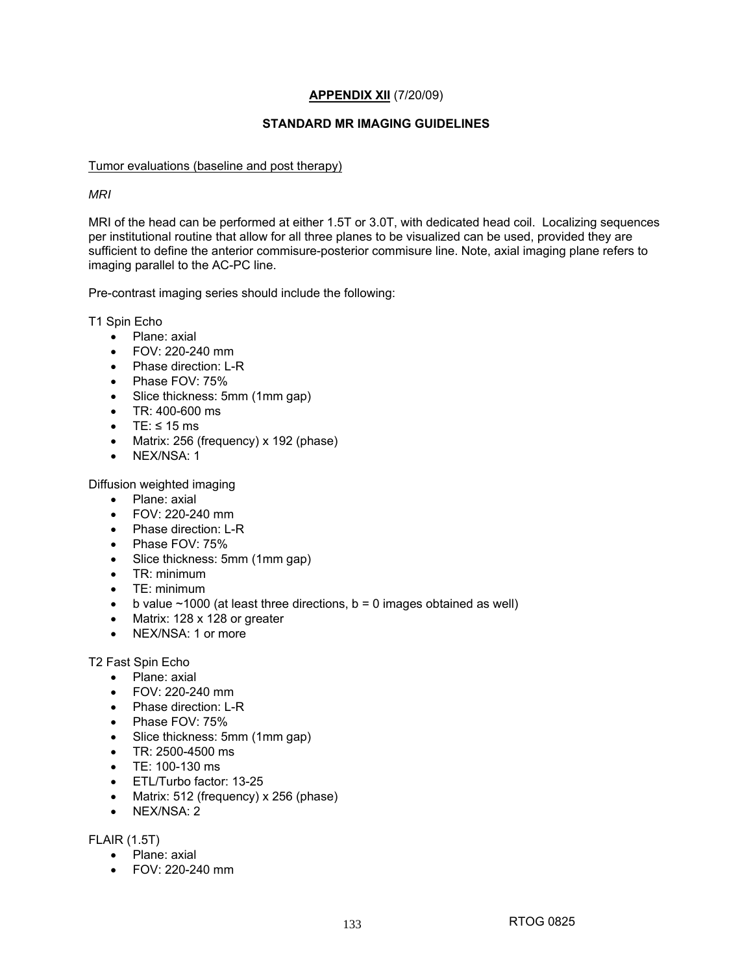# **APPENDIX XII** (7/20/09)

## **STANDARD MR IMAGING GUIDELINES**

### Tumor evaluations (baseline and post therapy)

## *MRI*

MRI of the head can be performed at either 1.5T or 3.0T, with dedicated head coil. Localizing sequences per institutional routine that allow for all three planes to be visualized can be used, provided they are sufficient to define the anterior commisure-posterior commisure line. Note, axial imaging plane refers to imaging parallel to the AC-PC line.

Pre-contrast imaging series should include the following:

T1 Spin Echo

- Plane: axial
- FOV: 220-240 mm
- Phase direction: L-R
- Phase FOV: 75%
- Slice thickness: 5mm (1mm gap)
- TR: 400-600 ms
- TE:  $\leq 15$  ms
- Matrix: 256 (frequency) x 192 (phase)
- NEX/NSA: 1

Diffusion weighted imaging

- Plane: axial
- FOV: 220-240 mm
- Phase direction: L-R
- Phase FOV: 75%
- Slice thickness: 5mm (1mm gap)
- TR: minimum
- TE: minimum
- b value  $\sim$  1000 (at least three directions, b = 0 images obtained as well)
- Matrix: 128 x 128 or greater
- NEX/NSA: 1 or more

T2 Fast Spin Echo

- Plane: axial
- FOV: 220-240 mm
- Phase direction: L-R
- Phase FOV: 75%
- Slice thickness: 5mm (1mm gap)
- TR: 2500-4500 ms
- TE: 100-130 ms
- ETL/Turbo factor: 13-25
- Matrix: 512 (frequency) x 256 (phase)
- NEX/NSA: 2

FLAIR (1.5T)

- Plane: axial
- FOV: 220-240 mm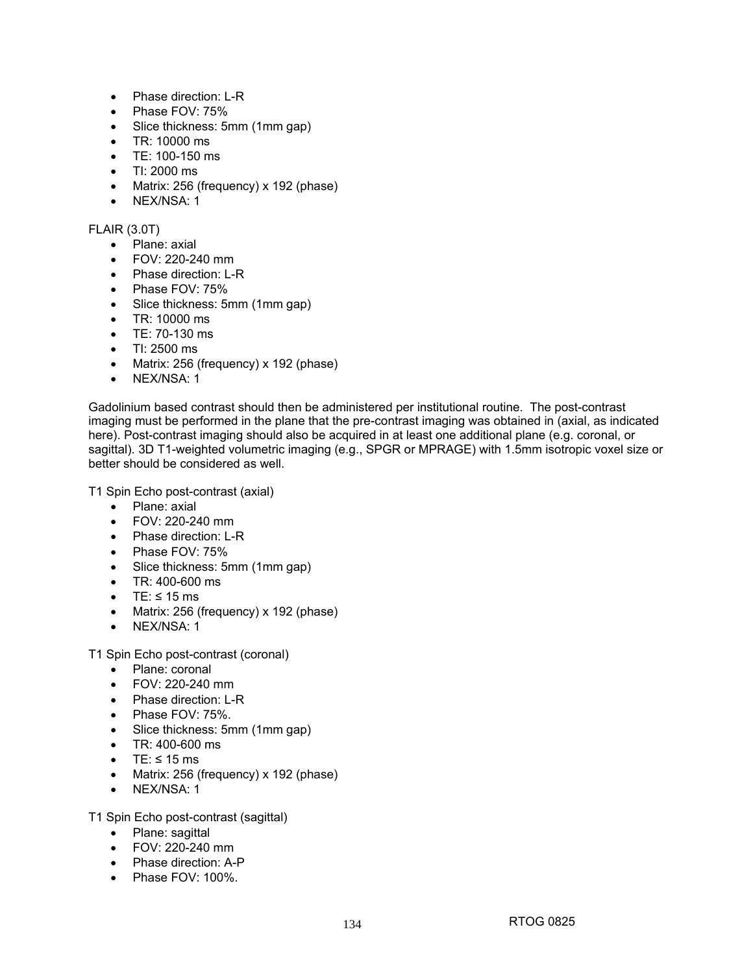- Phase direction: L-R
- Phase FOV: 75%
- Slice thickness: 5mm (1mm gap)
- TR: 10000 ms
- TE: 100-150 ms
- TI: 2000 ms
- Matrix: 256 (frequency) x 192 (phase)
- NEX/NSA: 1

# FLAIR (3.0T)

- Plane: axial
- FOV: 220-240 mm
- Phase direction: L-R
- Phase FOV: 75%
- Slice thickness: 5mm (1mm gap)
- TR: 10000 ms
- TE: 70-130 ms
- $\bullet$  TI: 2500 ms
- Matrix: 256 (frequency) x 192 (phase)
- NEX/NSA: 1

Gadolinium based contrast should then be administered per institutional routine. The post-contrast imaging must be performed in the plane that the pre-contrast imaging was obtained in (axial, as indicated here). Post-contrast imaging should also be acquired in at least one additional plane (e.g. coronal, or sagittal). 3D T1-weighted volumetric imaging (e.g., SPGR or MPRAGE) with 1.5mm isotropic voxel size or better should be considered as well.

T1 Spin Echo post-contrast (axial)

- Plane: axial
- FOV: 220-240 mm
- Phase direction: L-R
- Phase FOV: 75%
- Slice thickness: 5mm (1mm gap)
- TR: 400-600 ms
- TE:  $\leq$  15 ms
- Matrix: 256 (frequency) x 192 (phase)
- NEX/NSA: 1

T1 Spin Echo post-contrast (coronal)

- Plane: coronal
- FOV: 220-240 mm
- Phase direction: L-R
- Phase FOV: 75%.
- Slice thickness: 5mm (1mm gap)
- TR: 400-600 ms
- TE:  $\leq 15$  ms
- Matrix: 256 (frequency) x 192 (phase)
- NEX/NSA: 1

T1 Spin Echo post-contrast (sagittal)

- Plane: sagittal
- FOV: 220-240 mm
- Phase direction: A-P
- Phase FOV: 100%.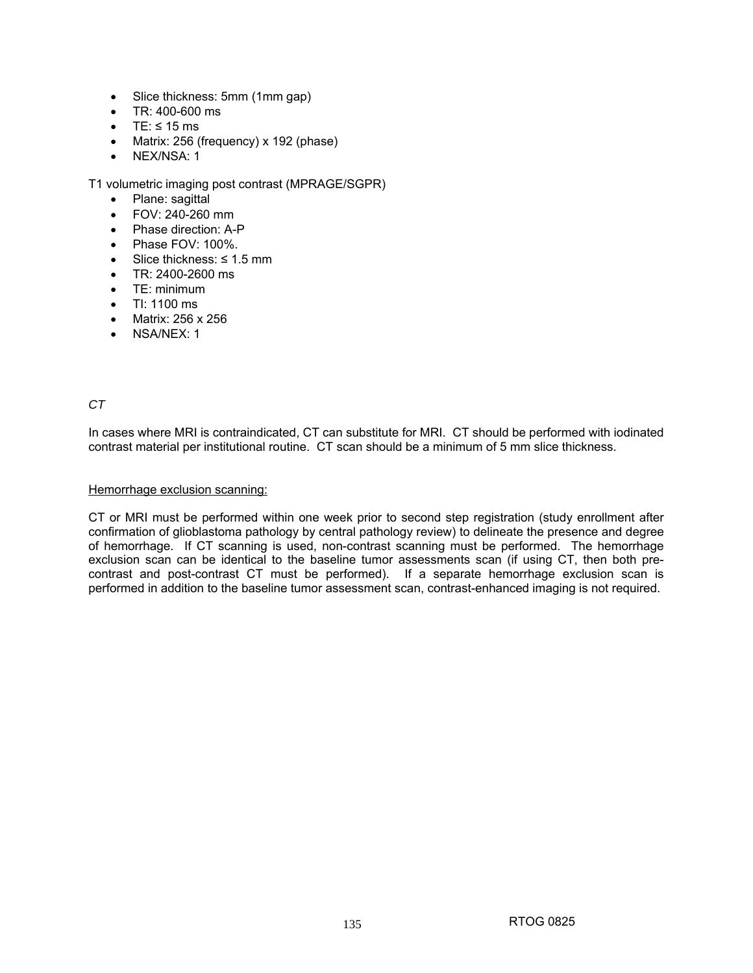- Slice thickness: 5mm (1mm gap)
- $\bullet$  TR: 400-600 ms
- TE:  $\leq$  15 ms
- Matrix: 256 (frequency) x 192 (phase)
- NEX/NSA: 1

T1 volumetric imaging post contrast (MPRAGE/SGPR)

- Plane: sagittal
- FOV: 240-260 mm
- Phase direction: A-P
- Phase FOV: 100%.
- Slice thickness: ≤ 1.5 mm
- TR: 2400-2600 ms
- TE: minimum
- TI: 1100 ms
- Matrix: 256 x 256
- NSA/NEX: 1

# *CT*

In cases where MRI is contraindicated, CT can substitute for MRI. CT should be performed with iodinated contrast material per institutional routine. CT scan should be a minimum of 5 mm slice thickness.

### Hemorrhage exclusion scanning:

CT or MRI must be performed within one week prior to second step registration (study enrollment after confirmation of glioblastoma pathology by central pathology review) to delineate the presence and degree of hemorrhage. If CT scanning is used, non-contrast scanning must be performed. The hemorrhage exclusion scan can be identical to the baseline tumor assessments scan (if using CT, then both precontrast and post-contrast CT must be performed). If a separate hemorrhage exclusion scan is performed in addition to the baseline tumor assessment scan, contrast-enhanced imaging is not required.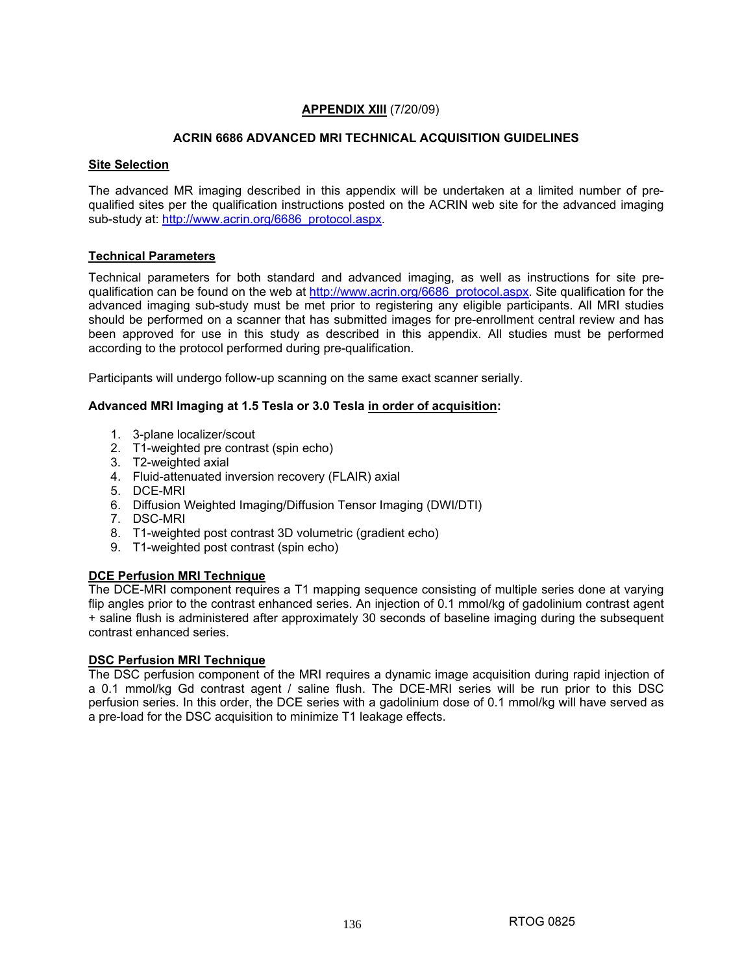# **APPENDIX XIII** (7/20/09)

# **ACRIN 6686 ADVANCED MRI TECHNICAL ACQUISITION GUIDELINES**

## **Site Selection**

The advanced MR imaging described in this appendix will be undertaken at a limited number of prequalified sites per the qualification instructions posted on the ACRIN web site for the advanced imaging sub-study at: http://www.acrin.org/6686\_protocol.aspx.

# **Technical Parameters**

Technical parameters for both standard and advanced imaging, as well as instructions for site prequalification can be found on the web at http://www.acrin.org/6686\_protocol.aspx. Site qualification for the advanced imaging sub-study must be met prior to registering any eligible participants. All MRI studies should be performed on a scanner that has submitted images for pre-enrollment central review and has been approved for use in this study as described in this appendix. All studies must be performed according to the protocol performed during pre-qualification.

Participants will undergo follow-up scanning on the same exact scanner serially.

## **Advanced MRI Imaging at 1.5 Tesla or 3.0 Tesla in order of acquisition:**

- 1. 3-plane localizer/scout
- 2. T1-weighted pre contrast (spin echo)
- 3. T2-weighted axial
- 4. Fluid-attenuated inversion recovery (FLAIR) axial
- 5. DCE-MRI
- 6. Diffusion Weighted Imaging/Diffusion Tensor Imaging (DWI/DTI)
- 7. DSC-MRI
- 8. T1-weighted post contrast 3D volumetric (gradient echo)
- 9. T1-weighted post contrast (spin echo)

# **DCE Perfusion MRI Technique**

The DCE-MRI component requires a T1 mapping sequence consisting of multiple series done at varying flip angles prior to the contrast enhanced series. An injection of 0.1 mmol/kg of gadolinium contrast agent + saline flush is administered after approximately 30 seconds of baseline imaging during the subsequent contrast enhanced series.

### **DSC Perfusion MRI Technique**

The DSC perfusion component of the MRI requires a dynamic image acquisition during rapid injection of a 0.1 mmol/kg Gd contrast agent / saline flush. The DCE-MRI series will be run prior to this DSC perfusion series. In this order, the DCE series with a gadolinium dose of 0.1 mmol/kg will have served as a pre-load for the DSC acquisition to minimize T1 leakage effects.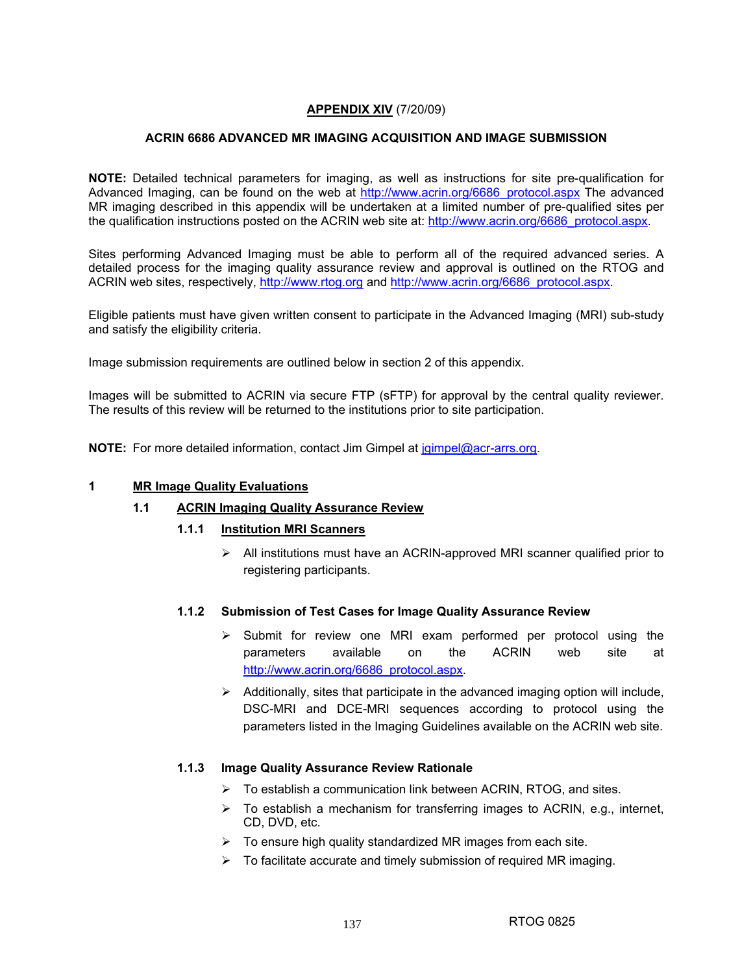# **APPENDIX XIV** (7/20/09)

# **ACRIN 6686 ADVANCED MR IMAGING ACQUISITION AND IMAGE SUBMISSION**

**NOTE:** Detailed technical parameters for imaging, as well as instructions for site pre-qualification for Advanced Imaging, can be found on the web at http://www.acrin.org/6686\_protocol.aspx The advanced MR imaging described in this appendix will be undertaken at a limited number of pre-qualified sites per the qualification instructions posted on the ACRIN web site at: http://www.acrin.org/6686\_protocol.aspx.

Sites performing Advanced Imaging must be able to perform all of the required advanced series. A detailed process for the imaging quality assurance review and approval is outlined on the RTOG and ACRIN web sites, respectively, http://www.rtog.org and http://www.acrin.org/6686\_protocol.aspx.

Eligible patients must have given written consent to participate in the Advanced Imaging (MRI) sub-study and satisfy the eligibility criteria.

Image submission requirements are outlined below in section 2 of this appendix.

Images will be submitted to ACRIN via secure FTP (sFTP) for approval by the central quality reviewer. The results of this review will be returned to the institutions prior to site participation.

**NOTE:** For more detailed information, contact Jim Gimpel at jgimpel@acr-arrs.org.

### **1 MR Image Quality Evaluations**

### **1.1 ACRIN Imaging Quality Assurance Review**

### **1.1.1 Institution MRI Scanners**

¾ All institutions must have an ACRIN-approved MRI scanner qualified prior to registering participants.

### **1.1.2 Submission of Test Cases for Image Quality Assurance Review**

- $\triangleright$  Submit for review one MRI exam performed per protocol using the parameters available on the ACRIN web site at http://www.acrin.org/6686\_protocol.aspx.
- $\triangleright$  Additionally, sites that participate in the advanced imaging option will include, DSC-MRI and DCE-MRI sequences according to protocol using the parameters listed in the Imaging Guidelines available on the ACRIN web site.

### **1.1.3 Image Quality Assurance Review Rationale**

- $\triangleright$  To establish a communication link between ACRIN, RTOG, and sites.
- $\triangleright$  To establish a mechanism for transferring images to ACRIN, e.g., internet, CD, DVD, etc.
- $\triangleright$  To ensure high quality standardized MR images from each site.
- $\triangleright$  To facilitate accurate and timely submission of required MR imaging.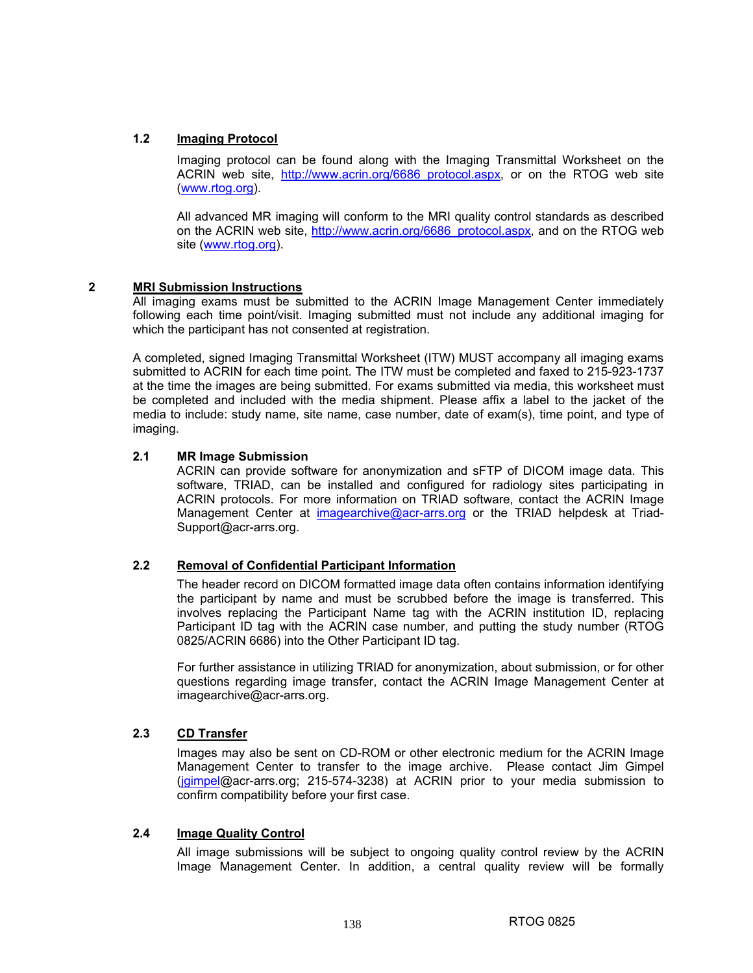# **1.2 Imaging Protocol**

Imaging protocol can be found along with the Imaging Transmittal Worksheet on the ACRIN web site, http://www.acrin.org/6686\_protocol.aspx, or on the RTOG web site (www.rtog.org).

All advanced MR imaging will conform to the MRI quality control standards as described on the ACRIN web site, http://www.acrin.org/6686\_protocol.aspx, and on the RTOG web site (www.rtog.org).

## **2 MRI Submission Instructions**

All imaging exams must be submitted to the ACRIN Image Management Center immediately following each time point/visit. Imaging submitted must not include any additional imaging for which the participant has not consented at registration.

A completed, signed Imaging Transmittal Worksheet (ITW) MUST accompany all imaging exams submitted to ACRIN for each time point. The ITW must be completed and faxed to 215-923-1737 at the time the images are being submitted. For exams submitted via media, this worksheet must be completed and included with the media shipment. Please affix a label to the jacket of the media to include: study name, site name, case number, date of exam(s), time point, and type of imaging.

## **2.1 MR Image Submission**

ACRIN can provide software for anonymization and sFTP of DICOM image data. This software, TRIAD, can be installed and configured for radiology sites participating in ACRIN protocols. For more information on TRIAD software, contact the ACRIN Image Management Center at imagearchive@acr-arrs.org or the TRIAD helpdesk at Triad-Support@acr-arrs.org.

# **2.2 Removal of Confidential Participant Information**

 The header record on DICOM formatted image data often contains information identifying the participant by name and must be scrubbed before the image is transferred. This involves replacing the Participant Name tag with the ACRIN institution ID, replacing Participant ID tag with the ACRIN case number, and putting the study number (RTOG 0825/ACRIN 6686) into the Other Participant ID tag.

 For further assistance in utilizing TRIAD for anonymization, about submission, or for other questions regarding image transfer, contact the ACRIN Image Management Center at imagearchive@acr-arrs.org.

### **2.3 CD Transfer**

 Images may also be sent on CD-ROM or other electronic medium for the ACRIN Image Management Center to transfer to the image archive. Please contact Jim Gimpel (jgimpel@acr-arrs.org; 215-574-3238) at ACRIN prior to your media submission to confirm compatibility before your first case.

### **2.4 Image Quality Control**

 All image submissions will be subject to ongoing quality control review by the ACRIN Image Management Center. In addition, a central quality review will be formally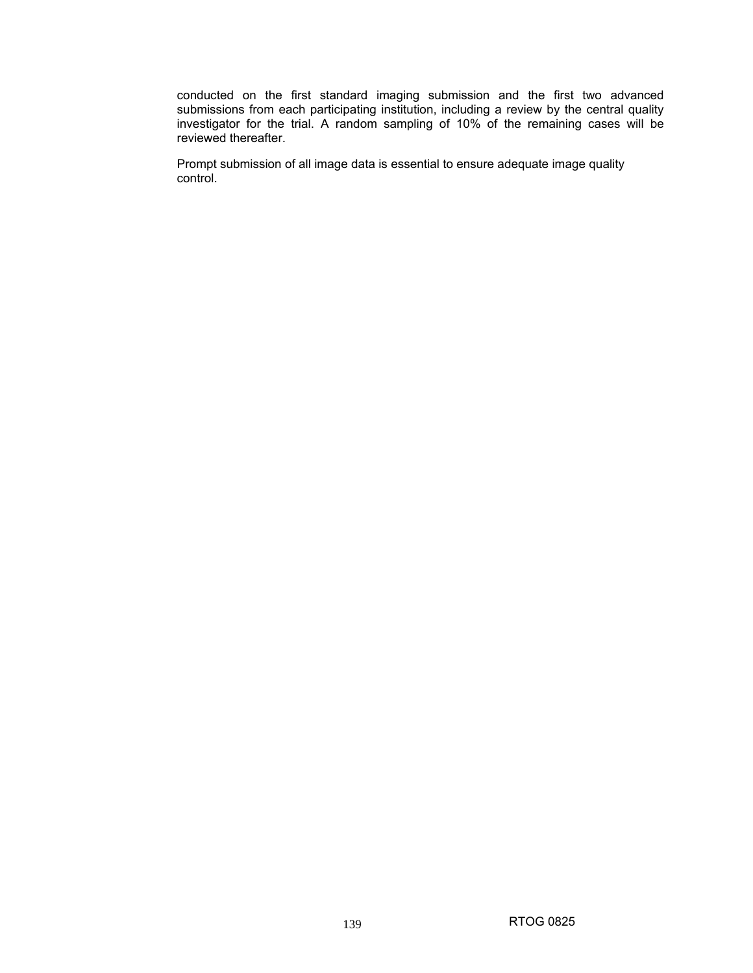conducted on the first standard imaging submission and the first two advanced submissions from each participating institution, including a review by the central quality investigator for the trial. A random sampling of 10% of the remaining cases will be reviewed thereafter.

 Prompt submission of all image data is essential to ensure adequate image quality control.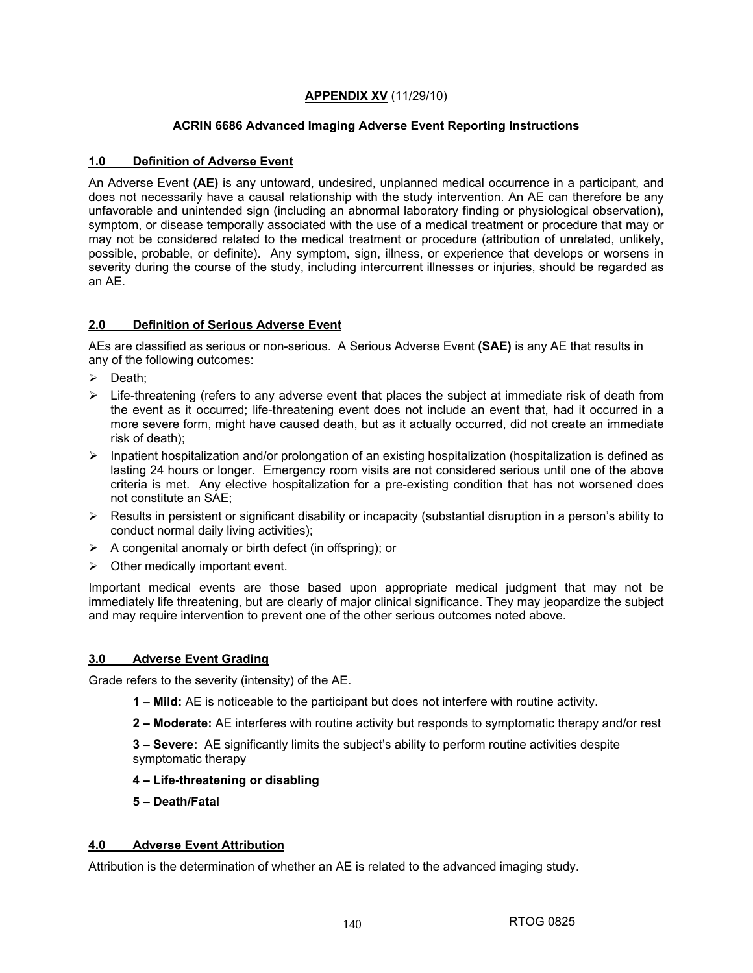# **APPENDIX XV** (11/29/10)

# **ACRIN 6686 Advanced Imaging Adverse Event Reporting Instructions**

# **1.0 Definition of Adverse Event**

An Adverse Event **(AE)** is any untoward, undesired, unplanned medical occurrence in a participant, and does not necessarily have a causal relationship with the study intervention. An AE can therefore be any unfavorable and unintended sign (including an abnormal laboratory finding or physiological observation), symptom, or disease temporally associated with the use of a medical treatment or procedure that may or may not be considered related to the medical treatment or procedure (attribution of unrelated, unlikely, possible, probable, or definite). Any symptom, sign, illness, or experience that develops or worsens in severity during the course of the study, including intercurrent illnesses or injuries, should be regarded as an AE.

# **2.0 Definition of Serious Adverse Event**

AEs are classified as serious or non-serious. A Serious Adverse Event **(SAE)** is any AE that results in any of the following outcomes:

- $\triangleright$  Death;
- $\triangleright$  Life-threatening (refers to any adverse event that places the subject at immediate risk of death from the event as it occurred; life-threatening event does not include an event that, had it occurred in a more severe form, might have caused death, but as it actually occurred, did not create an immediate risk of death);
- $\triangleright$  Inpatient hospitalization and/or prolongation of an existing hospitalization (hospitalization is defined as lasting 24 hours or longer. Emergency room visits are not considered serious until one of the above criteria is met. Any elective hospitalization for a pre-existing condition that has not worsened does not constitute an SAE;
- $\triangleright$  Results in persistent or significant disability or incapacity (substantial disruption in a person's ability to conduct normal daily living activities);
- $\triangleright$  A congenital anomaly or birth defect (in offspring); or
- $\triangleright$  Other medically important event.

Important medical events are those based upon appropriate medical judgment that may not be immediately life threatening, but are clearly of major clinical significance. They may jeopardize the subject and may require intervention to prevent one of the other serious outcomes noted above.

# **3.0 Adverse Event Grading**

Grade refers to the severity (intensity) of the AE.

- **1 Mild:** AE is noticeable to the participant but does not interfere with routine activity.
- **2 Moderate:** AE interferes with routine activity but responds to symptomatic therapy and/or rest

**3 – Severe:** AE significantly limits the subject's ability to perform routine activities despite symptomatic therapy

### **4 – Life-threatening or disabling**

**5 – Death/Fatal** 

# **4.0 Adverse Event Attribution**

Attribution is the determination of whether an AE is related to the advanced imaging study.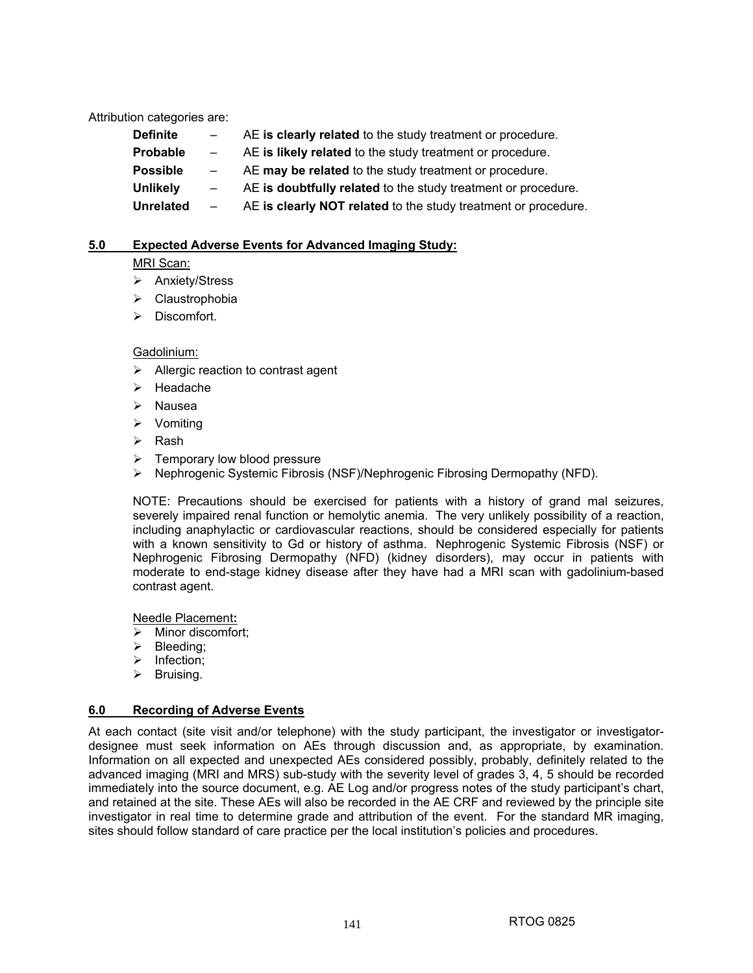Attribution categories are:

| Definite         | $\sim$     | AE is clearly related to the study treatment or procedure.     |
|------------------|------------|----------------------------------------------------------------|
| <b>Probable</b>  | $\sim$     | AE is likely related to the study treatment or procedure.      |
| <b>Possible</b>  | $\sim$ $-$ | AE may be related to the study treatment or procedure.         |
| Unlikely         | $\sim$     | AE is doubtfully related to the study treatment or procedure.  |
| <b>Unrelated</b> | $\sim$     | AE is clearly NOT related to the study treatment or procedure. |
|                  |            |                                                                |

### **5.0 Expected Adverse Events for Advanced Imaging Study:**

## MRI Scan:

- $\triangleright$  Anxiety/Stress
- ¾ Claustrophobia
- $\triangleright$  Discomfort.

# Gadolinium:

- $\triangleright$  Allergic reaction to contrast agent
- ¾ Headache
- $\triangleright$  Nausea
- $\triangleright$  Vomiting
- ¾ Rash
- $\triangleright$  Temporary low blood pressure
- ¾ Nephrogenic Systemic Fibrosis (NSF)/Nephrogenic Fibrosing Dermopathy (NFD).

NOTE: Precautions should be exercised for patients with a history of grand mal seizures, severely impaired renal function or hemolytic anemia. The very unlikely possibility of a reaction, including anaphylactic or cardiovascular reactions, should be considered especially for patients with a known sensitivity to Gd or history of asthma. Nephrogenic Systemic Fibrosis (NSF) or Nephrogenic Fibrosing Dermopathy (NFD) (kidney disorders), may occur in patients with moderate to end-stage kidney disease after they have had a MRI scan with gadolinium-based contrast agent.

Needle Placement**:**

- $\triangleright$  Minor discomfort:
- $\triangleright$  Bleeding;
- ¾ Infection;
- $\triangleright$  Bruising.

# **6.0 Recording of Adverse Events**

At each contact (site visit and/or telephone) with the study participant, the investigator or investigatordesignee must seek information on AEs through discussion and, as appropriate, by examination. Information on all expected and unexpected AEs considered possibly, probably, definitely related to the advanced imaging (MRI and MRS) sub-study with the severity level of grades 3, 4, 5 should be recorded immediately into the source document, e.g. AE Log and/or progress notes of the study participant's chart, and retained at the site. These AEs will also be recorded in the AE CRF and reviewed by the principle site investigator in real time to determine grade and attribution of the event. For the standard MR imaging, sites should follow standard of care practice per the local institution's policies and procedures.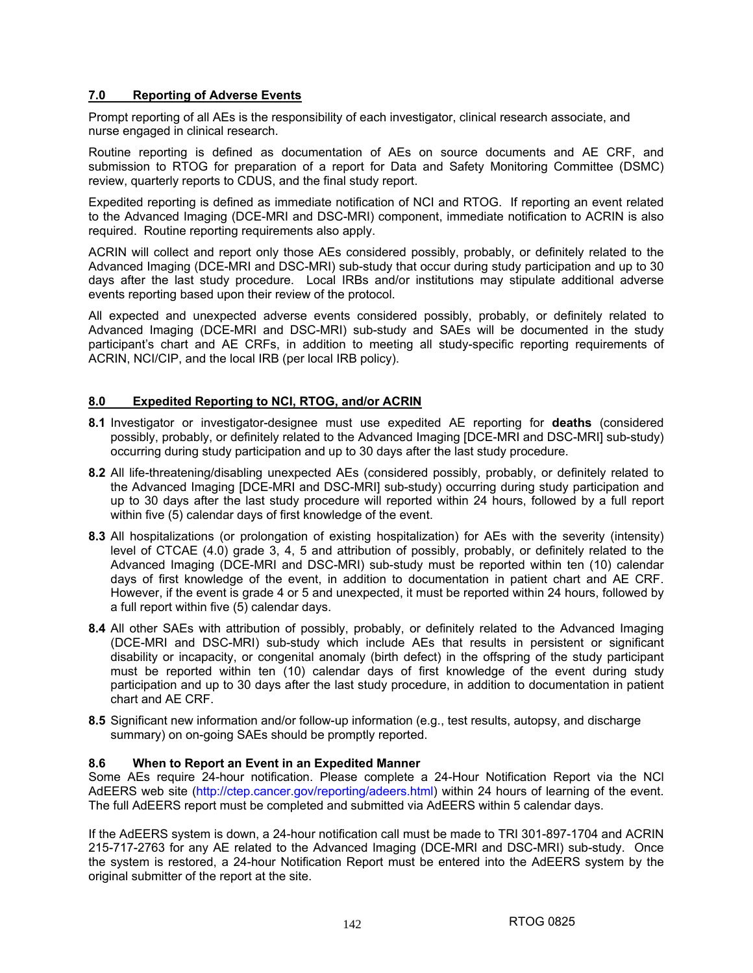# **7.0 Reporting of Adverse Events**

Prompt reporting of all AEs is the responsibility of each investigator, clinical research associate, and nurse engaged in clinical research.

Routine reporting is defined as documentation of AEs on source documents and AE CRF, and submission to RTOG for preparation of a report for Data and Safety Monitoring Committee (DSMC) review, quarterly reports to CDUS, and the final study report.

Expedited reporting is defined as immediate notification of NCI and RTOG. If reporting an event related to the Advanced Imaging (DCE-MRI and DSC-MRI) component, immediate notification to ACRIN is also required. Routine reporting requirements also apply.

ACRIN will collect and report only those AEs considered possibly, probably, or definitely related to the Advanced Imaging (DCE-MRI and DSC-MRI) sub-study that occur during study participation and up to 30 days after the last study procedure. Local IRBs and/or institutions may stipulate additional adverse events reporting based upon their review of the protocol.

All expected and unexpected adverse events considered possibly, probably, or definitely related to Advanced Imaging (DCE-MRI and DSC-MRI) sub-study and SAEs will be documented in the study participant's chart and AE CRFs, in addition to meeting all study-specific reporting requirements of ACRIN, NCI/CIP, and the local IRB (per local IRB policy).

# **8.0 Expedited Reporting to NCI, RTOG, and/or ACRIN**

- **8.1** Investigator or investigator-designee must use expedited AE reporting for **deaths** (considered possibly, probably, or definitely related to the Advanced Imaging [DCE-MRI and DSC-MRI] sub-study) occurring during study participation and up to 30 days after the last study procedure.
- **8.2** All life-threatening/disabling unexpected AEs (considered possibly, probably, or definitely related to the Advanced Imaging [DCE-MRI and DSC-MRI] sub-study) occurring during study participation and up to 30 days after the last study procedure will reported within 24 hours, followed by a full report within five (5) calendar days of first knowledge of the event.
- **8.3** All hospitalizations (or prolongation of existing hospitalization) for AEs with the severity (intensity) level of CTCAE (4.0) grade 3, 4, 5 and attribution of possibly, probably, or definitely related to the Advanced Imaging (DCE-MRI and DSC-MRI) sub-study must be reported within ten (10) calendar days of first knowledge of the event, in addition to documentation in patient chart and AE CRF. However, if the event is grade 4 or 5 and unexpected, it must be reported within 24 hours, followed by a full report within five (5) calendar days.
- **8.4** All other SAEs with attribution of possibly, probably, or definitely related to the Advanced Imaging (DCE-MRI and DSC-MRI) sub-study which include AEs that results in persistent or significant disability or incapacity, or congenital anomaly (birth defect) in the offspring of the study participant must be reported within ten (10) calendar days of first knowledge of the event during study participation and up to 30 days after the last study procedure, in addition to documentation in patient chart and AE CRF.
- **8.5** Significant new information and/or follow-up information (e.g., test results, autopsy, and discharge summary) on on-going SAEs should be promptly reported.

# **8.6 When to Report an Event in an Expedited Manner**

Some AEs require 24-hour notification. Please complete a 24-Hour Notification Report via the NCl AdEERS web site (http://ctep.cancer.gov/reporting/adeers.html) within 24 hours of learning of the event. The full AdEERS report must be completed and submitted via AdEERS within 5 calendar days.

If the AdEERS system is down, a 24-hour notification call must be made to TRI 301-897-1704 and ACRIN 215-717-2763 for any AE related to the Advanced Imaging (DCE-MRI and DSC-MRI) sub-study. Once the system is restored, a 24-hour Notification Report must be entered into the AdEERS system by the original submitter of the report at the site.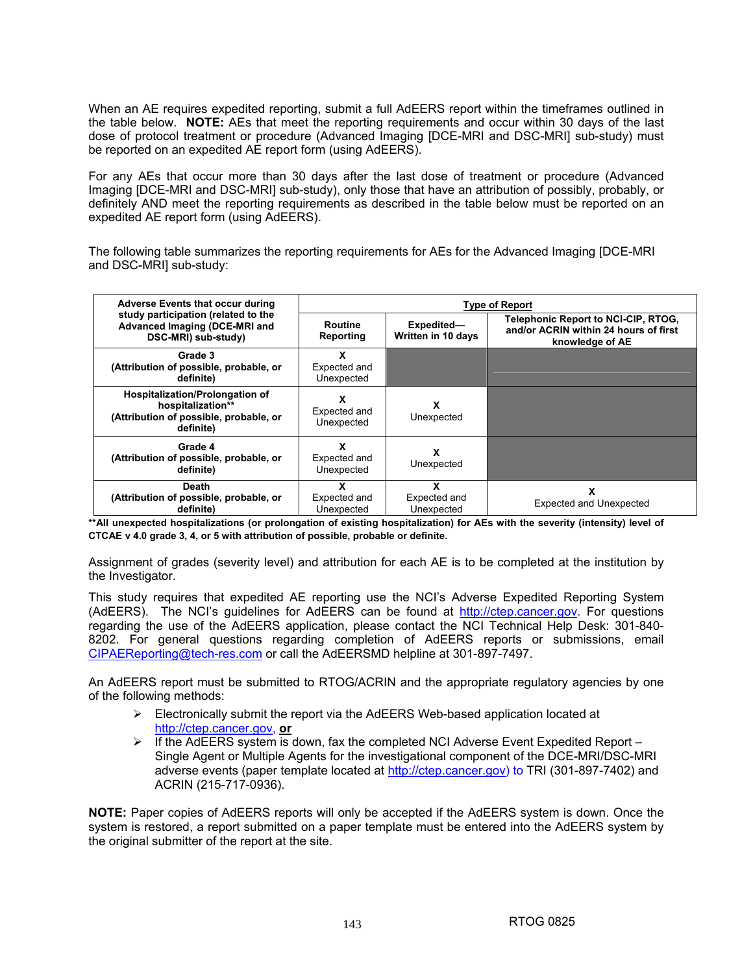When an AE requires expedited reporting, submit a full AdEERS report within the timeframes outlined in the table below. **NOTE:** AEs that meet the reporting requirements and occur within 30 days of the last dose of protocol treatment or procedure (Advanced Imaging [DCE-MRI and DSC-MRI] sub-study) must be reported on an expedited AE report form (using AdEERS).

For any AEs that occur more than 30 days after the last dose of treatment or procedure (Advanced Imaging [DCE-MRI and DSC-MRI] sub-study), only those that have an attribution of possibly, probably, or definitely AND meet the reporting requirements as described in the table below must be reported on an expedited AE report form (using AdEERS).

The following table summarizes the reporting requirements for AEs for the Advanced Imaging [DCE-MRI and DSC-MRI] sub-study:

| <b>Adverse Events that occur during</b>                                                                     | <b>Type of Report</b>           |                                  |                                                                                                        |
|-------------------------------------------------------------------------------------------------------------|---------------------------------|----------------------------------|--------------------------------------------------------------------------------------------------------|
| study participation (related to the<br>Advanced Imaging (DCE-MRI and<br>DSC-MRI) sub-study)                 | Routine<br>Reporting            | Expedited-<br>Written in 10 days | <b>Telephonic Report to NCI-CIP, RTOG,</b><br>and/or ACRIN within 24 hours of first<br>knowledge of AE |
| Grade 3<br>(Attribution of possible, probable, or<br>definite)                                              | x<br>Expected and<br>Unexpected |                                  |                                                                                                        |
| Hospitalization/Prolongation of<br>hospitalization**<br>(Attribution of possible, probable, or<br>definite) | Expected and<br>Unexpected      | x<br>Unexpected                  |                                                                                                        |
| Grade 4<br>(Attribution of possible, probable, or<br>definite)                                              | Expected and<br>Unexpected      | x<br>Unexpected                  |                                                                                                        |
| Death<br>(Attribution of possible, probable, or<br>definite)                                                | Expected and<br>Unexpected      | x<br>Expected and<br>Unexpected  | <b>Expected and Unexpected</b>                                                                         |

**\*\*All unexpected hospitalizations (or prolongation of existing hospitalization) for AEs with the severity (intensity) level of CTCAE v 4.0 grade 3, 4, or 5 with attribution of possible, probable or definite.** 

Assignment of grades (severity level) and attribution for each AE is to be completed at the institution by the Investigator.

This study requires that expedited AE reporting use the NCI's Adverse Expedited Reporting System (AdEERS). The NCI's guidelines for AdEERS can be found at http://ctep.cancer.gov. For questions regarding the use of the AdEERS application, please contact the NCI Technical Help Desk: 301-840- 8202. For general questions regarding completion of AdEERS reports or submissions, email CIPAEReporting@tech-res.com or call the AdEERSMD helpline at 301-897-7497.

An AdEERS report must be submitted to RTOG/ACRIN and the appropriate regulatory agencies by one of the following methods:

- $\triangleright$  Electronically submit the report via the AdEERS Web-based application located at http://ctep.cancer.gov, **or**
- $\triangleright$  If the AdEERS system is down, fax the completed NCI Adverse Event Expedited Report Single Agent or Multiple Agents for the investigational component of the DCE-MRI/DSC-MRI adverse events (paper template located at http://ctep.cancer.gov) to TRI (301-897-7402) and ACRIN (215-717-0936).

**NOTE:** Paper copies of AdEERS reports will only be accepted if the AdEERS system is down. Once the system is restored, a report submitted on a paper template must be entered into the AdEERS system by the original submitter of the report at the site.